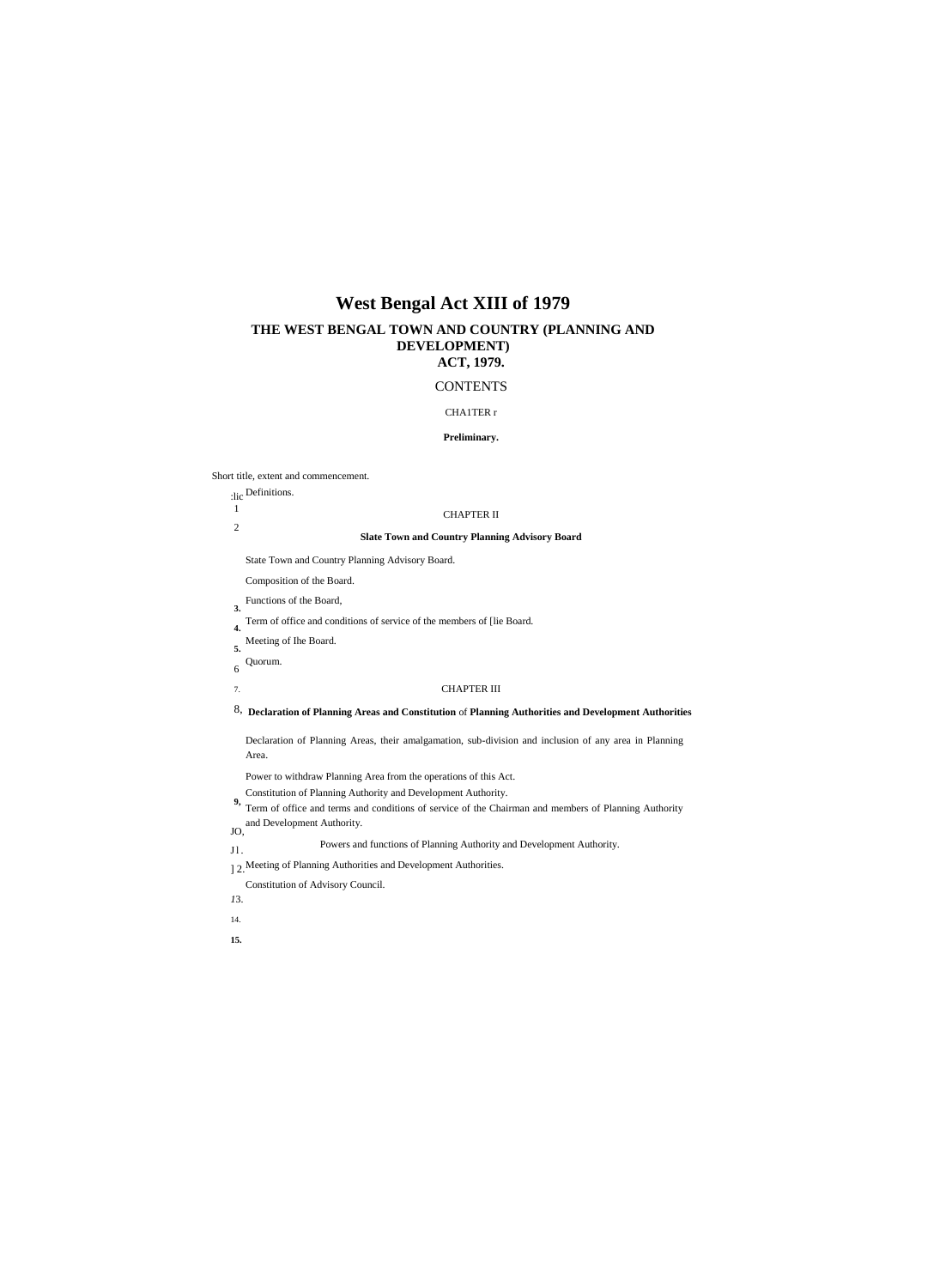# **West Bengal Act XIII of 1979**

# **THE WEST BENGAL TOWN AND COUNTRY (PLANNING AND DEVELOPMENT) ACT, 1979.**

# **CONTENTS**

#### CHA1TER r

# **Preliminary.**

Short title, extent and commencement.

Definitions. :lic

1 2

#### CHAPTER II

#### **Slate Town and Country Planning Advisory Board**

State Town and Country Planning Advisory Board.

Composition of the Board.

- Functions of the Board, **3.**
- Term of office and conditions of service of the members of [lie Board. **4.**
- Meeting of Ihe Board. **5.**
- Quorum. 6

#### CHAPTER III

**Declaration of Planning Areas and Constitution** of **Planning Authorities and Development Authorities** 8,

Declaration of Planning Areas, their amalgamation, sub-division and inclusion of any area in Planning Area.

- Power to withdraw Planning Area from the operations of this Act.
- Constitution of Planning Authority and Development Authority.
- Term of office and terms and conditions of service of the Chairman and members of Planning Authority **9,** and Development Authority. JO,

7.

#### Powers and functions of Planning Authority and Development Authority. J l .

- 12. Meeting of Planning Authorities and Development Authorities.
- Constitution of Advisory Council.
- *1*3.
- 14.
- **15.**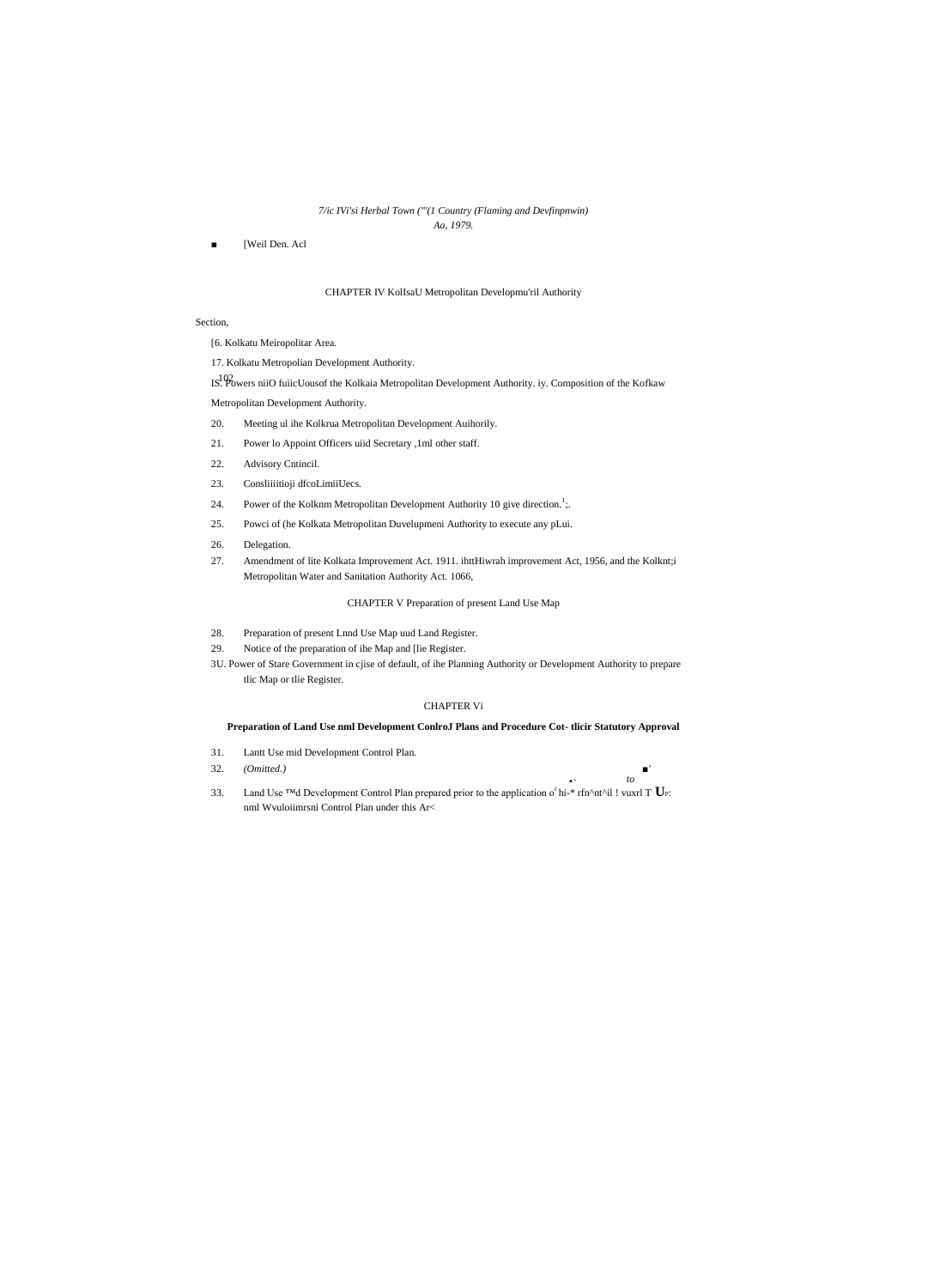# 7/ic IVi'si Herbal Town ("'(1 Country (Flaming and Devfinpnwin) Aa, 1979.

[Weil Den. Acl

# CHAPTER IV KollsaU Metropolitan Developmu'ril Authority

# Section,

[6. Kolkatu Meiropolitar Area.

17. Kolkatu Metropolian Development Authority.

IS. Powers niiO fuicUousof the Kolkaia Metropolitan Development Authority. iy. Composition of the Kofkaw Metropolitan Development Authority.

- Meeting ul ihe Kolkrua Metropolitan Development Auihorily. 20.
- 21. Power lo Appoint Officers uiid Secretary ,1ml other staff.
- Advisory Cntincil. 22.
- Consliiiitioji dfcoLimiiUecs. 23.
- 24. Power of the Kolknm Metropolitan Development Authority 10 give direction.<sup>1</sup>;
- 25. Powci of (he Kolkata Metropolitan Duvelupmeni Authority to execute any pLui.
- 26. Delegation.
- 27. Amendment of lite Kolkata Improvement Act. 1911. ihttHiwrah improvement Act, 1956, and the Kolknt;i Metropolitan Water and Sanitation Authority Act. 1066,

# CHAPTER V Preparation of present Land Use Map

- Preparation of present Lnnd Use Map uud Land Register. 28.
- 29. Notice of the preparation of ihe Map and [lie Register.
- 3U. Power of Stare Government in cjise of default, of ihe Planning Authority or Development Authority to prepare tlic Map or tlie Register.

# **CHAPTER Vi**

# Preparation of Land Use nml Development ConlroJ Plans and Procedure Cot-tlicir Statutory Approval

 $\blacksquare$  $to$ 

 $\mathbf{r}$  .

- Lantt Use mid Development Control Plan. 31.
- 32.  $(Omitted.)$
- 33. Land Use TMd Development Control Plan prepared prior to the application of hi-\* rfn^nt^il ! vuxrl T  $U$ P: nml Wvuloiimrsni Control Plan under this Ar<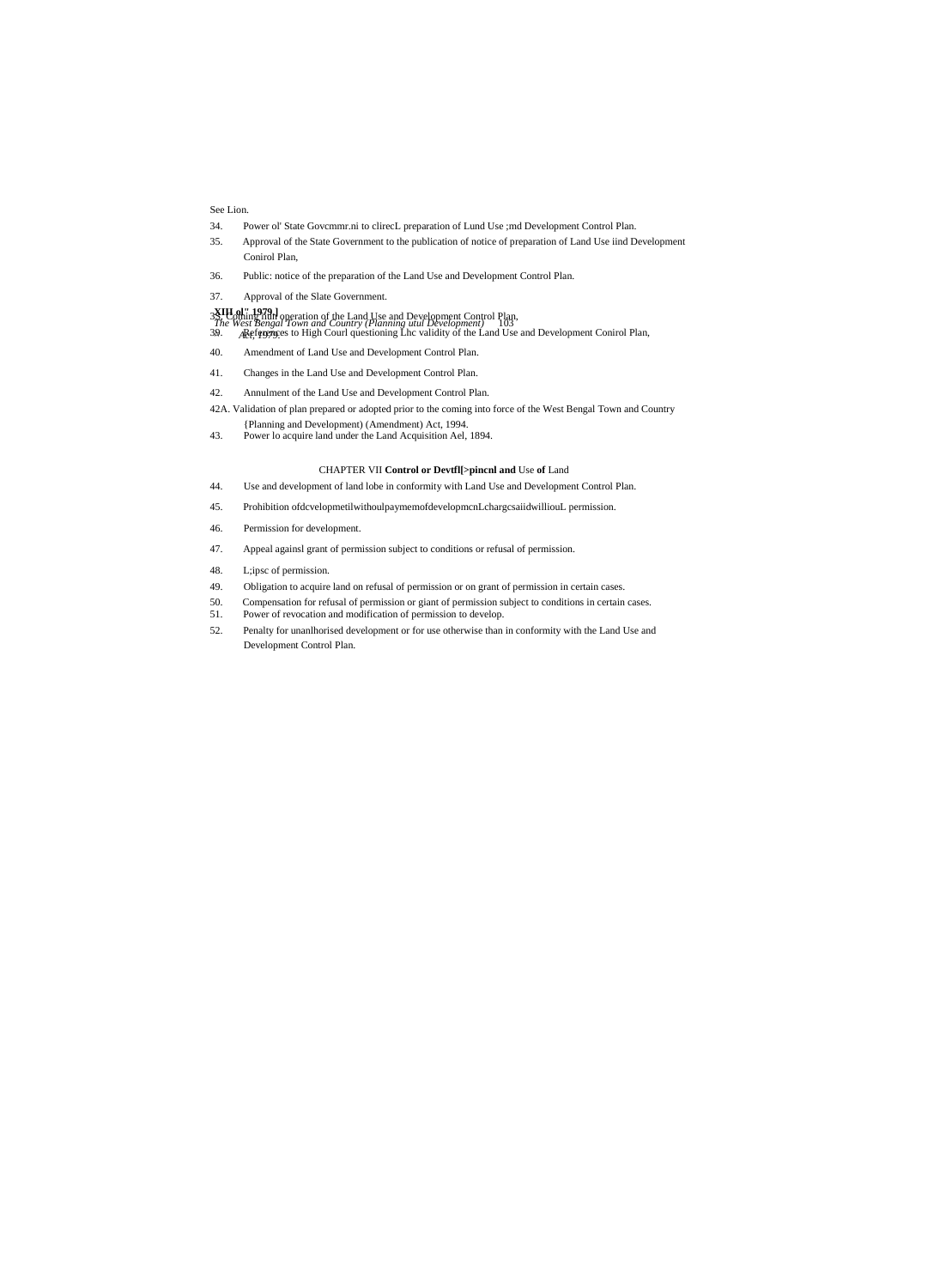See Lion.

- 34. Power ol' State Govcmmr.ni to clirecL preparation of Lund Use ;md Development Control Plan.
- 35. Approval of the State Government to the publication of notice of preparation of Land Use iind Development Conirol Plan,
- 36. Public: notice of the preparation of the Land Use and Development Control Plan.
- 37. Approval of the Slate Government.
- **XIII ol" 1979.]** *The West Bengal Town and Country (Planning utul Development)* 103 3S. Coming iiun operation of the Land Use and Development Control Plan,
- *^ Act, 1979. '* 39. References to High Courl questioning Lhc validity of the Land Use and Development Conirol Plan,
- 40. Amendment of Land Use and Development Control Plan.
- 41. Changes in the Land Use and Development Control Plan.
- 42. Annulment of the Land Use and Development Control Plan.

42A. Validation of plan prepared or adopted prior to the coming into force of the West Bengal Town and Country {Planning and Development) (Amendment) Act, 1994.

43. Power lo acquire land under the Land Acquisition Ael, 1894.

#### CHAPTER VII **Control or Devtfl[>pincnl and** Use **of** Land

- 44. Use and development of land lobe in conformity with Land Use and Development Control Plan.
- 45. Prohibition ofdcvelopmetilwithoulpaymemofdevelopmcnLchargcsaiidwilliouL permission.
- 46. Permission for development.
- 47. Appeal againsl grant of permission subject to conditions or refusal of permission.
- 48. L;ipsc of permission.
- 49. Obligation to acquire land on refusal of permission or on grant of permission in certain cases.
- 50. Compensation for refusal of permission or giant of permission subject to conditions in certain cases.<br>51. Power of revocation and modification of permission to develop.
- Power of revocation and modification of permission to develop.
- 52. Penalty for unanlhorised development or for use otherwise than in conformity with the Land Use and Development Control Plan.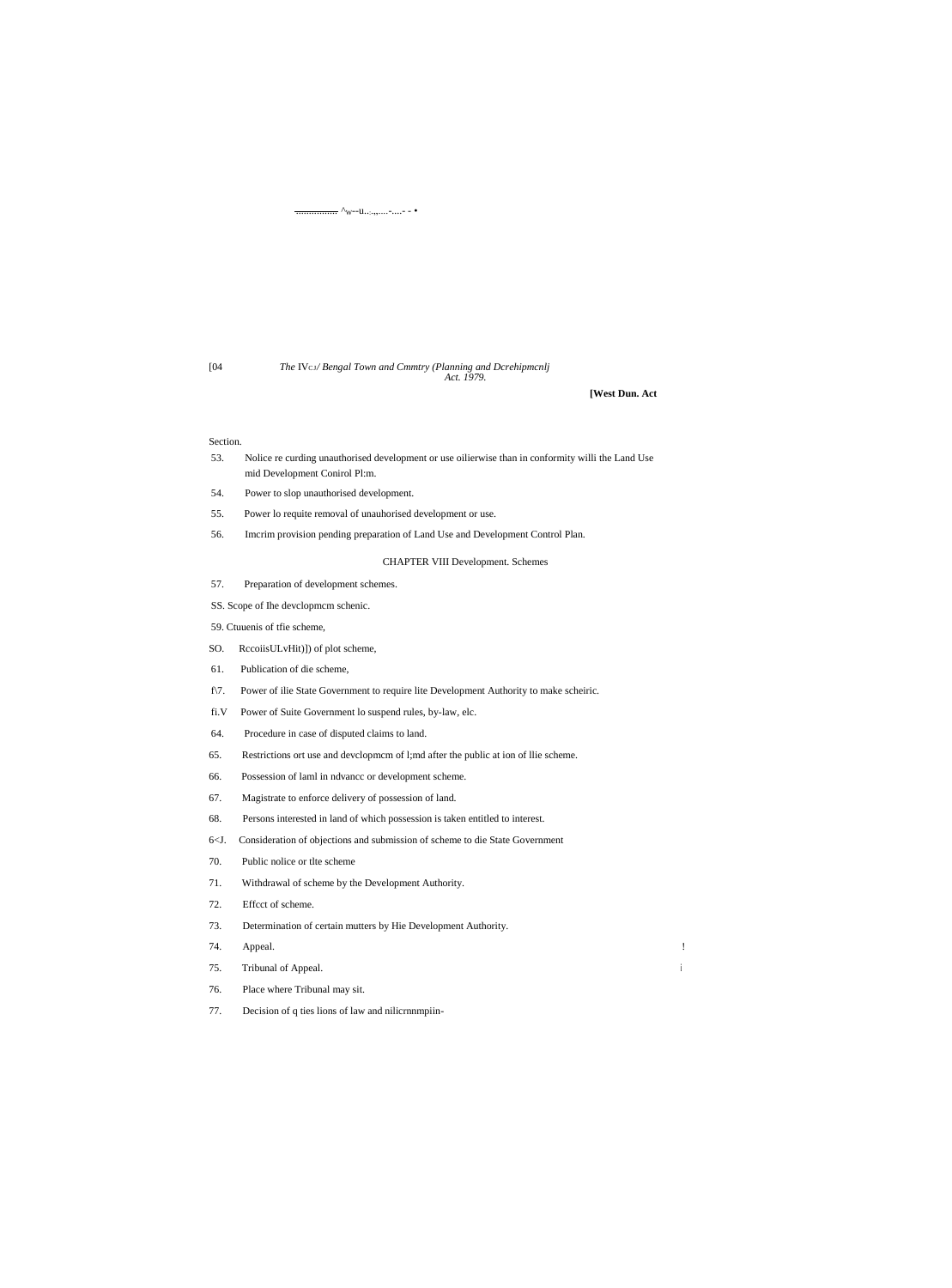$\wedge_{\mathbf{W}^{-1}\mathbf{U},\cdots,\cdots,-}$  ....- - .

[04

#### The IVcs/ Bengal Town and Cmmtry (Planning and Dcrehipmcnlj Act. 1979.

[West Dun. Act

 $\frac{1}{2}$ 

 $\mathbf{i}$ 

#### Section.

- 53. Nolice re curding unauthorised development or use oilierwise than in conformity willi the Land Use mid Development Conirol Pl:m.
- Power to slop unauthorised development. 54.
- Power lo requite removal of unauhorised development or use. 55.
- Imcrim provision pending preparation of Land Use and Development Control Plan. 56.

**CHAPTER VIII Development. Schemes** 

- Preparation of development schemes. 57.
- SS. Scope of Ihe developmem schenic.
- 59. Ctuuenis of tfie scheme,
- SO. RccoiisULvHit)]) of plot scheme,
- 61. Publication of die scheme,
- Power of ilie State Government to require lite Development Authority to make scheiric.  $f\$ {7}.
- Power of Suite Government lo suspend rules, by-law, elc.  $\rm{fi.V}$
- Procedure in case of disputed claims to land. 64.
- Restrictions ort use and developmem of l;md after the public at ion of llie scheme. 65.
- Possession of laml in ndvance or development scheme. 66.
- 67. Magistrate to enforce delivery of possession of land.
- 68. Persons interested in land of which possession is taken entitled to interest.
- Consideration of objections and submission of scheme to die State Government  $6< J$ .
- 70. Public nolice or the scheme
- 71. Withdrawal of scheme by the Development Authority.
- 72. Effect of scheme.
- Determination of certain mutters by Hie Development Authority. 73.
- 74. Appeal.
- Tribunal of Appeal. 75.
- Place where Tribunal may sit. 76.
- Decision of q ties lions of law and nilicrnnmpiin-77.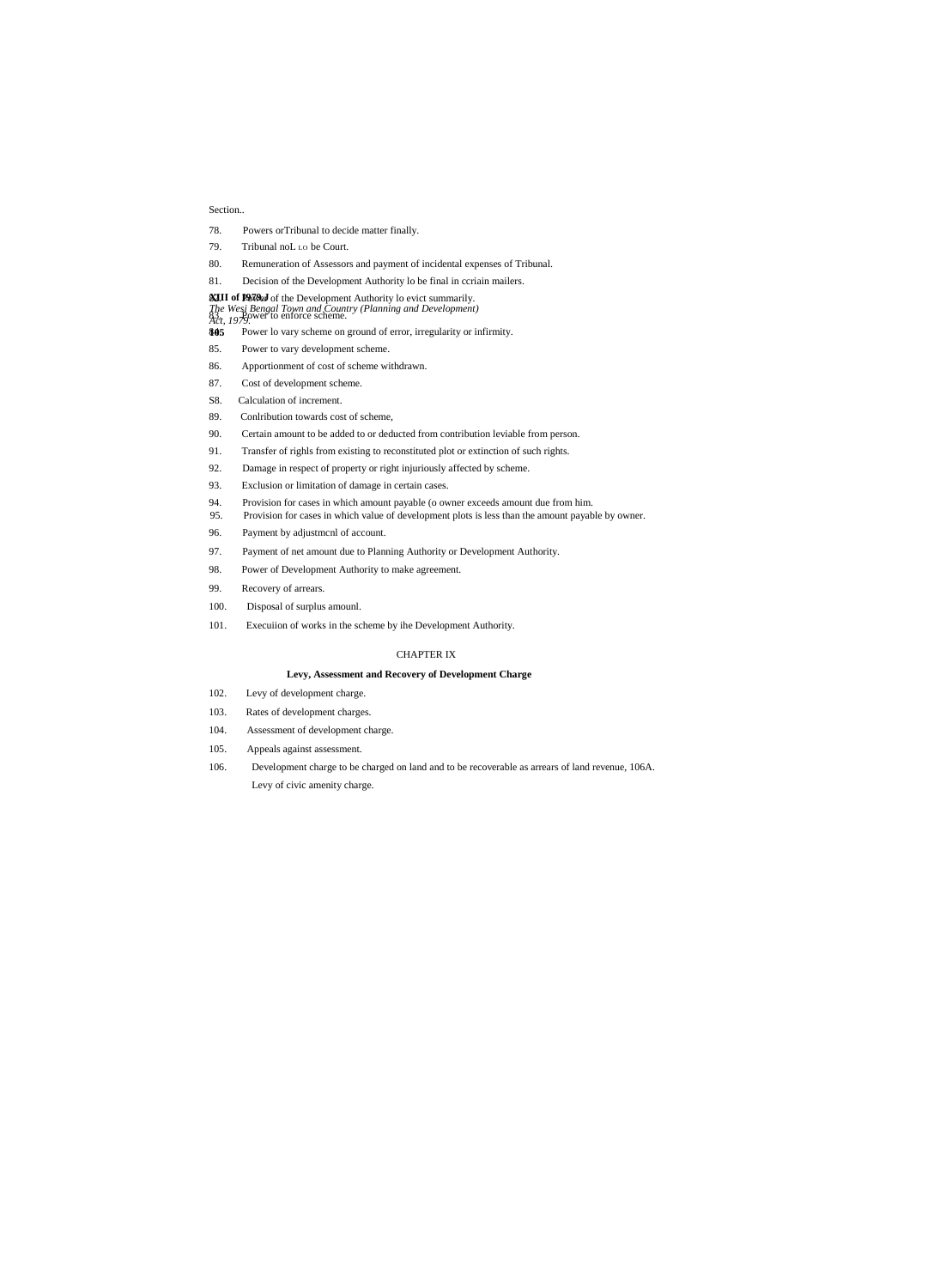#### Section..

- 78. Powers orTribunal to decide matter finally.
- 79. Tribunal noL Lo be Court.
- 80. Remuneration of Assessors and payment of incidental expenses of Tribunal.
- 81. Decision of the Development Authority lo be final in ccriain mailers.

#### **XIII of P979.J** of the Development Authority lo evict summarily.

- *The Wesi Bengal Town and Country (Planning and Development)* 83. *He Bengar Town and Count*<br>*Act, 1979*.
- **105** Power lo vary scheme on ground of error, irregularity or infirmity.
- 85. Power to vary development scheme.
- 86. Apportionment of cost of scheme withdrawn.
- 87. Cost of development scheme.
- S8. Calculation of increment.
- 89. Conlribution towards cost of scheme,
- 90. Certain amount to be added to or deducted from contribution leviable from person.
- 91. Transfer of righls from existing to reconstituted plot or extinction of such rights.
- 92. Damage in respect of property or right injuriously affected by scheme.
- 93. Exclusion or limitation of damage in certain cases.
- 94. Provision for cases in which amount payable (o owner exceeds amount due from him.
- 95. Provision for cases in which value of development plots is less than the amount payable by owner.
- 96. Payment by adjustmcnl of account.
- 97. Payment of net amount due to Planning Authority or Development Authority.
- 98. Power of Development Authority to make agreement.
- 99. Recovery of arrears.
- 100. Disposal of surplus amounl.
- 101. Execuiion of works in the scheme by ihe Development Authority.

# CHAPTER IX

#### **Levy, Assessment and Recovery of Development Charge**

- 102. Levy of development charge.
- 103. Rates of development charges.
- 104. Assessment of development charge.
- 105. Appeals against assessment.
- 106. Development charge to be charged on land and to be recoverable as arrears of land revenue, 106A. Levy of civic amenity charge.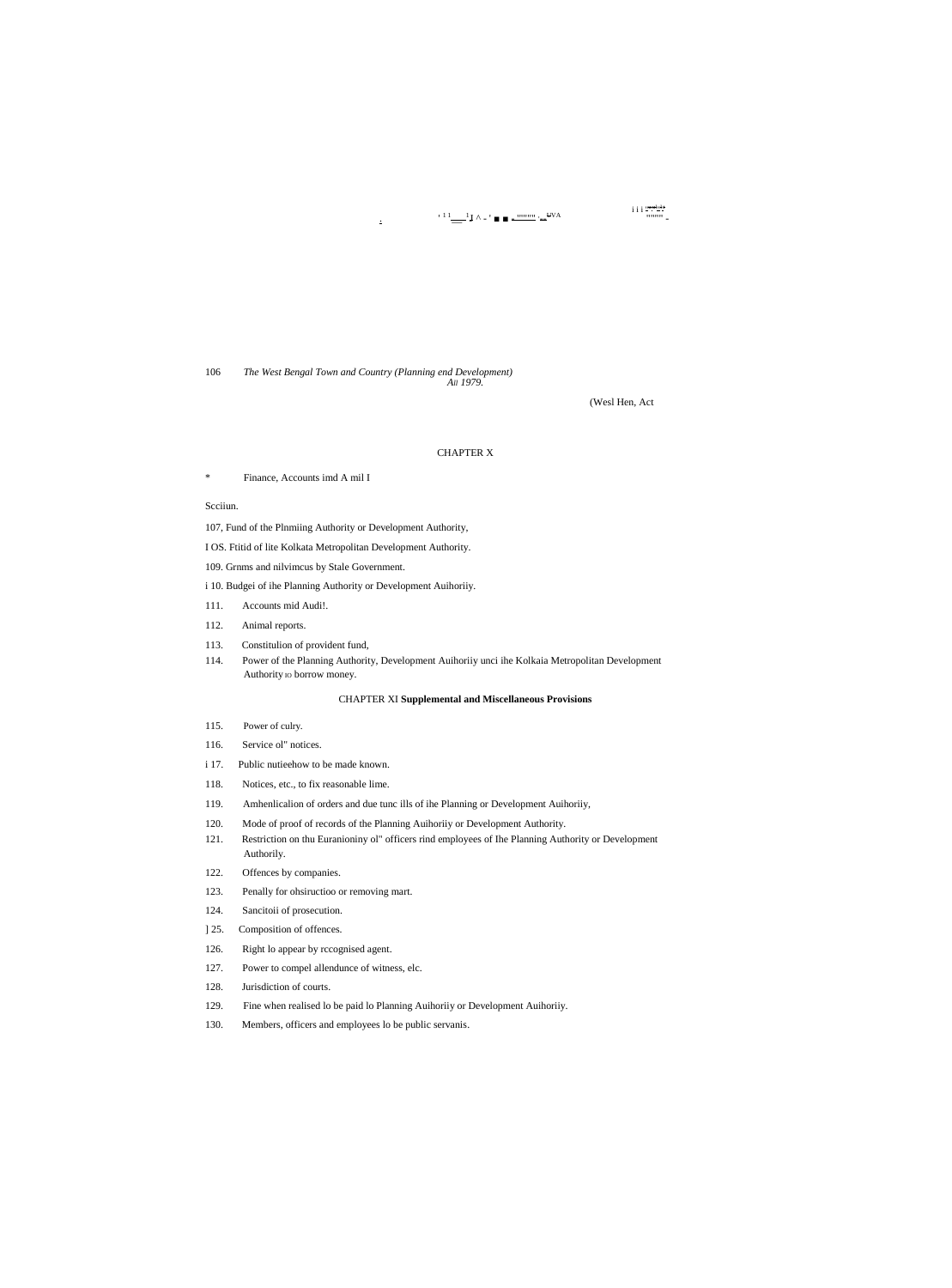$\cdot$ <sup>1</sup> 1  $\frac{1}{\sqrt{2}}$  1  $\wedge$  - '  $\blacksquare$   $\blacksquare$   $\frac{1}{\sqrt{2}}$   $\blacksquare$   $\frac{1}{\sqrt{2}}$   $\vee$  A

 $\frac{\text{i}\,\text{i}\,\text{i}\,\frac{\text{m}\,\text{m}\,\text{m}\,\text{m}}{\text{m}\,\text{m}\,\text{m}}}{\text{m}\,\text{m}\,\text{m}}$ 

106 The West Bengal Town and Country (Planning end Development) All 1979.

 $\mathbf{r}$ 

(Wesl Hen, Act

#### **CHAPTER X**

× Finance, Accounts imd A mil I

#### Scciiun.

107, Fund of the Plnmiing Authority or Development Authority,

I OS. Ftitid of lite Kolkata Metropolitan Development Authority.

109. Grnms and nilvimcus by Stale Government.

i 10. Budgei of ihe Planning Authority or Development Auihoriiy.

- Accounts mid Audi!. 111.
- 112. Animal reports.
- 113. Constitulion of provident fund,
- 114. Power of the Planning Authority, Development Auihoriiy unci ihe Kolkaia Metropolitan Development Authority to borrow money.

#### **CHAPTER XI Supplemental and Miscellaneous Provisions**

- 115. Power of culry.
- Service ol" notices. 116.
- i 17. Public nutieehow to be made known.
- 118. Notices, etc., to fix reasonable lime.
- 119. Amhenlicalion of orders and due tunc ills of ihe Planning or Development Auihoriiy,
- 120. Mode of proof of records of the Planning Auihoriiy or Development Authority.
- Restriction on thu Euranioniny ol" officers rind employees of Ihe Planning Authority or Development 121. Authorily.
- 122. Offences by companies.
- 123. Penally for ohsiructioo or removing mart.
- 124. Sancitoii of prosecution.
- Composition of offences.  $]25.$
- 126. Right lo appear by rccognised agent.
- 127. Power to compel allendunce of witness, elc.
- 128. Jurisdiction of courts.
- 129. Fine when realised lo be paid lo Planning Auihoriiy or Development Auihoriiy.
- Members, officers and employees lo be public servanis. 130.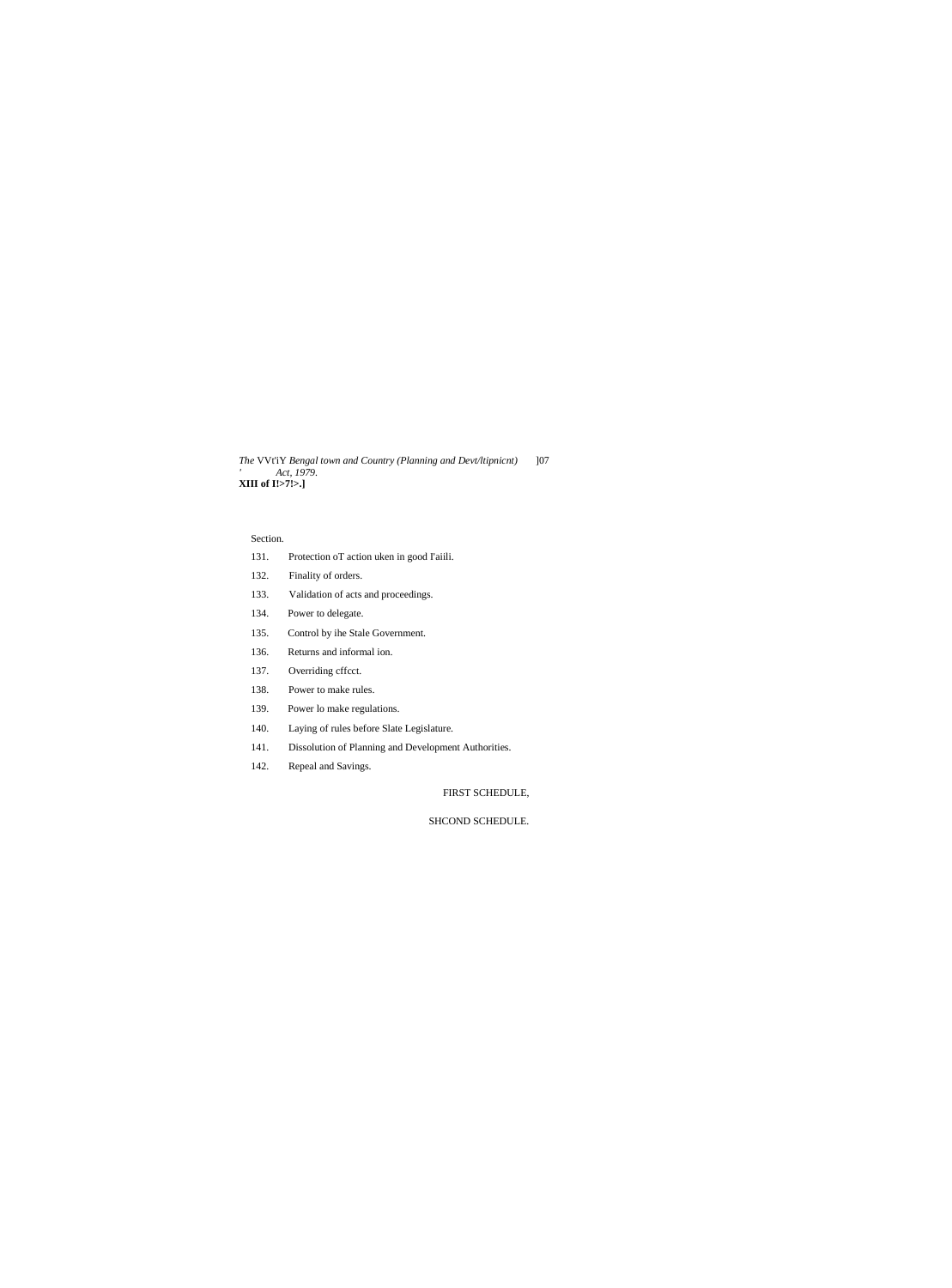*The* VVt'iY *Bengal town and Country (Planning and Devt/ltipnicnt)* ]07 *' Act, 1979.* **XIII of I!>7!>.]**

# Section.

- 131. Protection oT action uken in good I'aiili.
- 132. Finality of orders.
- 133. Validation of acts and proceedings.
- 134. Power to delegate.
- 135. Control by ihe Stale Government.
- 136. Returns and informal ion.
- 137. Overriding cffcct.
- 138. Power to make rules.
- 139. Power lo make regulations.
- 140. Laying of rules before Slate Legislature.
- 141. Dissolution of Planning and Development Authorities.
- 142. Repeal and Savings.

FIRST SCHEDULE,

SHCOND SCHEDULE.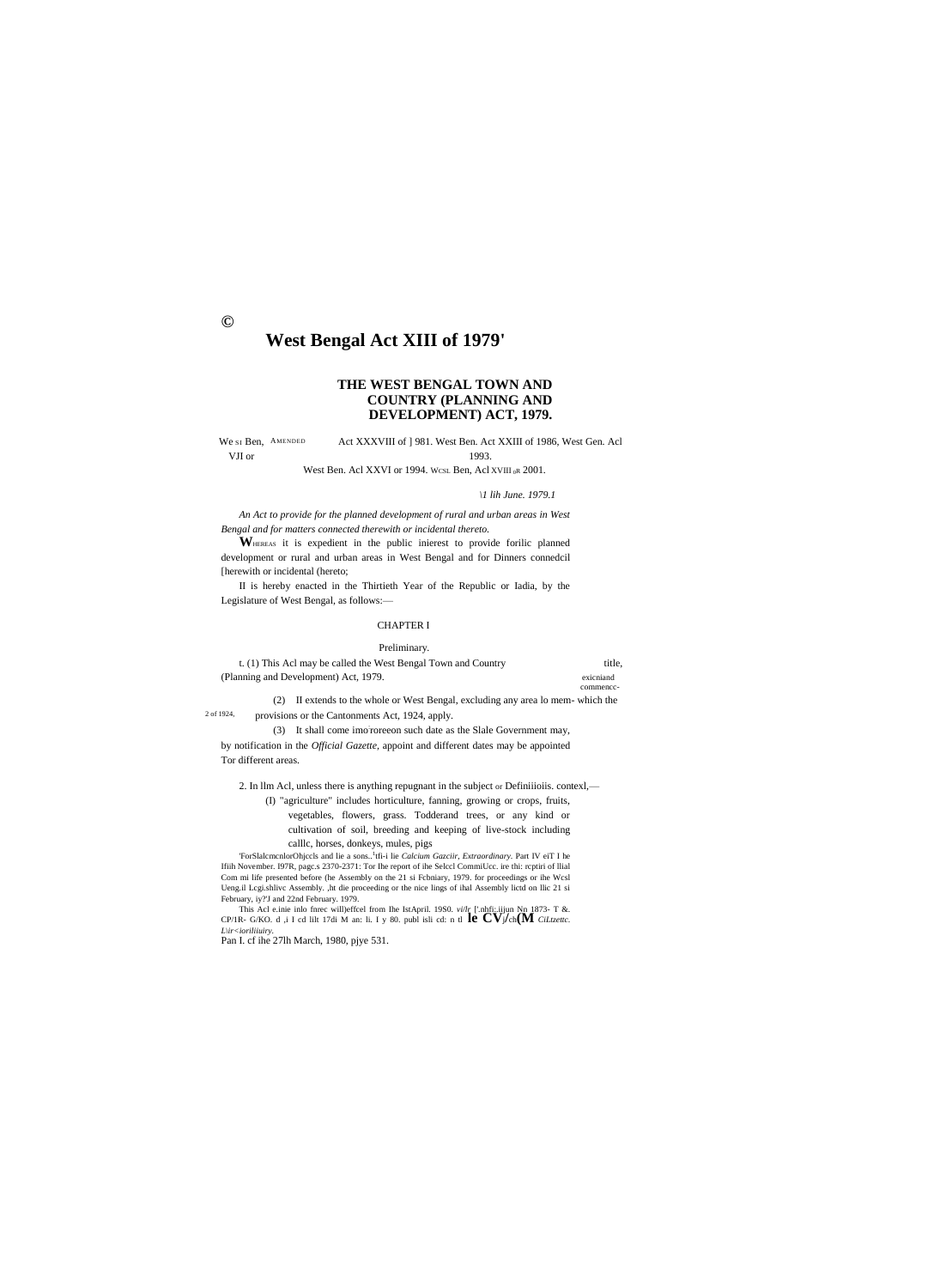$\odot$ 

# West Bengal Act XIII of 1979'

# THE WEST BENGAL TOWN AND **COUNTRY (PLANNING AND** DEVELOPMENT) ACT, 1979.

We st Ben, AMENDED Act XXXVIII of ] 981. West Ben. Act XXIII of 1986, West Gen. Acl VJI or 1993.

West Ben. Acl XXVI or 1994. WCSL Ben, Acl XVIII<sub>0</sub>R 2001.

\1 lih June, 1979.1

An Act to provide for the planned development of rural and urban areas in West Bengal and for matters connected therewith or incidental thereto.

WHEREAS it is expedient in the public inierest to provide forilic planned development or rural and urban areas in West Bengal and for Dinners connedcil [herewith or incidental (hereto;

II is hereby enacted in the Thirtieth Year of the Republic or Iadia, by the Legislature of West Bengal, as follows:-

# **CHAPTER I**

Preliminary.

| t. (1) This Acl may be called the West Bengal Town and Country | title.    |
|----------------------------------------------------------------|-----------|
| (Planning and Development) Act, 1979.                          | exicniand |
|                                                                | commence- |

(2) II extends to the whole or West Bengal, excluding any area lo mem-which the 2 of 1924, provisions or the Cantonments Act, 1924, apply.

(3) It shall come imorpree on such date as the Slale Government may, by notification in the Official Gazette, appoint and different dates may be appointed Tor different areas.

2. In Ilm AcI, unless there is anything repugnant in the subject or Definitions. contexl,—

(I) "agriculture" includes horticulture, fanning, growing or crops, fruits, vegetables, flowers, grass. Todderand trees, or any kind or cultivation of soil, breeding and keeping of live-stock including calllc, horses, donkeys, mules, pigs

'ForSlalcmcnlorOhjccls and lie a sons..<sup>1</sup>tfi-i lie Calcium Gazciir, Extraordinary. Part IV eiT I he Ifiih November. I97R, pagc.s 2370-2371: Tor Ihe report of ihe Selccl CommiUcc. ire thi: rcptiri of Ilial Com mi life presented before (he Assembly on the 21 si Fcbniary, 1979. for proceedings or ihe Wcsl Ueng.il Legi.shlive Assembly. ,ht die proceeding or the nice lings of ihal Assembly lictd on Ilic 21 si February, iy?'J and 22nd February. 1979.

This Act e.inie into fine will effect from the IstApril. 1980.  $vilr$  ['.nhfi..iijun Nn 1873- T &.<br>CP/IR- G/KO. d ,i I cd lilt 17di M an: li. I y 80. publ isli cd: n tl  $\mathbf{PCV}j\text{ch}(\mathbf{M}$  Ciltzette.  $L\rightarrow ioriliuity.$ 

Pan I. cf ihe 27lh March, 1980, pjye 531.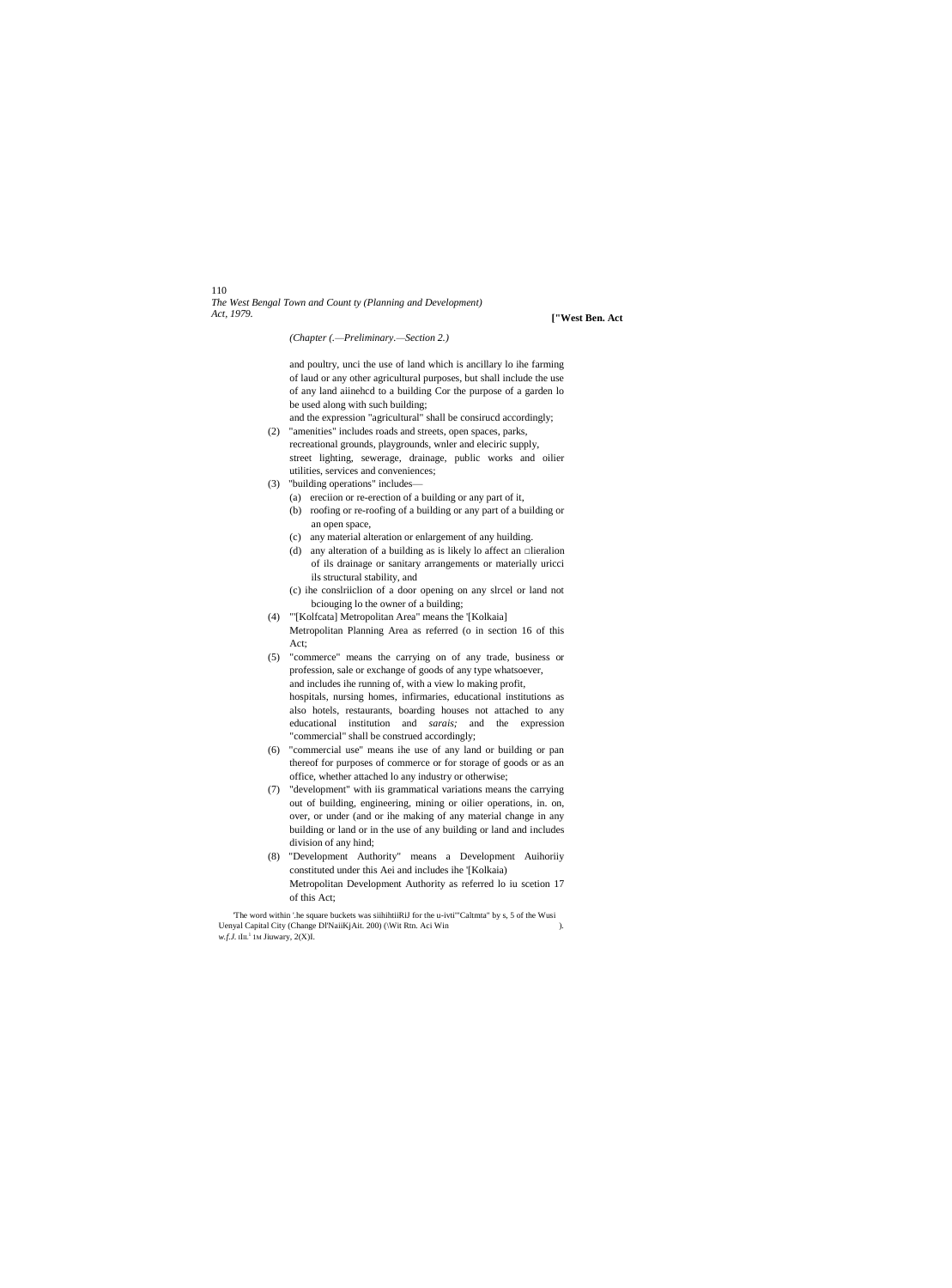# 110 *The West Bengal Town and Count ty (Planning and Development)*

*Act, 1979.* **["West Ben. Act**

*(Chapter (.—Preliminary.—Section 2.)*

and poultry, unci the use of land which is ancillary lo ihe farming of laud or any other agricultural purposes, but shall include the use of any land aiinehcd to a building Cor the purpose of a garden lo be used along with such building;

- and the expression "agricultural" shall be consirucd accordingly; (2) "amenities" includes roads and streets, open spaces, parks,
- recreational grounds, playgrounds, wnler and eleciric supply, street lighting, sewerage, drainage, public works and oilier utilities, services and conveniences;
- (3) "building operations" includes—
	- (a) ereciion or re-erection of a building or any part of it, (b) roofing or re-roofing of a building or any part of a building or
	- an open space,
	- (c) any material alteration or enlargement of any huilding.
	- (d) any alteration of a building as is likely lo affect an  $\Box$ lieralion of ils drainage or sanitary arrangements or materially uricci ils structural stability, and
	- (c) ihe conslriiclion of a door opening on any slrcel or land not bciouging lo the owner of a building;
- (4) "'[Kolfcata] Metropolitan Area" means the '[Kolkaia] Metropolitan Planning Area as referred (o in section 16 of this
- Act; (5) "commerce" means the carrying on of any trade, business or profession, sale or exchange of goods of any type whatsoever, and includes ihe running of, with a view lo making profit, hospitals, nursing homes, infirmaries, educational institutions as also hotels, restaurants, boarding houses not attached to any educational institution and *sarais;* and the expression "commercial" shall be construed accordingly;
- (6) "commercial use" means ihe use of any land or building or pan thereof for purposes of commerce or for storage of goods or as an office, whether attached lo any industry or otherwise;
- (7) "development" with iis grammatical variations means the carrying out of building, engineering, mining or oilier operations, in. on, over, or under (and or ihe making of any material change in any building or land or in the use of any building or land and includes division of any hind;
- (8) "Development Authority" means a Development Auihoriiy constituted under this Aei and includes ihe '[Kolkaia) Metropolitan Development Authority as referred lo iu scetion 17 of this Act;

'The word within '.he square buckets was siihihtiiRiJ for the u-ivti'"Caltmta" by s, 5 of the Wusi Uenyal Capital City (Change Dl'NaiiKjAit. 200) (\Wit Rtn. Aci Win ).  $w.f.J.$  IIIL<sup>1</sup> 1M Jiuwary,  $2(X)I.$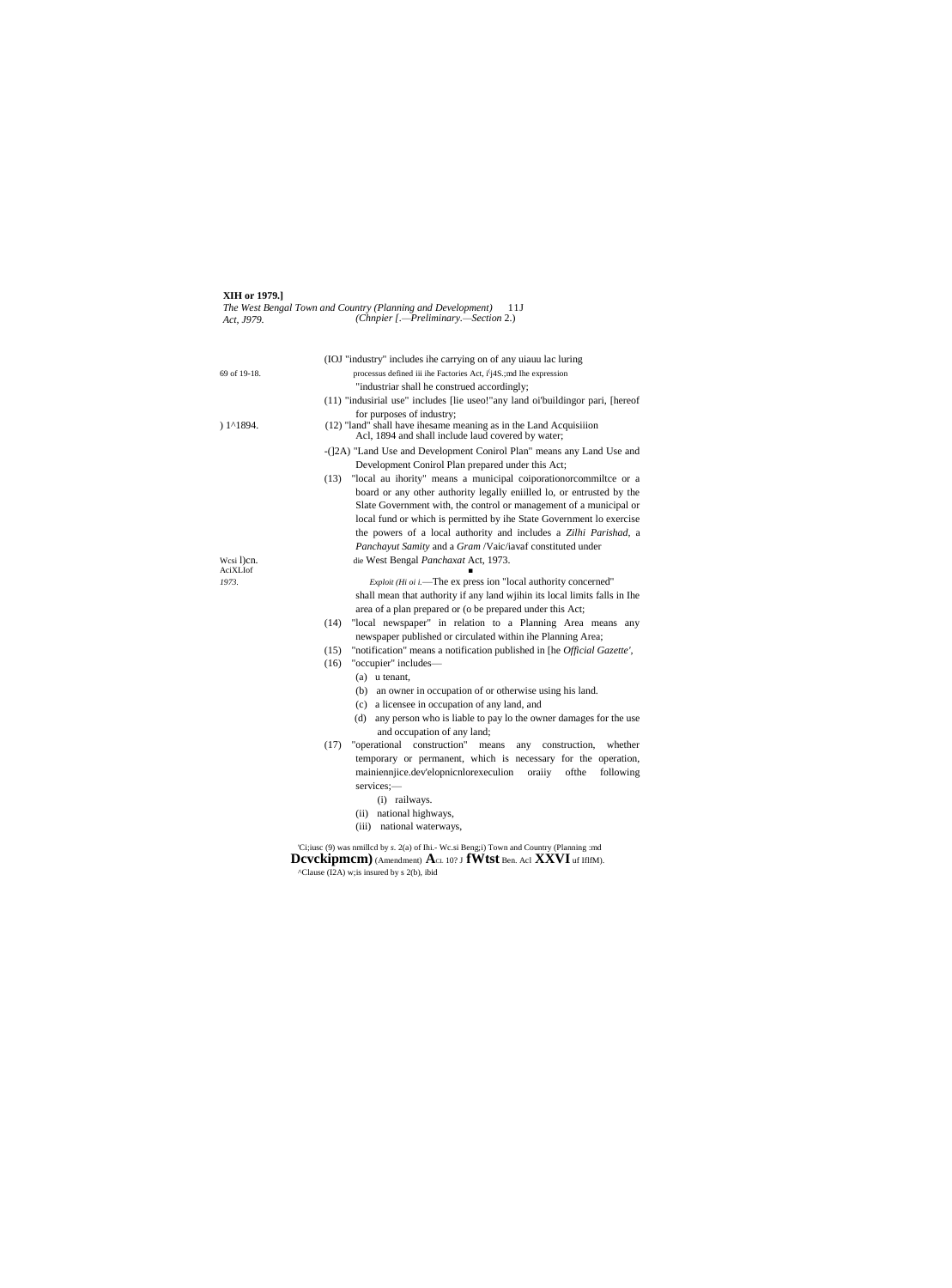#### **XIH or 1979.]** *The West Bengal Town and Country (Planning and Development)* 11J *Act, J979. (Chnpier [.—Preliminary.—Section* 2.)

|                     | (IOJ "industry" includes ihe carrying on of any uiauu lac luring                                                        |
|---------------------|-------------------------------------------------------------------------------------------------------------------------|
| 69 of 19-18.        | processus defined iii ihe Factories Act, i'i4S; and Ihe expression                                                      |
|                     | "industriar shall he construed accordingly;                                                                             |
|                     | (11) "indusirial use" includes [lie useo!"any land oi'buildingor pari, [hereof                                          |
|                     | for purposes of industry;                                                                                               |
| $) 1^{\prime}1894.$ | (12) "land" shall have ihesame meaning as in the Land Acquisiiion<br>Acl, 1894 and shall include laud covered by water; |
|                     | -(]2A) "Land Use and Development Conirol Plan" means any Land Use and                                                   |
|                     | Development Conirol Plan prepared under this Act;                                                                       |
|                     | "local au ihority" means a municipal coiporation or commiltee or a<br>(13)                                              |
|                     | board or any other authority legally eniilled lo, or entrusted by the                                                   |
|                     | Slate Government with, the control or management of a municipal or                                                      |
|                     | local fund or which is permitted by the State Government lo exercise                                                    |
|                     | the powers of a local authority and includes a Zilhi Parishad, a                                                        |
|                     | Panchayut Samity and a Gram /Vaic/iavaf constituted under                                                               |
| Wesi 1)cn.          | die West Bengal Panchaxat Act, 1973.                                                                                    |
| AciXLIof            |                                                                                                                         |
| 1973.               | <i>Exploit (Hi oi i.</i> —The ex press ion "local authority concerned"                                                  |
|                     | shall mean that authority if any land within its local limits falls in The                                              |
|                     | area of a plan prepared or (o be prepared under this Act;                                                               |
|                     | "local newspaper" in relation to a Planning Area means any<br>(14)                                                      |
|                     | newspaper published or circulated within ihe Planning Area;                                                             |
|                     | (15)<br>"notification" means a notification published in [he Official Gazette',                                         |
|                     | "occupier" includes-<br>(16)                                                                                            |
|                     | $(a)$ u tenant,                                                                                                         |
|                     | (b) an owner in occupation of or otherwise using his land.                                                              |
|                     | a licensee in occupation of any land, and<br>(c)                                                                        |
|                     | any person who is liable to pay lo the owner damages for the use<br>(d)                                                 |
|                     | and occupation of any land;                                                                                             |
|                     | construction"<br>(17)<br>"operational<br>construction,<br>whether<br>means<br>any                                       |
|                     | temporary or permanent, which is necessary for the operation,                                                           |
|                     | mainiennjice.dev'elopnicnlorexeculion<br>oraiiy<br>ofthe<br>following                                                   |
|                     | services;-                                                                                                              |
|                     | (i) railways.                                                                                                           |
|                     | (ii) national highways,                                                                                                 |
|                     | national waterways,<br>(iii)                                                                                            |
|                     |                                                                                                                         |
|                     |                                                                                                                         |

'Ci;iusc (9) was nmillcd by *s.* 2(a) of Ihi.- Wc.si Beng;i) Town and Country (Planning :md **Dcvckipmcm)**(Amendment) **A**CL 10? J **fWtst** Ben. Acl **XXVI** uf IflfM).  $^{\circ}$ Clause (I2A) w;is insured by s 2(b), ibid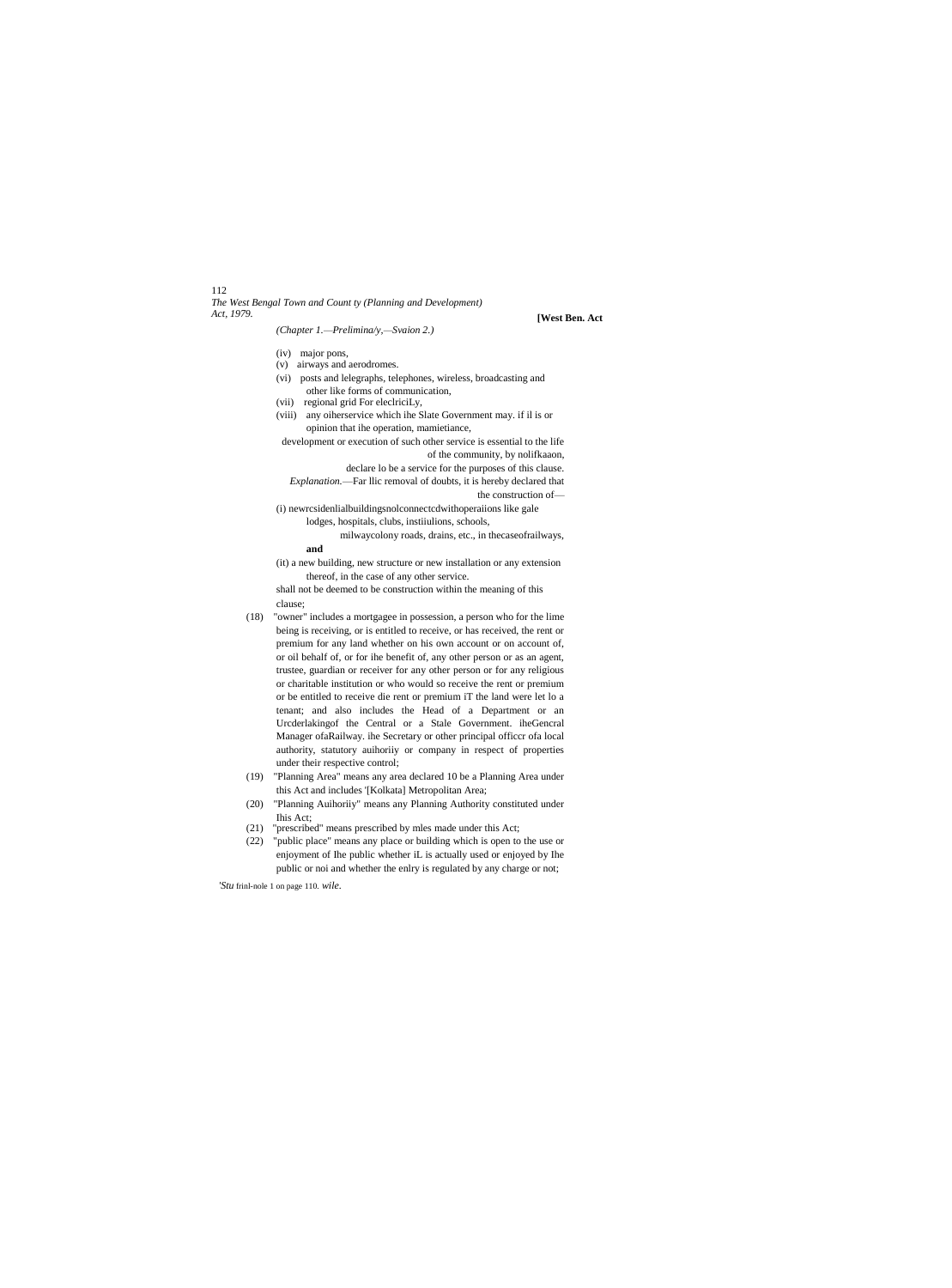# 112 *The West Bengal Town and Count ty (Planning and Development)*

#### *(Chapter 1.—Prelimina/y,—Svaion 2.)*

# **[West Ben. Act**

- (iv) major pons,
- (v) airways and aerodromes. (vi) posts and lelegraphs, telephones, wireless, broadcasting and other like forms of communication,
- (vii) regional grid For eleclriciLy,
- (viii) any oiherservice which ihe Slate Government may. if il is or opinion that ihe operation, mamietiance,

development or execution of such other service is essential to the life of the community, by nolifkaaon,

declare lo be a service for the purposes of this clause.

*Explanation.*—Far llic removal of doubts, it is hereby declared that the construction of—

(i) newrcsidenlialbuildingsnolconnectcdwithoperaiions like gale lodges, hospitals, clubs, instiiulions, schools,

milwaycolony roads, drains, etc., in thecaseofrailways, **and**

(it) a new building, new structure or new installation or any extension thereof, in the case of any other service.

shall not be deemed to be construction within the meaning of this clause;

- (18) "owner" includes a mortgagee in possession, a person who for the lime being is receiving, or is entitled to receive, or has received, the rent or premium for any land whether on his own account or on account of, or oil behalf of, or for ihe benefit of, any other person or as an agent, trustee, guardian or receiver for any other person or for any religious or charitable institution or who would so receive the rent or premium or be entitled to receive die rent or premium iT the land were let lo a tenant; and also includes the Head of a Department or an Urcderlakingof the Central or a Stale Government. iheGencral Manager ofaRailway. ihe Secretary or other principal officcr ofa local authority, statutory auihoriiy or company in respect of properties under their respective control;
- (19) "Planning Area" means any area declared 10 be a Planning Area under this Act and includes '[Kolkata] Metropolitan Area;
- (20) "Planning Auihoriiy" means any Planning Authority constituted under Ihis Act;
- (21) "prescribed" means prescribed by mles made under this Act;
- (22) "public place" means any place or building which is open to the use or enjoyment of Ihe public whether iL is actually used or enjoyed by Ihe public or noi and whether the enlry is regulated by any charge or not;

*'Stu* frinl-nole 1 on page 110. *wile.*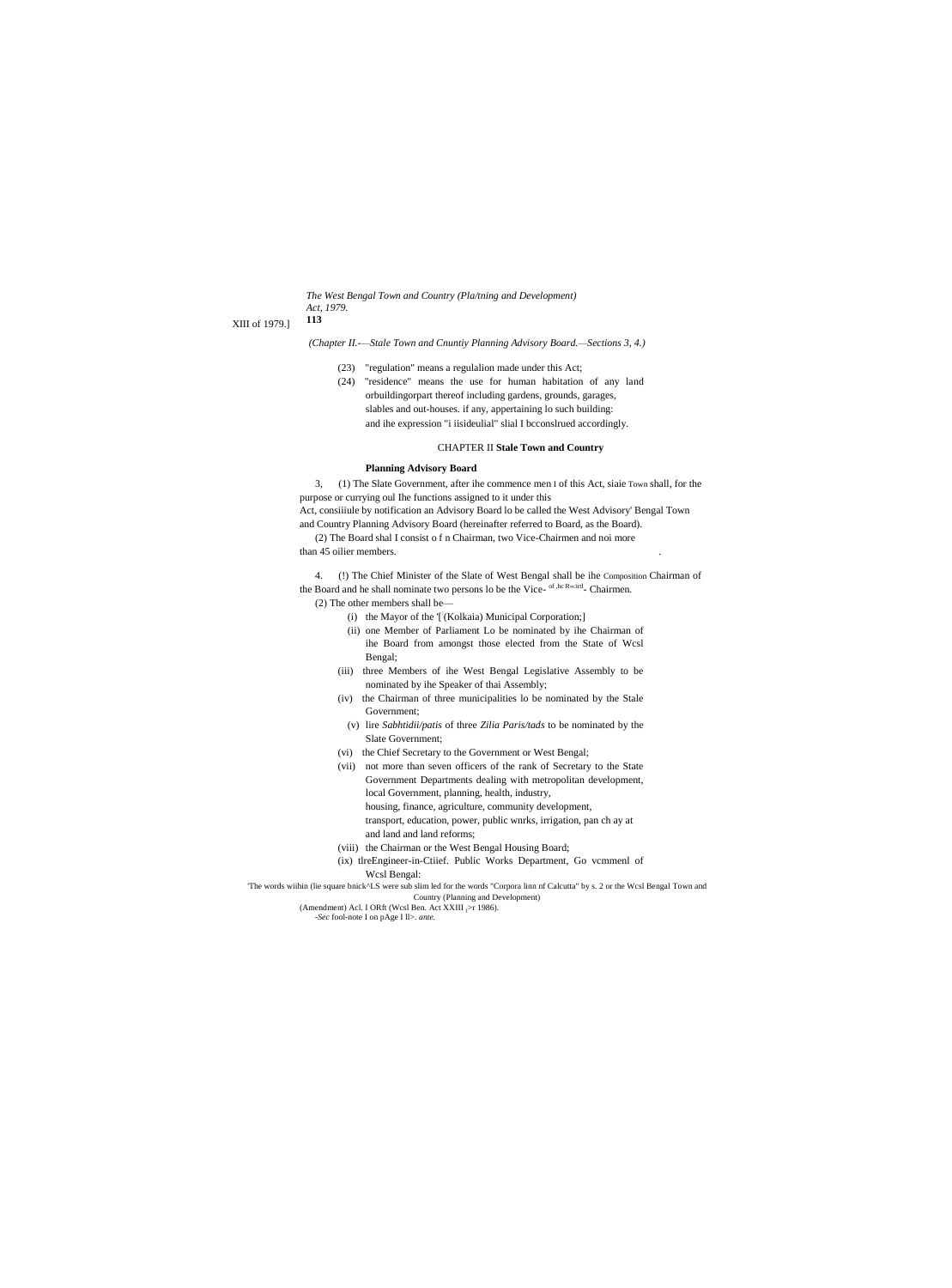The West Bengal Town and Country (Pla/tning and Development) Act. 1979. 113

XIII of 1979.]

(Chapter II.--Stale Town and Cnuntiy Planning Advisory Board.-Sections 3, 4.)

- (23) "regulation" means a regulation made under this Act;
- (24) "residence" means the use for human habitation of any land orbuildingorpart thereof including gardens, grounds, garages, slables and out-houses. if any, appertaining lo such building: and ihe expression "i iisideulial" slial I bcconslrued accordingly.

#### **CHAPTER II Stale Town and Country**

### **Planning Advisory Board**

3, (1) The Slate Government, after ihe commence men I of this Act, siaie Town shall, for the purpose or currying oul Ihe functions assigned to it under this

Act, consiiiule by notification an Advisory Board lo be called the West Advisory' Bengal Town and Country Planning Advisory Board (hereinafter referred to Board, as the Board). (2) The Board shal I consist of n Chairman, two Vice-Chairmen and noi more

than 45 oilier members.

4. (!) The Chief Minister of the Slate of West Bengal shall be ihe Composition Chairman of the Board and he shall nominate two persons lo be the Vice- of the Ruitul- Chairmen. (2) The other members shall be-

- (i) the Mayor of the '['(Kolkaia) Municipal Corporation;]
- (ii) one Member of Parliament Lo be nominated by ihe Chairman of ihe Board from amongst those elected from the State of Wcsl Bengal;
- (iii) three Members of ihe West Bengal Legislative Assembly to be nominated by ihe Speaker of thai Assembly;
- (iv) the Chairman of three municipalities lo be nominated by the Stale Government;
- (v) lire Sabhtidii/patis of three Zilia Paris/tads to be nominated by the Slate Government;
- (vi) the Chief Secretary to the Government or West Bengal;
- (vii) not more than seven officers of the rank of Secretary to the State Government Departments dealing with metropolitan development, local Government, planning, health, industry, housing, finance, agriculture, community development,

transport, education, power, public wnrks, irrigation, pan ch ay at

- and land and land reforms;
- (viii) the Chairman or the West Bengal Housing Board;
- (ix) tlreEngineer-in-Ctiief. Public Works Department, Go vcmmenl of Wcsl Bengal:

"The words wiihin (lie square bnick^LS were sub slim led for the words "Corpora linn nf Calcutta" by s. 2 or the Wcsl Bengal Town and Country (Planning and Development)

(Amendment) Acl. I ORft (Wcsl Ben. Act XXIII  $\triangleright$ r 1986). -Sec fool-note I on pAge I ll>. ante.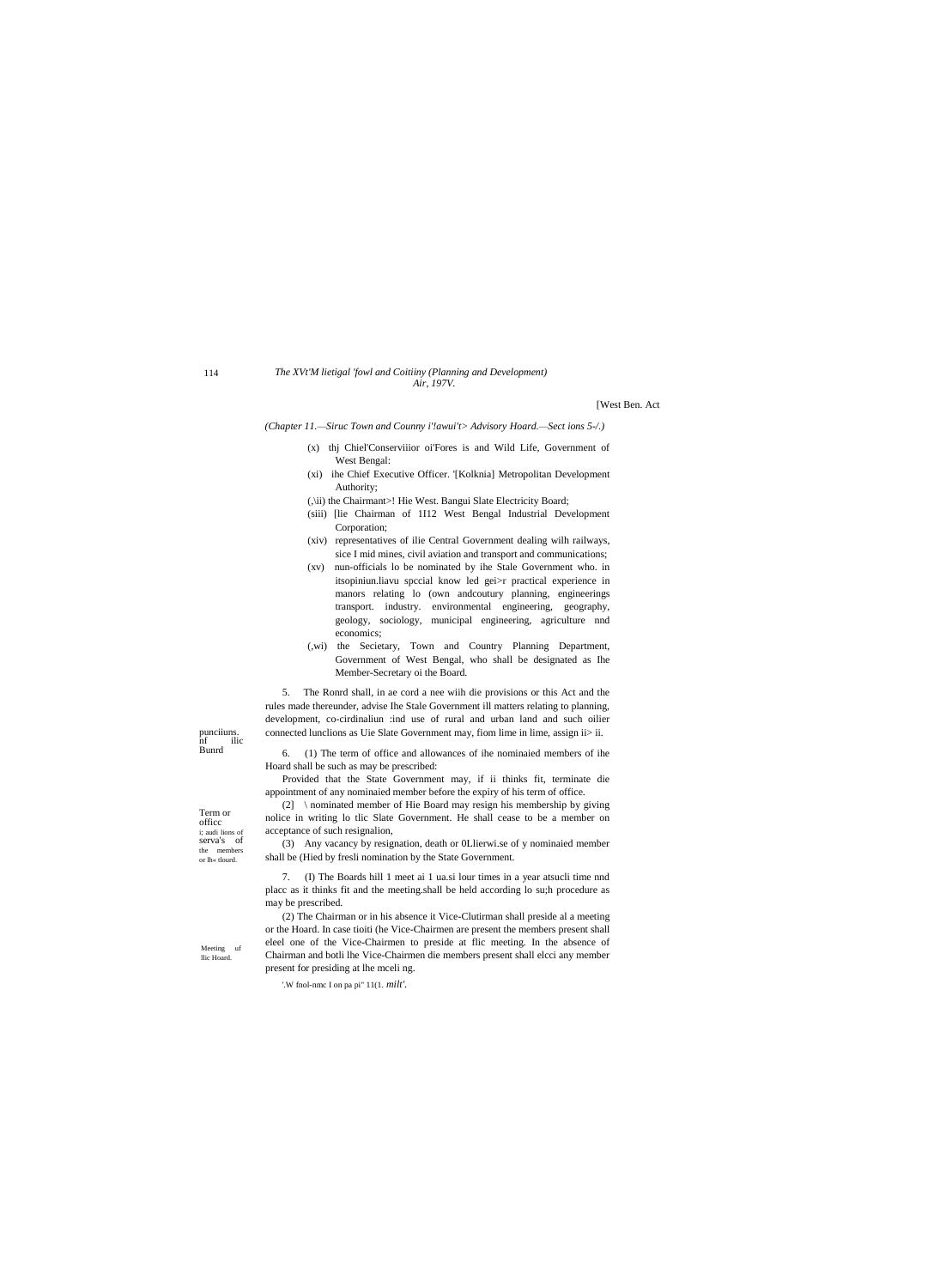114

#### The XVt'M lietigal 'fowl and Coitiiny (Planning and Development) Air, 197V.

[West Ben. Act

(Chapter 11.-Siruc Town and Counny i'!awui't> Advisory Hoard.-Sect ions 5-/.)

- (x) thj Chiel'Conserviiior oi'Fores is and Wild Life, Government of West Bengal:
- (xi) ihe Chief Executive Officer. [Kolknia] Metropolitan Development Authority;
- (,\ii) the Chairmant>! Hie West. Bangui Slate Electricity Board;
- (siii) [lie Chairman of 1I12 West Bengal Industrial Development Corporation;
- (xiv) representatives of ilie Central Government dealing wilh railways, sice I mid mines, civil aviation and transport and communications;
- (xv) nun-officials lo be nominated by ihe Stale Government who. in itsopiniun.liavu special know led gei>r practical experience in manors relating lo (own andcoutury planning, engineerings transport. industry. environmental engineering, geography, geology, sociology, municipal engineering, agriculture nnd economics;
- (,wi) the Secietary, Town and Country Planning Department, Government of West Bengal, who shall be designated as Ihe Member-Secretary oi the Board.

5. The Ronrd shall, in ae cord a nee with die provisions or this Act and the rules made thereunder, advise Ihe Stale Government ill matters relating to planning, development, co-cirdinaliun :ind use of rural and urban land and such oilier connected lunclions as Uie Slate Government may, fiom lime in lime, assign ii> ii.

6. (1) The term of office and allowances of ihe nominaied members of ihe Hoard shall be such as may be prescribed:

Provided that the State Government may, if ii thinks fit, terminate die appointment of any nominaied member before the expiry of his term of office.

(2) \ nominated member of Hie Board may resign his membership by giving nolice in writing lo tlic Slate Government. He shall cease to be a member on acceptance of such resignalion,

(3) Any vacancy by resignation, death or 0Llierwi.se of y nominaied member shall be (Hied by fresli nomination by the State Government.

7. (I) The Boards hill 1 meet ai 1 ua.si lour times in a year atsucli time nnd place as it thinks fit and the meeting.shall be held according lo su;h procedure as may be prescribed.

(2) The Chairman or in his absence it Vice-Clutirman shall preside al a meeting or the Hoard. In case tioiti (he Vice-Chairmen are present the members present shall eleel one of the Vice-Chairmen to preside at flic meeting. In the absence of Chairman and botli lhe Vice-Chairmen die members present shall elcci any member present for presiding at lhe mceli ng.

'.W fnol-nmc I on pa pi"  $11(1. \text{milt}')$ .

Term or office i; audi lions of serva's of the members or lh« tlourd.

punciiuns. nf<br>Bunrd ilic

Meeting uf llic Hoard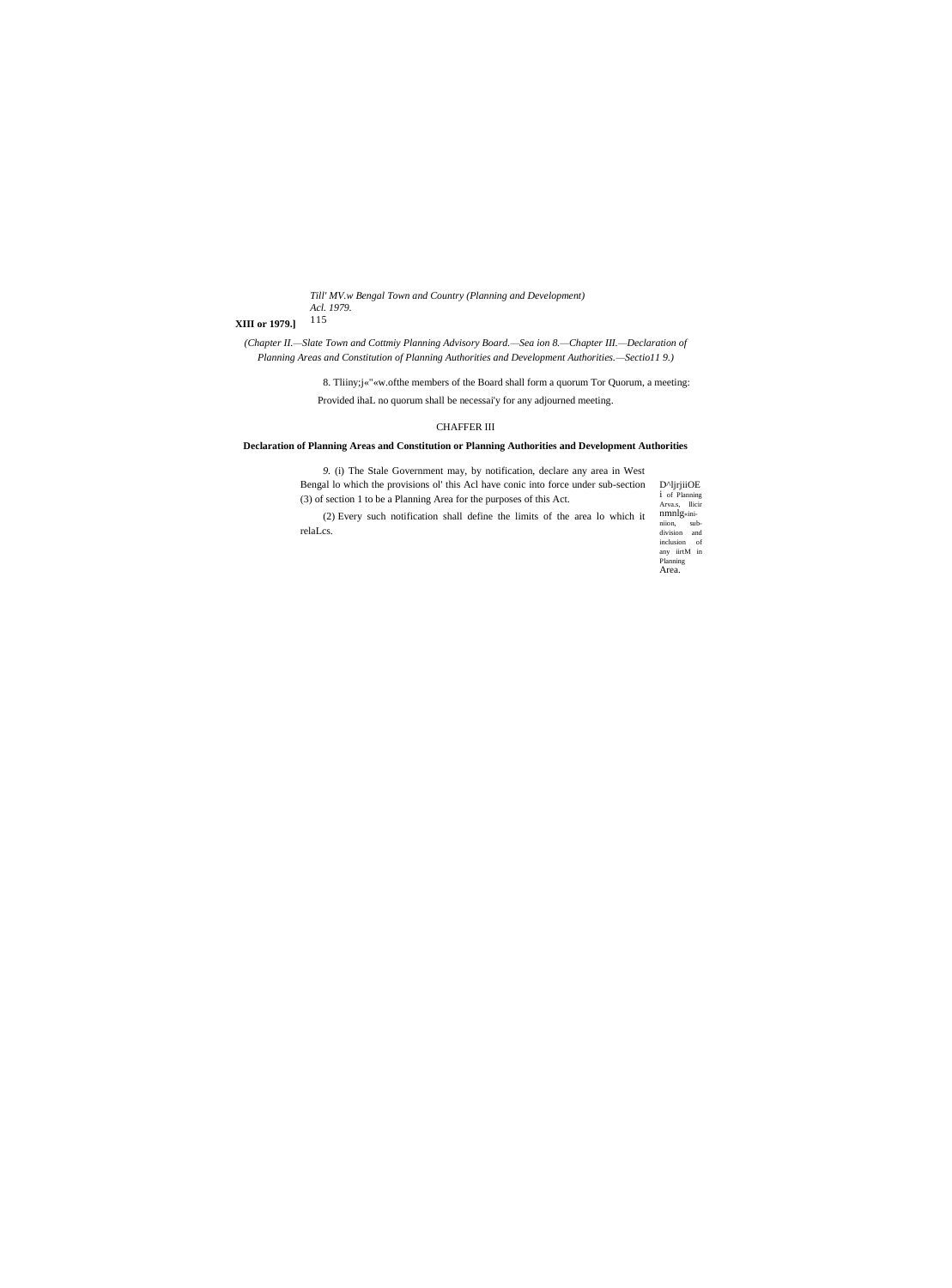Till' MV.w Bengal Town and Country (Planning and Development) Acl. 1979. 115

# **XIII** or 1979.]

(Chapter II.-Slate Town and Cottmiy Planning Advisory Board.-Sea ion 8.-Chapter III.-Declaration of Planning Areas and Constitution of Planning Authorities and Development Authorities.-Sectio119.)

> 8. Thiny;j«"«w.ofthe members of the Board shall form a quorum Tor Quorum, a meeting: Provided ihaL no quorum shall be necessai'y for any adjourned meeting.

# $\,$  CHAFFER III

# Declaration of Planning Areas and Constitution or Planning Authorities and Development Authorities

| Bengal lo which the provisions of this Act have conic into force under sub-section<br>(3) of section 1 to be a Planning Area for the purposes of this Act.<br>(2) Every such notification shall define the limits of the area lo which it<br>relaLcs. | D <sup>^</sup> lirjiiOE<br>1 of Planning                                                                                          |
|-------------------------------------------------------------------------------------------------------------------------------------------------------------------------------------------------------------------------------------------------------|-----------------------------------------------------------------------------------------------------------------------------------|
|                                                                                                                                                                                                                                                       | Arva.s. llicir<br>nmnlg <sub>sini</sub><br>niion.<br>sub-<br>division<br>and<br>inclusion of<br>any iirtM in<br>Planning<br>Area. |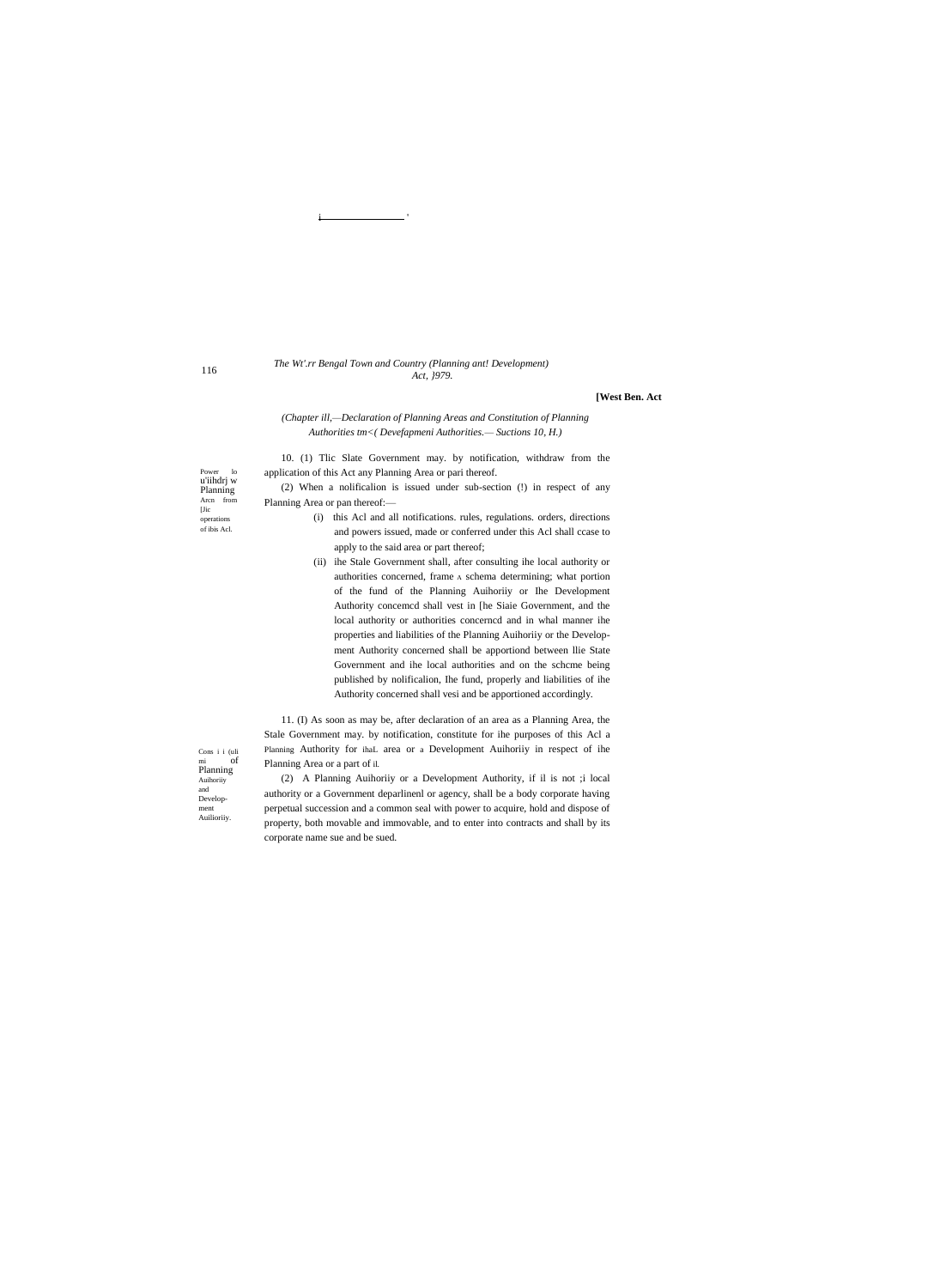## The Wt'.rr Bengal Town and Country (Planning ant! Development) Act, 1979.

#### [West Ben. Act

# (Chapter ill,-Declaration of Planning Areas and Constitution of Planning Authorities tm<( Devefapmeni Authorities.- Suctions 10, H.)

10. (1) Tlic Slate Government may. by notification, withdraw from the application of this Act any Planning Area or pari thereof.

(2) When a notification is issued under sub-section (!) in respect of any Planning Area or pan thereof:-

- (i) this Acl and all notifications. rules, regulations. orders, directions and powers issued, made or conferred under this Acl shall ccase to apply to the said area or part thereof;
- (ii) ihe Stale Government shall, after consulting ihe local authority or authorities concerned, frame A schema determining; what portion of the fund of the Planning Auihoriiy or Ihe Development Authority concemed shall vest in [he Siaie Government, and the local authority or authorities concerned and in whal manner ihe properties and liabilities of the Planning Auihoriiy or the Development Authority concerned shall be apportiond between llie State Government and ihe local authorities and on the schcme being published by nolificalion, Ihe fund, properly and liabilities of ihe Authority concerned shall vesi and be apportioned accordingly.

11. (I) As soon as may be, after declaration of an area as a Planning Area, the Stale Government may. by notification, constitute for ihe purposes of this Acl a Planning Authority for ihaL area or a Development Auihority in respect of ihe Planning Area or a part of il.

(2) A Planning Auihoriiy or a Development Authority, if il is not ;i local authority or a Government deparlinenl or agency, shall be a body corporate having perpetual succession and a common seal with power to acquire, hold and dispose of property, both movable and immovable, and to enter into contracts and shall by its corporate name sue and be sued.

Power lo<br>u'iihdrj w Planning Arcn from

 $[*J*ic]$ 

operations of ibis Acl.

 $\begin{array}{ll} \mbox{Cons i i (uli} \\ \mbox{mi} & \mbox{of} \end{array}$  $\begin{array}{cc} \mathbf{mi} & \mathbf{0} \\ \mathbf{Planning} \end{array}$ Auihoriiy  $\quad \text{and} \quad$ Development Auilioriiy

116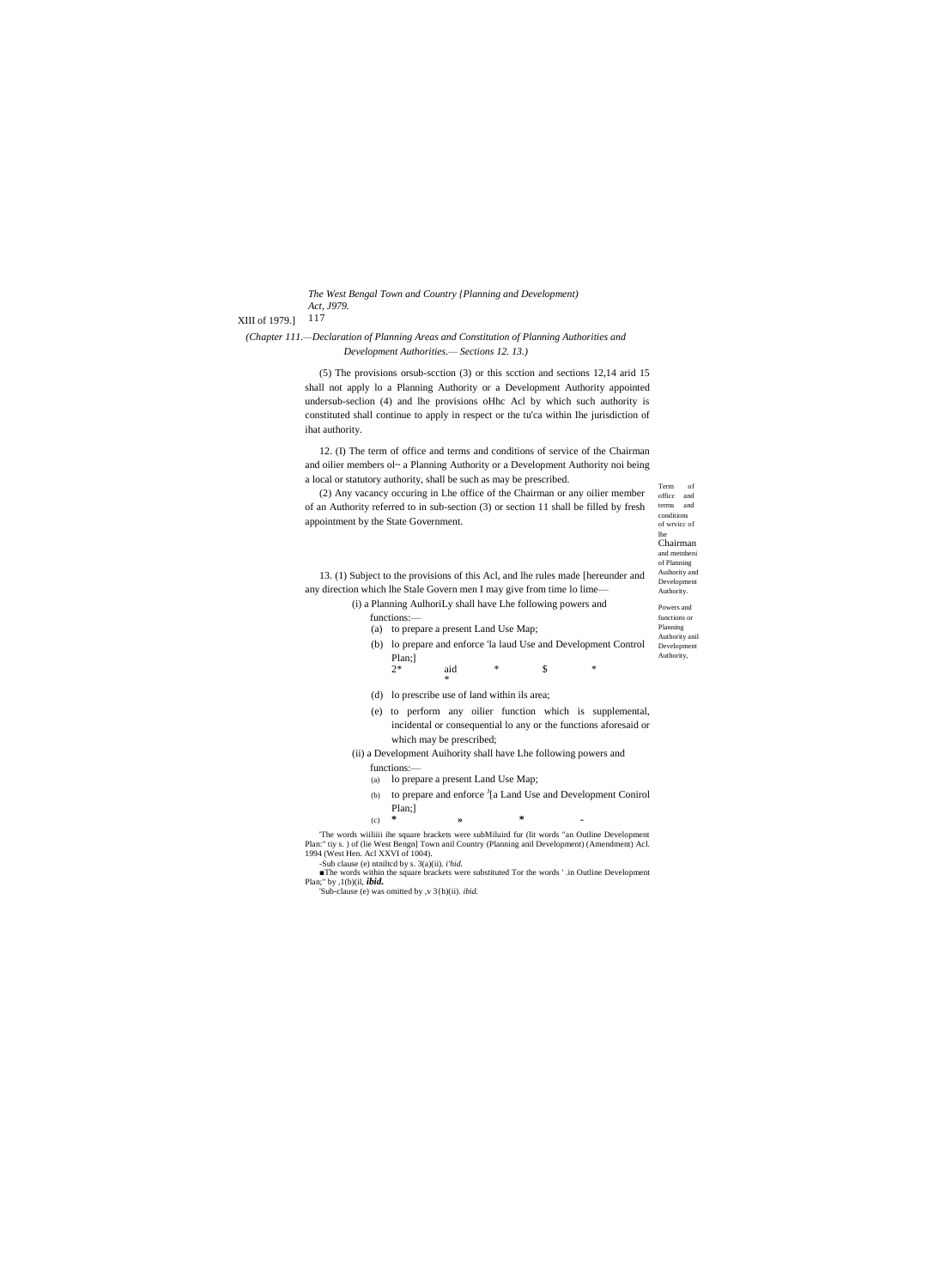```
The West Bengal Town and Country {Planning and Development)
Act, J979.
```
XIII of 1979.] 117

(Chapter 111.-Declaration of Planning Areas and Constitution of Planning Authorities and Development Authorities.- Sections 12. 13.)

> (5) The provisions or ub-section (3) or this section and sections 12,14 arid 15 shall not apply lo a Planning Authority or a Development Authority appointed undersub-seclion (4) and lhe provisions oHhc Acl by which such authority is constituted shall continue to apply in respect or the tu'ca within Ihe jurisdiction of ihat authority.

> 12. (I) The term of office and terms and conditions of service of the Chairman and oilier members ol~ a Planning Authority or a Development Authority noi being a local or statutory authority, shall be such as may be prescribed.

 $\operatorname{Term}$ (2) Any vacancy occuring in Lhe office of the Chairman or any oilier member office and terms and of an Authority referred to in sub-section (3) or section 11 shall be filled by fresh appointment by the State Government.

conditions of wrvice of Chairman and metnheni of Planning Auihority and 13. (1) Subject to the provisions of this Acl, and lhe rules made [hereunder and Development any direction which lhe Stale Govern men I may give from time lo lime-Authority. (i) a Planning AulhoriLy shall have Lhe following powers and Powers and functions:functions or (a) to prepare a present Land Use Map; Planning Authority anil (b) lo prepare and enforce 'la laud Use and Development Control Development Authority, Plan;]  $\mathcal{S}$  $2*$ aid (d) lo prescribe use of land within ils area; (e) to perform any oilier function which is supplemental, incidental or consequential lo any or the functions aforesaid or which may be prescribed; (ii) a Development Auihority shall have Lhe following powers and functions:-

of

- (a) lo prepare a present Land Use Map;
- (b) to prepare and enforce <sup>J</sup>[a Land Use and Development Conirol  $Plan$ ;]

 $\ast$  $(c)$  $\mathbf{v}$ 

The words wiiliiii ihe square brackets were subMiluird fur (lit words "an Outline Development Plan:" tiy s.) of (lie West Bengn] Town anil Country (Planning anil Development) (Amendment) Acl. 1994 (West Hen. Acl XXVI of 1004). -Sub clause (e) ntnilted by s.  $3(a)(ii)$ . *i'hid*.

The words within the square brackets were substituted Tor the words '.in Outline Development Plan;" by ,1(b)(il, *ibid*.<br>"Sub-clause (e) was omitted by ,v  $3\{\text{h}$ (ii). *ibid*.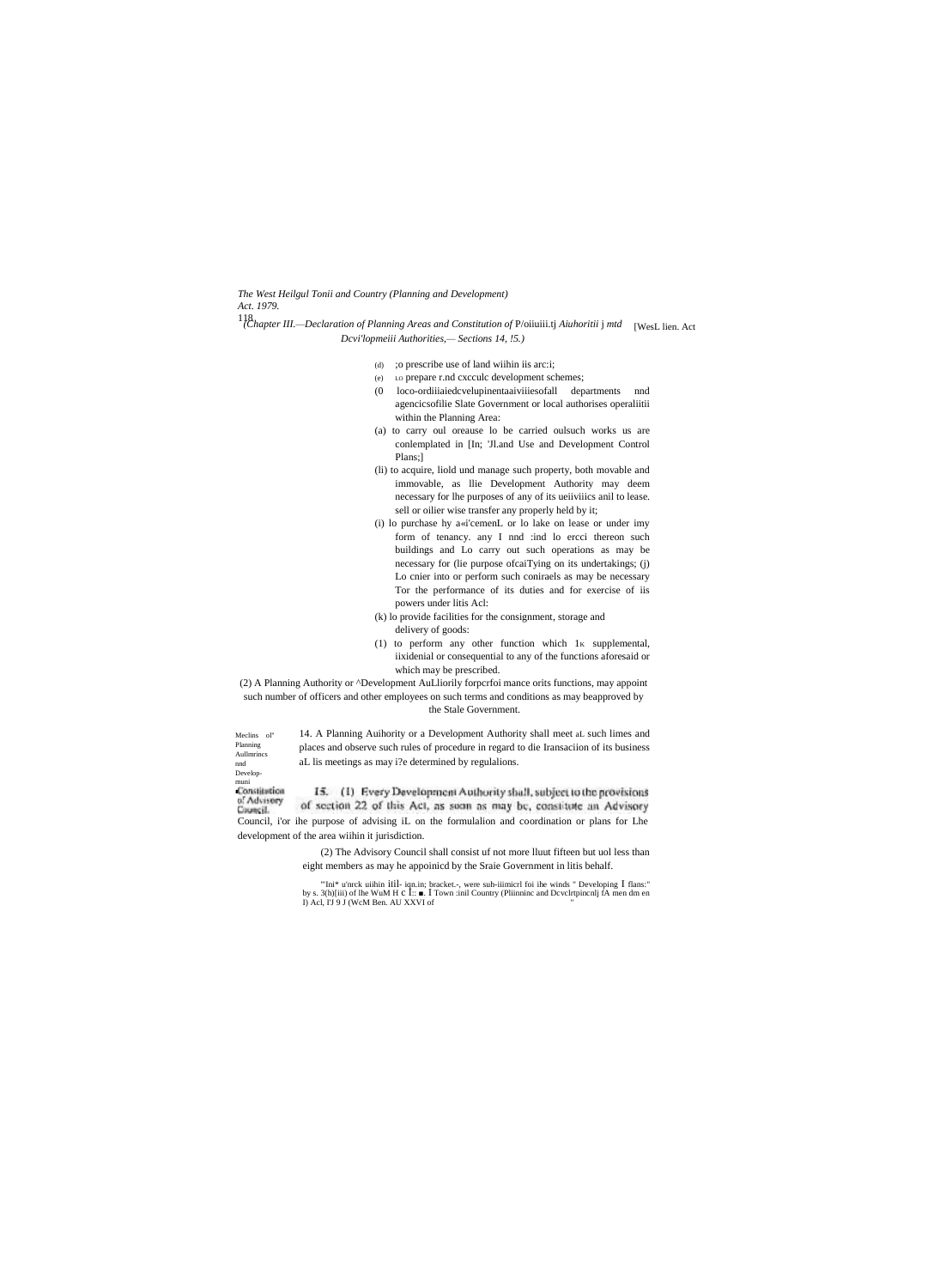The West Heilgul Tonii and Country (Planning and Development)

Act. 1979.

- <sup>118</sup>(Chapter III.—Declaration of Planning Areas and Constitution of P/oiiuiii.tj Aiuhoritii j mtd [WesL lien. Act Dcvi'lopmeiii Authorities, - Sections 14, !5.)
	- (d) ; o prescribe use of land within its arc:i;
	- (e) Lo prepare r.nd cxcculc development schemes;
	- (0 loco-ordiiiaiedcvelupinentaaiviiiesofall departments nnd agencicsofilie Slate Government or local authorises operaliitii within the Planning Area:
	- (a) to carry oul oreause lo be carried oulsuch works us are conlemplated in [In; 'Jl.and Use and Development Control Plans;]
	- (li) to acquire, liold und manage such property, both movable and immovable, as llie Development Authority may deem necessary for lhe purposes of any of its ueiiviiics anil to lease. sell or oilier wise transfer any properly held by it;
	- (i) lo purchase hy a«i'cemenL or lo lake on lease or under imy form of tenancy. any I nnd :ind lo ercci thereon such buildings and Lo carry out such operations as may be necessary for (lie purpose ofcaiTying on its undertakings; (j) Lo cnier into or perform such coniraels as may be necessary Tor the performance of its duties and for exercise of iis powers under litis Acl:
	- (k) lo provide facilities for the consignment, storage and
	- delivery of goods:
	- (1) to perform any other function which 1K supplemental, iixidenial or consequential to any of the functions aforesaid or which may be prescribed.

(2) A Planning Authority or ^Development AuLliorily forperfoi mance orits functions, may appoint such number of officers and other employees on such terms and conditions as may be<br>approved by the Stale Government.

14. A Planning Auihority or a Development Authority shall meet aL such limes and places and observe such rules of procedure in regard to die Iransaciion of its business aL lis meetings as may i?e determined by regulalions.

Meclins ol" Planning Aullmrincs nd<br>
nd<br>
Developmuni<br>Constitution of Advisory<br>Council.

development of the area wiihin it jurisdiction.

15. (1) Every Development Authority shall, subject to the provisions of section 22 of this Act, as soon as may be, constitute an Advisory Council, i'or ihe purpose of advising iL on the formulalion and coordination or plans for Lhe

> (2) The Advisory Council shall consist uf not more lluut fifteen but uol less than eight members as may he appoinicd by the Sraie Government in litis behalf.

> "Ini\* u'nrck uiihin iIil- iqn.in; bracket.-, were suh-iiimicrl foi ihe winds " Developing I flans:" by s. 3(h)[iii) of lhe WuM H c I:: . I Town :inil Country (Pliinninc and Develrtpinenlj fA men dm en I) Acl, I'J 9 J (WcM Ben. AU XXVI of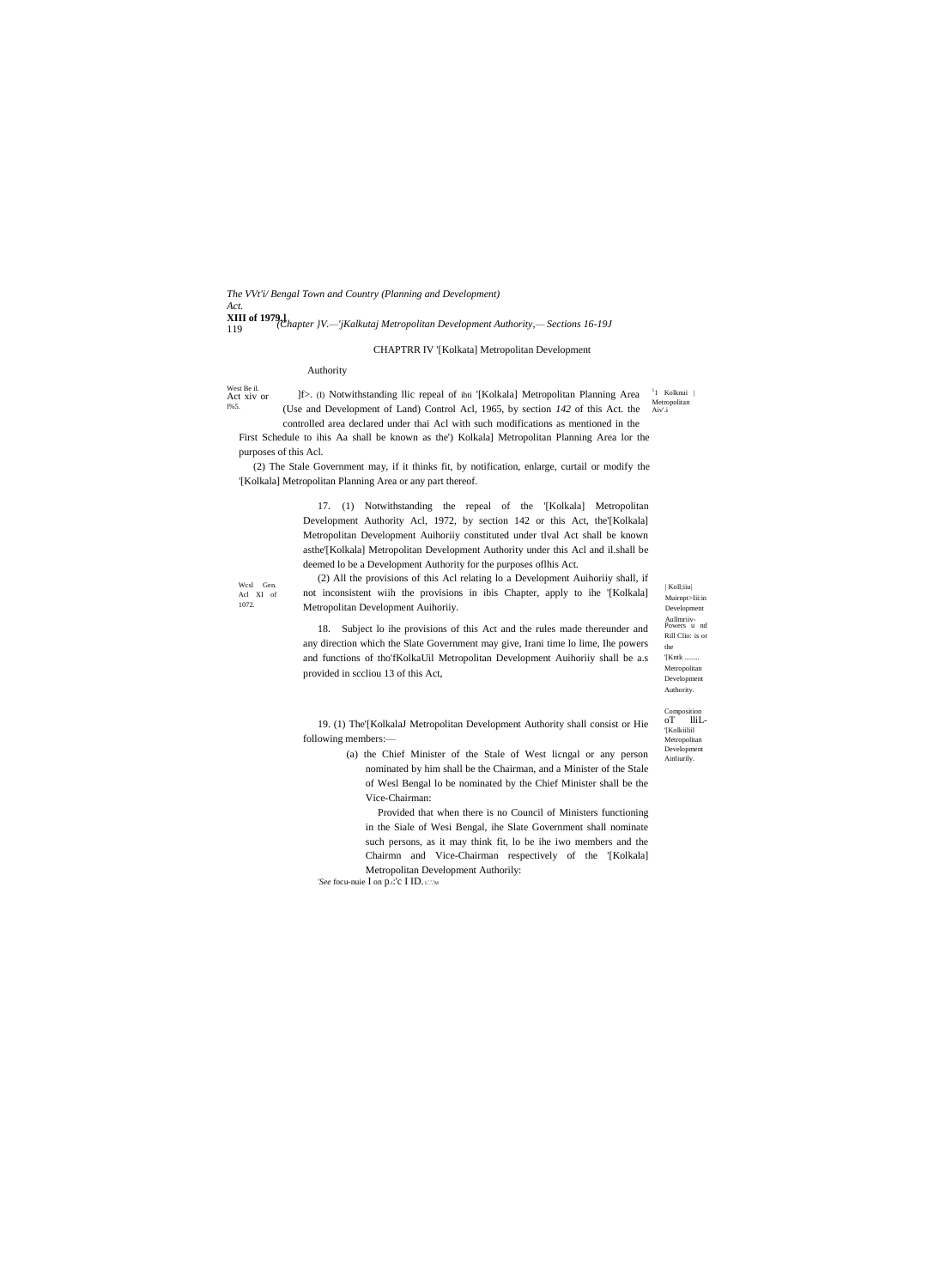*The VVt'i/ Bengal Town and Country (Planning and Development) Act.* **XIII of 1979.]** 119 *(Chapter }V.—'jKalkutaj Metropolitan Development Authority,— Sections 16-19J*

# CHAPTRR IV '[Kolkata] Metropolitan Development

# Authority

West Be il. Act xiv or

l%5.

<sup>1</sup>1 Kolknui | Metropolitan Aiv'.i ]f>. (I) Notwithstanding llic repeal of ihti '[Kolkala] Metropolitan Planning Area (Use and Development of Land) Control Acl, 1965, by section *142* of this Act. the

controlled area declared under thai Acl with such modifications as mentioned in the First Schedule to ihis Aa shall be known as the') Kolkala] Metropolitan Planning Area lor the purposes of this Acl.

(2) The Stale Government may, if it thinks fit, by notification, enlarge, curtail or modify the '[Kolkala] Metropolitan Planning Area or any part thereof.

> 17. (1) Notwithstanding the repeal of the '[Kolkala] Metropolitan Development Authority Acl, 1972, by section 142 or this Act, the'[Kolkala] Metropolitan Development Auihoriiy constituted under tlval Act shall be known asthe'[Kolkala] Metropolitan Development Authority under this Acl and il.shall be deemed lo be a Development Authority for the purposes oflhis Act.

Wcsl Gen. Acl XI of 1072.

(2) All the provisions of this Acl relating lo a Development Auihoriiy shall, if not inconsistent wiih the provisions in ibis Chapter, apply to ihe '[Kolkala] Metropolitan Development Auihoriiy.

18. Subject lo ihe provisions of this Act and the rules made thereunder and any direction which the Slate Government may give, Irani time lo lime, Ihe powers and functions of tho'fKolkaUil Metropolitan Development Auihoriiy shall be a.s provided in sccliou 13 of this Act,

19. (1) The'[KolkalaJ Metropolitan Development Authority shall consist or Hie following members:—

> (a) the Chief Minister of the Stale of West licngal or any person nominated by him shall be the Chairman, and a Minister of the Stale of Wesl Bengal lo be nominated by the Chief Minister shall be the Vice-Chairman:

Provided that when there is no Council of Ministers functioning in the Siale of Wesi Bengal, ihe Slate Government shall nominate such persons, as it may think fit, lo be ihe iwo members and the Chairmn and Vice-Chairman respectively of the '[Kolkala] Metropolitan Development Authorily:

*'See* focu-nuie I on p.i.'c I ID. I.'.'M

Powers u nd Aullmriiv- Rill Clio: is or the '[Kntk ........ Metropolitan Development Authority. Muirnpt>Iii:in Development

| Koll;iiu|

Composition oT lliL- '[Kolkiiliil Metropolitan Development

Ainliurily.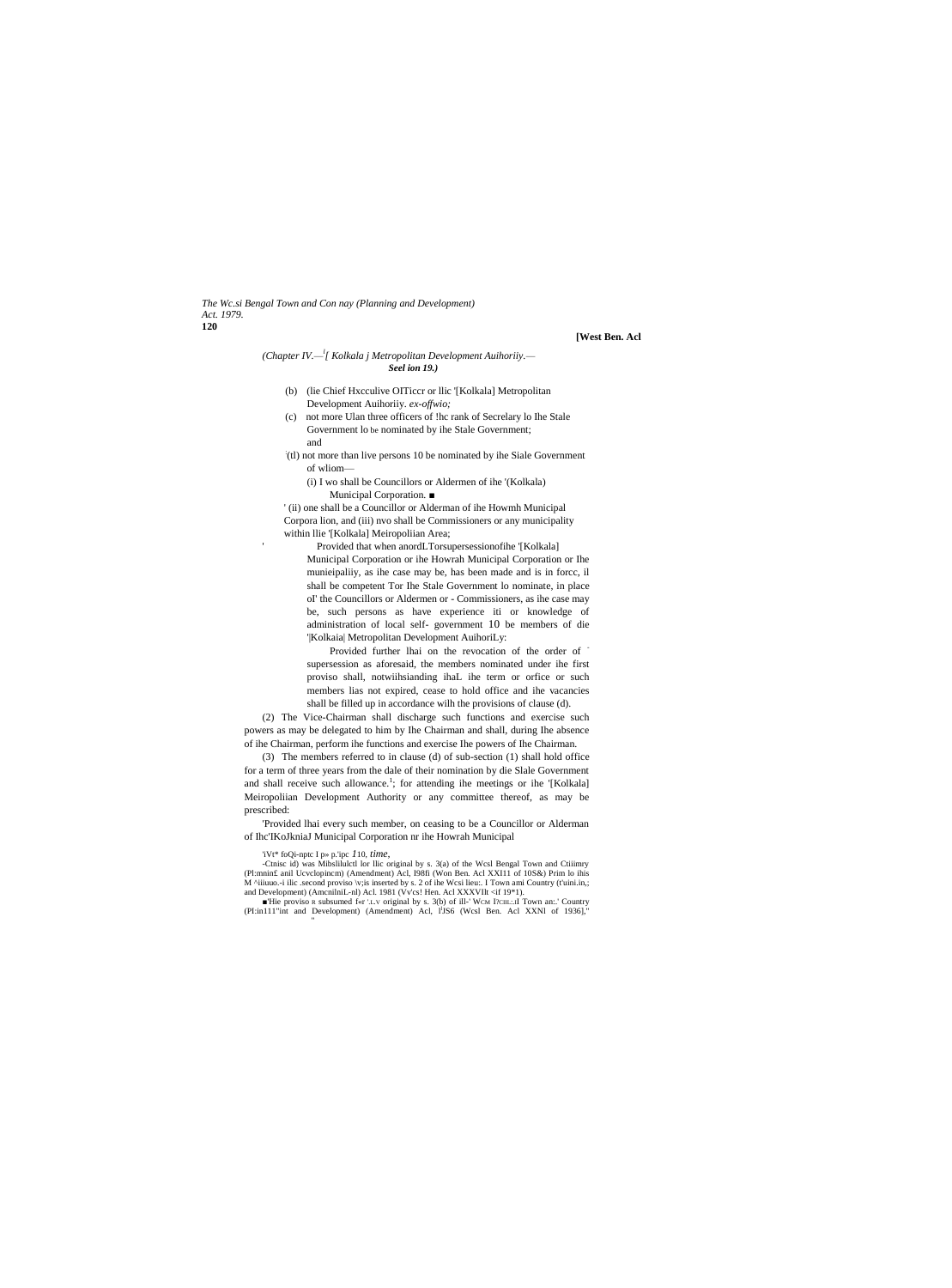*The Wc.si Bengal Town and Con nay (Planning and Development) Act. 1979.* **120**

**[West Ben. Acl**

#### *(Chapter IV.— l [ Kolkala j Metropolitan Development Auihoriiy.— Seel ion 19.)*

- (b) (lie Chief Hxcculive OITiccr or llic '[Kolkala] Metropolitan Development Auihoriiy. *ex-offwio;*
- (c) not more Ulan three officers of !hc rank of Secrelary lo Ihe Stale Government lo be nominated by ihe Stale Government;
- and

'

- : (tl) not more than live persons 10 be nominated by ihe Siale Government of wliom—
	- (i) I wo shall be Councillors or Aldermen of ihe '(Kolkala) Municipal Corporation. ■

' (ii) one shall be a Councillor or Alderman of ihe Howmh Municipal Corpora lion, and (iii) nvo shall be Commissioners or any municipality within llie '[Kolkala] Meiropoliian Area;

 Provided that when anordLTorsupersessionofihe '[Kolkala] Municipal Corporation or ihe Howrah Municipal Corporation or Ihe munieipaliiy, as ihe case may be, has been made and is in forcc, il shall be competent Tor Ihe Stale Government lo nominate, in place oI' the Councillors or Aldermen or - Commissioners, as ihe case may be, such persons as have experience iti or knowledge of administration of local self- government 10 be members of die '|Kolkaia| Metropolitan Development AuihoriLy:

Provided further lhai on the revocation of the order of supersession as aforesaid, the members nominated under ihe first proviso shall, notwiihsianding ihaL ihe term or orfice or such members lias not expired, cease to hold office and ihe vacancies shall be filled up in accordance wilh the provisions of clause (d).

(2) The Vice-Chairman shall discharge such functions and exercise such powers as may be delegated to him by Ihe Chairman and shall, during Ihe absence of ihe Chairman, perform ihe functions and exercise Ihe powers of Ihe Chairman.

(3) The members referred to in clause (d) of sub-section (1) shall hold office for a term of three years from the dale of their nomination by die Slale Government and shall receive such allowance.<sup>1</sup>; for attending ihe meetings or ihe '[Kolkala] Meiropoliian Development Authority or any committee thereof, as may be prescribed:

'Provided lhai every such member, on ceasing to be a Councillor or Alderman of Ihc'IKoJkniaJ Municipal Corporation nr ihe Howrah Municipal

'iVt\* foQi-nptc I p» p.'ipc *1*10, *time,* -Ctnisc id) was Mibslilulctl lor llic original by s. 3(a) of the Wcsl Bengal Town and Ctiiimry (Pl:mnin£ anil Ucvclopincm) (Amendment) Acl, I98fi (Won Ben. Acl XXI11 of 10S&) Prim lo ihis M ^iiiuuo.-i ilic .second proviso \v;is inserted by s. 2 of ihe Wcsi lieu:. I Town ami Country (t'uini.in,; and Development) (AmcnilniL-nl) Acl. 1981 (Vv'cs! Hen. Acl XXXVIlt <if 19\*1).

■'Hie proviso R subsumed f«r '.L.v original by s. 3(b) of ill-' WCM I?CIIL:.II Town an:.' Country (PI:in111"int and Development) (Amendment) Acl, I<sup>1</sup>JS6 (Wcsl Ben. Acl XXNI of 1936]," "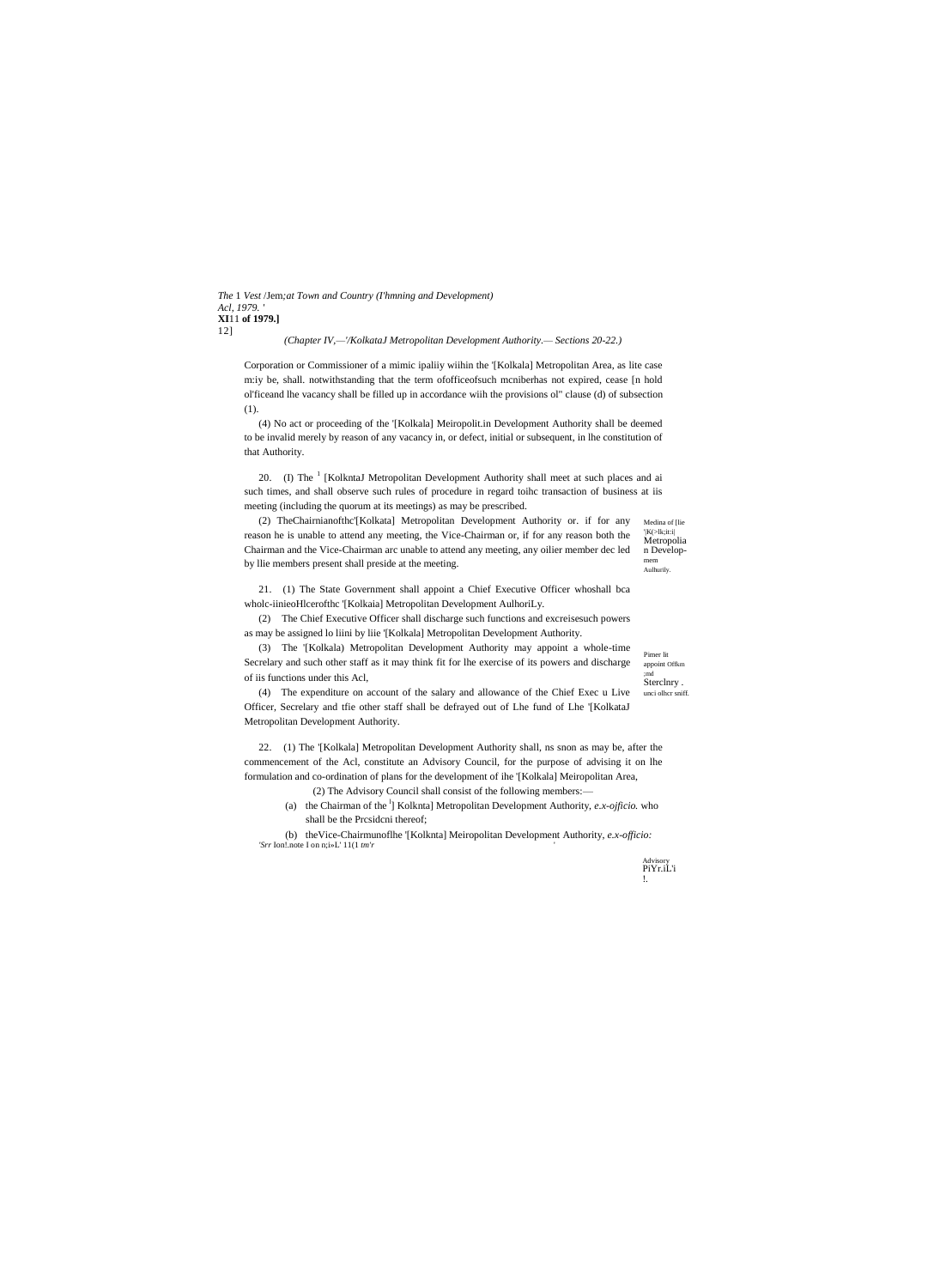*The* 1 *Vest* /Jem*;at Town and Country (I'hmning and Development) Acl, 1979. '* **XI**11 **of 1979.]** 12]

*(Chapter IV,—'/KolkataJ Metropolitan Development Authority.— Sections 20-22.)*

Corporation or Commissioner of a mimic ipaliiy wiihin the '[Kolkala] Metropolitan Area, as lite case m:iy be, shall. notwithstanding that the term ofofficeofsuch mcniberhas not expired, cease [n hold ol'ficeand lhe vacancy shall be filled up in accordance wiih the provisions ol" clause (d) of subsection (1).

(4) No act or proceeding of the '[Kolkala] Meiropolit.in Development Authority shall be deemed to be invalid merely by reason of any vacancy in, or defect, initial or subsequent, in lhe constitution of that Authority.

20. (I) The <sup>1</sup> [KolkntaJ Metropolitan Development Authority shall meet at such places and ai such times, and shall observe such rules of procedure in regard toihc transaction of business at iis meeting (including the quorum at its meetings) as may be prescribed.

Medina of Ilie '|K(>lk;it:i| Metropolia n Developmem Aulhurily. (2) TheChairnianofthc'[Kolkata] Metropolitan Development Authority or. if for any reason he is unable to attend any meeting, the Vice-Chairman or, if for any reason both the Chairman and the Vice-Chairman arc unable to attend any meeting, any oilier member dec led by llie members present shall preside at the meeting.

21. (1) The State Government shall appoint a Chief Executive Officer whoshall bca wholc-iinieoHlcerofthc '[Kolkaia] Metropolitan Development AulhoriLy.

(2) The Chief Executive Officer shall discharge such functions and excreisesuch powers as may be assigned lo liini by liie '[Kolkala] Metropolitan Development Authority.

(3) The '[Kolkala) Metropolitan Development Authority may appoint a whole-time Secrelary and such other staff as it may think fit for lhe exercise of its powers and discharge of iis functions under this Acl,

appoint Offkm ;md Sterclnry . unci olhcr sniff.

Pimer lit

(4) The expenditure on account of the salary and allowance of the Chief Exec u Live Officer, Secrelary and tfie other staff shall be defrayed out of Lhe fund of Lhe '[KolkataJ Metropolitan Development Authority.

22. (1) The '[Kolkala] Metropolitan Development Authority shall, ns snon as may be, after the commencement of the Acl, constitute an Advisory Council, for the purpose of advising it on lhe formulation and co-ordination of plans for the development of ihe '[Kolkala] Meiropolitan Area, (2) The Advisory Council shall consist of the following members:—

- (a) the Chairman of the  $\frac{1}{1}$  Kolknta] Metropolitan Development Authority, *e.x-ojficio*. who
- shall be the Prcsidcni thereof;

(b) theVice-Chairmunoflhe '[Kolknta] Meiropolitan Development Authority, *e.x-officio: 'Srr* Ion!.note I on n;i»L' 11(1 *tm'r* '

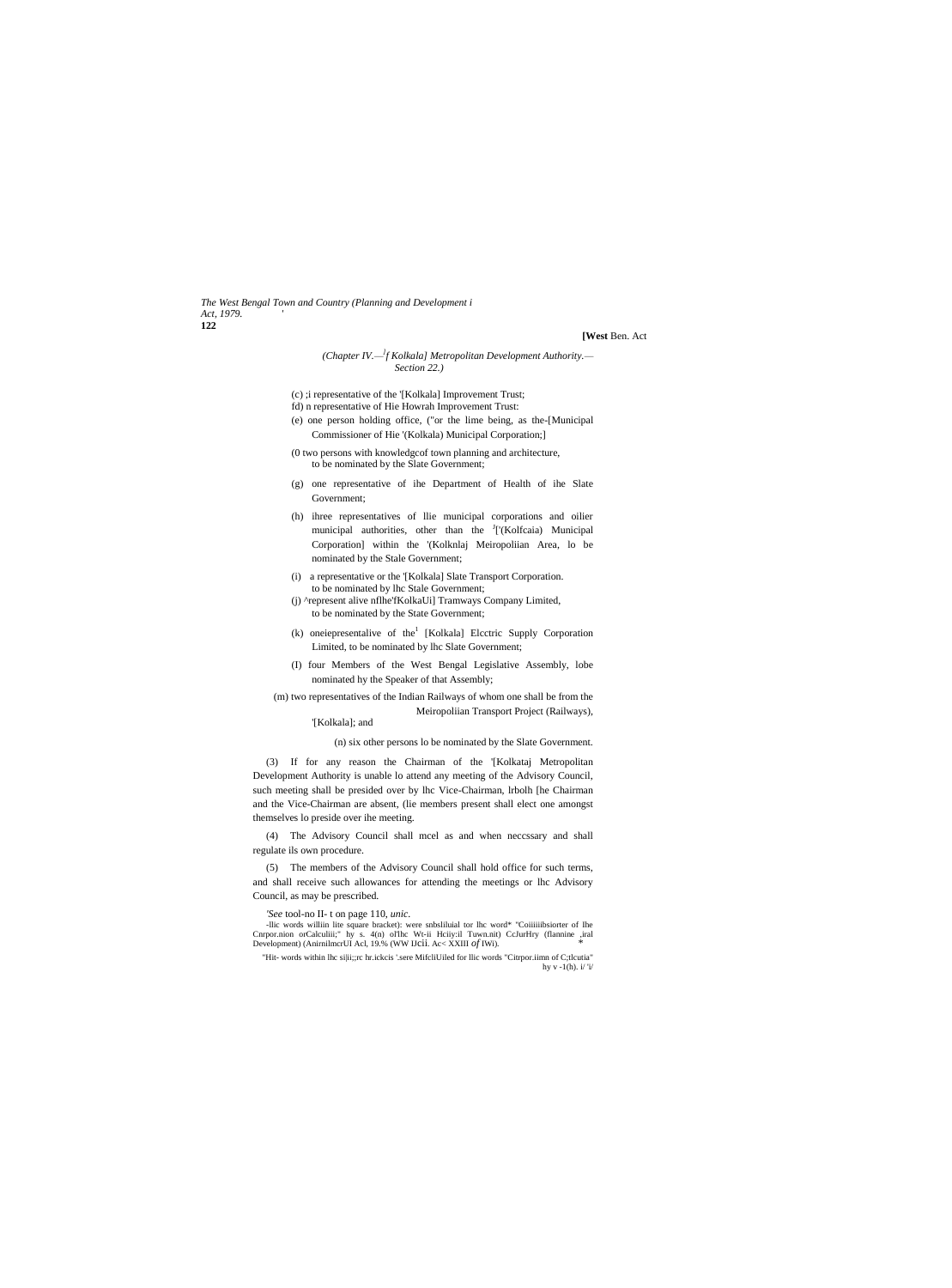*The West Bengal Town and Country (Planning and Development i Act, 1979. '* **122**

# **[West** Ben. Act

#### *(Chapter IV.— ] f Kolkala] Metropolitan Development Authority.— Section 22.)*

- (c) ;i representative of the '[Kolkala] Improvement Trust;
- fd) n representative of Hie Howrah Improvement Trust: (e) one person holding office, ("or the lime being, as the-[Municipal
- Commissioner of Hie '(Kolkala) Municipal Corporation;] (0 two persons with knowledgcof town planning and architecture,
- to be nominated by the Slate Government;
- (g) one representative of ihe Department of Health of ihe Slate Government;
- (h) ihree representatives of llie municipal corporations and oilier municipal authorities, other than the <sup>J</sup>['(Kolfcaia) Municipal Corporation] within the '(Kolknlaj Meiropoliian Area, lo be nominated by the Stale Government;
- (i) a representative or the '[Kolkala] Slate Transport Corporation.
- to be nominated by lhc Stale Government; (j) ^represent alive nflhe'fKolkaUi] Tramways Company Limited, to be nominated by the State Government;
- $(k)$  oneiepresentalive of the<sup>1</sup> [Kolkala] Elcctric Supply Corporation Limited, to be nominated by lhc Slate Government;
- (I) four Members of the West Bengal Legislative Assembly, lobe nominated hy the Speaker of that Assembly;
- (m) two representatives of the Indian Railways of whom one shall be from the Meiropoliian Transport Project (Railways),
	- '[Kolkala]; and

(n) six other persons lo be nominated by the Slate Government.

(3) If for any reason the Chairman of the '[Kolkataj Metropolitan Development Authority is unable lo attend any meeting of the Advisory Council, such meeting shall be presided over by lhc Vice-Chairman, lrbolh [he Chairman and the Vice-Chairman are absent, (lie members present shall elect one amongst themselves lo preside over ihe meeting.

(4) The Advisory Council shall mcel as and when neccssary and shall regulate ils own procedure.

(5) The members of the Advisory Council shall hold office for such terms, and shall receive such allowances for attending the meetings or lhc Advisory Council, as may be prescribed.

*'See* tool-no II- t on page 110, *unic.*

-llic words williin lite square bracket): were snbsliluial tor lhc word\* "Coiiiiiibsiorter of Ihe Cnrpor.nion orCalculiii;" hy s. 4(n) ol'lhc Wt-ii Hciiy:il Tuwn.nit) CcJurHry (flannine ,iral Development) (AnirnilmcrUI Acl, 19.% (WW IJcii. Ac< XXIII *of* IWi). *\**

<sup>&</sup>quot;Hit- words within lhc si|ii;;rc hr.ickcis '.sere MifcliUiled for llic words "Citrpor.iimn of C;tlcutia" hy  $v - 1(h)$ . i/ 'i/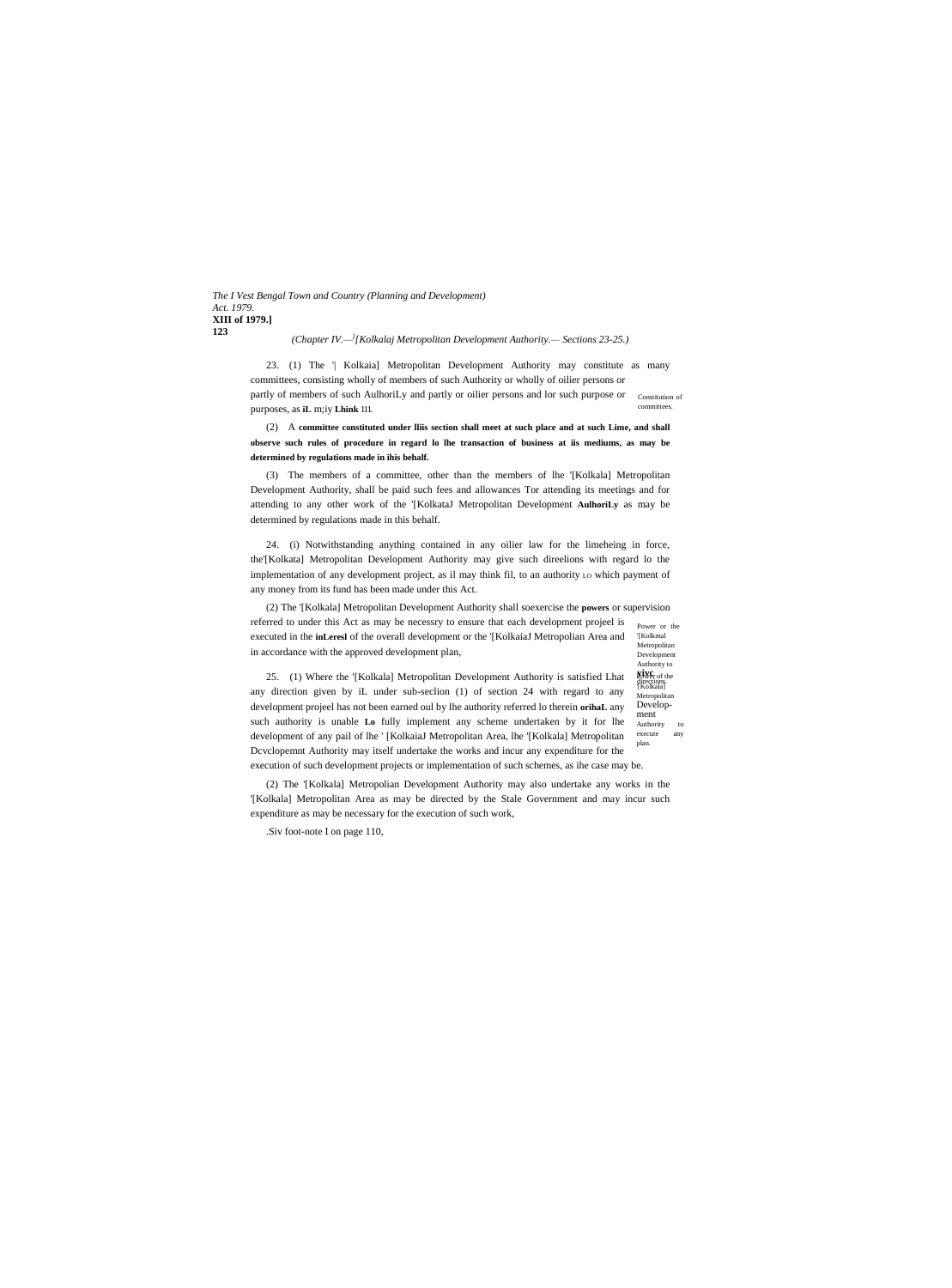*The I Vest Bengal Town and Country (Planning and Development) Act. 1979.* **XIII of 1979.] 123**

#### *(Chapter IV.— ] [Kolkalaj Metropolitan Development Authority.— Sections 23-25.)*

partly of members of such AulhoriLy and partly or oilier persons and lor such purpose or constitution of committees. 23. (1) The '| Kolkaia] Metropolitan Development Authority may constitute as many committees, consisting wholly of members of such Authority or wholly of oilier persons or purposes, as **iL** m;iy **Lhink** 111.

(2) A **committee constituted under lliis section shall meet at such place and at such Lime, and shall observe such rules of procedure in regard lo lhe transaction of business at iis mediums, as may be determined by regulations made in ihis behalf.**

(3) The members of a committee, other than the members of lhe '[Kolkala] Metropolitan Development Authority, shall be paid such fees and allowances Tor attending its meetings and for attending to any other work of the '[KolkataJ Metropolitan Development **AulhoriLy** as may be determined by regulations made in this behalf.

24. (i) Notwithstanding anything contained in any oilier law for the limeheing in force, the'[Kolkata] Metropolitan Development Authority may give such direelions with regard lo the implementation of any development project, as il may think fil, to an authority Lo which payment of any money from its fund has been made under this Act.

Power or the '[Kolkmal (2) The '[Kolkala] Metropolitan Development Authority shall soexercise the **powers** or supervision referred to under this Act as may be necessry to ensure that each development projeel is executed in the **inLeresl** of the overall development or the '[KolkaiaJ Metropolian Area and in accordance with the approved development plan,

Metropolitan Development Authority to **yive**<sub>r of the<br>directions.</sub> directions.<br>'[Kolkala] Metropolitan Development Authority execute any plan.

25. (1) Where the '[Kolkala] Metropolitan Development Authority is satisfied Lhat any direction given by iL under sub-seclion (1) of section 24 with regard to any development projeel has not been earned oul by lhe authority referred lo therein **orihaL** any such authority is unable **Lo** fully implement any scheme undertaken by it for lhe development of any pail of lhe ' [KolkaiaJ Metropolitan Area, lhe '[Kolkala] Metropolitan Dcvclopemnt Authority may itself undertake the works and incur any expenditure for the execution of such development projects or implementation of such schemes, as ihe case may be.

(2) The '[Kolkala] Metropolian Development Authority may also undertake any works in the '[Kolkala] Metropolitan Area as may be directed by the Stale Government and may incur such expenditure as may be necessary for the execution of such work,

.Siv foot-note I on page 110,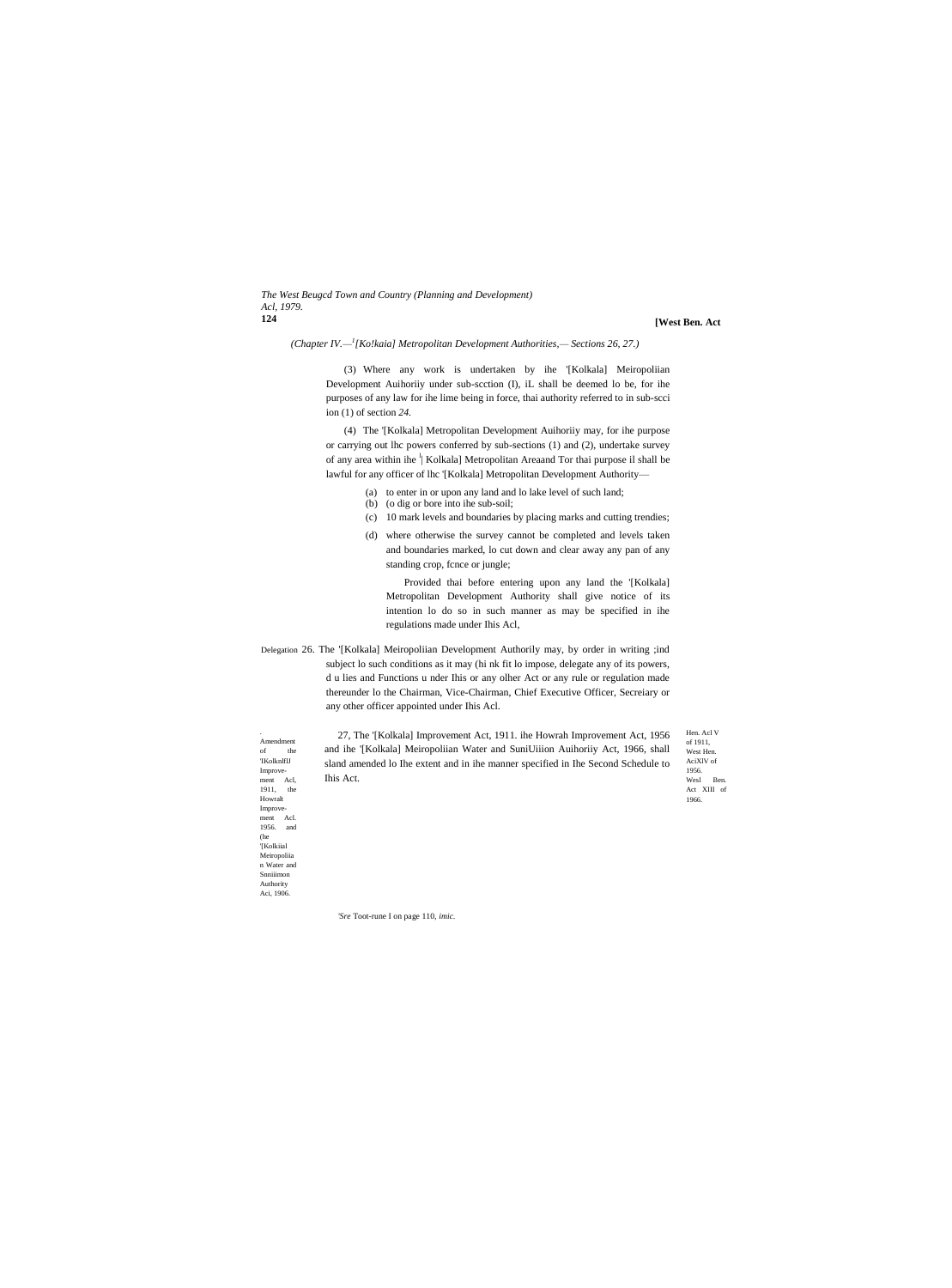#### *The West Beugcd Town and Country (Planning and Development) Acl, 1979.* **124**

**[West Ben. Act**

*(Chapter IV.— 1 [Ko!kaia] Metropolitan Development Authorities,— Sections 26, 27.)*

(3) Where any work is undertaken by ihe '[Kolkala] Meiropoliian Development Auihoriiy under sub-scction (I), iL shall be deemed lo be, for ihe purposes of any law for ihe lime being in force, thai authority referred to in sub-scci ion (1) of section *24.*

(4) The '[Kolkala] Metropolitan Development Auihoriiy may, for ihe purpose or carrying out lhc powers conferred by sub-sections (1) and (2), undertake survey of any area within ihe <sup>l</sup> Kolkala] Metropolitan Areaand Tor thai purpose il shall be lawful for any officer of lhc '[Kolkala] Metropolitan Development Authority—

- (a) to enter in or upon any land and lo lake level of such land;
- (b) (o dig or bore into ihe sub-soil;
- (c) 10 mark levels and boundaries by placing marks and cutting trendies;
- (d) where otherwise the survey cannot be completed and levels taken and boundaries marked, lo cut down and clear away any pan of any standing crop, fcnce or jungle;

Provided thai before entering upon any land the '[Kolkala] Metropolitan Development Authority shall give notice of its intention lo do so in such manner as may be specified in ihe regulations made under Ihis Acl,

Delegation 26. The '[Kolkala] Meiropoliian Development Authorily may, by order in writing ;ind subject lo such conditions as it may (hi nk fit lo impose, delegate any of its powers, d u lies and Functions u nder Ihis or any olher Act or any rule or regulation made thereunder lo the Chairman, Vice-Chairman, Chief Executive Officer, Secreiary or any other officer appointed under Ihis Acl.

Amendment of the 'IKolknlflJ Improve-ment Acl, 1911, the Howralt Improve-<br>ment Acl.  $m$ ent 1956. and (he '[Kolkiial Meiropoliia n Water and Snniiimon Authority Aci, 1906.

.

27, The '[Kolkala] Improvement Act, 1911. ihe Howrah Improvement Act, 1956 and ihe '[Kolkala] Meiropoliian Water and SuniUiiion Auihoriiy Act, 1966, shall sland amended lo Ihe extent and in ihe manner specified in Ihe Second Schedule to Ihis Act.

of 1911, West Hen. AciXlV of 1956. Wesl Ben Act XIII of 1966.

Hen. Acl V

*'Sre* Toot-rune I on page 110, *imic.*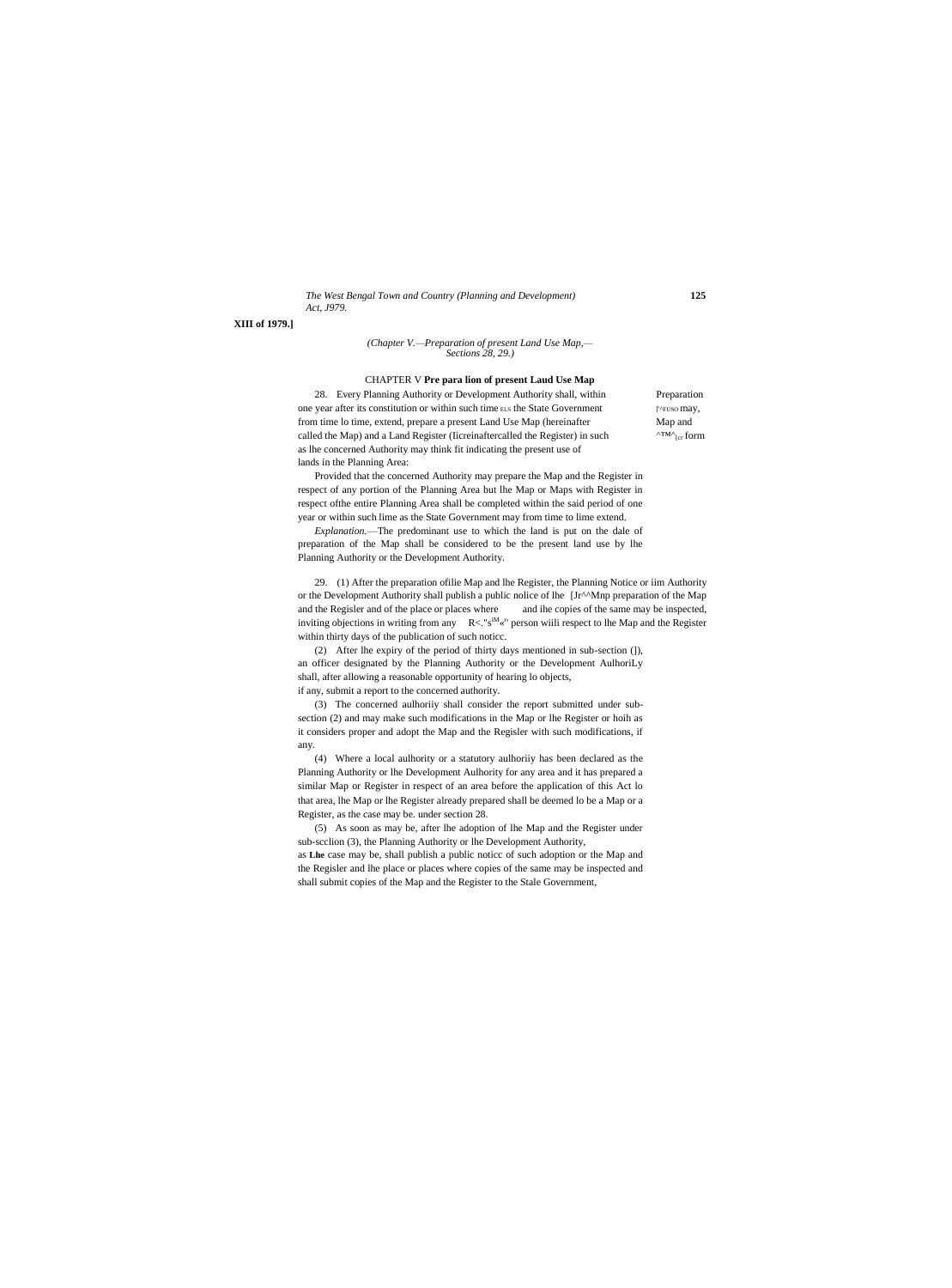# *The West Bengal Town and Country (Planning and Development)* **125** *Act, J979.*

**XIII of 1979.]**

#### *(Chapter V.—Preparation of present Land Use Map,— Sections 28, 29.)*

## CHAPTER V **Pre para lion of present Laud Use Map**

28. Every Planning Authority or Development Authority shall, within Preparation one year after its constitution or within such time ELS the State Government [''FUSO may, from time lo time, extend, prepare a present Land Use Map (hereinafter Map and called the Map) and a Land Register (Iicreinaftercalled the Register) in such  $^{\text{NIM}\text{}}$ <sub>[cr</sub> form as lhe concerned Authority may think fit indicating the present use of lands in the Planning Area:

Provided that the concerned Authority may prepare the Map and the Register in respect of any portion of the Planning Area but lhe Map or Maps with Register in respect ofthe entire Planning Area shall be completed within the said period of one year or within such lime as the State Government may from time to lime extend.

*Explanation.*—The predominant use to which the land is put on the dale of preparation of the Map shall be considered to be the present land use by lhe Planning Authority or the Development Authority.

29. (1) After the preparation ofilie Map and lhe Register, the Planning Notice or iim Authority or the Development Authority shall publish a public nolice of lhe [Jr^^Mnp preparation of the Map and the Regisler and of the place or places where and ihe copies of the same may be inspected, inviting objections in writing from any  $R < N^M \times N^I$  person wiili respect to lhe Map and the Register within thirty days of the publication of such noticc.

(2) After lhe expiry of the period of thirty days mentioned in sub-section (]), an officer designated by the Planning Authority or the Development AulhoriLy shall, after allowing a reasonable opportunity of hearing lo objects, if any, submit a report to the concerned authority.

(3) The concerned aulhoriiy shall consider the report submitted under subsection (2) and may make such modifications in the Map or lhe Register or hoih as it considers proper and adopt the Map and the Regisler with such modifications, if

any. (4) Where a local aulhority or a statutory aulhoriiy has been declared as the Planning Authority or lhe Development Aulhority for any area and it has prepared a similar Map or Register in respect of an area before the application of this Act lo that area, lhe Map or lhe Register already prepared shall be deemed lo be a Map or a Register, as the case may be. under section 28.

(5) As soon as may be, after lhe adoption of lhe Map and the Register under sub-scclion (3), the Planning Authority or lhe Development Authority,

as **Lhe** case may be, shall publish a public noticc of such adoption or the Map and the Regisler and lhe place or places where copies of the same may be inspected and shall submit copies of the Map and the Register to the Stale Government,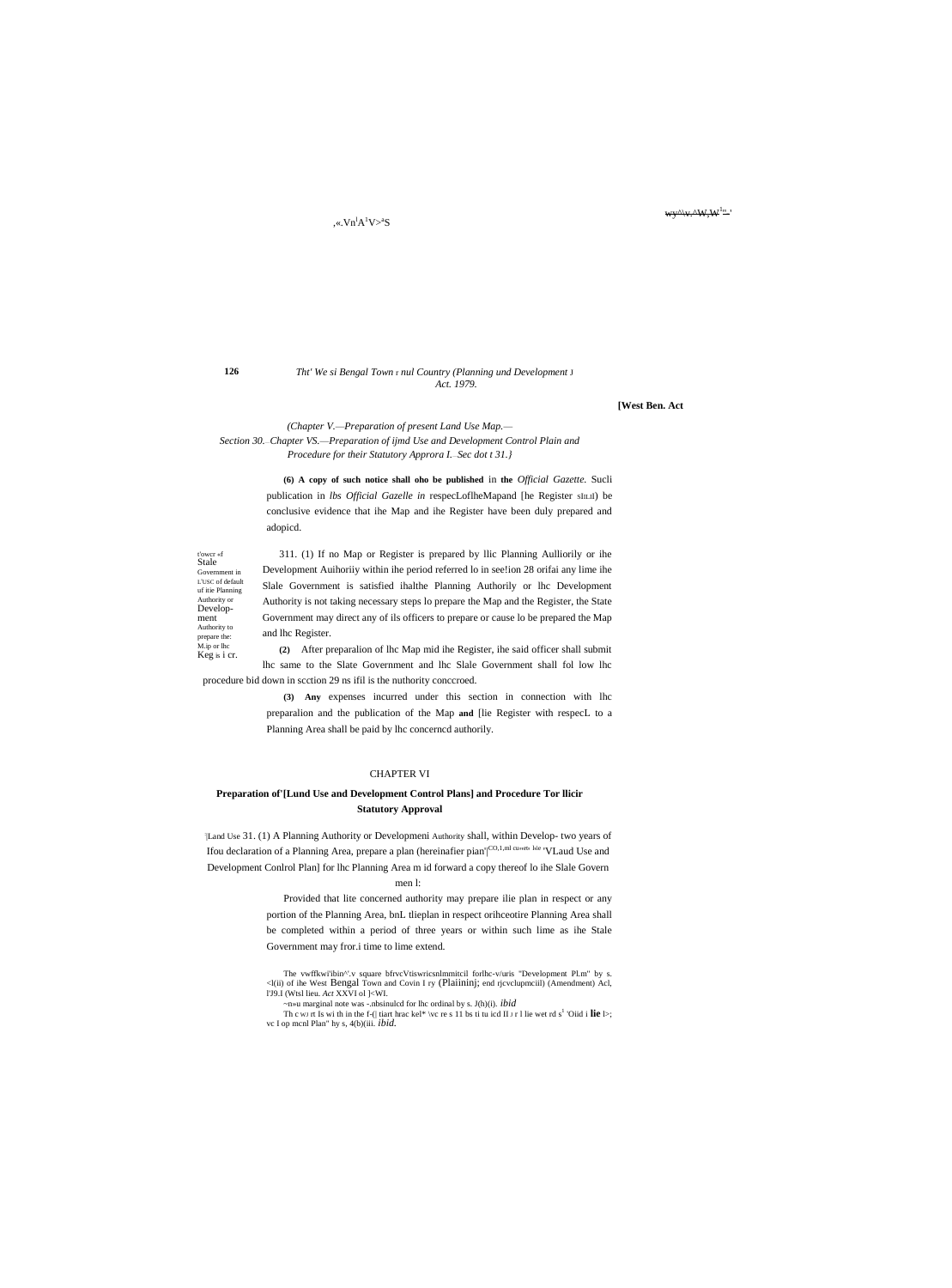# $K$ . $Vn^1A^1V > 8$

126

 $^{\mathrm{t'owcr\text{ }\mathrm{sf}}}_{\mathrm{Stale}}$ 

Government in

of itie Planning Authority or

Develop-

prepare the:

ment Authority to

#### Tht' We si Bengal Town r nul Country (Planning und Development J Act. 1979.

**[West Ben. Act** 

(Chapter V.-Preparation of present Land Use Map.-Section 30.-Chapter VS.--Preparation of ijmd Use and Development Control Plain and Procedure for their Statutory Approra I. Sec dot t 31.}

> (6) A copy of such notice shall oho be published in the Official Gazette. Sucli publication in lbs Official Gazelle in respecLoflheMapand [he Register sILII] be conclusive evidence that ihe Map and ihe Register have been duly prepared and adopicd.

311. (1) If no Map or Register is prepared by Ilic Planning Aulliorily or ihe Development Auihoriiy within ihe period referred lo in see!ion 28 orifai any lime ihe L'USC of default Slale Government is satisfied ihalthe Planning Authorily or lhc Development Authority is not taking necessary steps lo prepare the Map and the Register, the State Government may direct any of ils officers to prepare or cause lo be prepared the Map and lhc Register.

M.ip or lhc (2) After preparation of lhc Map mid ihe Register, ihe said officer shall submit Keg is i cr. lhc same to the Slate Government and lhc Slale Government shall fol low lhc procedure bid down in section 29 ns ifil is the nuthority conceroed.

> (3) Any expenses incurred under this section in connection with lhc preparalion and the publication of the Map and [lie Register with respecL to a Planning Area shall be paid by lhc concerned authorily.

# **CHAPTER VI**

# Preparation of [Lund Use and Development Control Plans] and Procedure Tor Ilicir **Statutory Approval**

Land Use 31. (1) A Planning Authority or Developmeni Authority shall, within Develop- two years of Ifou declaration of a Planning Area, prepare a plan (hereinafier pian'|CO,1,ml cunet, Lie 'VLaud Use and Development Conlrol Plan] for lhc Planning Area m id forward a copy thereof lo ihe Slale Govern

men l:

Provided that lite concerned authority may prepare ilie plan in respect or any portion of the Planning Area, bnL tlieplan in respect orihceotire Planning Area shall be completed within a period of three years or within such lime as ihe Stale Government may fror.i time to lime extend.

The vwffkwi'ibin^'.v square bfrvcVtiswricsnlmmitcil forlhc-v/uris "Development Pl.m" by s. <l(ii) of ihe West Bengal Town and Covin I ry (Plaiininj; end rjcvclupmciil) (Amendment) Acl, l'J9.I (Wtsl lieu. Act XXVI ol ]<WI.

 $\sim$ n»u marginal note was -.nbsinulcd for lhc ordinal by s. J(h)(i). *ibid* 

Th c w rt Is with in the f-(| tiart hrac kel\* \vc re s 11 bs ti tu icd II  $r$  1 lie wet rd s<sup>1</sup> 'Oiid i **lie** l>; vc I op menl Plan" hy s, 4(b)(iii. ibid.

# wy<sup>A</sup>\v.AW,W<sup>1</sup>"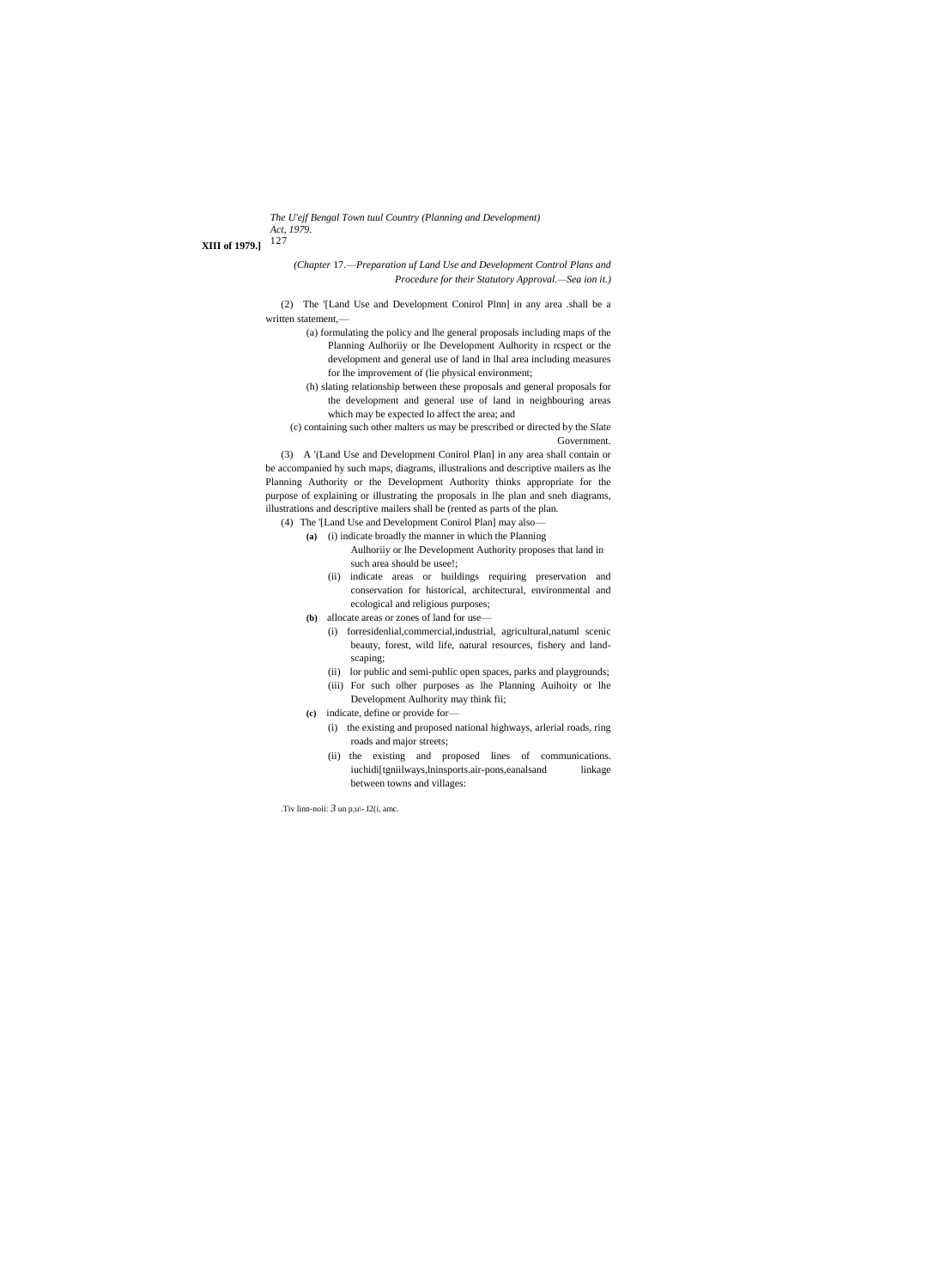*The U'ejf Bengal Town tuul Country (Planning and Development) Act, 1979.*

<sup>127</sup> **XIII of 1979.]**

*(Chapter* 17.—*Preparation uf Land Use and Development Control Plans and Procedure for their Statutory Approval.—Sea ion it.)*

(2) The '[Land Use and Development Conirol Plnn] in any area .shall be a written statement,—

- (a) formulating the policy and lhe general proposals including maps of the Planning Aulhoriiy or lhe Development Aulhority in rcspect or the development and general use of land in lhal area including measures for lhe improvement of (lie physical environment;
- (h) slating relationship between these proposals and general proposals for the development and general use of land in neighbouring areas which may be expected lo affect the area; and

(c) containing such other malters us may be prescribed or directed by the Slate Government.

(3) A '(Land Use and Development Conirol Plan] in any area shall contain or be accompanied hy such maps, diagrams, illustralions and descriptive mailers as lhe Planning Authority or the Development Authority thinks appropriate for the purpose of explaining or illustrating the proposals in lhe plan and sneh diagrams, illustrations and descriptive mailers shall be (rented as parts of the plan.

(4) The '[Land Use and Development Conirol Plan] may also—

- **(a)** (i) indicate broadly the manner in which the Planning Aulhoriiy or lhe Development Authority proposes that land in
	- such area should be usee!;
	- (ii) indicate areas or huildings requiring preservation and conservation for historical, architectural, environmental and ecological and religious purposes;
- **(b)** allocate areas or zones of land for use—
	- (i) forresidenlial,commercial,industrial, agricultural,natuml scenic beauty, forest, wild life, natural resources, fishery and landscaping;
	- (ii) lor public and semi-public open spaces, parks and playgrounds;
	- (iii) For such olher purposes as lhe Planning Auihoity or lhe Development Aulhority may think fii;
- **(c)** indicate, define or provide for—
	- (i) the existing and proposed national highways, arlerial roads, ring roads and major streets;
	- (ii) the existing and proposed lines of communications. iuchidi[tgniilways,lninsports.air-pons,eanalsand linkage between towns and villages:

.Tiv linn-noii:  $\beta$  un p;u\- I2(i, amc.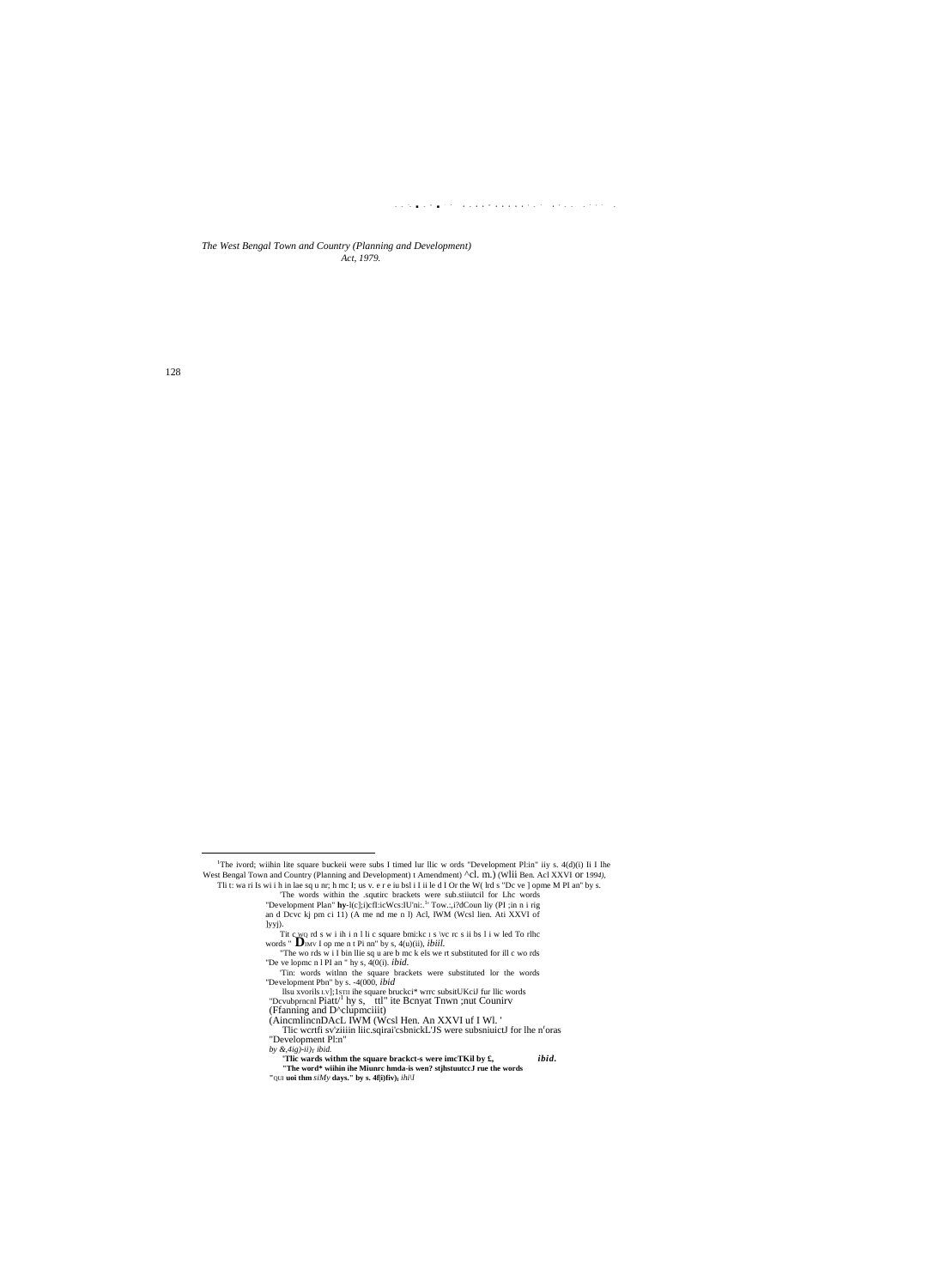$\mathcal{L}(\mathcal{L}(\mathcal{S},\mathcal{L}(\mathcal{S},\mathcal{L}(\mathcal{S})))\otimes \mathcal{L}(\mathcal{S},\mathcal{L}(\mathcal{L}(\mathcal{S})))\otimes \mathcal{L}(\mathcal{L}(\mathcal{L}(\mathcal{S})))\otimes \mathcal{L}(\mathcal{L}(\mathcal{L}(\mathcal{S})))\otimes \mathcal{L}(\mathcal{L}(\mathcal{S})))\otimes \mathcal{L}(\mathcal{L}(\mathcal{S})))$ 

The West Bengal Town and Country (Planning and Development) Act, 1979.

128

<sup>&</sup>lt;sup>1</sup>The ivord; wiihin lite square buckeii were subs I timed lur llic w ords "Development Pl:in" iiy s. 4(d)(i) Ii I lhe The Four, while in the square bucker were substituted in the words between the time in the state of the control (Planning and Development) it Amendment  $\Delta$ CL m.) (Will Ben. Act XVI or 1994),<br>Thit: wa ri Is wi i h in lae s

an d Deve kj pm ci 11) (A me nd me n l) Acl, IWM (Wesl lien. Ati XXVI of and Deve kj pm ci 11) (A me nd me n l) Acl, IWM (Wesl lien. Ati XXVI of<br>lyyj).<br>Ti t ewo rd s w i ih i n l li c square bmi:kc 1 s /vc rc s ii bs 1 i w led To rlhc<br>words "Dimv I op me n t Pi nn" by s, 4(u)(ii), *ibiil.*<br>The

Co. 1257 1171 bush.<br>Compared within the square brackct-s were imcTKil by £,<br>"The word\* within ihe Miunrc hmda-is wen? stjhstuutceJ rue the words ibid.

<sup>&#</sup>x27;QUI uoi thm  $siMy$  days.'' by s. 4f[i)fiv)<sub>1</sub>  $ihi\$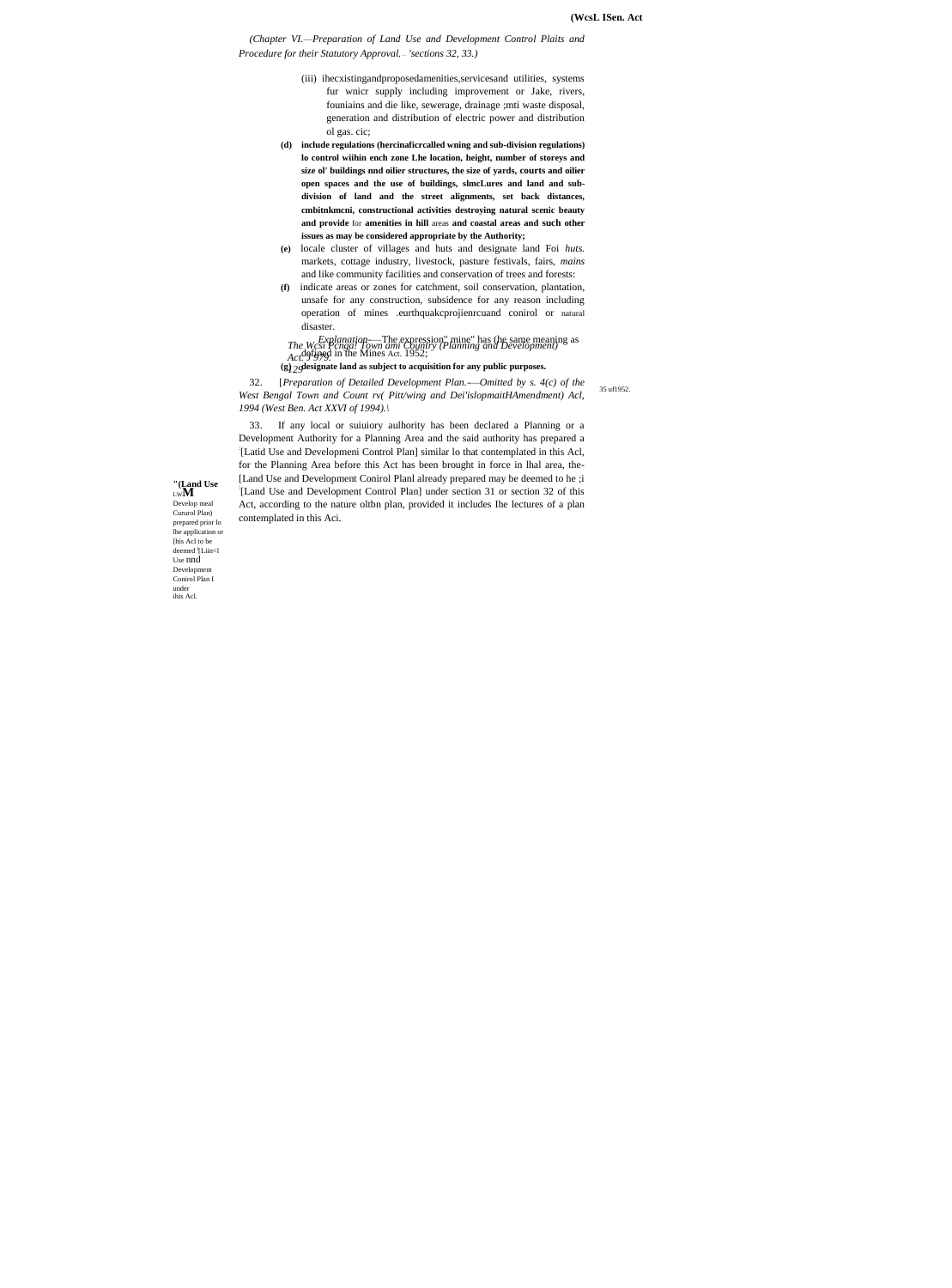(Chapter VI.-Preparation of Land Use and Development Control Plaits and Procedure for their Statutory Approval. - 'sections 32, 33.)

- (iii) ihecxistingandproposedamenities, services and utilities, systems fur wnicr supply including improvement or Jake, rivers, founiains and die like, sewerage, drainage ; mti waste disposal, generation and distribution of electric power and distribution ol gas. cic;
- (d) include regulations (hercinaficrcalled wning and sub-division regulations) lo control wiihin ench zone Lhe location, height, number of storeys and size ol' buildings nnd oilier structures, the size of vards, courts and oilier open spaces and the use of buildings, slmcLures and land and subdivision of land and the street alignments, set back distances, cmbitnkmcni, constructional activities destroying natural scenic beauty and provide for amenities in hill areas and coastal areas and such other issues as may be considered appropriate by the Authority;
- (e) locale cluster of villages and huts and designate land Foi huts. markets, cottage industry, livestock, pasture festivals, fairs, mains and like community facilities and conservation of trees and forests:
- indicate areas or zones for catchment, soil conservation, plantation,  $(f)$ unsafe for any construction, subsidence for any reason including operation of mines .eurthquakcprojienrcuand conirol or natural disaster.

The Westplanation—The expression" mine" has (he same meaning as<br>Act, The Pengal Town ami Country (Planning and Development)<br>Act, 95979.

(g)  $2$  glesignate land as subject to acquisition for any public purposes.

32. [Preparation of Detailed Development Plan.—Omitted by s.  $4(c)$  of the 35 uf1952. West Bengal Town and Count rv( Pitt/wing and Dei'islopmaitHAmendment) Acl, 1994 (West Ben. Act XXVI of 1994).\

If any local or suiuiory aulhority has been declared a Planning or a 33. Development Authority for a Planning Area and the said authority has prepared a [Latid Use and Developmeni Control Plan] similar lo that contemplated in this Acl, for the Planning Area before this Act has been brought in force in lhal area, the-[Land Use and Development Conirol Planl already prepared may be deemed to he ;i '[Land Use and Development Control Plan] under section 31 or section 32 of this Act, according to the nature oltbn plan, provided it includes Ihe lectures of a plan contemplated in this Aci.

 $\displaystyle\mathop{\hbox{``}}\nolimits(\displaystyle\mathop{\hbox{Land}}_{\mathop{\hbox{Lw}}\nolimits}Use$ 

Develop meal<br>Cururol Plan) prepared prior lo lhe application or [his Acl to be deemed <sup>1</sup>[Liin<l] Use nnd  $\label{eq:bevelop} \textbf{Developmen}$ Conirol Plan I under this Acl.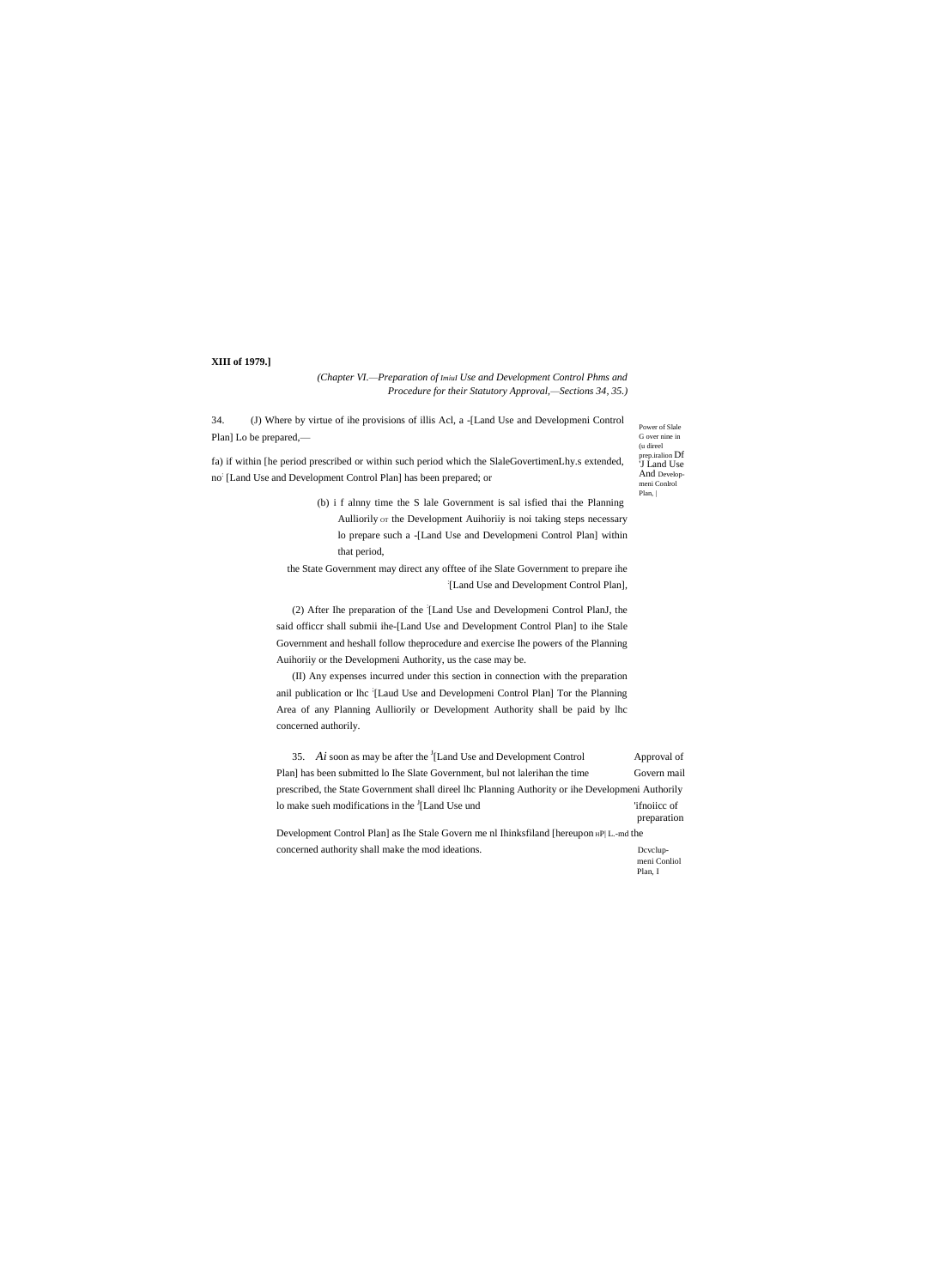# XIII of 1979.]

(Chapter VI.-Preparation of Imiul Use and Development Control Phms and Procedure for their Statutory Approval,-Sections 34, 35.)

34. (J) Where by virtue of ihe provisions of illis Acl, a -[Land Use and Developmeni Control Plan] Lo be prepared,-

fa) if within [he period prescribed or within such period which the SlaleGovertimenLhy.s extended, no<sup>:</sup> [Land Use and Development Control Plan] has been prepared; or

Power of Slale G over nine in (u direel prep.iralion Df<br>'J Land Use And Developmeni Conlrol Plan,

(b) i f alnny time the S lale Government is sal isfied thai the Planning Aulliorily or the Development Auihoriiy is noi taking steps necessary lo prepare such a -[Land Use and Developmeni Control Plan] within that period,

the State Government may direct any offtee of ihe Slate Government to prepare ihe [Land Use and Development Control Plan],

(2) After Ihe preparation of the [Land Use and Developmeni Control PlanJ, the said officer shall submii ihe-[Land Use and Development Control Plan] to ihe Stale Government and heshall follow the<br>procedure and exercise Ihe powers of the Planning Auihoriiy or the Developmeni Authority, us the case may be.

(II) Any expenses incurred under this section in connection with the preparation anil publication or lhc [Laud Use and Developmeni Control Plan] Tor the Planning Area of any Planning Aulliorily or Development Authority shall be paid by lhc concerned authorily.

35. Ai soon as may be after the  ${}^{J}$ [Land Use and Development Control Approval of Plan] has been submitted lo Ihe Slate Government, bul not lalerihan the time Govern mail prescribed, the State Government shall direel lhc Planning Authority or ihe Developmeni Authorily lo make sueh modifications in the <sup>J</sup>[Land Use und 'ifnoiice of preparation

Development Control Plan] as Ihe Stale Govern me nl Ihinksfiland [hereupon HP| L-md the concerned authority shall make the mod ideations. Dcvclup-

meni Conliol Plan, I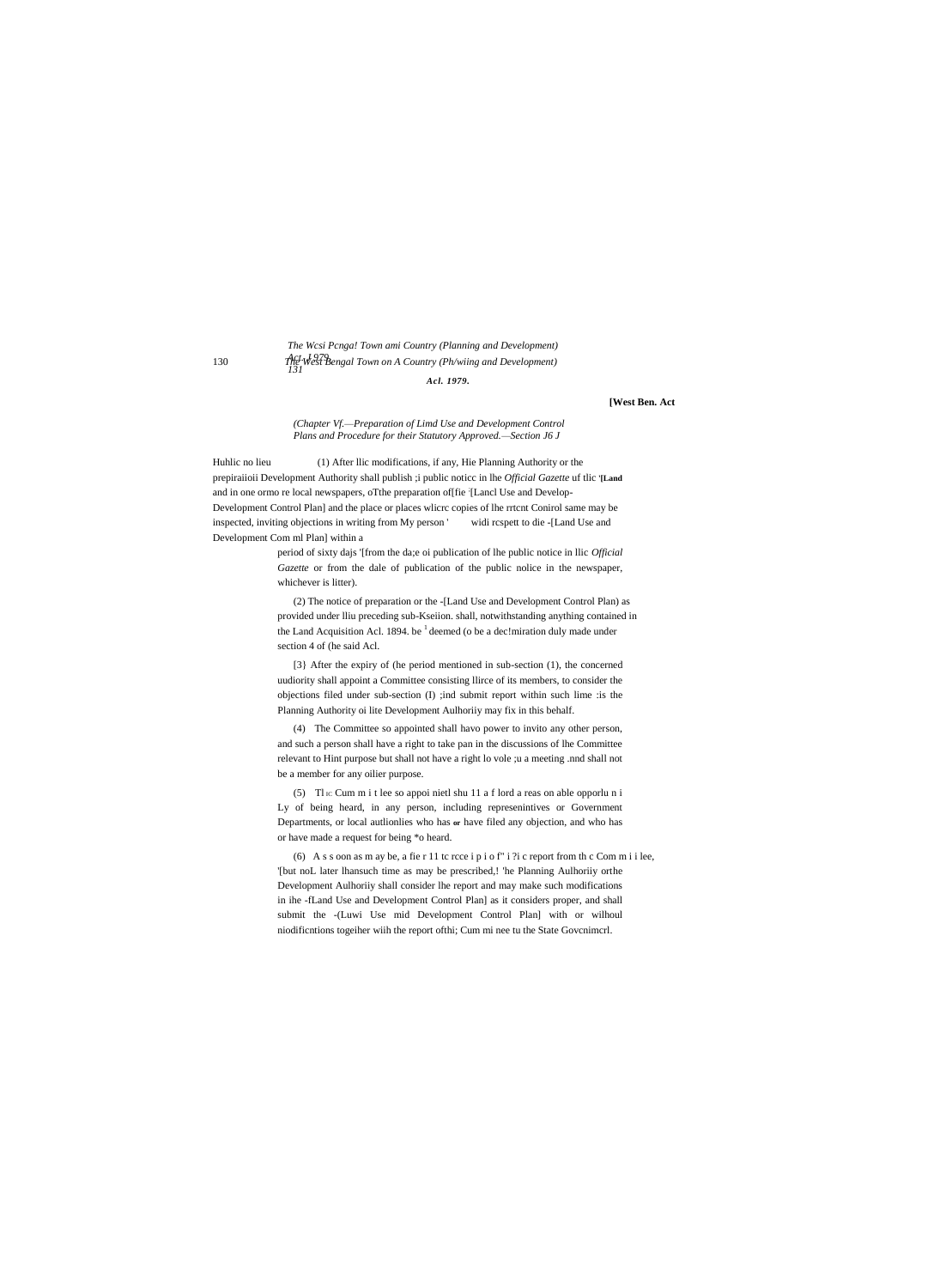# The Wcsi Penga! Town ami Country (Planning and Development) *Act*: West Bengal Town on A Country (Ph/wiing and Development)

Acl. 1979.

### [West Ben. Act

#### (Chapter Vf.-Preparation of Limd Use and Development Control Plans and Procedure for their Statutory Approved.-Section J6 J

(1) After Ilic modifications, if any, Hie Planning Authority or the Huhlic no lieu prepiraiioii Development Authority shall publish ;i public noticc in lhe Official Gazette uf tlic '[Land and in one ormo re local newspapers, oTthe preparation of [fie '[Lancl Use and Develop-Development Control Plan] and the place or places wlicrc copies of lhe rrtcnt Conirol same may be inspected, inviting objections in writing from My person ' widi rcspett to die -[Land Use and Development Com ml Plan] within a

> period of sixty dajs '[from the da;e oi publication of lhe public notice in llic Official Gazette or from the dale of publication of the public nolice in the newspaper, whichever is litter).

(2) The notice of preparation or the -[Land Use and Development Control Plan) as provided under Iliu preceding sub-Kseiion. shall, notwithstanding anything contained in the Land Acquisition Acl. 1894. be  $<sup>1</sup>$  deemed (o be a dec!miration duly made under</sup> section 4 of (he said Acl.

[3] After the expiry of (he period mentioned in sub-section (1), the concerned uudiority shall appoint a Committee consisting Ilirce of its members, to consider the objections filed under sub-section (I) ;ind submit report within such lime :is the Planning Authority oi lite Development Aulhority may fix in this behalf.

(4) The Committee so appointed shall havo power to invito any other person, and such a person shall have a right to take pan in the discussions of lhe Committee relevant to Hint purpose but shall not have a right lo vole ;u a meeting .nnd shall not be a member for any oilier purpose.

(5) The Cum m i thee so appoi nietl shu 11 a f lord a reas on able opporluni Ly of being heard, in any person, including represenintives or Government Departments, or local authonlies who has or have filed any objection, and who has or have made a request for being \*o heard.

(6) A s s oon as m ay be, a fie r 11 tc rcce i p i o f" i ?i c report from th c Com m i i lee, '[but noL later lhansuch time as may be prescribed,! 'he Planning Aulhoriiy orthe Development Aulhoriiy shall consider lhe report and may make such modifications in ihe -fLand Use and Development Control Plan] as it considers proper, and shall submit the -(Luwi Use mid Development Control Plan] with or wilhoul niodificntions togeiher wiih the report ofthi; Cum mi nee tu the State Govenimerl.

130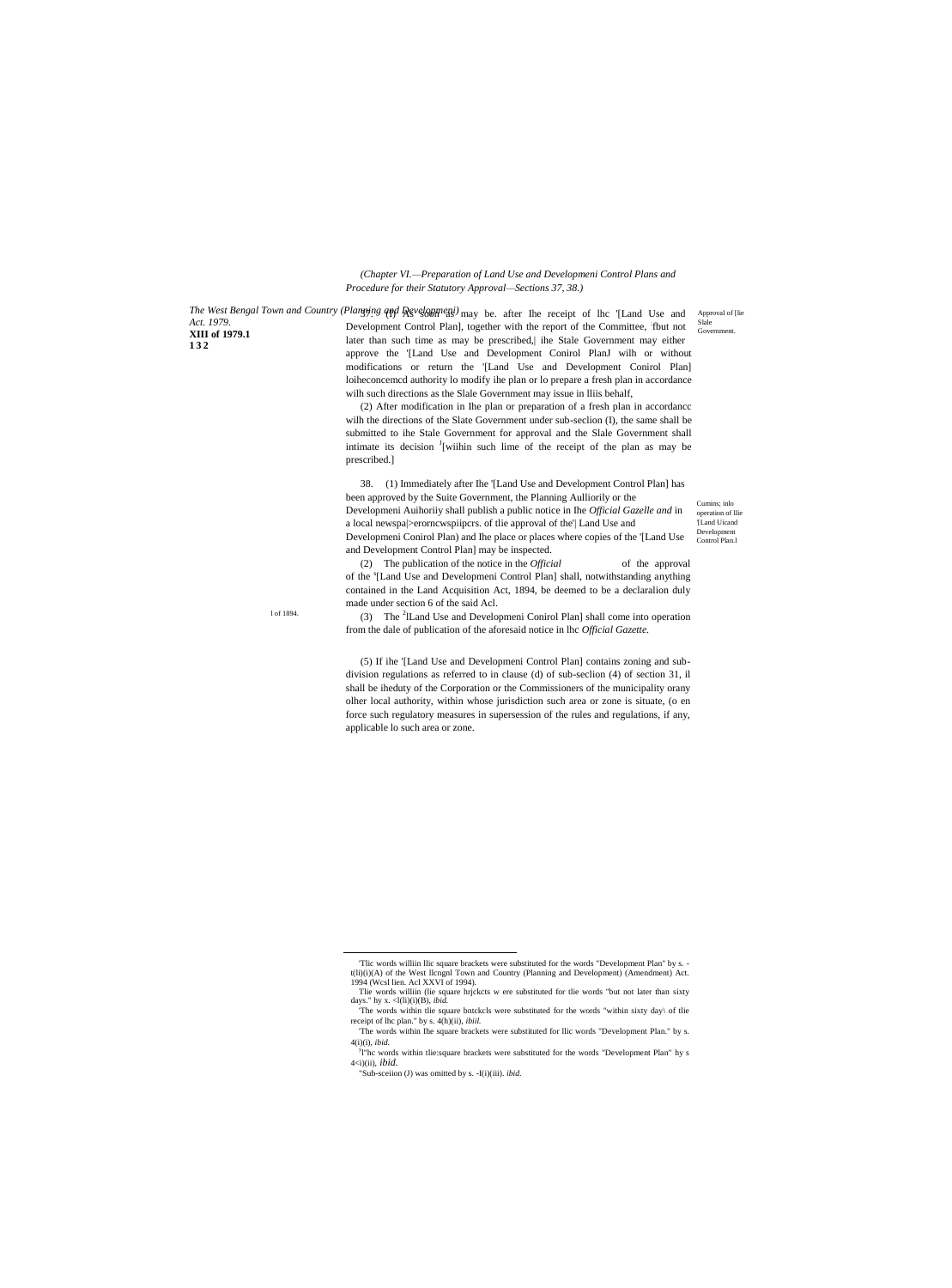*(Chapter VI.—Preparation of Land Use and Developmeni Control Plans and Procedure for their Statutory Approval—Sections 37, 38.)*

*Act. 1979.* **XIII of 1979.1 132**

l of 1894.

*The West Bengal Town and Country (Planning and Developmeni)* may be. after The receipt of lhc '[Land Use and Development Control Plan], together with the report of the Committee, fbut not later than such time as may be prescribed,| ihe Stale Government may either approve the '[Land Use and Development Conirol PlanJ wilh or without modifications or return the '[Land Use and Development Conirol Plan] loiheconcemcd authority lo modify ihe plan or lo prepare a fresh plan in accordance wilh such directions as the Slale Government may issue in lliis behalf,

> (2) After modification in Ihe plan or preparation of a fresh plan in accordancc wilh the directions of the Slate Government under sub-seclion (I), the same shall be submitted to ihe Stale Government for approval and the Slale Government shall intimate its decision <sup>J</sup>[wiihin such lime of the receipt of the plan as may be prescribed.]

> 38. (1) Immediately after Ihe '[Land Use and Development Control Plan] has been approved by the Suite Government, the Planning Aulliorily or the Developmeni Auihoriiy shall publish a public notice in Ihe *Official Gazelle and* in a local newspa|>erorncwspiipcrs. of tlie approval of the'| Land Use and Developmeni Conirol Plan) and Ihe place or places where copies of the '[Land Use and Development Control Plan] may be inspected.

> (2) The publication of the notice in the *Official* of the approval of the <sup>s</sup>[Land Use and Developmeni Control Plan] shall, notwithstanding anything contained in the Land Acquisition Act, 1894, be deemed to be a declaralion duly made under section 6 of the said Acl.

> (3) The <sup>2</sup>ILand Use and Developmeni Conirol Plan] shall come into operation from the dale of publication of the aforesaid notice in lhc *Official Gazette.*

(5) If ihe '[Land Use and Developmeni Control Plan] contains zoning and subdivision regulations as referred to in clause (d) of sub-seclion (4) of section 31, il shall be iheduty of the Corporation or the Commissioners of the municipality orany olher local authority, within whose jurisdiction such area or zone is situate, (o en force such regulatory measures in supersession of the rules and regulations, if any, applicable lo such area or zone.

 $\overline{a}$ 

Cumins; inlo operation of llie '[Land Uicand Development Control Plan.l

Approval of [lie Slale Gover

<sup>&#</sup>x27;Tlic words williin llic square brackets were substituted for the words "Development Plan" by s. t(li)(i)(A) of the West llcngnl Town and Country (Planning and Development) (Amendment) Act. 1994 (Wcsl lien. Acl XXVI of 1994).

Tlie words williin (lie square hrjckcts w ere substituted for tlie words "but not later than sixty days." hy x.  $\langle$ l(li)(i)(B), *ibid.* The words within tlie square bntckcls were substituted for the words "within sixty day\ of tlie

receipt of lhc plan." by s. 4(h)(ii), *ibiil.* 'The words within Ihe square brackets were substituted for llic words "Development Plan." by s. 4(i)(i), *ibid.*

<sup>&</sup>lt;sup>y</sup>l"hc words within tlie:square brackets were substituted for the words "Development Plan" hy s 4<i)(ii), *ibid.*

<sup>&</sup>quot;Sub-sceiion (J) was omitted by s. -I(i)(iii). *ibid.*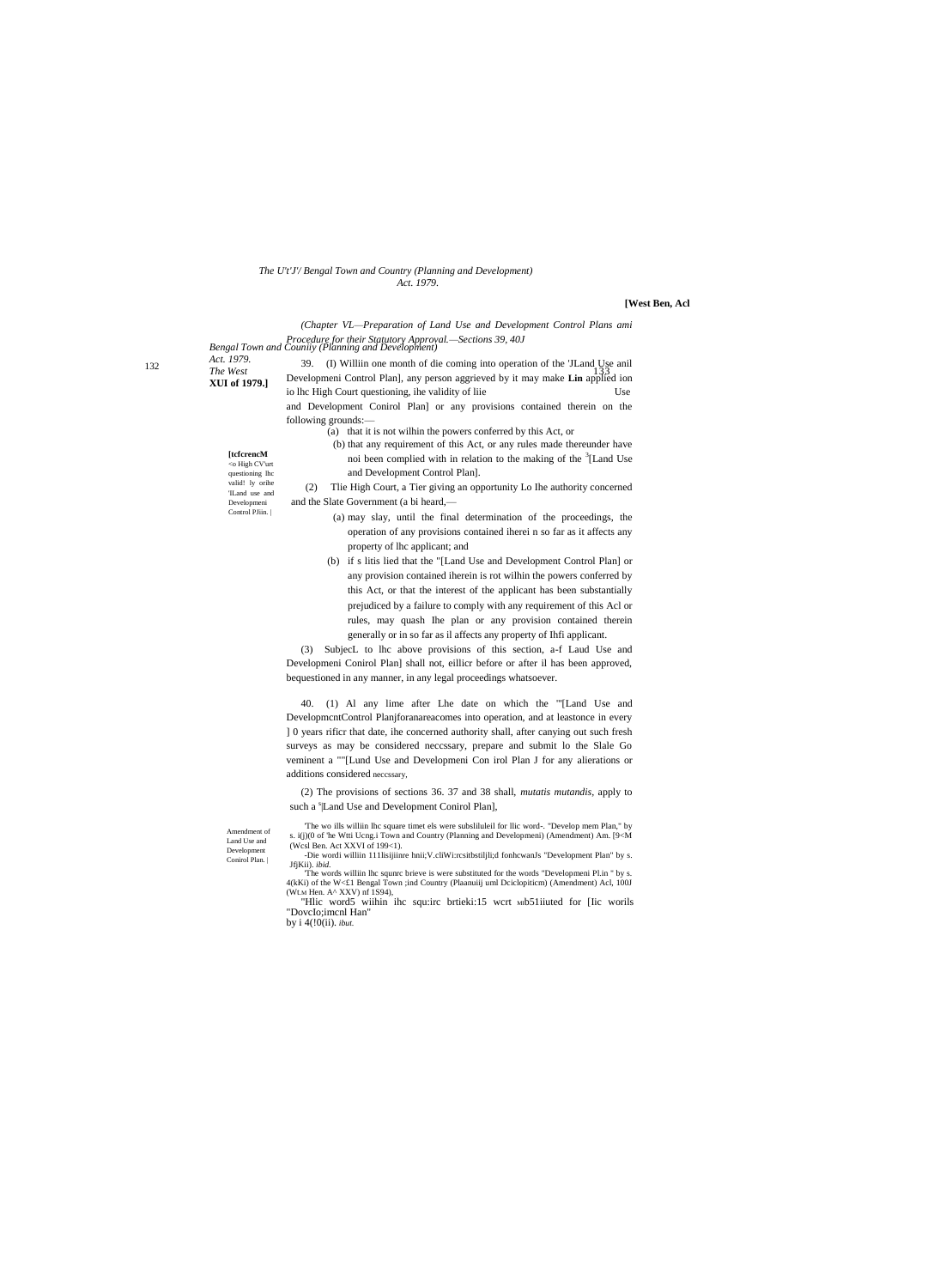#### *The U't'J'/ Bengal Town and Country (Planning and Development) Act. 1979.*

# **[West Ben, Acl**

*(Chapter VL—Preparation of Land Use and Development Control Plans ami* 

*Act. 1979.* **XUI of 1979.]**

> Amendment of Land Use and Development Conirol Plan. |

*Bengal Town and Couniiy (Planning and Development) Procedure for their Statutory Approval.—Sections 39, 40J* The West<br> **The West** 133<sup>-1211</sup> Developmeni Control Plan], any person aggrieved by it may make **Lin** applied ion **[tcfcrencM**  <o High CV'urt questioning lhc valid! ly orihe 'ILand use and Developmeni Control PJiin. 39. (I) Williin one month of die coming into operation of the 'JLand U<sub>2</sub>Se anil io lhc High Court questioning, ihe validity of liie Use and Development Conirol Plan] or any provisions contained therein on the following grounds:— (a) that it is not wilhin the powers conferred by this Act, or (b) that any requirement of this Act, or any rules made thereunder have noi been complied with in relation to the making of the <sup>3</sup>[Land Use and Development Control Plan]. (2) Tlie High Court, a Tier giving an opportunity Lo Ihe authority concerned and the Slate Government (a bi heard,— (a) may slay, until the final determination of the proceedings, the operation of any provisions contained iherei n so far as it affects any property of lhc applicant; and (b) if s litis lied that the "[Land Use and Development Control Plan] or any provision contained iherein is rot wilhin the powers conferred by this Act, or that the interest of the applicant has been substantially prejudiced by a failure to comply with any requirement of this Acl or rules, may quash Ihe plan or any provision contained therein generally or in so far as il affects any property of Ihfi applicant.

> (3) SubjecL to lhc above provisions of this section, a-f Laud Use and Developmeni Conirol Plan] shall not, eillicr before or after il has been approved, bequestioned in any manner, in any legal proceedings whatsoever.

> 40. (1) Al any lime after Lhe date on which the "'[Land Use and DevelopmcntControl Planjforanareacomes into operation, and at leastonce in every ] 0 years rificr that date, ihe concerned authority shall, after canying out such fresh surveys as may be considered neccssary, prepare and submit lo the Slale Go veminent a ""[Lund Use and Developmeni Con irol Plan J for any alierations or additions considered neccssary,

(2) The provisions of sections 36. 37 and 38 shall, *mutatis mutandis,* apply to such a <sup>s</sup>|Land Use and Development Conirol Plan],

'The wo ills williin lhc square timet els were subsliluleil for llic word-. "Develop mem Plan," by i(j)(0 of 'he Wtti Ucng.i Town and Country (Planning and Developmeni) (Amendment) Am. [9<M (Wcsl Ben. Act XXVI of 199<1). -Die wordi williin 111lisijiinre hnii;V.cliWi:rcsitbstiljli;d fonhcwanJs "Development Plan" by s.

JfjKii). *ibid.* 'The words williin lhc squnrc brieve is were substituted for the words "Developmeni Pl.in " by s. 4(kKi) of the W<£1 Bengal Town ;ind Country (Plaanuiij uml Dciclopiticm) (Amendment) Acl, 100J (Wt.M Hen. A^ XXV) nf 1S94),

"Hlic word5 wiihin ihc squ:irc brtieki:15 wcrt mb51iiuted for [Iic worils "DovcIo;imcnl Han" by i 4(!0(ii). *ibut.*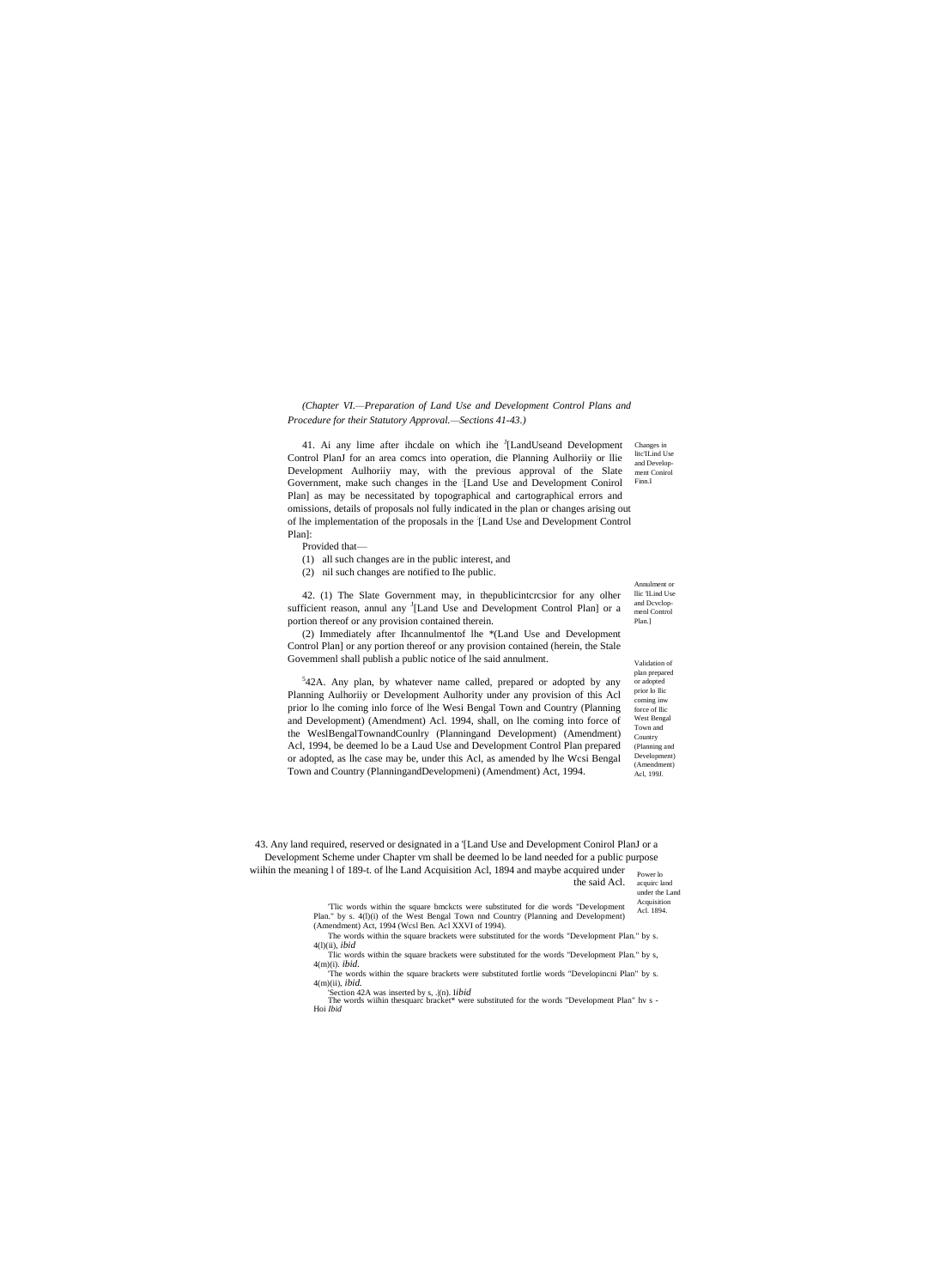(Chapter VI.-Preparation of Land Use and Development Control Plans and Procedure for their Statutory Approval.-Sections 41-43.)

41. Ai any lime after ihedale on which ihe <sup>J</sup>[LandUseand Development Control PlanJ for an area comcs into operation, die Planning Aulhority or Ilie Development Aulhoriiy may, with the previous approval of the Slate Government, make such changes in the [Land Use and Development Conirol Plan] as may be necessitated by topographical and cartographical errors and omissions, details of proposals nol fully indicated in the plan or changes arising out of lhe implementation of the proposals in the [Land Use and Development Control Plan]:

Provided that-

- (1) all such changes are in the public interest, and
- (2) nil such changes are notified to Ihe public.

42. (1) The Slate Government may, in the public interesior for any olher sufficient reason, annul any <sup>J</sup>[Land Use and Development Control Plan] or a portion thereof or any provision contained therein.

(2) Immediately after Ihcannulmentof lhe \*(Land Use and Development Control Plan] or any portion thereof or any provision contained (herein, the Stale Governmenl shall publish a public notice of lhe said annulment.

<sup>5</sup>42A. Any plan, by whatever name called, prepared or adopted by any Planning Aulhoriiy or Development Aulhority under any provision of this Acl prior lo lhe coming inlo force of lhe Wesi Bengal Town and Country (Planning and Development) (Amendment) Acl. 1994, shall, on lhe coming into force of the WeslBengalTownandCounlry (Planningand Development) (Amendment) Acl, 1994, be deemed lo be a Laud Use and Development Control Plan prepared or adopted, as lhe case may be, under this Acl, as amended by lhe Wcsi Bengal Town and Country (PlanningandDevelopmeni) (Amendment) Act, 1994.

Changes in lite'ILind Use and Development Conirol Finn.I

Annulment or llic 'II ind Hse and Developmenl Control Plan.]

Validation of plan prepared or adopted prior lo llic coming inw force of llic West Bengal Town and Country (Planning and Development) (Amendment) Acl, 199J.

43. Any land required, reserved or designated in a '[Land Use and Development Conirol PlanJ or a Development Scheme under Chapter vm shall be deemed lo be land needed for a public purpose

wiihin the meaning 1 of 189-t. of lhe Land Acquisition Acl, 1894 and maybe acquired under Power lo the said Acl. acquire land

under the Land Acquisition

Tlic words within the square bmckcts were substituted for die words "Development" Acl. 1894. Plan." by s. 4(1)(i) of the West Bengal Town nnd Country (Planning and Development) (Amendment) Act, 1994 (Wcsl Ben. Acl XXVI of 1994). The words within the square brackets were substituted for the words "Development Plan." by s.

 $4(l)(ii)$ , *ibid* Tlic words within the square brackets were substituted for the words "Development Plan." by s,

 $4(m)(i)$ , *ibid*, The words within the square brackets were substituted fortlie words "Developincni Plan" by s.

 $4(m)(ii)$ , *ibid.* Section 42A was inserted by s,  $\lbrack$ (n). Iibid

The words wiihin the<br>square bracket\* were substituted for the words "Development Plan" hv<br> $\mbox{s}$  - Hoi $\it Ibid$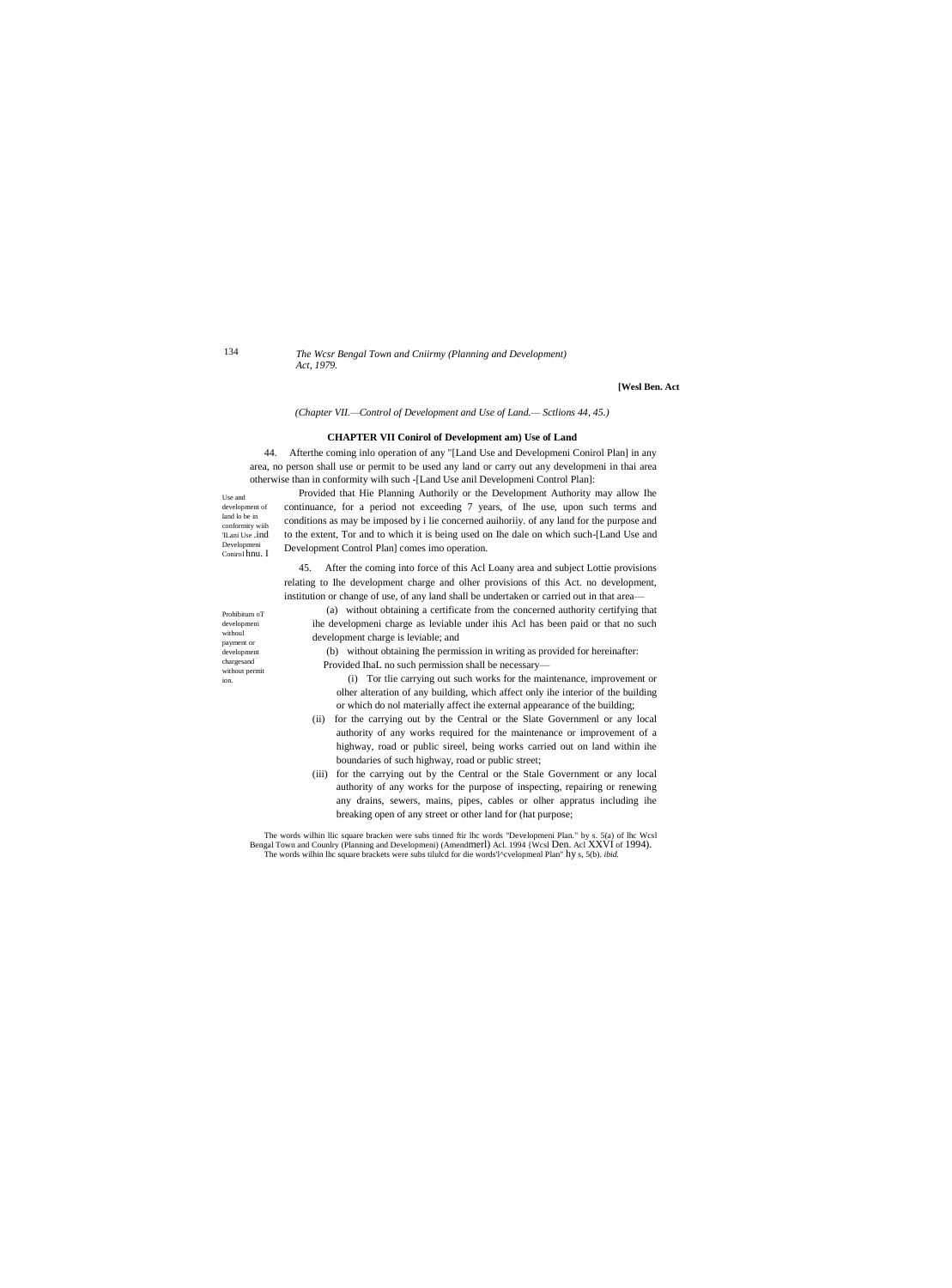134

The Wcsr Bengal Town and Cniirmy (Planning and Development) Act. 1979.

#### [Wesl Ben. Act

(Chapter VII.-Control of Development and Use of Land.- Sctlions 44, 45.)

# **CHAPTER VII Conirol of Development am) Use of Land**

44. Afterthe coming inlo operation of any "[Land Use and Developmeni Conirol Plan] in any area, no person shall use or permit to be used any land or carry out any developmeni in thai area otherwise than in conformity wilh such -[Land Use anil Developmeni Control Plan]:

Use and  $% \left\vert \mathcal{A}\right\vert$ development of  $land$  lo be in conformity wiih TLani Use .ind Developm Conirol hnu. I

Provided that Hie Planning Authorily or the Development Authority may allow Ihe continuance, for a period not exceeding 7 years, of Ihe use, upon such terms and conditions as may be imposed by i lie concerned auihority. of any land for the purpose and to the extent, Tor and to which it is being used on Ihe dale on which such-[Land Use and Development Control Plan] comes imo operation.

45. After the coming into force of this Acl Loany area and subject Lottie provisions relating to Ihe development charge and olher provisions of this Act. no development, institution or change of use, of any land shall be undertaken or carried out in that area-

(a) without obtaining a certificate from the concerned authority certifying that ihe developmeni charge as leviable under ihis Acl has been paid or that no such development charge is leviable; and

(b) without obtaining Ihe permission in writing as provided for hereinafter: Provided IhaL no such permission shall be necessary-

(i) Tor the carrying out such works for the maintenance, improvement or olher alteration of any building, which affect only ihe interior of the building or which do nol materially affect ihe external appearance of the building;

- (ii) for the carrying out by the Central or the Slate Governmenl or any local authority of any works required for the maintenance or improvement of a highway, road or public sireel, being works carried out on land within ihe boundaries of such highway, road or public street;
- (iii) for the carrying out by the Central or the Stale Government or any local authority of any works for the purpose of inspecting, repairing or renewing any drains, sewers, mains, pipes, cables or olher appratus including ihe breaking open of any street or other land for (hat purpose;

The words wilhin Ilic square bracken were subs tinned ftir lhc words "Developmeni Plan." by s. 5(a) of lhc Wcsl Bengal Town and Counlry (Planning and Developmeni) (Amendmerl) Acl. 1994 {Wcsl Den. Acl XXVI of 1994).<br>The wor

Prohibitum oT developmeni withoul payment or development  $\operatorname{charges}$ without permit ion.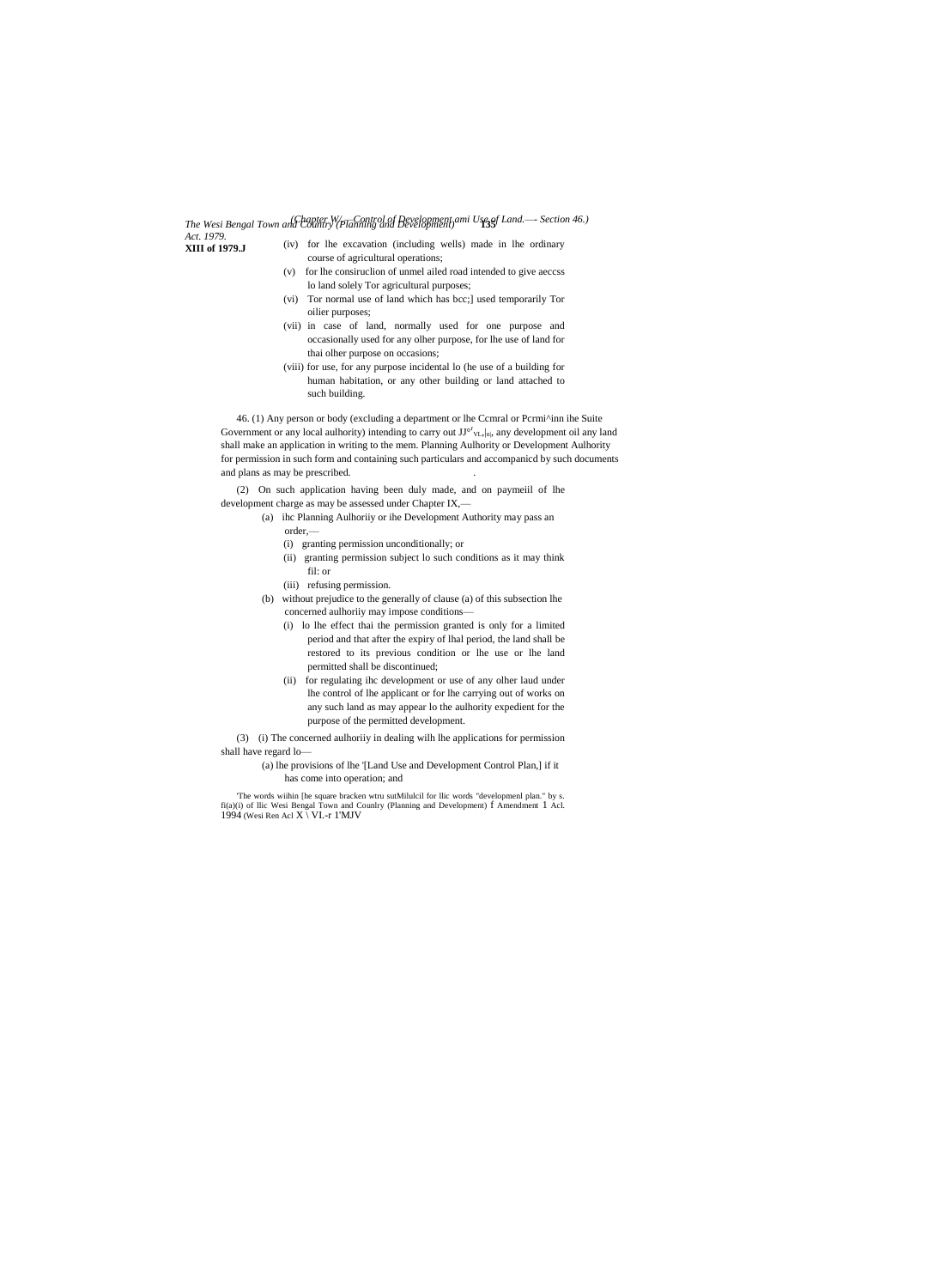*The Wesi Bengal Town and Country (Planning and Development)* **135** *(Chapter W/.—Control of Development ami Use of Land.—- Section 46.) Act. 1979.*

**XIII of 1979.J**

- (iv) for lhe excavation (including wells) made in lhe ordinary
- course of agricultural operations;
- (v) for lhe consiruclion of unmel ailed road intended to give aeccss lo land solely Tor agricultural purposes;
- (vi) Tor normal use of land which has bcc;] used temporarily Tor oilier purposes;
- (vii) in case of land, normally used for one purpose and occasionally used for any olher purpose, for lhe use of land for thai olher purpose on occasions;
- (viii) for use, for any purpose incidental lo (he use of a building for human habitation, or any other building or land attached to such building.

46. (1) Any person or body (excluding a department or lhe Ccmral or Pcrmi^inn ihe Suite Government or any local aulhority) intending to carry out  $JJ^{\circ^r}v_L, |n|$ , any development oil any land shall make an application in writing to the mem. Planning Aulhority or Development Aulhority for permission in such form and containing such particulars and accompanicd by such documents and plans as may be prescribed. .

(2) On such application having been duly made, and on paymeiil of lhe development charge as may be assessed under Chapter IX,—

- (a) ihc Planning Aulhoriiy or ihe Development Authority may pass an order,—
	- (i) granting permission unconditionally; or
	- (ii) granting permission subject lo such conditions as it may think fil: or
	- (iii) refusing permission.
- (b) without prejudice to the generally of clause (a) of this subsection lhe concerned aulhoriiy may impose conditions—
	- (i) lo lhe effect thai the permission granted is only for a limited period and that after the expiry of lhal period, the land shall be restored to its previous condition or lhe use or lhe land permitted shall be discontinued;
	- (ii) for regulating ihc development or use of any olher laud under lhe control of lhe applicant or for lhe carrying out of works on any such land as may appear lo the aulhority expedient for the purpose of the permitted development.

(3) (i) The concerned aulhoriiy in dealing wilh lhe applications for permission shall have regard lo—

(a) lhe provisions of lhe '[Land Use and Development Control Plan,] if it has come into operation; and

'The words wiihin [he square bracken wtru sutMilulcil for llic words "developmenl plan." by s. fi(a)(i) of llic Wesi Bengal Town and Counlry (Planning and Development) f Amendment 1 Acl. 1994 (Wesi Ren Acl X \ VI.-r 1'MJV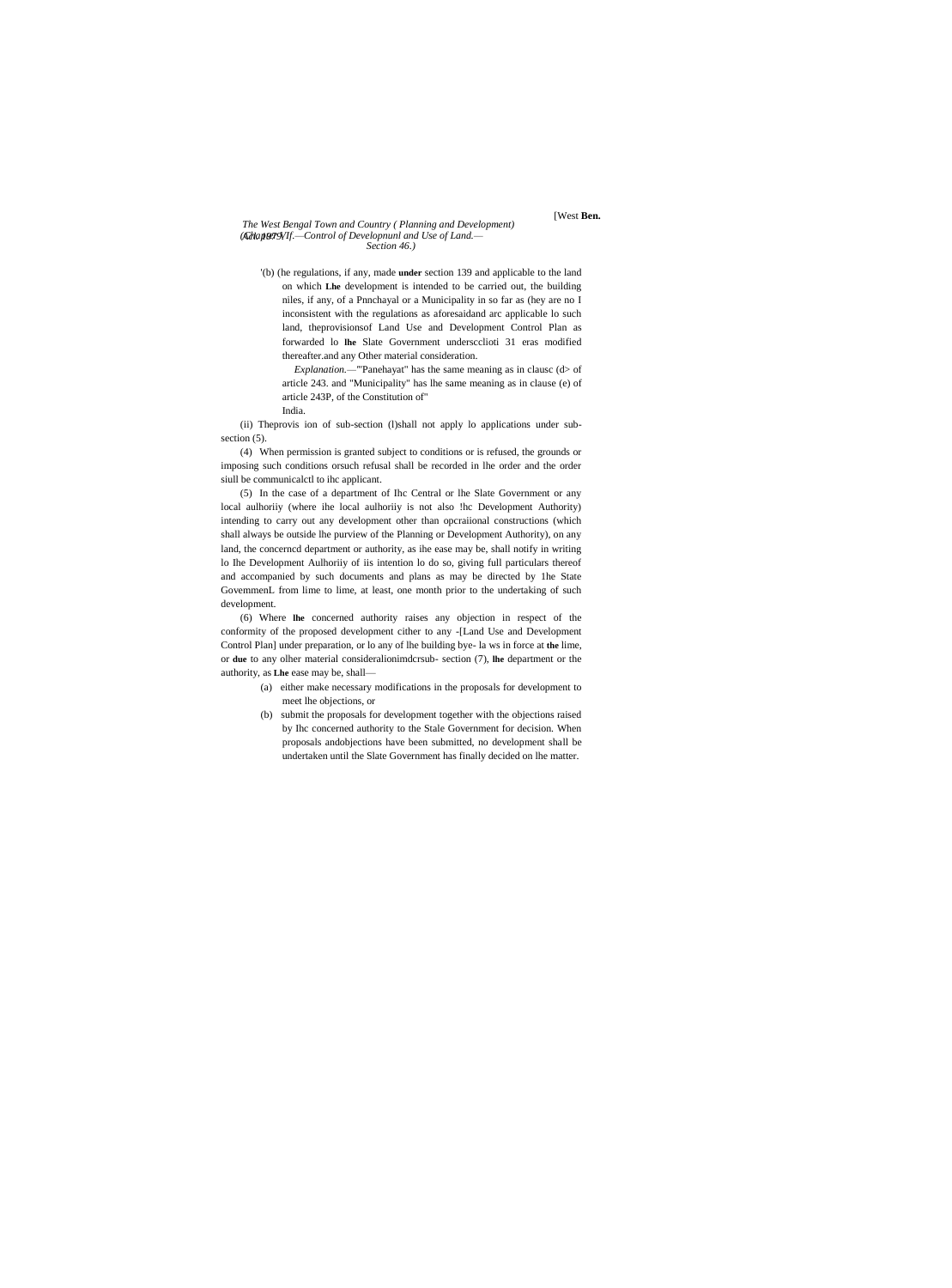### *The West Bengal Town and Country ( Planning and Development) Acl. 1979. (Chapter VIf.—Control of Developnunl and Use of Land.— Section 46.)*

# [West **Ben.**

'(b) (he regulations, if any, made **under** section 139 and applicable to the land on which **Lhe** development is intended to be carried out, the building niles, if any, of a Pnnchayal or a Municipality in so far as (hey are no I inconsistent with the regulations as aforesaidand arc applicable lo such land, theprovisionsof Land Use and Development Control Plan as forwarded lo **lhe** Slate Government underscclioti 31 eras modified thereafter.and any Other material consideration.

*Explanation.—'*"Panehayat" has the same meaning as in clausc (d> of article 243. and "Municipality" has lhe same meaning as in clause (e) of article 243P, of the Constitution of" India.

(ii) Theprovis ion of sub-section (l)shall not apply lo applications under subsection  $(5)$ .

(4) When permission is granted subject to conditions or is refused, the grounds or imposing such conditions orsuch refusal shall be recorded in lhe order and the order siull be communicalctl to ihc applicant.

(5) In the case of a department of Ihc Central or lhe Slate Government or any local aulhoriiy (where ihe local aulhoriiy is not also !hc Development Authority) intending to carry out any development other than opcraiional constructions (which shall always be outside lhe purview of the Planning or Development Authority), on any land, the concerncd department or authority, as ihe ease may be, shall notify in writing lo Ihe Development Aulhoriiy of iis intention lo do so, giving full particulars thereof and accompanied by such documents and plans as may be directed by 1he State GovemmenL from lime to lime, at least, one month prior to the undertaking of such development.

(6) Where **lhe** concerned authority raises any objection in respect of the conformity of the proposed development cither to any -[Land Use and Development Control Plan] under preparation, or lo any of lhe building bye- la ws in force at **the** lime, or **due** to any olher material consideralionimdcrsub- section (7), **lhe** department or the authority, as **Lhe** ease may be, shall—

- (a) either make necessary modifications in the proposals for development to meet lhe objections, or
- (b) submit the proposals for development together with the objections raised by Ihc concerned authority to the Stale Government for decision. When proposals andobjections have been submitted, no development shall be undertaken until the Slate Government has finally decided on lhe matter.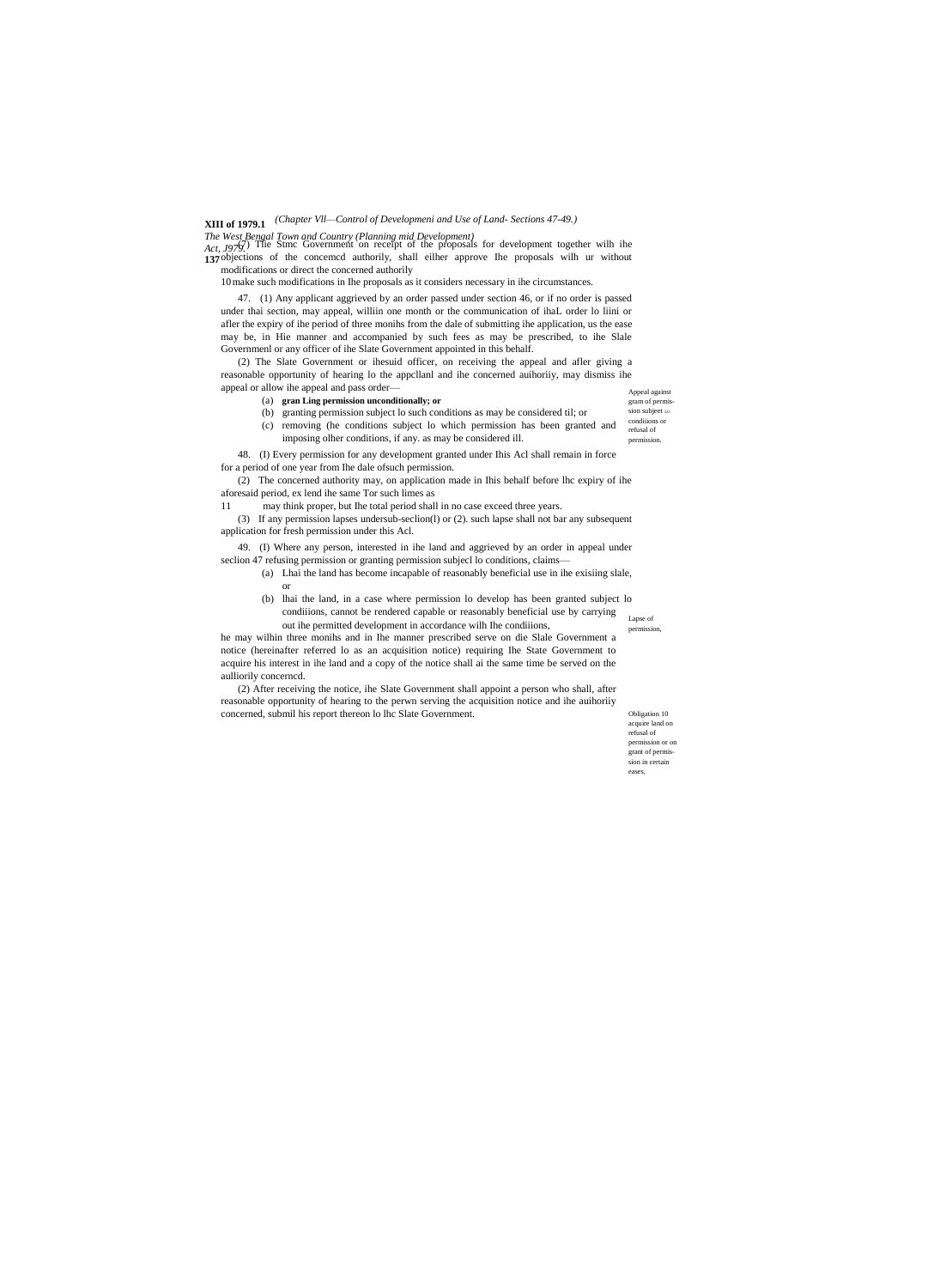# **XIII of 1979.1** *(Chapter Vll—Control of Developmeni and Use of Land- Sections 47-49.)*

### *The West Bengal Town and Country (Planning mid Development)*

Act, 1979.<sup>7</sup> The Stmc Government on receipt of the proposals for development together wilh ihe **137** objections of the concemcd authorily, shall eilher approve Ihe proposals wilh ur without modifications or direct the concerned authorily

10make such modifications in Ihe proposals as it considers necessary in ihe circumstances.

47. (1) Any applicant aggrieved by an order passed under section 46, or if no order is passed under thai section, may appeal, williin one month or the communication of ihaL order lo liini or afler the expiry of ihe period of three monihs from the dale of submitting ihe application, us the ease may be, in Hie manner and accompanied by such fees as may be prescribed, to ihe Slale Governmenl or any officer of ihe Slate Government appointed in this behalf.

(2) The Slate Government or ihesuid officer, on receiving the appeal and afler giving a reasonable opportunity of hearing lo the appcllanl and ihe concerned auihoriiy, may dismiss ihe appeal or allow ihe appeal and pass order—

(a) **gran Ling permission unconditionally; or**

Appeal against gram of permission subject Lo condiiions or refusal of

permission.

(b) granting permission subject lo such conditions as may be considered til; or

(c) removing (he conditions subject lo which permission has been granted and

imposing olher conditions, if any. as may be considered ill. 48. (I) Every permission for any development granted under Ihis Acl shall remain in force

for a period of one year from Ihe dale ofsuch permission. (2) The concerned authority may, on application made in Ihis behalf before lhc expiry of ihe aforesaid period, ex lend ihe same Tor such limes as

11 may think proper, but Ihe total period shall in no case exceed three years.

(3) If any permission lapses undersub-seclion(l) or (2). such lapse shall not bar any subsequent application for fresh permission under this Acl.

49. (I) Where any person, interested in ihe land and aggrieved by an order in appeal under seclion 47 refusing permission or granting permission subjecl lo conditions, claims—

- (a) Lhai the land has become incapable of reasonably beneficial use in ihe exisiing slale, or
	- Lapse of permission, (b) lhai the land, in a case where permission lo develop has been granted subject lo condiiions, cannot be rendered capable or reasonably beneficial use by carrying out ihe permitted development in accordance wilh Ihe condiiions,

he may wilhin three monihs and in Ihe manner prescribed serve on die Slale Government a notice (hereinafter referred lo as an acquisition notice) requiring Ihe State Government to acquire his interest in ihe land and a copy of the notice shall ai the same time be served on the aulliorily concerncd.

(2) After receiving the notice, ihe Slate Government shall appoint a person who shall, after reasonable opportunity of hearing to the perwn serving the acquisition notice and ihe auihoriiy concerned, submil his report thereon lo lhc Slate Government.

Obligation 10 acquire land on refusal of permission or on grant of permission in certain eases,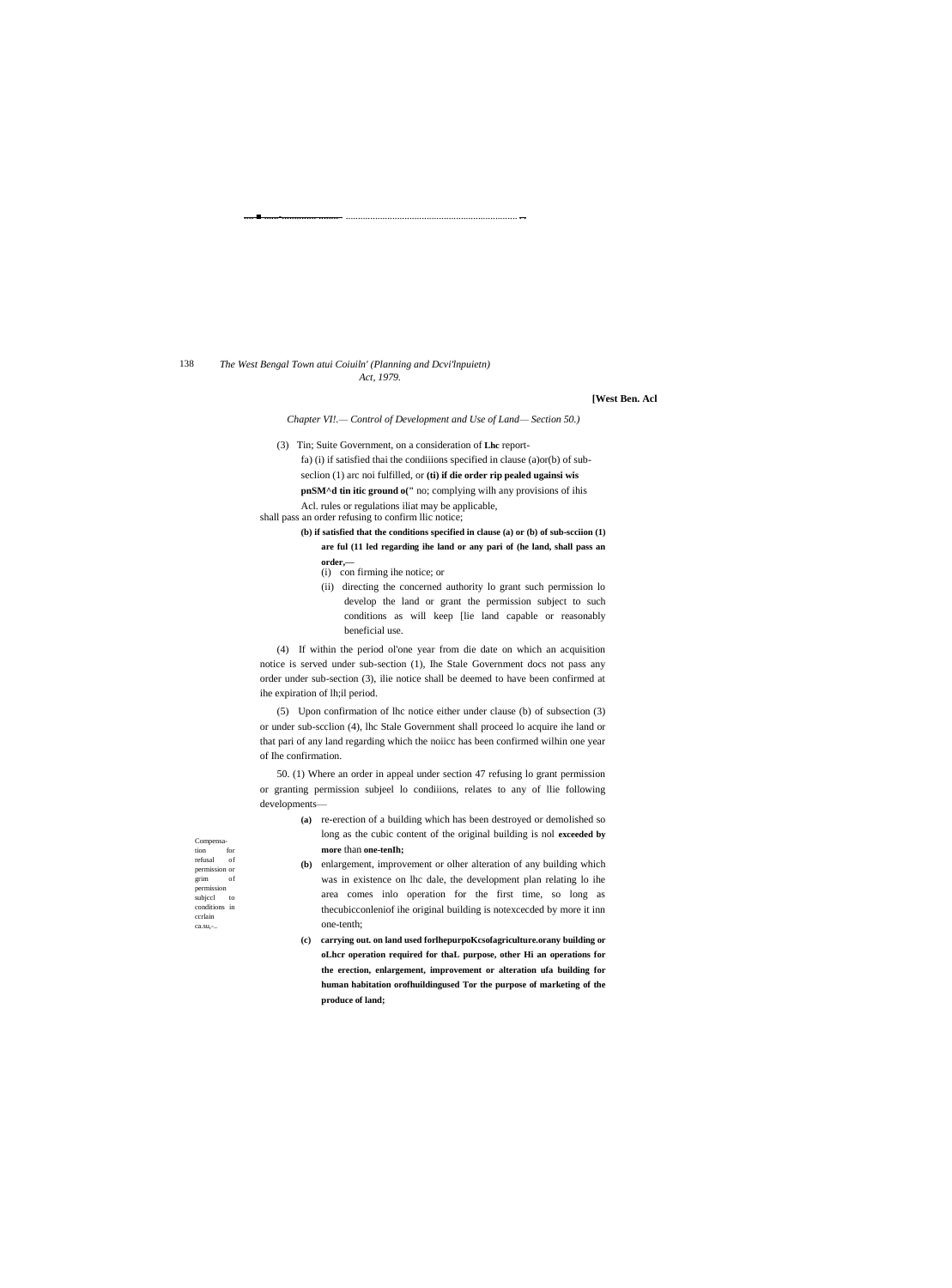138 The West Bengal Town atui Coiuiln' (Planning and Dcvi'lnpuietn) Act, 1979.

### **[West Ben. Acl**

Chapter VI!.- Control of Development and Use of Land-Section 50.)

(3) Tin; Suite Government, on a consideration of Lhc report-

fa) (i) if satisfied thai the conditions specified in clause (a)or(b) of sub-

seclion (1) arc noi fulfilled, or (ti) if die order rip pealed ugainsi wis

pnSM^d tin itic ground o(" no; complying wilh any provisions of ihis

Acl. rules or regulations iliat may be applicable, shall pass an order refusing to confirm llic notice;

- (b) if satisfied that the conditions specified in clause (a) or (b) of sub-scciion  $\bf(1)$ are ful (11 led regarding ihe land or any pari of (he land, shall pass an
	- order,- $(i)$  con firming ihe notice; or
	- (ii) directing the concerned authority lo grant such permission lo
	- develop the land or grant the permission subject to such conditions as will keep [lie land capable or reasonably beneficial use.

(4) If within the period ol'one year from die date on which an acquisition notice is served under sub-section (1), Ihe Stale Government docs not pass any order under sub-section (3), ilie notice shall be deemed to have been confirmed at ihe expiration of lh;il period.

(5) Upon confirmation of lhc notice either under clause (b) of subsection (3) or under sub-scclion (4), lhc Stale Government shall proceed lo acquire ihe land or that pari of any land regarding which the noiicc has been confirmed wilhin one year of The confirmation.

50. (1) Where an order in appeal under section 47 refusing lo grant permission or granting permission subjeel lo conditions, relates to any of llie following developments-

- (a) re-erection of a building which has been destroyed or demolished so long as the cubic content of the original building is nol exceeded by more than one-tenIh;
- (b) enlargement, improvement or olher alteration of any building which was in existence on lhc dale, the development plan relating lo ihe area comes inlo operation for the first time, so long as thecubicconleniof ihe original building is notexcecded by more it inn one-tenth;
- (c) carrying out. on land used for the purpo Kcs of a griculture. or any building or oLhcr operation required for thaL purpose, other Hi an operations for the erection, enlargement, improvement or alteration ufa building for human habitation orofhuildingused Tor the purpose of marketing of the produce of land;

Compensa  $\,$ tion  $f$ or refusal of permission or grim<br>permission of subjecl to conditions in ccrlain  $ca.su, \ldots$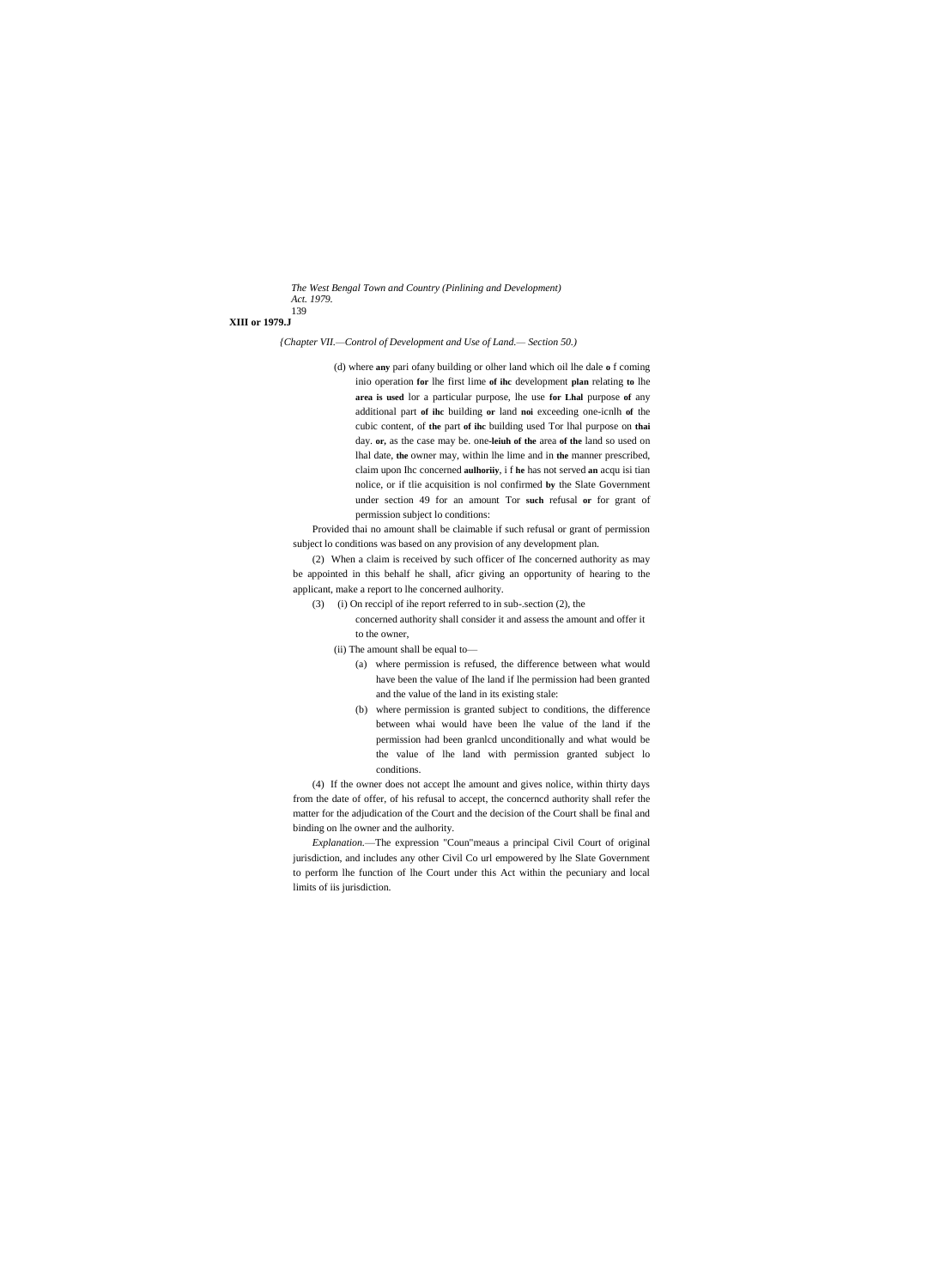*The West Bengal Town and Country (Pinlining and Development) Act. 1979.* 139

# **XIII or 1979.J**

*{Chapter VII.—Control of Development and Use of Land.— Section 50.)*

(d) where **any** pari ofany building or olher land which oil lhe dale **o** f coming inio operation **for** lhe first lime **of ihc** development **plan** relating **to** lhe **area is used** lor a particular purpose, lhe use **for Lhal** purpose **of** any additional part **of ihc** building **or** land **noi** exceeding one-icnlh **of** the cubic content, of **the** part **of ihc** building used Tor lhal purpose on **thai** day. **or,** as the case may be. one**-leiuh of the** area **of the** land so used on lhal date, **the** owner may, within lhe lime and in **the** manner prescribed, claim upon Ihc concerned **aulhoriiy**, i f **he** has not served **an** acqu isi tian nolice, or if tlie acquisition is nol confirmed **by** the Slate Government under section 49 for an amount Tor **such** refusal **or** for grant of permission subject lo conditions:

Provided thai no amount shall be claimable if such refusal or grant of permission subject lo conditions was based on any provision of any development plan.

(2) When a claim is received by such officer of Ihe concerned authority as may be appointed in this behalf he shall, aficr giving an opportunity of hearing to the applicant, make a report to lhe concerned aulhority.

- (3) (i) On reccipl of ihe report referred to in sub-.section (2), the
	- concerned authority shall consider it and assess the amount and offer it to the owner,
	- (ii) The amount shall be equal to—
		- (a) where permission is refused, the difference between what would have been the value of Ihe land if lhe permission had been granted and the value of the land in its existing stale:
		- (b) where permission is granted subject to conditions, the difference between whai would have been lhe value of the land if the permission had been granlcd unconditionally and what would be the value of lhe land with permission granted subject lo conditions.

(4) If the owner does not accept lhe amount and gives nolice, within thirty days from the date of offer, of his refusal to accept, the concerncd authority shall refer the matter for the adjudication of the Court and the decision of the Court shall be final and binding on lhe owner and the aulhority.

*Explanation.*—The expression "Coun"meaus a principal Civil Court of original jurisdiction, and includes any other Civil Co url empowered by lhe Slate Government to perform lhe function of lhe Court under this Act within the pecuniary and local limits of iis jurisdiction.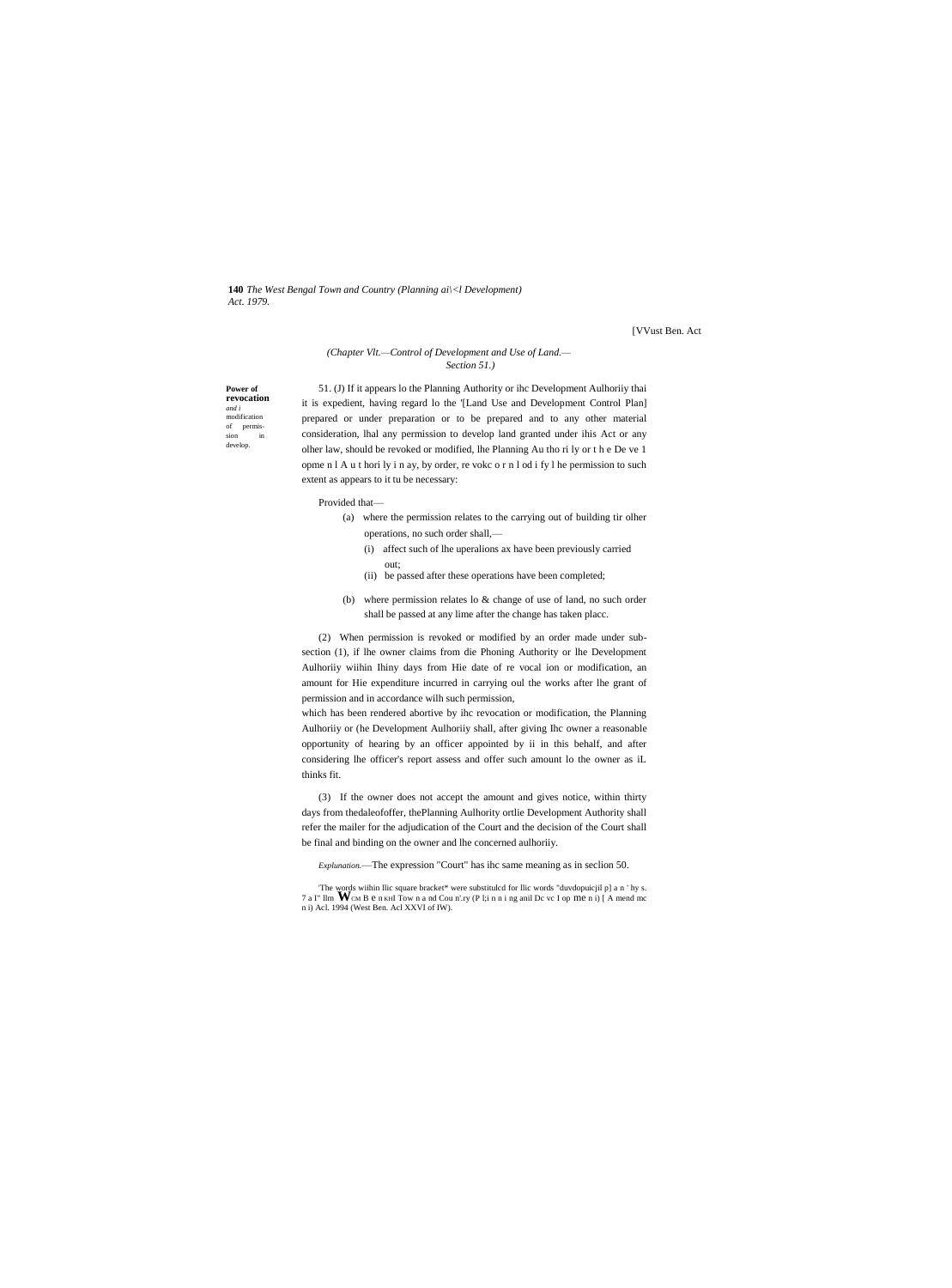**140** *The West Bengal Town and Country (Planning ai\<l Development) Act. 1979.*

[VVust Ben. Act

# *(Chapter Vlt.—Control of Development and Use of Land.— Section 51.)*

**Power of revocation** *and i* modification of permis-sion in develop.

51. (J) If it appears lo the Planning Authority or ihc Development Aulhoriiy thai it is expedient, having regard lo the '[Land Use and Development Control Plan] prepared or under preparation or to be prepared and to any other material consideration, lhal any permission to develop land granted under ihis Act or any olher law, should be revoked or modified, lhe Planning Au tho ri ly or t h e De ve 1 opme n l A u t hori ly i n ay, by order, re vokc o r n l od i fy l he permission to such extent as appears to it tu be necessary:

Provided that—

out;

- (a) where the permission relates to the carrying out of building tir olher operations, no such order shall,—
	- (i) affect such of lhe uperalions ax have been previously carried
	- (ii) be passed after these operations have been completed;
- (b) where permission relates lo & change of use of land, no such order shall be passed at any lime after the change has taken placc.

(2) When permission is revoked or modified by an order made under subsection (1), if lhe owner claims from die Phoning Authority or lhe Development Aulhoriiy wiihin Ihiny days from Hie date of re vocal ion or modification, an amount for Hie expenditure incurred in carrying oul the works after lhe grant of permission and in accordance wilh such permission,

which has been rendered abortive by ihc revocation or modification, the Planning Aulhoriiy or (he Development Aulhoriiy shall, after giving Ihc owner a reasonable opportunity of hearing by an officer appointed by ii in this behalf, and after considering lhe officer's report assess and offer such amount lo the owner as iL thinks fit.

(3) If the owner does not accept the amount and gives notice, within thirty days from thedaleofoffer, thePlanning Aulhority ortlie Development Authority shall refer the mailer for the adjudication of the Court and the decision of the Court shall be final and binding on the owner and lhe concerned aulhoriiy.

*Explunation.*—The expression "Court" has ihc same meaning as in seclion 50.

The words wiihin llic square bracket\* were substituled for llic words "duvdopuicjil p] a n ' hy s. 7 a I" llm **W**CM B e n KHI Tow n a nd Cou n'.ry (P l;i n n i ng anil Dc vc I op me n i) [A mend mc n i) Acl. 1994 (West Ben. Acl XXVI of IW).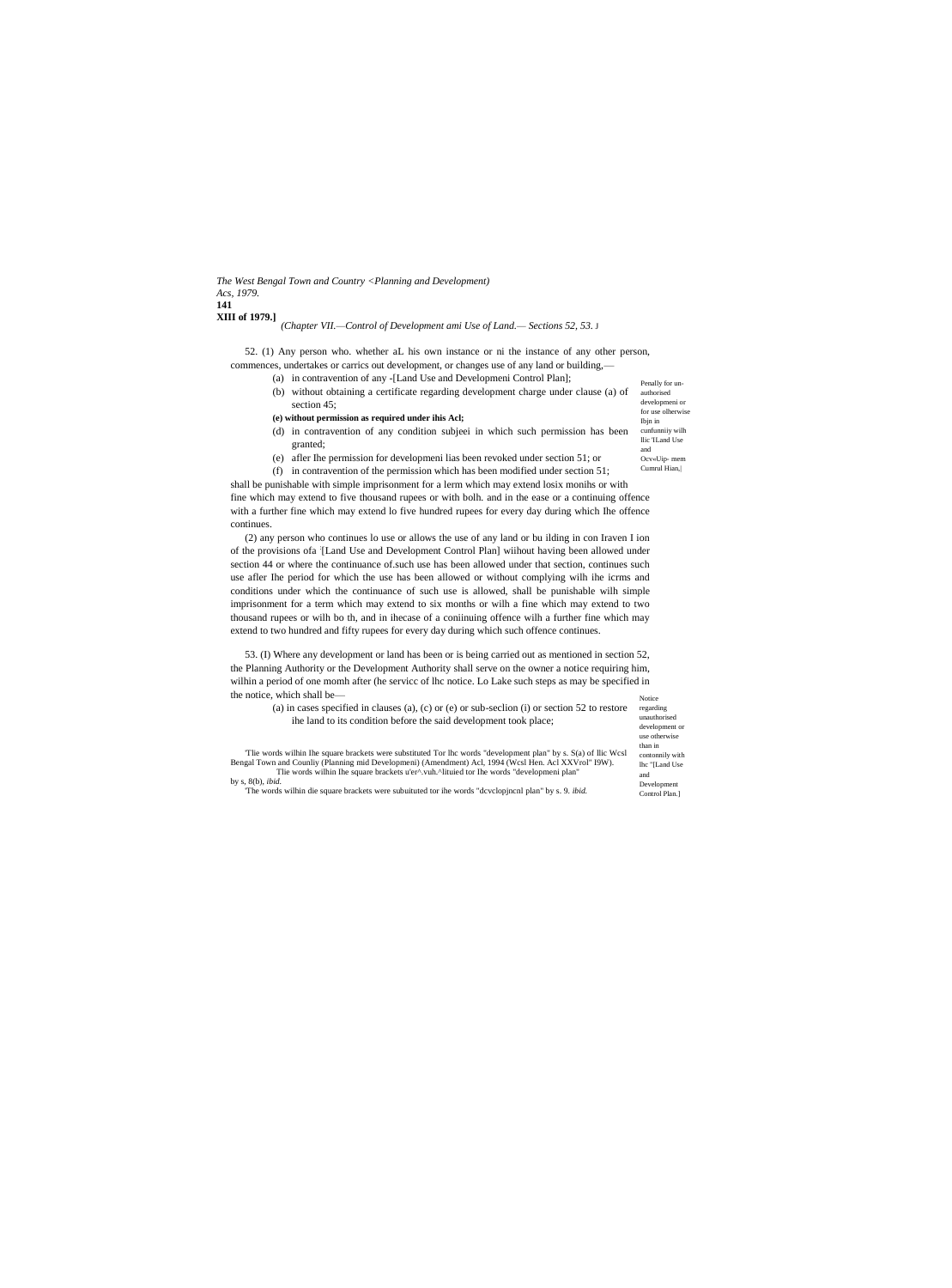## *The West Bengal Town and Country <Planning and Development) Acs, 1979.* **141 XIII of 1979.]**

# *(Chapter VII.—Control of Development ami Use of Land.— Sections 52, 53.* J

52. (1) Any person who. whether aL his own instance or ni the instance of any other person, commences, undertakes or carrics out development, or changes use of any land or building,-

- (a) in contravention of any -[Land Use and Developmeni Control Plan];
- Penally for unauthorised developmeni or for use olherwise (b) without obtaining a certificate regarding development charge under clause (a) of section 45;

Ibjn in

Ocv«Uip- mem Cumrul Hian,|

- **(e) without permission as required under ihis Acl;**
- cunfunniiy wilh llic 'ILand Use and (d) in contravention of any condition subjeei in which such permission has been granted;
- (e) afler Ihe permission for developmeni lias been revoked under section 51; or

(f) in contravention of the permission which has been modified under section 51; shall be punishable with simple imprisonment for a lerm which may extend losix monihs or with

fine which may extend to five thousand rupees or with bolh. and in the ease or a continuing offence with a further fine which may extend lo five hundred rupees for every day during which Ihe offence continues.

(2) any person who continues lo use or allows the use of any land or bu ilding in con Iraven I ion of the provisions ofa : [Land Use and Development Control Plan] wiihout having been allowed under section 44 or where the continuance of.such use has been allowed under that section, continues such use afler Ihe period for which the use has been allowed or without complying wilh ihe icrms and conditions under which the continuance of such use is allowed, shall be punishable wilh simple imprisonment for a term which may extend to six months or wilh a fine which may extend to two thousand rupees or wilh bo th, and in ihecase of a coniinuing offence wilh a further fine which may extend to two hundred and fifty rupees for every day during which such offence continues.

Notice 53. (I) Where any development or land has been or is being carried out as mentioned in section 52, the Planning Authority or the Development Authority shall serve on the owner a notice requiring him, wilhin a period of one momh after (he servicc of lhc notice. Lo Lake such steps as may be specified in the notice, which shall be—

| (a) in cases specified in clauses (a), (c) or (e) or sub-section (i) or section 52 to restore                                                                                                                                                                                                                                                                                            | regarding       |  |
|------------------------------------------------------------------------------------------------------------------------------------------------------------------------------------------------------------------------------------------------------------------------------------------------------------------------------------------------------------------------------------------|-----------------|--|
| the land to its condition before the said development took place;<br>The words wilhin the square brackets were substituted Tor the words "development plan" by s. S(a) of llic Wcsl<br>Bengal Town and Counliv (Planning mid Developmeni) (Amendment) Acl, 1994 (Wcsl Hen. Acl XXVrol" I9W).<br>The words wilhin Ihe square brackets u'er^.vuh.^lituied tor Ihe words "developmeni plan" | unauthorised    |  |
|                                                                                                                                                                                                                                                                                                                                                                                          | development or  |  |
|                                                                                                                                                                                                                                                                                                                                                                                          | use otherwise   |  |
|                                                                                                                                                                                                                                                                                                                                                                                          | than in         |  |
|                                                                                                                                                                                                                                                                                                                                                                                          | contonnily with |  |
|                                                                                                                                                                                                                                                                                                                                                                                          | lhc "[Land Use] |  |
|                                                                                                                                                                                                                                                                                                                                                                                          | and             |  |
| by s, $8(b)$ , <i>ibid.</i>                                                                                                                                                                                                                                                                                                                                                              |                 |  |
| The words wilhin die square brackets were subuituted tor ihe words "dcvclopincal plan" by s. 9. <i>ibid.</i>                                                                                                                                                                                                                                                                             | Control Plan.   |  |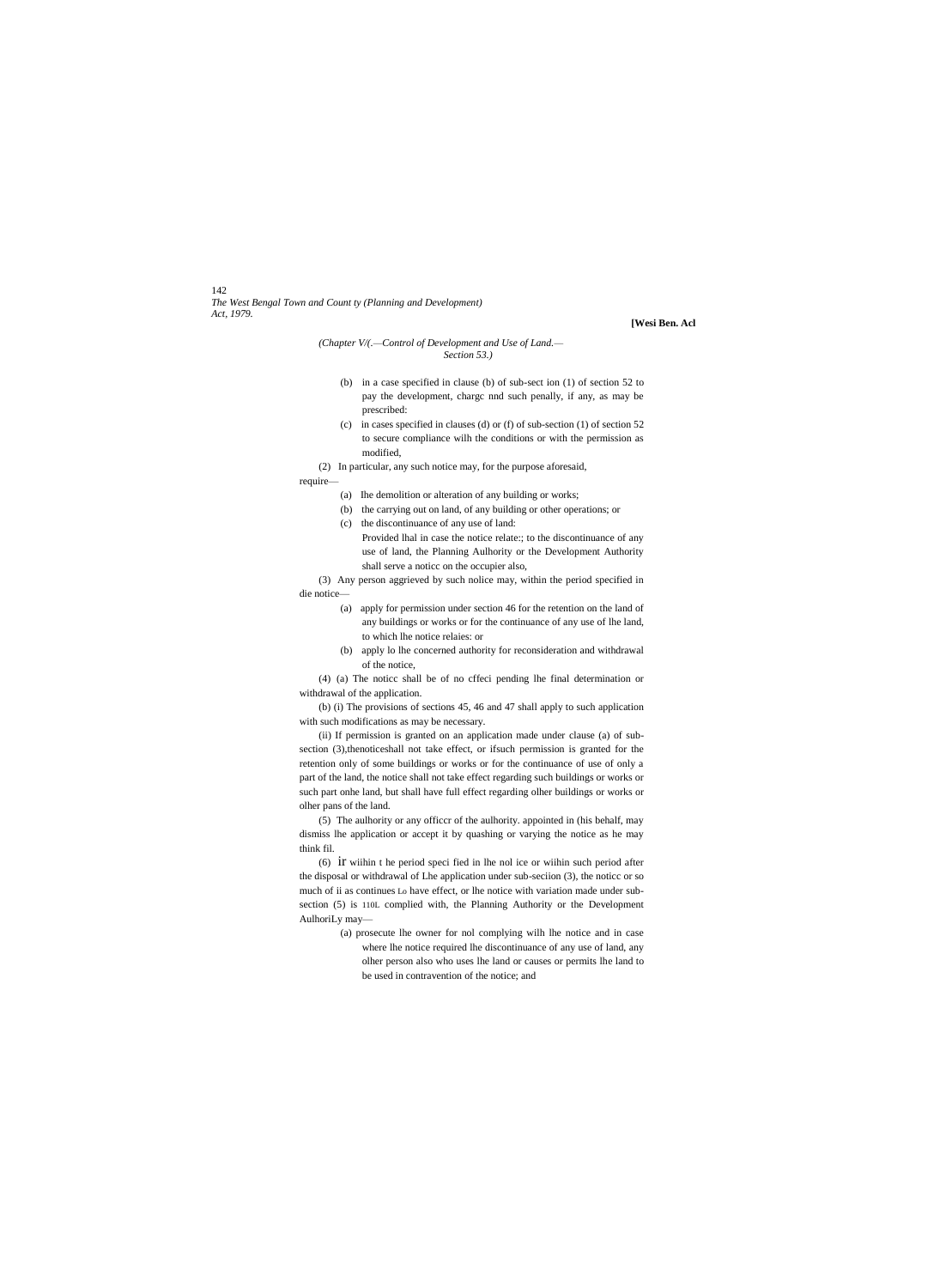142 *The West Bengal Town and Count ty (Planning and Development) Act, 1979.*

### **[Wesi Ben. Acl**

## *(Chapter V/(.—Control of Development and Use of Land.— Section 53.)*

- (b) in a case specified in clause (b) of sub-sect ion (1) of section 52 to pay the development, chargc nnd such penally, if any, as may be prescribed:
- (c) in cases specified in clauses (d) or (f) of sub-section (1) of section 52 to secure compliance wilh the conditions or with the permission as modified,

(2) In particular, any such notice may, for the purpose aforesaid,

- require—
	- (a) Ihe demolition or alteration of any building or works;
	- (b) the carrying out on land, of any building or other operations; or
	- (c) the discontinuance of any use of land: Provided lhal in case the notice relate:; to the discontinuance of any use of land, the Planning Aulhority or the Development Authority
- shall serve a noticc on the occupier also, (3) Any person aggrieved by such nolice may, within the period specified in die notice—
	- (a) apply for permission under section 46 for the retention on the land of any buildings or works or for the continuance of any use of lhe land, to which lhe notice relaies: or
	- (b) apply lo lhe concerned authority for reconsideration and withdrawal of the notice,

(4) (a) The noticc shall be of no cffeci pending lhe final determination or withdrawal of the application.

(b) (i) The provisions of sections 45, 46 and 47 shall apply to such application with such modifications as may be necessary.

(ii) If permission is granted on an application made under clause (a) of subsection (3),thenoticeshall not take effect, or ifsuch permission is granted for the retention only of some buildings or works or for the continuance of use of only a part of the land, the notice shall not take effect regarding such buildings or works or such part onhe land, but shall have full effect regarding olher buildings or works or olher pans of the land.

(5) The aulhority or any officcr of the aulhority. appointed in (his behalf, may dismiss lhe application or accept it by quashing or varying the notice as he may think fil.

(6) ir wiihin t he period speci fied in lhe nol ice or wiihin such period after the disposal or withdrawal of Lhe application under sub-seciion (3), the noticc or so much of ii as continues Lo have effect, or lhe notice with variation made under subsection (5) is 110L complied with, the Planning Authority or the Development AulhoriLy may—

> (a) prosecute lhe owner for nol complying wilh lhe notice and in case where lhe notice required lhe discontinuance of any use of land, any olher person also who uses lhe land or causes or permits lhe land to be used in contravention of the notice; and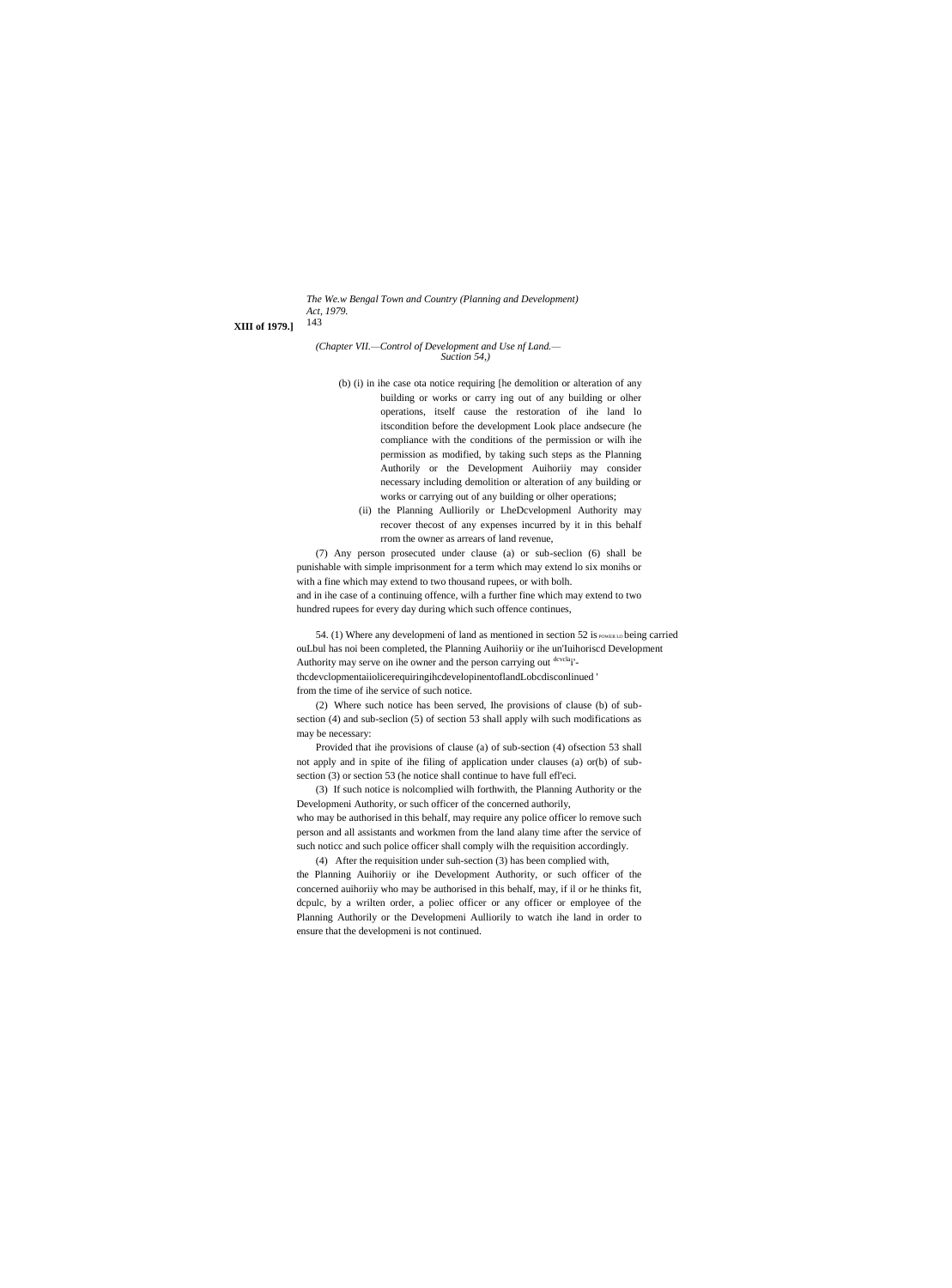*The We.w Bengal Town and Country (Planning and Development) Act, 1979.*

143 **XIII of 1979.]**

*(Chapter VII.—Control of Development and Use nf Land.— Suction 54,)*

- (b) (i) in ihe case ota notice requiring [he demolition or alteration of any building or works or carry ing out of any building or olher operations, itself cause the restoration of ihe land lo itscondition before the development Look place andsecure (he compliance with the conditions of the permission or wilh ihe permission as modified, by taking such steps as the Planning Authorily or the Development Auihoriiy may consider necessary including demolition or alteration of any building or works or carrying out of any building or olher operations;
	- (ii) the Planning Aulliorily or LheDcvelopmenl Authority may recover thecost of any expenses incurred by it in this behalf rrom the owner as arrears of land revenue,

(7) Any person prosecuted under clause (a) or sub-seclion (6) shall be punishable with simple imprisonment for a term which may extend lo six monihs or with a fine which may extend to two thousand rupees, or with bolh. and in ihe case of a continuing offence, wilh a further fine which may extend to two hundred rupees for every day during which such offence continues,

54. (1) Where any developmeni of land as mentioned in section 52 is  $_{\text{PowerLO}}$  being carried ouLbul has noi been completed, the Planning Auihoriiy or ihe un'Iuihoriscd Development Authority may serve on ihe owner and the person carrying out dcvcla<sub>i</sub>'thcdevclopmentaiiolicerequiringihcdevelopinentoflandLobcdisconlinued '

from the time of ihe service of such notice.

(2) Where such notice has been served, Ihe provisions of clause (b) of subsection (4) and sub-seclion (5) of section 53 shall apply wilh such modifications as may be necessary:

Provided that ihe provisions of clause (a) of sub-section (4) ofsection 53 shall not apply and in spite of ihe filing of application under clauses (a) or(b) of subsection (3) or section 53 (he notice shall continue to have full efl'eci.

(3) If such notice is nolcomplied wilh forthwith, the Planning Authority or the Developmeni Authority, or such officer of the concerned authorily, who may be authorised in this behalf, may require any police officer lo remove such person and all assistants and workmen from the land alany time after the service of such noticc and such police officer shall comply wilh the requisition accordingly.

(4) After the requisition under suh-section (3) has been complied with, the Planning Auihoriiy or ihe Development Authority, or such officer of the concerned auihoriiy who may be authorised in this behalf, may, if il or he thinks fit, dcpulc, by a wrilten order, a poliec officer or any officer or employee of the Planning Authorily or the Developmeni Aulliorily to watch ihe land in order to ensure that the developmeni is not continued.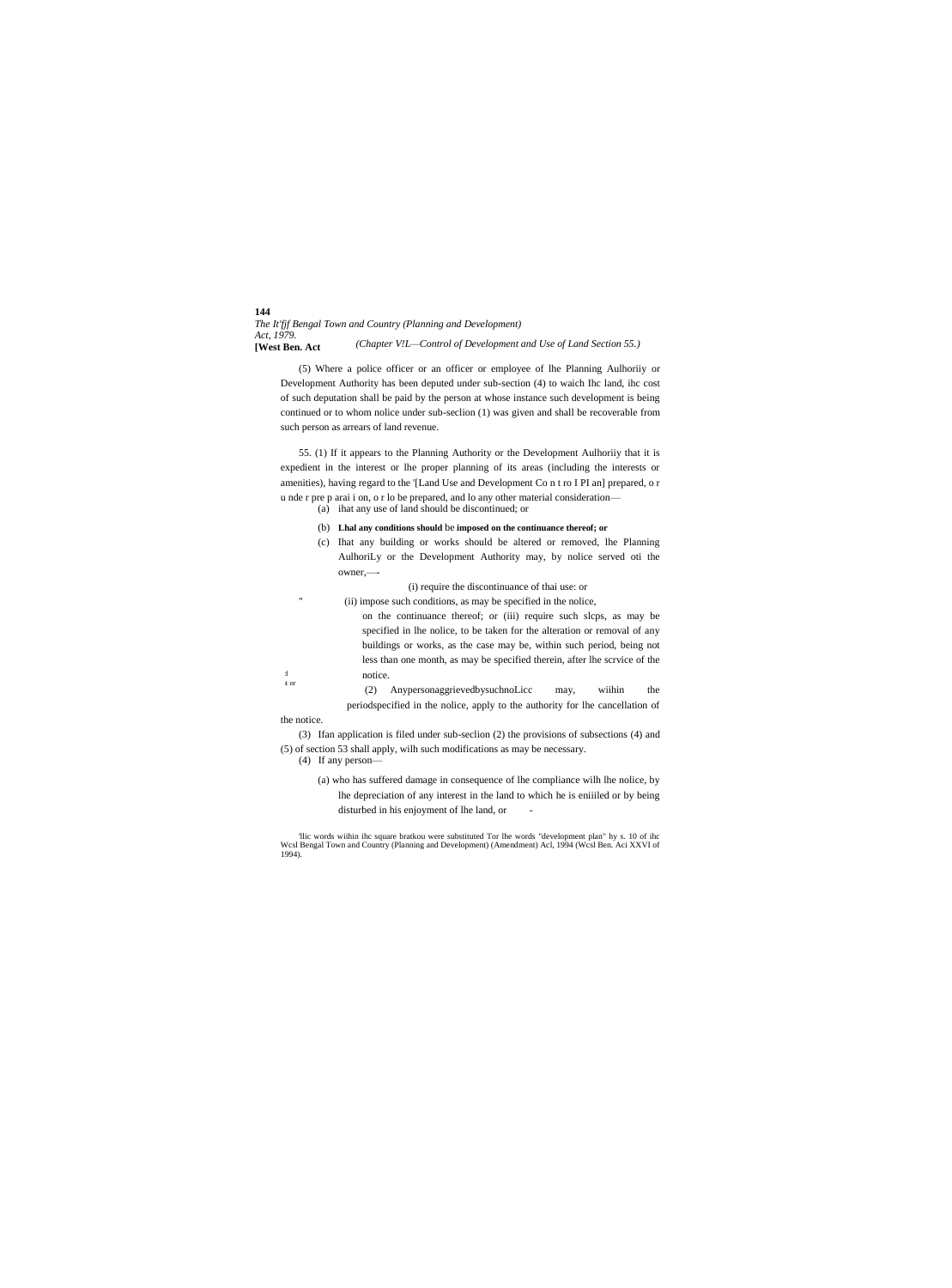**144** *The It'fjf Bengal Town and Country (Planning and Development) Act, 1979.* **[West Ben. Act** *(Chapter V!L—Control of Development and Use of Land Section 55.)*

(5) Where a police officer or an officer or employee of lhe Planning Aulhoriiy or Development Authority has been deputed under sub-section (4) to waich Ihc land, ihc cost of such deputation shall be paid by the person at whose instance such development is being continued or to whom nolice under sub-seclion (1) was given and shall be recoverable from such person as arrears of land revenue.

55. (1) If it appears to the Planning Authority or the Development Aulhoriiy that it is expedient in the interest or lhe proper planning of its areas (including the interests or amenities), having regard to the '[Land Use and Development Co n t ro I PI an] prepared, o r u nde r pre p arai i on, o r lo be prepared, and lo any other material consideration— (a) ihat any use of land should be discontinued; or

- (b) **Lhal any conditions should** be **imposed on the continuance thereof; or**
- (c) Ihat any building or works should be altered or removed, lhe Planning AulhoriLy or the Development Authority may, by nolice served oti the owner,—-
	- (i) require the discontinuance of thai use: or
	- (ii) impose such conditions, as may be specified in the nolice,
	- on the continuance thereof; or (iii) require such slcps, as may be specified in lhe nolice, to be taken for the alteration or removal of any buildings or works, as the case may be, within such period, being not less than one month, as may be specified therein, after lhe scrvice of the notice.
- t or (2) AnypersonaggrievedbysuchnoLicc may, wiihin the periodspecified in the nolice, apply to the authority for lhe cancellation of the notice.

(3) Ifan application is filed under sub-seclion (2) the provisions of subsections (4) and (5) of section 53 shall apply, wilh such modifications as may be necessary.

(4) If any person—

 $\overline{A}$ 

(a) who has suffered damage in consequence of lhe compliance wilh lhe nolice, by lhe depreciation of any interest in the land to which he is eniiiled or by being disturbed in his enjoyment of lhe land, or -

'llic words wiihin ihc square bratkou were substituted Tor lhe words "development plan" hy s. 10 of ihc Wcsl Bengal Town and Country (Planning and Development) (Amendment) Acl, 1994 (Wcsl Ben. Aci XXVI of 1994).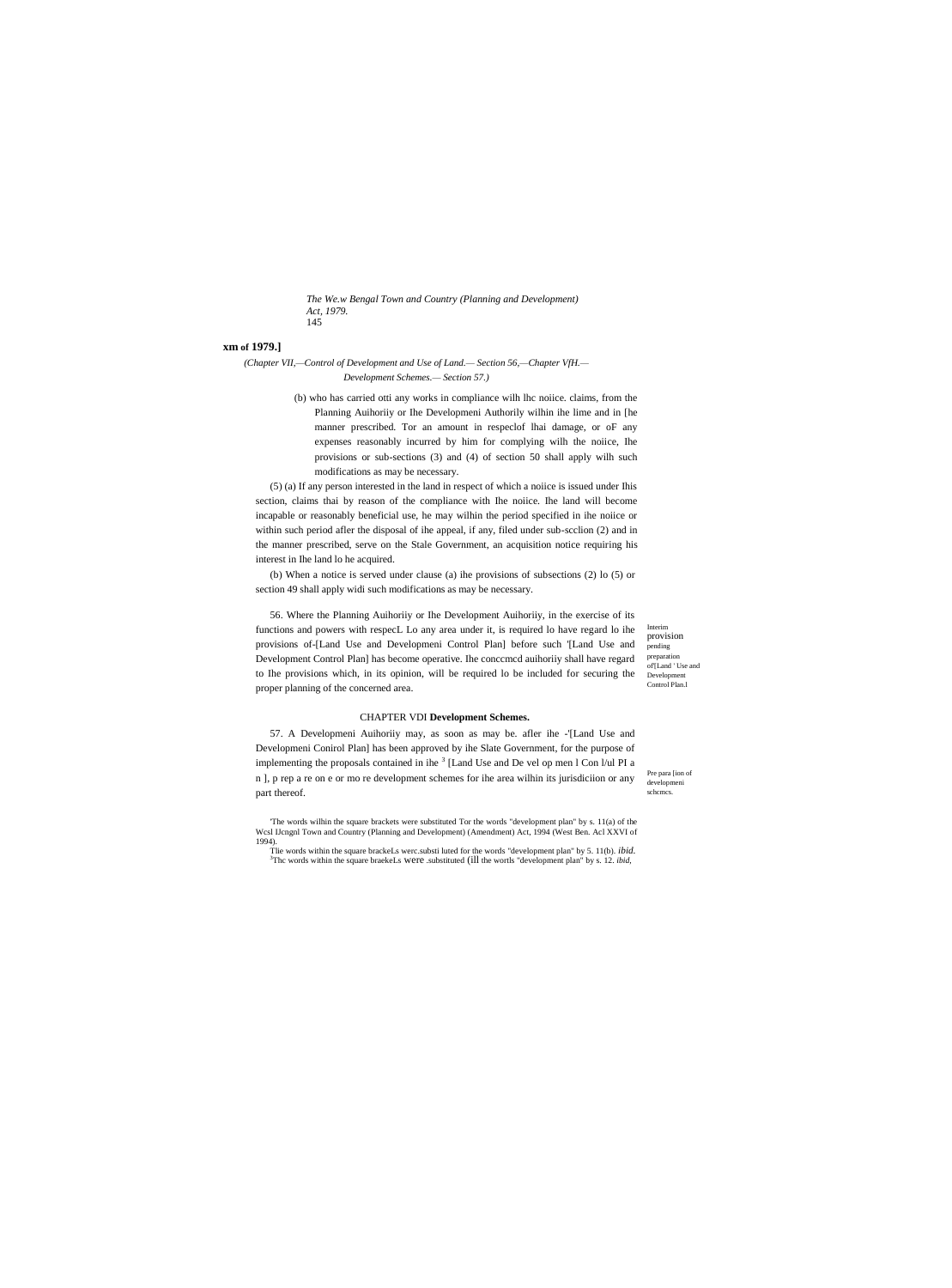*The We.w Bengal Town and Country (Planning and Development) Act, 1979.* 145

# **xm of 1979.]**

*(Chapter VII,—Control of Development and Use of Land.— Section 56,—Chapter VfH.— Development Schemes.— Section 57.)*

> (b) who has carried otti any works in compliance wilh lhc noiice. claims, from the Planning Auihoriiy or Ihe Developmeni Authorily wilhin ihe lime and in [he manner prescribed. Tor an amount in respeclof lhai damage, or oF any expenses reasonably incurred by him for complying wilh the noiice, Ihe provisions or sub-sections (3) and (4) of section 50 shall apply wilh such modifications as may be necessary.

(5) (a) If any person interested in the land in respect of which a noiice is issued under Ihis section, claims thai by reason of the compliance with Ihe noiice. Ihe land will become incapable or reasonably beneficial use, he may wilhin the period specified in ihe noiice or within such period afler the disposal of ihe appeal, if any, filed under sub-scclion (2) and in the manner prescribed, serve on the Stale Government, an acquisition notice requiring his interest in Ihe land lo he acquired.

(b) When a notice is served under clause (a) ihe provisions of subsections (2) lo (5) or section 49 shall apply widi such modifications as may be necessary.

56. Where the Planning Auihoriiy or Ihe Development Auihoriiy, in the exercise of its functions and powers with respecL Lo any area under it, is required lo have regard lo ihe provisions of-[Land Use and Developmeni Control Plan] before such '[Land Use and Development Control Plan] has become operative. Ihe conccmcd auihoriiy shall have regard to Ihe provisions which, in its opinion, will be required lo be included for securing the proper planning of the concerned area.

Interim provision pending preparation  $\overrightarrow{O}$ f $\overrightarrow{H}$  and  $\overrightarrow{H}$  Use and Development Control Plan.l

### CHAPTER VDI **Development Schemes.**

57. A Developmeni Auihoriiy may, as soon as may be. afler ihe -'[Land Use and Developmeni Conirol Plan] has been approved by ihe Slate Government, for the purpose of implementing the proposals contained in ihe  $3$  [Land Use and De vel op men l Con  $1$ /ul PI a n ], p rep a re on e or mo re development schemes for ihe area wilhin its jurisdiciion or any part thereof.

'The words wilhin the square brackets were substituted Tor the words "development plan" by s. 11(a) of the Wcsl IJcngnl Town and Country (Planning and Development) (Amendment) Act, 1994 (West Ben. Acl XXVI of 1994).

Tlie words within the square brackeLs werc.substi luted for the words "development plan" by 5. 11(b). *ibid.* <sup>3</sup>Thc words within the square braekeLs were .substituted (ill the wortls "development plan" by s. 12. *ibid,*

Pre para [ion of developmeni schemes.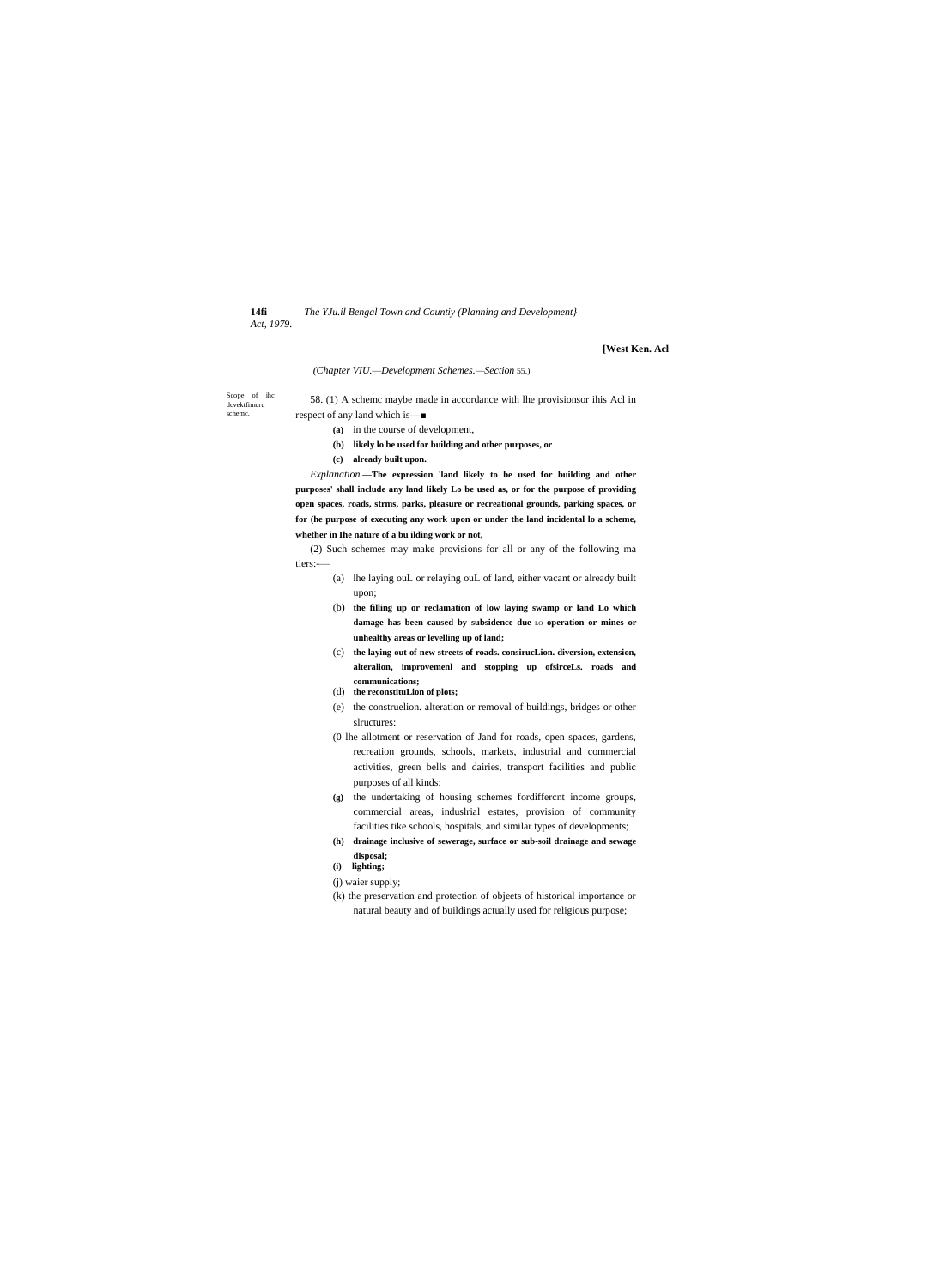14fi Act, 1979. The YJu.il Bengal Town and Countiy (Planning and Development)

# [West Ken. Acl

# (Chapter VIU.--Development Schemes.--Section 55.)

Scope of ihc<br>dcvektfimcru scheme.

58. (1) A scheme maybe made in accordance with lhe provisionsor ihis Acl in respect of any land which is —■

- (a) in the course of development,
	- (b) likely lo be used for building and other purposes, or
	- (c) already built upon.

Explanation.-The expression 'land likely to be used for building and other purposes' shall include any land likely Lo be used as, or for the purpose of providing open spaces, roads, strms, parks, pleasure or recreational grounds, parking spaces, or for (he purpose of executing any work upon or under the land incidental lo a scheme, whether in Ihe nature of a bu ilding work or not,

(2) Such schemes may make provisions for all or any of the following ma tiers:-

- (a) lhe laying ouL or relaying ouL of land, either vacant or already built upon;
- (b) the filling up or reclamation of low laying swamp or land Lo which damage has been caused by subsidence due LO operation or mines or unhealthy areas or levelling up of land;
- (c) the laying out of new streets of roads. consirucLion. diversion, extension, alteralion, improvement and stopping up ofsirceLs. roads and communications;
- (d) the reconstituLion of plots;
- (e) the construelion. alteration or removal of buildings, bridges or other slructures:
- (0 lhe allotment or reservation of Jand for roads, open spaces, gardens, recreation grounds, schools, markets, industrial and commercial activities, green bells and dairies, transport facilities and public purposes of all kinds;
- (g) the undertaking of housing schemes fordifferent income groups, commercial areas, induslrial estates, provision of community facilities tike schools, hospitals, and similar types of developments;
- (h) drainage inclusive of sewerage, surface or sub-soil drainage and sewage disposal;
- (i) lighting;
- (j) waier supply;
- (k) the preservation and protection of objects of historical importance or natural beauty and of buildings actually used for religious purpose;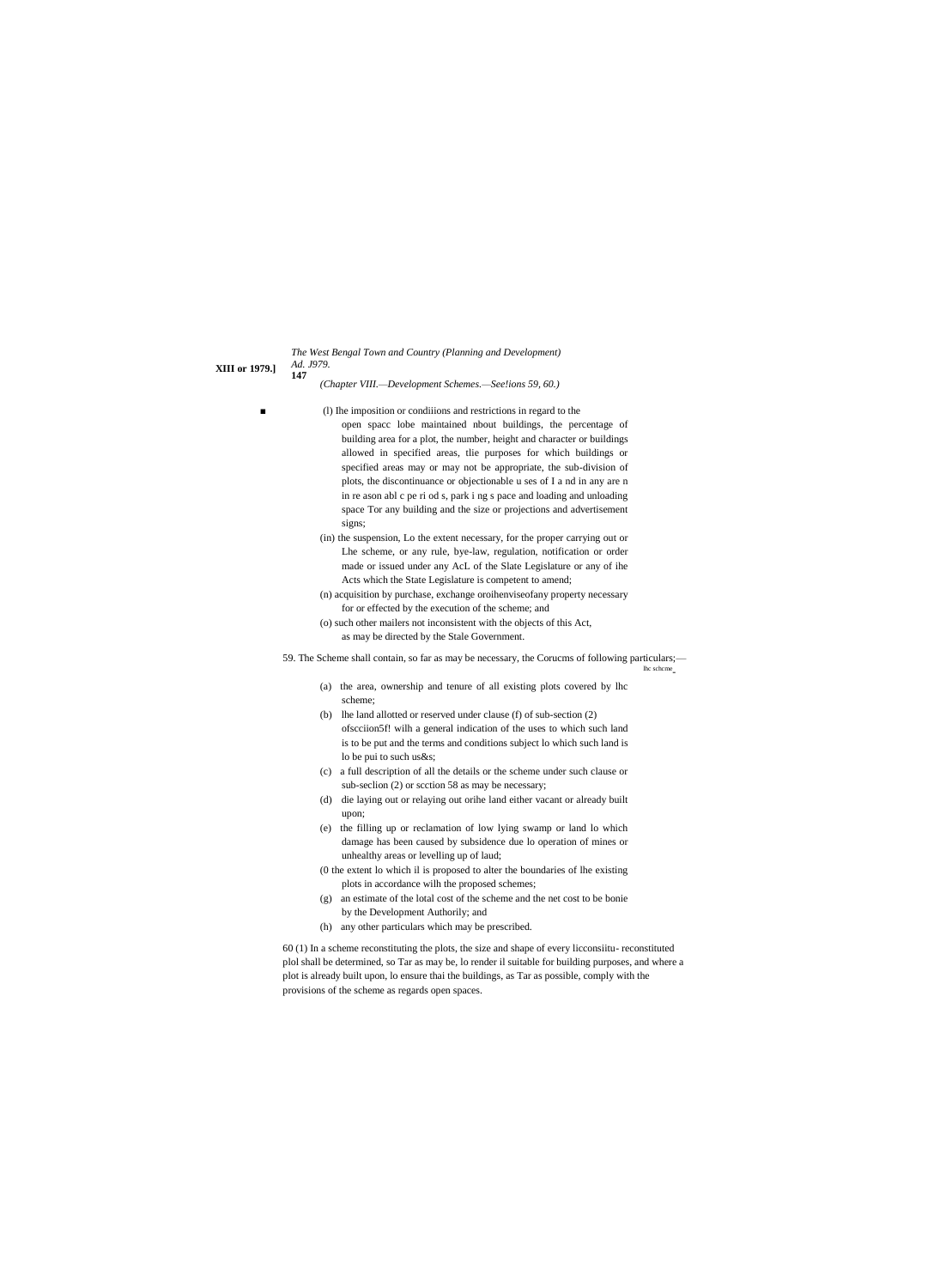*The West Bengal Town and Country (Planning and Development) Ad. J979.*

**XIII or 1979.]**

**147**

*(Chapter VIII.—Development Schemes.—See!ions 59, 60.)*

- (1) Ihe imposition or condiiions and restrictions in regard to the open spacc lobe maintained nbout buildings, the percentage of building area for a plot, the number, height and character or buildings allowed in specified areas, tlie purposes for which buildings or specified areas may or may not be appropriate, the sub-division of plots, the discontinuance or objectionable u ses of I a nd in any are n in re ason abl c pe ri od s, park i ng s pace and loading and unloading space Tor any building and the size or projections and advertisement signs;
- (in) the suspension, Lo the extent necessary, for the proper carrying out or Lhe scheme, or any rule, bye-law, regulation, notification or order made or issued under any AcL of the Slate Legislature or any of ihe Acts which the State Legislature is competent to amend;
- (n) acquisition by purchase, exchange oroihenviseofany property necessary for or effected by the execution of the scheme; and
- (o) such other mailers not inconsistent with the objects of this Act, as may be directed by the Stale Government.

59. The Scheme shall contain, so far as may be necessary, the Corucms of following particulars;—

lhc schcme -

- (a) the area, ownership and tenure of all existing plots covered by lhc scheme;
- (b) lhe land allotted or reserved under clause (f) of sub-section (2) ofscciion5f! wilh a general indication of the uses to which such land is to be put and the terms and conditions subject lo which such land is lo be pui to such us&s;
- (c) a full description of all the details or the scheme under such clause or sub-seclion (2) or scction 58 as may be necessary;
- (d) die laying out or relaying out orihe land either vacant or already built upon;
- (e) the filling up or reclamation of low lying swamp or land lo which damage has been caused by subsidence due lo operation of mines or unhealthy areas or levelling up of laud;
- (0 the extent lo which il is proposed to alter the boundaries of lhe existing plots in accordance wilh the proposed schemes;
- (g) an estimate of the lotal cost of the scheme and the net cost to be bonie by the Development Authorily; and
- (h) any other particulars which may be prescribed.

60 (1) In a scheme reconstituting the plots, the size and shape of every licconsiitu- reconstituted plol shall be determined, so Tar as may be, lo render il suitable for building purposes, and where a plot is already built upon, lo ensure thai the buildings, as Tar as possible, comply with the provisions of the scheme as regards open spaces.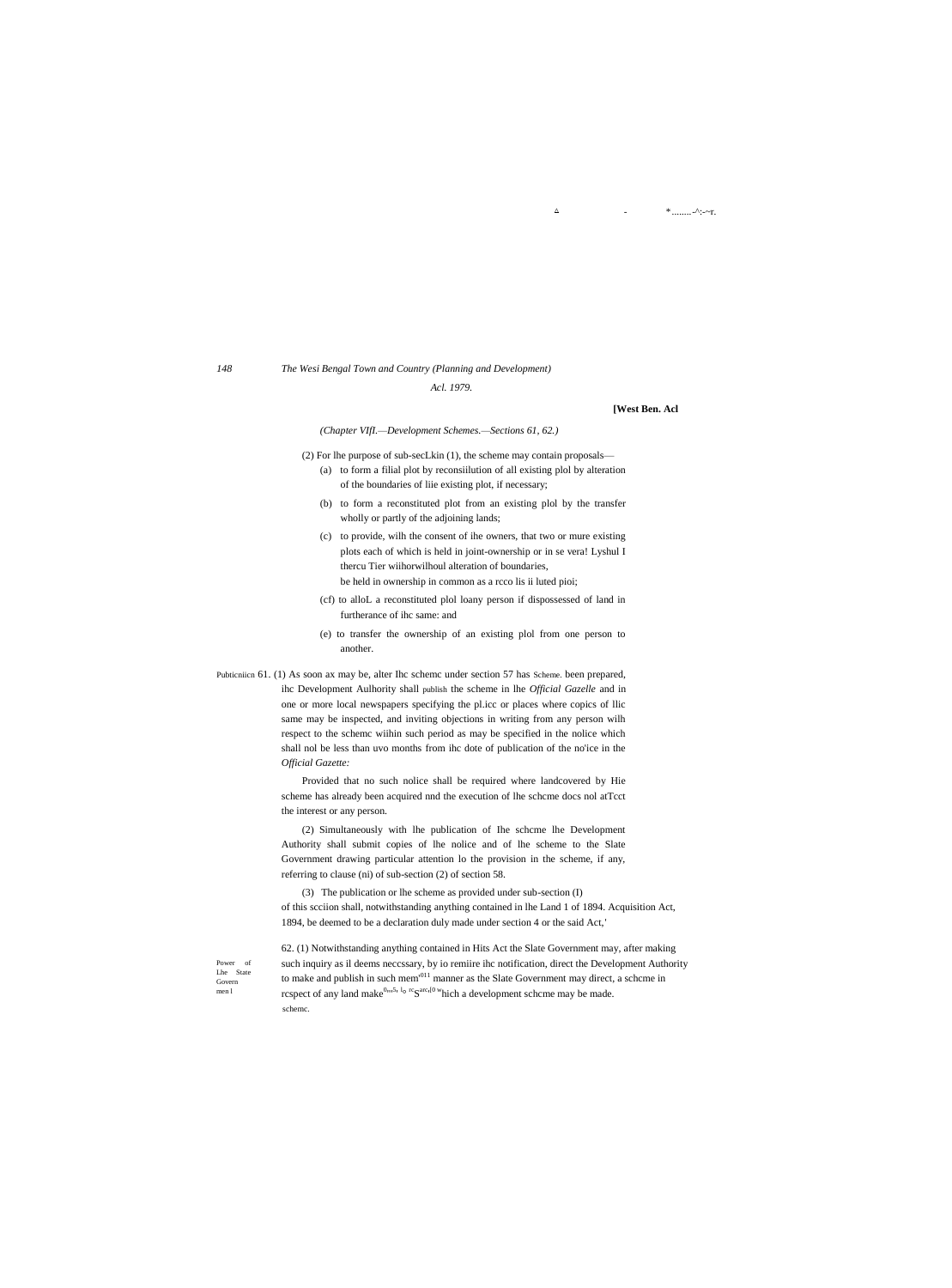# 148

# The Wesi Bengal Town and Country (Planning and Development)

Acl. 1979.

### [West Ben. Acl

\* .........-^:-~r.

 $\Delta$ 

### (Chapter VIfI.-Development Schemes.-Sections 61, 62.)

- (2) For lhe purpose of sub-secLkin (1), the scheme may contain proposals— (a) to form a filial plot by reconsiilution of all existing plol by alteration of the boundaries of liie existing plot, if necessary;
	- (b) to form a reconstituted plot from an existing plol by the transfer wholly or partly of the adjoining lands;
	- (c) to provide, wilh the consent of ihe owners, that two or mure existing plots each of which is held in joint-ownership or in se vera! Lyshul I thercu Tier wiihorwilhoul alteration of boundaries, be held in ownership in common as a rcco lis ii luted pioi;
	- (cf) to alloL a reconstituted plo1 loany person if dispossessed of land in furtherance of ihc same: and
	- (e) to transfer the ownership of an existing plo1 from one person to another.

Pubticniich 61. (1) As soon ax may be, alter Ihc scheme under section 57 has Scheme, been prepared, ihc Development Aulhority shall publish the scheme in lhe Official Gazelle and in one or more local newspapers specifying the pl.icc or places where copics of llic same may be inspected, and inviting objections in writing from any person wilh respect to the scheme wiihin such period as may be specified in the nolice which shall nol be less than uvo months from ihc dote of publication of the no'ice in the Official Gazette:

> Provided that no such nolice shall be required where landcovered by Hie scheme has already been acquired nnd the execution of lhe scheme docs nol atTcct the interest or any person.

> (2) Simultaneously with lhe publication of Ihe scheme lhe Development Authority shall submit copies of lhe nolice and of lhe scheme to the Slate Government drawing particular attention lo the provision in the scheme, if any, referring to clause (ni) of sub-section (2) of section 58.

(3) The publication or lhe scheme as provided under sub-section (I) of this seciion shall, notwithstanding anything contained in lhe Land 1 of 1894. Acquisition Act, 1894, be deemed to be a declaration duly made under section 4 or the said Act,'

Power of Lhe State Govern  $men<sub>l</sub>$ 

62. (1) Notwithstanding anything contained in Hits Act the Slate Government may, after making such inquiry as il deems necessary, by io remiire ihc notification, direct the Development Authority to make and publish in such mem<sup>'011</sup> manner as the Slate Government may direct, a scheme in rcspect of any land make<sup>0</sup><sup>th</sup> lo <sup>rc</sup>S<sup>arc<sub>1</sub>[0</sub> which a development scheme may be made.</sup> scheme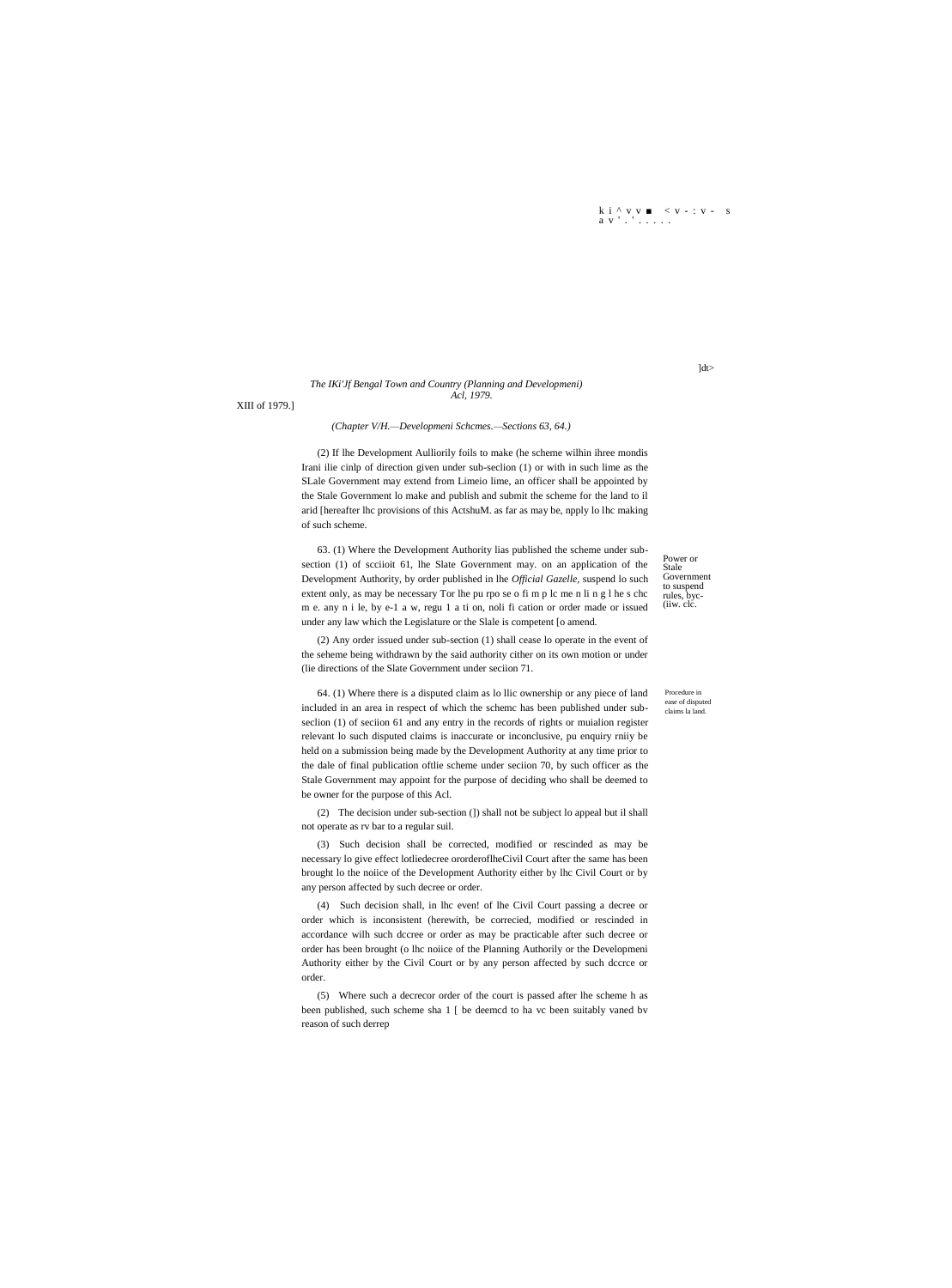$\begin{array}{ccccccccc} k & i & ^{\wedge} & v & v & \blacksquare & < v & ^{\perp} : v & ^{\perp} & s \\ a & v & ^{\perp} & ^{\perp} & & \ldots & ^{\perp} & . \end{array}$ 

# The IKi'Jf Bengal Town and Country (Planning and Developmeni) Acl, 1979.

XIII of 1979.]

# (Chapter V/H.-Developmeni Schcmes.-Sections 63, 64.)

(2) If lhe Development Aulliorily foils to make (he scheme wilhin ihree mondis Irani ilie cinlp of direction given under sub-seclion (1) or with in such lime as the SLale Government may extend from Limeio lime, an officer shall be appointed by the Stale Government lo make and publish and submit the scheme for the land to il arid [hereafter lhc provisions of this ActshuM. as far as may be, npply lo lhc making of such scheme.

63. (1) Where the Development Authority lias published the scheme under subsection (1) of seciioit 61, lhe Slate Government may. on an application of the Development Authority, by order published in lhe Official Gazelle, suspend lo such extent only, as may be necessary Tor lhe pu rpo se o fi m p lc me n li n g l he s chc m e. any n i le, by e-1 a w, regu 1 a ti on, noli fi cation or order made or issued under any law which the Legislature or the Slale is competent [o amend.

Power or Stale Government to suspend<br>rules, byc-(iiw. clc.

(2) Any order issued under sub-section (1) shall cease lo operate in the event of the seheme being withdrawn by the said authority cither on its own motion or under (lie directions of the Slate Government under seciion 71.

64. (1) Where there is a disputed claim as lo llic ownership or any piece of land included in an area in respect of which the scheme has been published under subseclion (1) of seciion 61 and any entry in the records of rights or muialion register relevant lo such disputed claims is inaccurate or inconclusive, pu enquiry rniiy be held on a submission being made by the Development Authority at any time prior to the dale of final publication of the scheme under section 70, by such officer as the Stale Government may appoint for the purpose of deciding who shall be deemed to be owner for the purpose of this Acl.

(2) The decision under sub-section (]) shall not be subject lo appeal but il shall not operate as rv bar to a regular suil.

(3) Such decision shall be corrected, modified or rescinded as may be necessary lo give effect lotliedecree ororderoflheCivil Court after the same has been brought lo the noiice of the Development Authority either by lhc Civil Court or by any person affected by such decree or order.

(4) Such decision shall, in lhc even! of lhe Civil Court passing a decree or order which is inconsistent (herewith, be correcied, modified or rescinded in accordance wilh such dccree or order as may be practicable after such decree or order has been brought (o lhc noiice of the Planning Authorily or the Developmeni Authority either by the Civil Court or by any person affected by such dccrce or order.

(5) Where such a decrecor order of the court is passed after lhe scheme h as been published, such scheme sha 1 [ be deemed to ha vc been suitably vaned by reason of such derrep

Procedure in

ease of disputed<br>claims la land.

 $]dt>$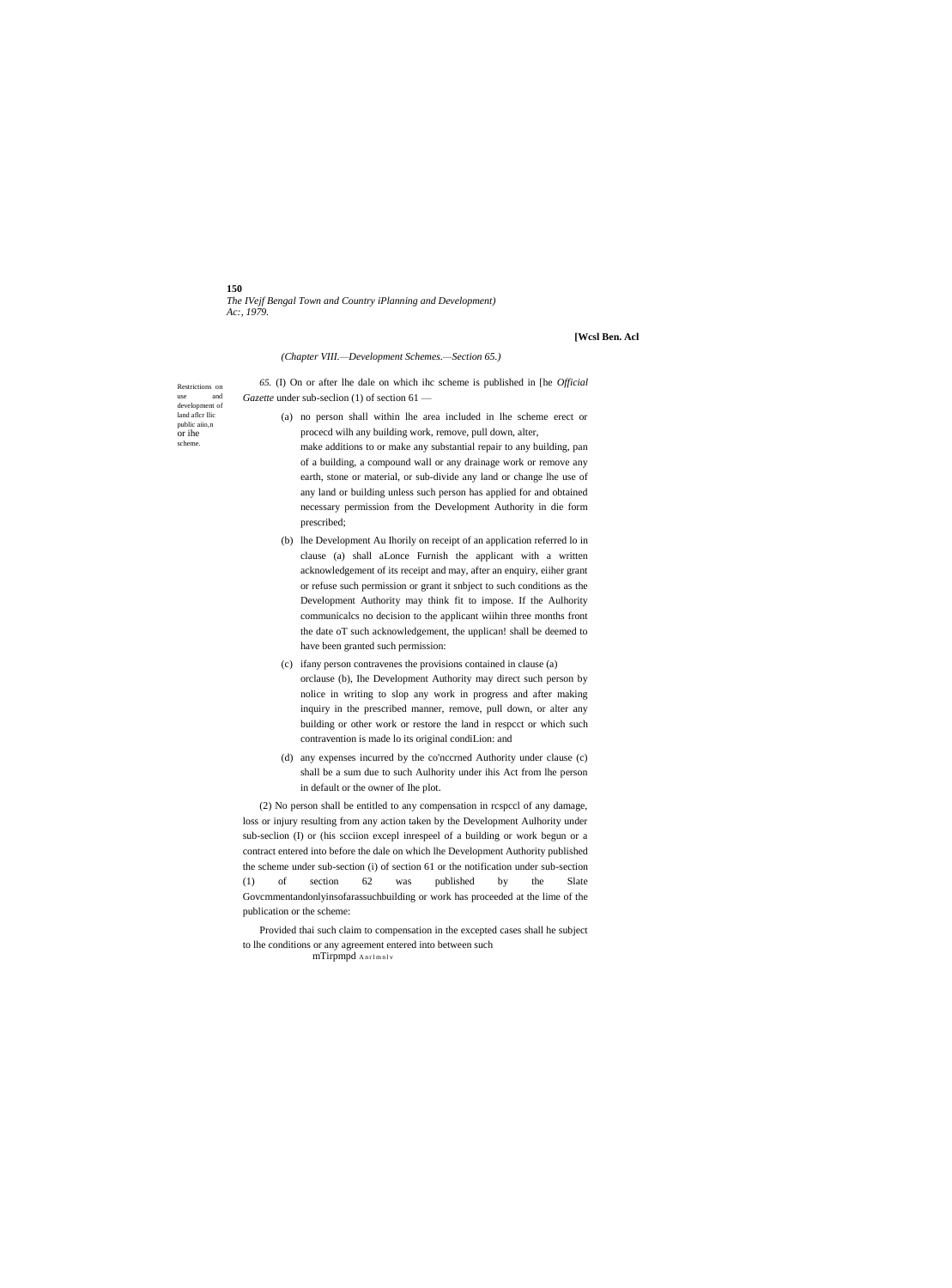**150** *The IVejf Bengal Town and Country iPlanning and Development) Ac:, 1979.*

**[Wcsl Ben. Acl**

## *(Chapter VIII.—Development Schemes.—Section 65.)*

Restrictions on<br>use and use and development of land aflcr llic public aiio,n or ihe scheme.

- *65.* (I) On or after lhe dale on which ihc scheme is published in [he *Official Gazette* under sub-seclion (1) of section 61 —
	- (a) no person shall within lhe area included in lhe scheme erect or procecd wilh any building work, remove, pull down, alter,
		- make additions to or make any substantial repair to any building, pan of a building, a compound wall or any drainage work or remove any earth, stone or material, or sub-divide any land or change lhe use of any land or building unless such person has applied for and obtained necessary permission from the Development Authority in die form prescribed;
	- (b) lhe Development Au Ihorily on receipt of an application referred lo in clause (a) shall aLonce Furnish the applicant with a written acknowledgement of its receipt and may, after an enquiry, eiiher grant or refuse such permission or grant it snbject to such conditions as the Development Authority may think fit to impose. If the Aulhority communicalcs no decision to the applicant wiihin three months front the date oT such acknowledgement, the upplican! shall be deemed to have been granted such permission:
	- (c) ifany person contravenes the provisions contained in clause (a) orclause (b), Ihe Development Authority may direct such person by nolice in writing to slop any work in progress and after making inquiry in the prescribed manner, remove, pull down, or alter any building or other work or restore the land in respcct or which such contravention is made lo its original condiLion: and
	- (d) any expenses incurred by the co'nccrned Authority under clause (c) shall be a sum due to such Aulhority under ihis Act from lhe person in default or the owner of Ihe plot.

(2) No person shall be entitled to any compensation in rcspccl of any damage, loss or injury resulting from any action taken by the Development Aulhority under sub-seclion (I) or (his scciion excepl inrespeel of a building or work begun or a contract entered into before the dale on which lhe Development Authority published the scheme under sub-section (i) of section 61 or the notification under sub-section (1) of section 62 was published by the Slate Govcmmentandonlyinsofarassuchbuilding or work has proceeded at the lime of the publication or the scheme:

Provided thai such claim to compensation in the excepted cases shall he subject to lhe conditions or any agreement entered into between such

mTirpmpd Anrlmnlv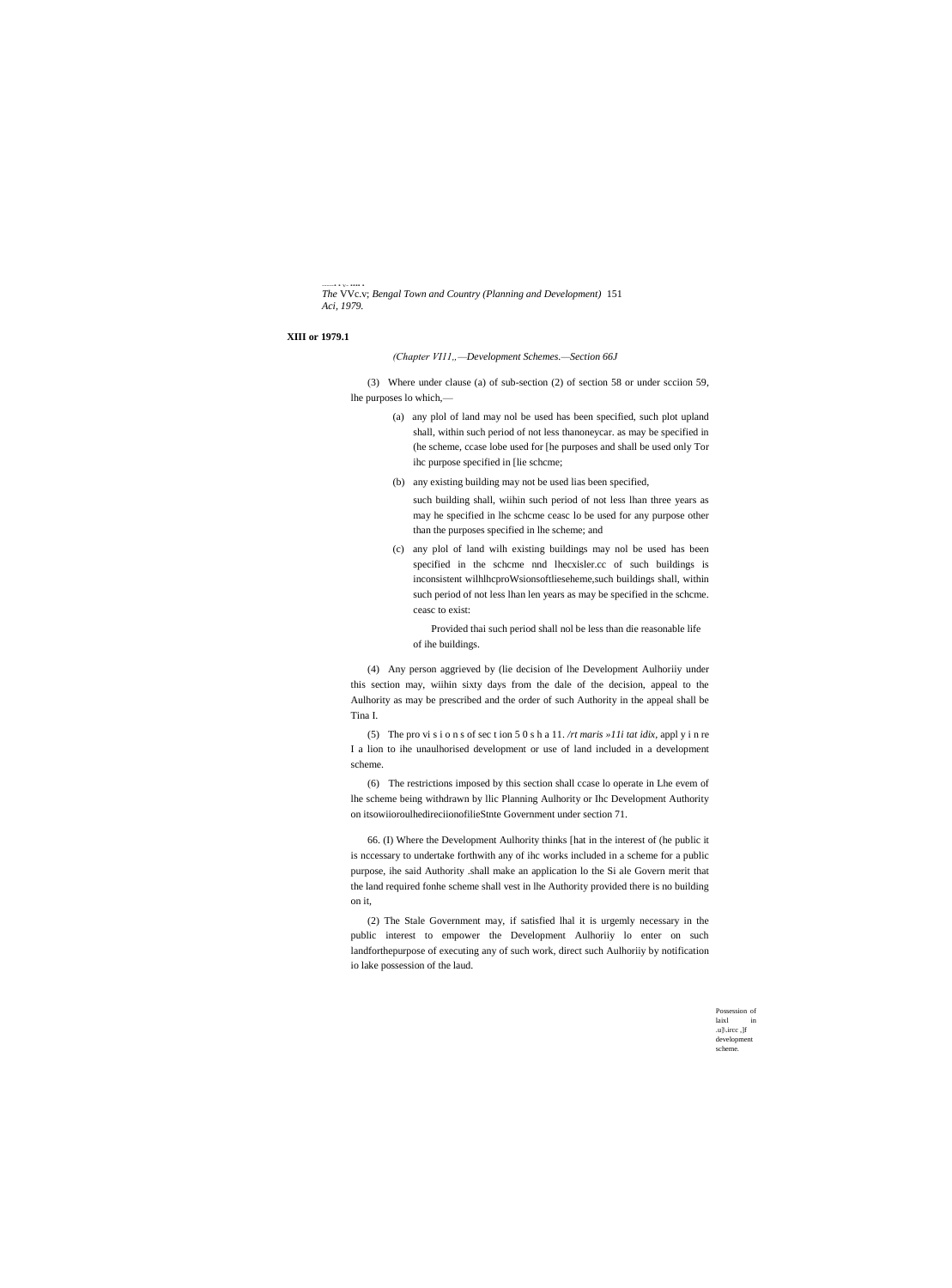-----• • v- •••• • *The* VVc.v; *Bengal Town and Country (Planning and Development)* 151 *Aci, 1979.*

### **XIII or 1979.1**

*(Chapter VI11"—Development Schemes.—Section 66J*

(3) Where under clause (a) of sub-section (2) of section 58 or under scciion 59, lhe purposes lo which,—

- (a) any plol of land may nol be used has been specified, such plot upland shall, within such period of not less thanoneycar. as may be specified in (he scheme, ccase lobe used for [he purposes and shall be used only Tor ihc purpose specified in [lie schcme;
- (b) any existing building may not be used lias been specified,

such building shall, wiihin such period of not less lhan three years as may he specified in lhe schcme ceasc lo be used for any purpose other than the purposes specified in lhe scheme; and

(c) any plol of land wilh existing buildings may nol be used has been specified in the schcme nnd lhecxisler.cc of such buildings is inconsistent wilhlhcproWsionsoftlieseheme,such buildings shall, within such period of not less lhan len years as may be specified in the schcme. ceasc to exist:

Provided thai such period shall nol be less than die reasonable life of ihe buildings.

(4) Any person aggrieved by (lie decision of lhe Development Aulhoriiy under this section may, wiihin sixty days from the dale of the decision, appeal to the Aulhority as may be prescribed and the order of such Authority in the appeal shall be Tina I.

(5) The pro vi s i o n s of sec t ion 5 0 s h a 11. */rt maris »11i tat idix,* appl y i n re I a lion to ihe unaulhorised development or use of land included in a development scheme.

(6) The restrictions imposed by this section shall ccase lo operate in Lhe evem of lhe scheme being withdrawn by llic Planning Aulhority or Ihc Development Authority on itsowiioroulhedireciionofilieStnte Government under section 71.

66. (I) Where the Development Aulhority thinks [hat in the interest of (he public it is nccessary to undertake forthwith any of ihc works included in a scheme for a public purpose, ihe said Authority .shall make an application lo the Si ale Govern merit that the land required fonhe scheme shall vest in lhe Authority provided there is no building on it,

(2) The Stale Government may, if satisfied lhal it is urgemly necessary in the public interest to empower the Development Aulhoriiy lo enter on such landforthepurpose of executing any of such work, direct such Aulhoriiy by notification io lake possession of the laud.

> Possession of  $l$ aixl .u]\.ircc ,]f development scheme.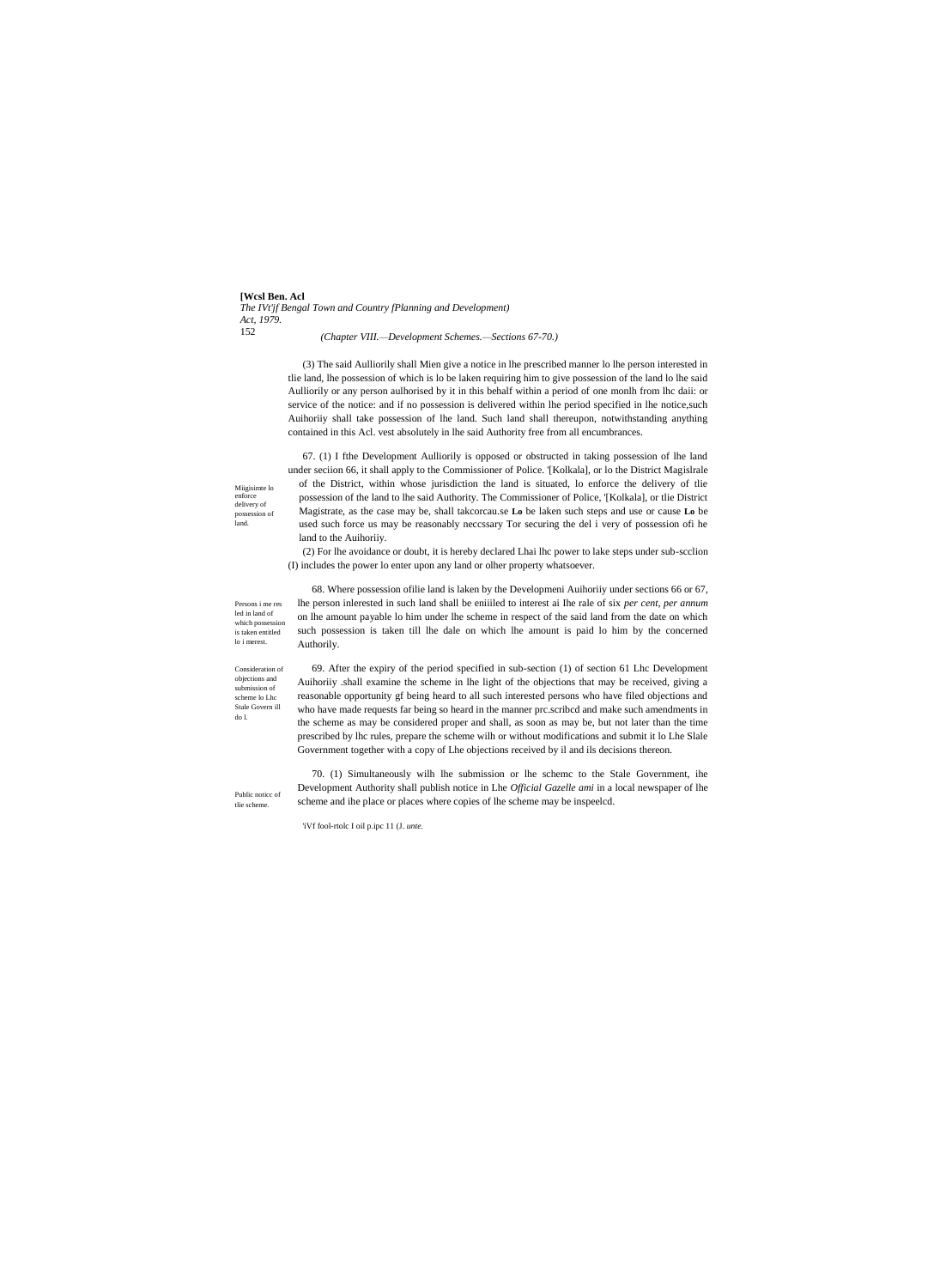**[Wcsl Ben. Acl** *The IVt'jf Bengal Town and Country fPlanning and Development) Act, 1979.* 152

*(Chapter VIII.—Development Schemes.—Sections 67-70.)*

(3) The said Aulliorily shall Mien give a notice in lhe prescribed manner lo lhe person interested in tlie land, lhe possession of which is lo be laken requiring him to give possession of the land lo lhe said Aulliorily or any person aulhorised by it in this behalf within a period of one monlh from lhc daii: or service of the notice: and if no possession is delivered within lhe period specified in lhe notice,such Auihoriiy shall take possession of lhe land. Such land shall thereupon, notwithstanding anything contained in this Acl. vest absolutely in lhe said Authority free from all encumbrances.

67. (1) I fthe Development Aulliorily is opposed or obstructed in taking possession of lhe land under seciion 66, it shall apply to the Commissioner of Police. '[Kolkala], or lo the District Magislrale of the District, within whose jurisdiction the land is situated, lo enforce the delivery of tlie possession of the land to lhe said Authority. The Commissioner of Police, '[Kolkala], or tlie District Magistrate, as the case may be, shall takcorcau.se **Lo** be laken such steps and use or cause **Lo** be used such force us may be reasonably neccssary Tor securing the del i very of possession ofi he land to the Auihoriiy.

(2) For lhe avoidance or doubt, it is hereby declared Lhai lhc power to lake steps under sub-scclion (I) includes the power lo enter upon any land or olher property whatsoever.

Persons i me res led in land of which possession is taken entitled lo i merest.

Miigisimte lo enforce delivery of possession of land.

> 68. Where possession ofilie land is laken by the Developmeni Auihoriiy under sections 66 or 67, lhe person inlerested in such land shall be eniiiled to interest ai Ihe rale of six *per cent, per annum* on lhe amount payable lo him under lhe scheme in respect of the said land from the date on which such possession is taken till lhe dale on which lhe amount is paid lo him by the concerned Authorily.

Consideration of objections and submission of scheme lo Lhc Stale Govern ill do l.

Public noticc of tlie scheme.

69. After the expiry of the period specified in sub-section (1) of section 61 Lhc Development Auihoriiy .shall examine the scheme in lhe light of the objections that may be received, giving a reasonable opportunity gf being heard to all such interested persons who have filed objections and who have made requests far being so heard in the manner prc.scribcd and make such amendments in the scheme as may be considered proper and shall, as soon as may be, but not later than the time prescribed by lhc rules, prepare the scheme wilh or without modifications and submit it lo Lhe Slale Government together with a copy of Lhe objections received by il and ils decisions thereon.

70. (1) Simultaneously wilh lhe submission or lhe schemc to the Stale Government, ihe Development Authority shall publish notice in Lhe *Official Gazelle ami* in a local newspaper of lhe scheme and ihe place or places where copies of lhe scheme may be inspeelcd.

'iVf fool-rtolc I oil p.ipc 11 (J. *unte.*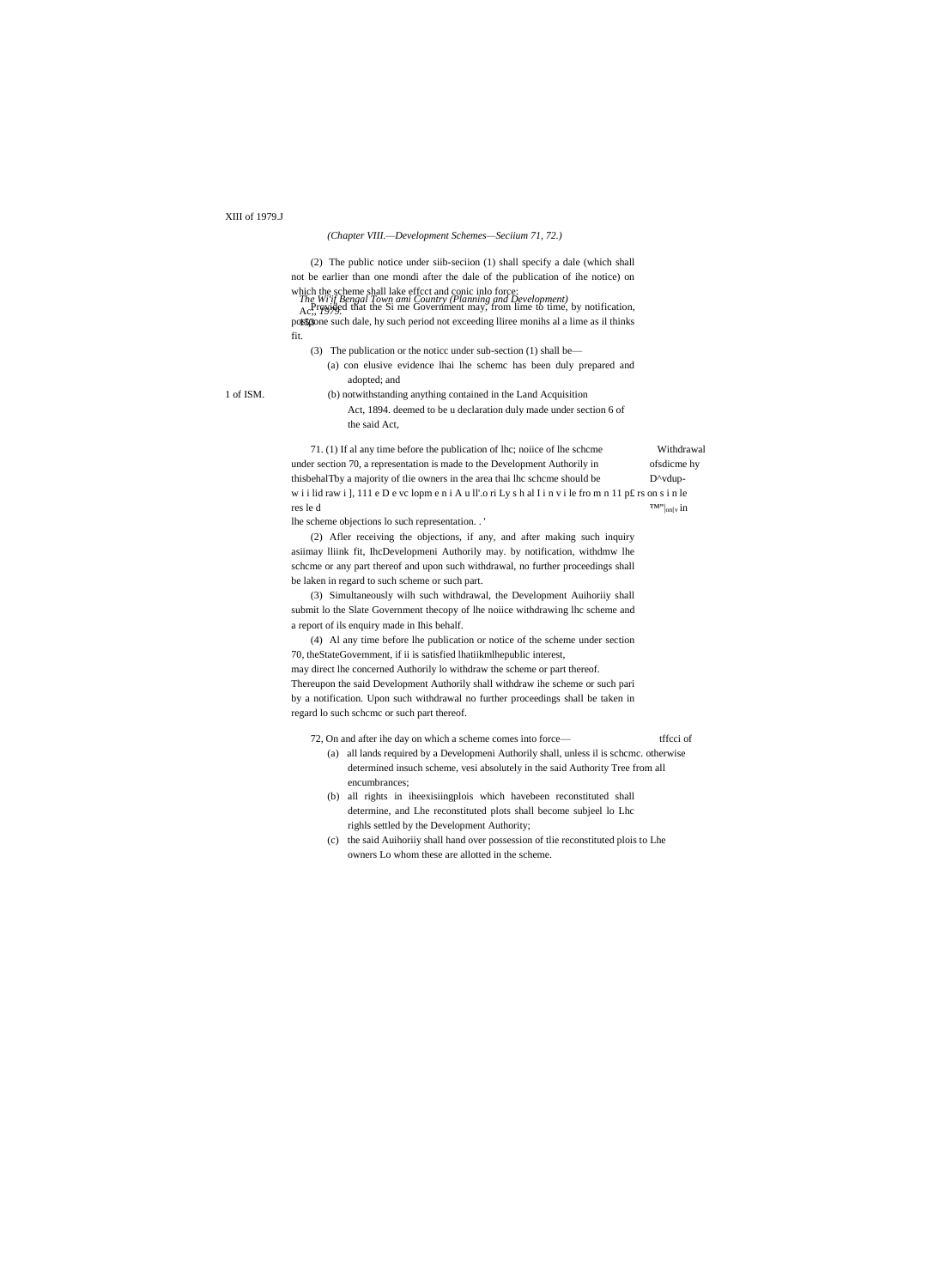# XIII of 1979.J

### (Chapter VIII.-Development Schemes-Seciium 71, 72.)

(2) The public notice under siib-seciion (1) shall specify a dale (which shall not be earlier than one mondi after the dale of the publication of ihe notice) on

which the scheme shall lake effect and conic inlo force:<br>The Wi'll Bengal Town ami Country (Planning and Development)<br>Ac., Paying that the Si me Government may, from lime to time, by notification, possgone such dale, hy such period not exceeding Iliree monihs al a lime as il thinks fit.

- (3) The publication or the notice under sub-section (1) shall be—
- (a) con elusive evidence lhai lhe schemc has been duly prepared and adopted; and

1 of ISM.

(b) notwithstanding anything contained in the Land Acquisition Act, 1894. deemed to be u declaration duly made under section 6 of the said Act,

71. (1) If al any time before the publication of lhc; noiice of lhe scheme Withdrawal under section 70, a representation is made to the Development Authorily in ofsdicme hy D^vdupthisbehalTby a majority of tlie owners in the area thai lhc schcme should be wiilid rawi], 111 e D e vc lopm e n i A u ll'.o ri Ly s h al I i n v i le from n 11 p£ rs on s i n le res le d  $TM''|_{on[v]}$  in

lhe scheme objections lo such representation. .'

(2) Afler receiving the objections, if any, and after making such inquiry asiimay lliink fit, IhcDevelopmeni Authorily may. by notification, withdmw lhe scheme or any part thereof and upon such withdrawal, no further proceedings shall be laken in regard to such scheme or such part.

(3) Simultaneously wilh such withdrawal, the Development Auihoriiy shall submit lo the Slate Government thecopy of lhe noiice withdrawing lhc scheme and a report of ils enquiry made in Ihis behalf.

(4) Al any time before lhe publication or notice of the scheme under section 70, theStateGovernment, if ii is satisfied lhatiikmlhepublic interest,

may direct lhe concerned Authorily lo withdraw the scheme or part thereof. Thereupon the said Development Authorily shall withdraw ihe scheme or such pari by a notification. Upon such withdrawal no further proceedings shall be taken in regard lo such scheme or such part thereof.

#### 72, On and after ihe day on which a scheme comes into forcetffcci of

- (a) all lands required by a Developmeni Authorily shall, unless il is scheme. otherwise determined insuch scheme, vesi absolutely in the said Authority Tree from all encumbrances;
- (b) all rights in iheexisiingplois which havebeen reconstituted shall determine, and Lhe reconstituted plots shall become subjeel lo Lhc righls settled by the Development Authority;
- (c) the said Auihoriiy shall hand over possession of the reconstituted plois to Lhe owners Lo whom these are allotted in the scheme.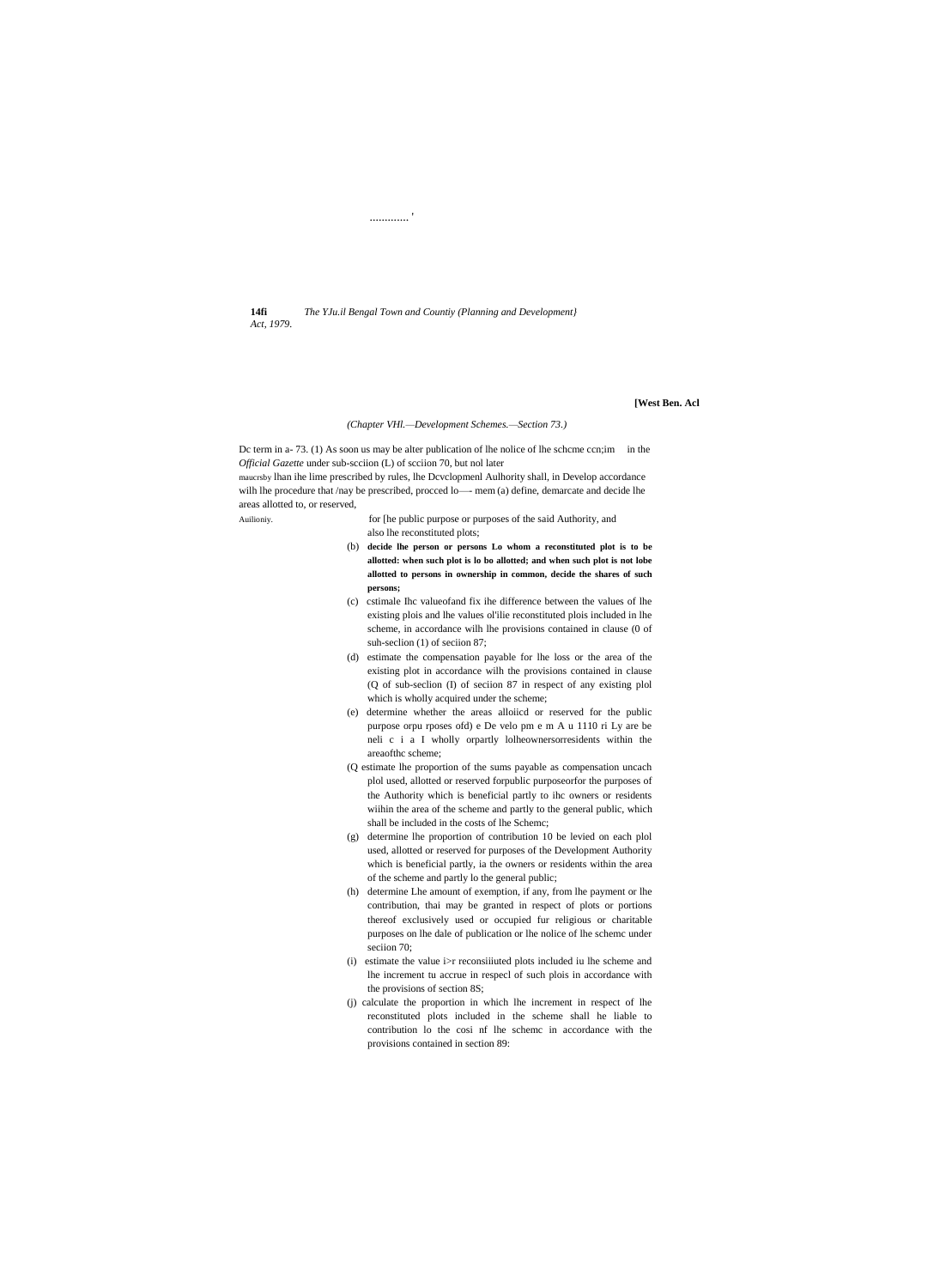$14fi$ The YJu.il Bengal Town and Countiy (Planning and Development) Act, 1979.

. . . . . . . . . . . .

[West Ben. Acl

### (Chapter VHl.--Development Schemes.--Section 73.)

Dc term in a-73. (1) As soon us may be alter publication of lhe nolice of lhe scheme cen; im in the Official Gazette under sub-scciion (L) of scciion 70, but nol later

maucrsby lhan ihe lime prescribed by rules, lhe Dcvclopmenl Aulhority shall, in Develop accordance wilh lhe procedure that /nay be prescribed, procced lo- mem (a) define, demarcate and decide lhe areas allotted to, or reserved,

Auilioniy.

for [he public purpose or purposes of the said Authority, and also lhe reconstituted plots;

- (b) decide lhe person or persons Lo whom a reconstituted plot is to be allotted: when such plot is lo bo allotted; and when such plot is not lobe allotted to persons in ownership in common, decide the shares of such persons;
- (c) estimale Ihc valueofand fix ihe difference between the values of lhe existing plois and lhe values ol'ilie reconstituted plois included in lhe scheme, in accordance wilh lhe provisions contained in clause (0 of suh-section (1) of section 87;
- (d) estimate the compensation payable for lhe loss or the area of the existing plot in accordance wilh the provisions contained in clause (Q of sub-section (I) of section 87 in respect of any existing plol which is wholly acquired under the scheme;
- (e) determine whether the areas alloiicd or reserved for the public purpose orpu rposes ofd) e De velo pm e m A u 1110 ri Ly are be neli c i a I wholly orpartly lolheownersorresidents within the areaofthc scheme;
- (Q estimate lhe proportion of the sums payable as compensation uncach plol used, allotted or reserved forpublic purposeorfor the purposes of the Authority which is beneficial partly to ihc owners or residents wiihin the area of the scheme and partly to the general public, which shall be included in the costs of lhe Schemc;
- (g) determine lhe proportion of contribution 10 be levied on each plo1 used, allotted or reserved for purposes of the Development Authority which is beneficial partly, ia the owners or residents within the area of the scheme and partly lo the general public;
- (h) determine Lhe amount of exemption, if any, from lhe payment or lhe contribution, thai may be granted in respect of plots or portions thereof exclusively used or occupied fur religious or charitable purposes on lhe dale of publication or lhe nolice of lhe scheme under seciion 70;
- (i) estimate the value  $i$ >r reconsiiiuted plots included iu lhe scheme and lhe increment tu accrue in respecl of such plois in accordance with the provisions of section 8S;
- (i) calculate the proportion in which lhe increment in respect of lhe reconstituted plots included in the scheme shall he liable to contribution lo the cosi nf lhe scheme in accordance with the provisions contained in section 89: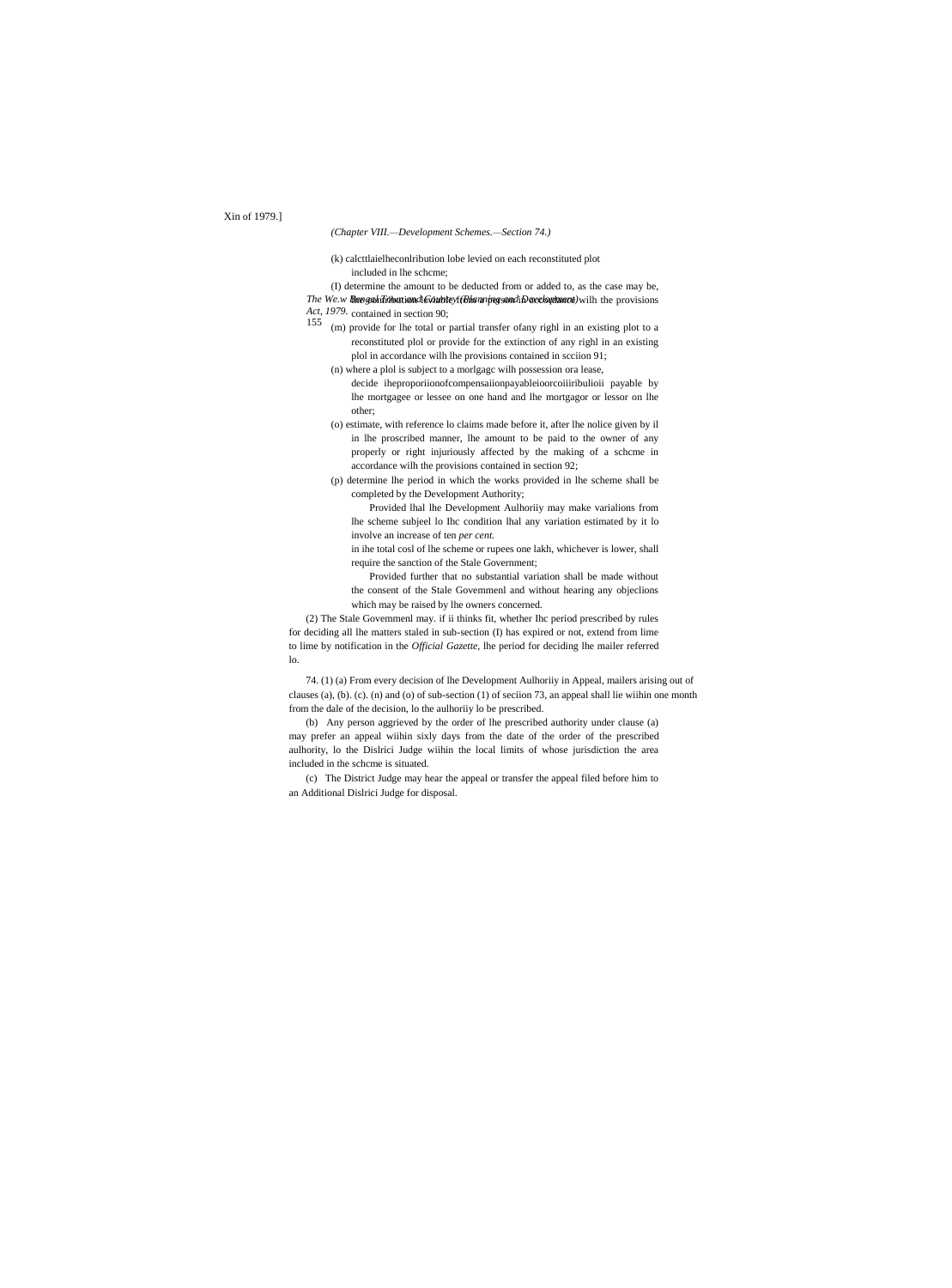# *(Chapter VIII.—Development Schemes.—Section 74.)*

(k) calcttlaielheconlribution lobe levied on each reconstituted plot included in lhe schcme;

*The We.w Bee.zohTowniond&GuriteyffBhannipes.condiDevelopment)wilh the provisions* (I) determine the amount to be deducted from or added to, as the case may be,

*Act, 1979.* contained in section 90; 155

- (m) provide for lhe total or partial transfer ofany righl in an existing plot to a reconstituted plol or provide for the extinction of any righl in an existing plol in accordance wilh lhe provisions contained in scciion 91;
	- (n) where a plol is subject to a morlgagc wilh possession ora lease,
	- decide iheproporiionofcompensaiionpayableioorcoiiiribulioii payable by lhe mortgagee or lessee on one hand and lhe mortgagor or lessor on lhe other;
	- (o) estimate, with reference lo claims made before it, after lhe nolice given by il in lhe proscribed manner, lhe amount to be paid to the owner of any properly or right injuriously affected by the making of a schcme in accordance wilh the provisions contained in section 92;
	- (p) determine lhe period in which the works provided in lhe scheme shall be completed by the Development Authority;

Provided lhal lhe Development Aulhoriiy may make varialions from lhe scheme subjeel lo Ihc condition lhal any variation estimated by it lo involve an increase of ten *per cent.*

in ihe total cosl of lhe scheme or rupees one lakh, whichever is lower, shall require the sanction of the Stale Government;

Provided further that no substantial variation shall be made without the consent of the Stale Govemmenl and without hearing any objeclions which may be raised by lhe owners concerned.

(2) The Stale Govemmenl may. if ii thinks fit, whether Ihc period prescribed by rules for deciding all lhe matters staled in sub-section (I) has expired or not, extend from lime to lime by notification in the *Official Gazette,* lhe period for deciding lhe mailer referred lo.

74. (1) (a) From every decision of lhe Development Aulhoriiy in Appeal, mailers arising out of clauses (a), (b). (c). (n) and (o) of sub-section (1) of seciion 73, an appeal shall lie wiihin one month from the dale of the decision, lo the aulhoriiy lo be prescribed.

(b) Any person aggrieved by the order of lhe prescribed authority under clause (a) may prefer an appeal wiihin sixly days from the date of the order of the prescribed aulhority, lo the Dislrici Judge wiihin the local limits of whose jurisdiction the area included in the schcme is situated.

(c) The District Judge may hear the appeal or transfer the appeal filed before him to an Additional Dislrici Judge for disposal.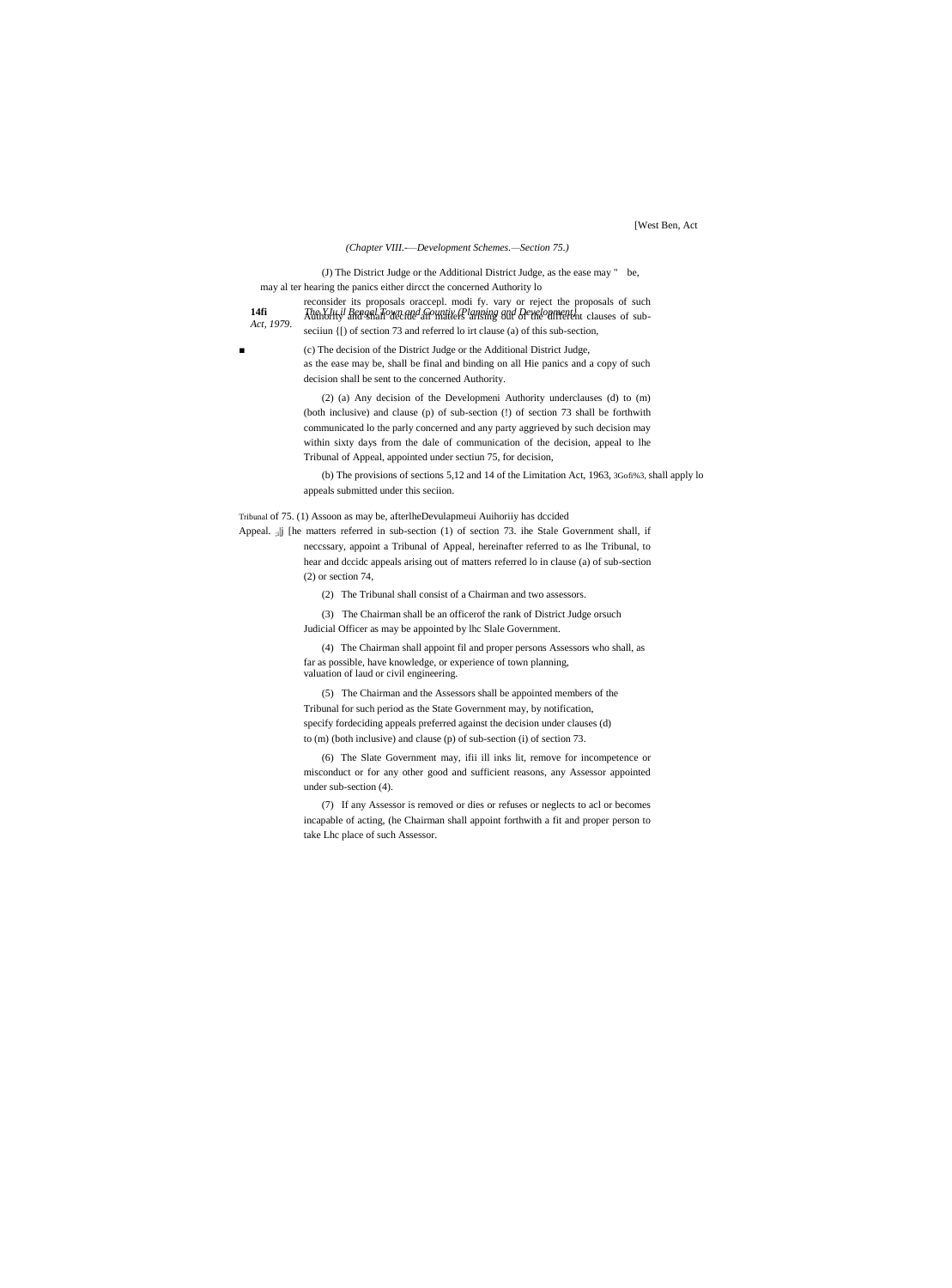[West Ben, Act

### *(Chapter VIII.-—Development Schemes.—Section 75.)*

(J) The District Judge or the Additional District Judge, as the ease may " be, may al ter hearing the panics either dircct the concerned Authority lo

*Act, 1979.*

**14fi** *The YJu.il Bengal Town and Countiy (Planning and Development}* Authority and shall decide all matiers arising out of the different clauses of subseciiun {[) of section 73 and referred lo irt clause (a) of this sub-section, (c) The decision of the District Judge or the Additional District Judge,

reconsider its proposals oraccepl. modi fy. vary or reject the proposals of such

as the ease may be, shall be final and binding on all Hie panics and a copy of such decision shall be sent to the concerned Authority.

(2) (a) Any decision of the Developmeni Authority underclauses (d) to (m) (both inclusive) and clause (p) of sub-section (!) of section 73 shall be forthwith communicated lo the parly concerned and any party aggrieved by such decision may within sixty days from the dale of communication of the decision, appeal to lhe Tribunal of Appeal, appointed under sectiun 75, for decision,

(b) The provisions of sections 5,12 and 14 of the Limitation Act, 1963, 3Gofi%3, shall apply lo appeals submitted under this seciion.

Tribunal of 75. (1) Assoon as may be, afterlheDevulapmeui Auihoriiy has dccided

Appeal. <sub>;i</sub>|j [he matters referred in sub-section (1) of section 73. ihe Stale Government shall, if neccssary, appoint a Tribunal of Appeal, hereinafter referred to as lhe Tribunal, to

hear and dccidc appeals arising out of matters referred lo in clause (a) of sub-section (2) or section 74,

(2) The Tribunal shall consist of a Chairman and two assessors.

(3) The Chairman shall be an officerof the rank of District Judge orsuch Judicial Officer as may be appointed by lhc Slale Government.

(4) The Chairman shall appoint fil and proper persons Assessors who shall, as far as possible, have knowledge, or experience of town planning, valuation of laud or civil engineering.

(5) The Chairman and the Assessors shall be appointed members of the Tribunal for such period as the State Government may, by notification, specify fordeciding appeals preferred against the decision under clauses (d) to (m) (both inclusive) and clause (p) of sub-section (i) of section 73.

(6) The Slate Government may, ifii ill inks lit, remove for incompetence or misconduct or for any other good and sufficient reasons, any Assessor appointed under sub-section (4).

(7) If any Assessor is removed or dies or refuses or neglects to acl or becomes incapable of acting, (he Chairman shall appoint forthwith a fit and proper person to take Lhc place of such Assessor.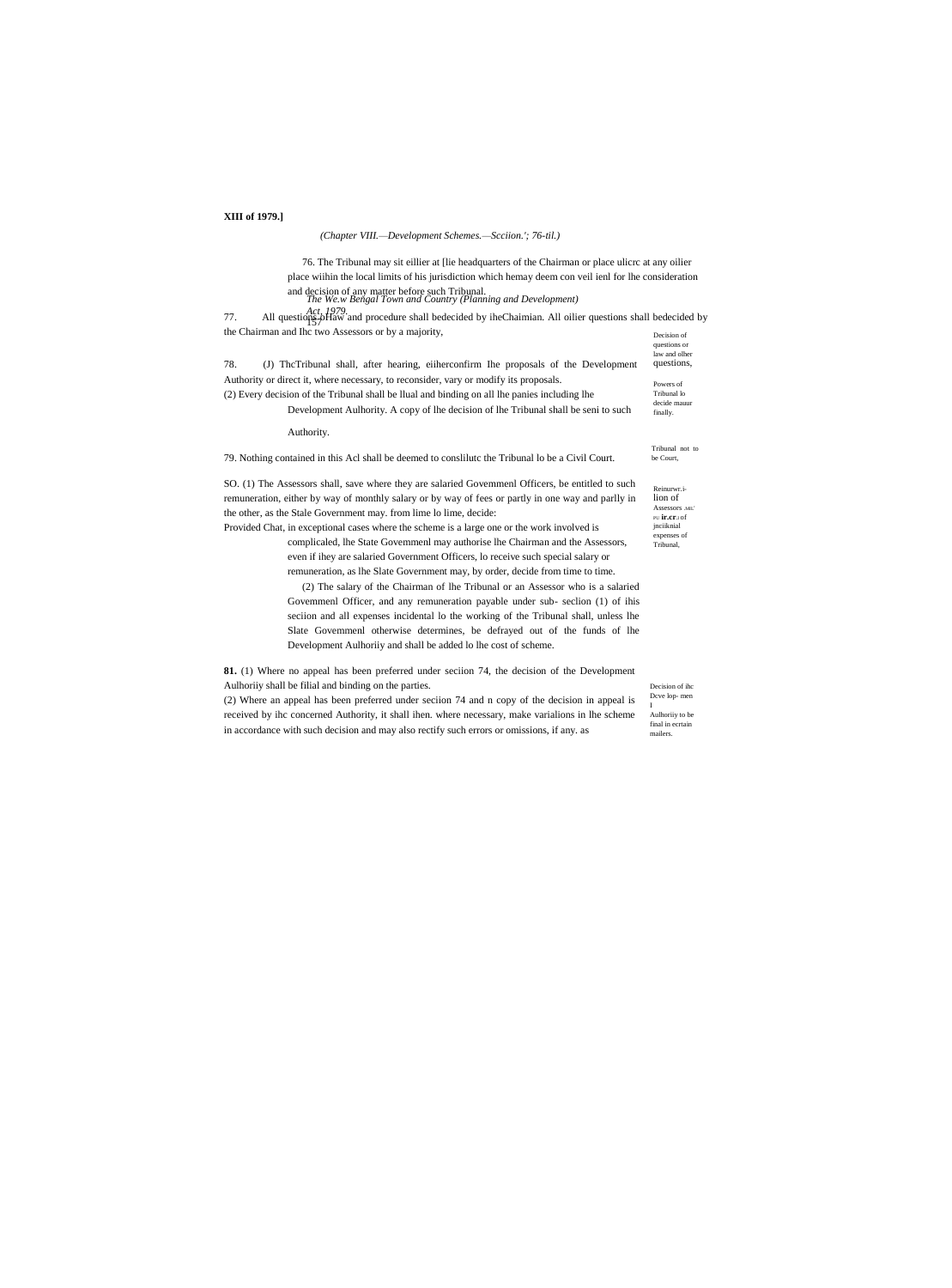# **XIII** of 1979.]

# (Chapter VIII.-Development Schemes.-Scciion.'; 76-til.)

76. The Tribunal may sit eillier at [lie headquarters of the Chairman or place ulicrc at any oilier place wiihin the local limits of his jurisdiction which hemay deem con veil ienl for lhe consideration and decision of any matter before such Tribunal.<br>The We.w Bengal Town and Country (Planning and Development)

77. All questions  $\frac{Act}{1979}$ . All questions and Inc two Assessors or by a majority, Decision of

| 78.<br>(J) The Tribunal shall, after hearing, either confirm the proposals of the Development                                                                                                                                                                                                                                                                                                                                                                                                                                                                                                                                                                                                                                                                                                                                                                                                                                                                                                                                                        | questions or<br>law and olher<br>questions,                                                                  |
|------------------------------------------------------------------------------------------------------------------------------------------------------------------------------------------------------------------------------------------------------------------------------------------------------------------------------------------------------------------------------------------------------------------------------------------------------------------------------------------------------------------------------------------------------------------------------------------------------------------------------------------------------------------------------------------------------------------------------------------------------------------------------------------------------------------------------------------------------------------------------------------------------------------------------------------------------------------------------------------------------------------------------------------------------|--------------------------------------------------------------------------------------------------------------|
| Authority or direct it, where necessary, to reconsider, vary or modify its proposals.<br>(2) Every decision of the Tribunal shall be Ilual and binding on all lhe panies including lhe<br>Development Aulhority. A copy of the decision of the Tribunal shall be seni to such<br>Authority.                                                                                                                                                                                                                                                                                                                                                                                                                                                                                                                                                                                                                                                                                                                                                          | Powers of<br>Tribunal lo<br>decide mauur<br>finally.                                                         |
| 79. Nothing contained in this Acl shall be deemed to conslitute the Tribunal lo be a Civil Court.                                                                                                                                                                                                                                                                                                                                                                                                                                                                                                                                                                                                                                                                                                                                                                                                                                                                                                                                                    | Tribunal not to<br>be Court.                                                                                 |
| SO. (1) The Assessors shall, save where they are salaried Government Officers, be entitled to such<br>remuneration, either by way of monthly salary or by way of fees or partly in one way and parlly in<br>the other, as the Stale Government may. from lime lo lime, decide:<br>Provided Chat, in exceptional cases where the scheme is a large one or the work involved is<br>complicated, the State Government may authorise the Chairman and the Assessors,<br>even if ihey are salaried Government Officers, lo receive such special salary or<br>remuneration, as the Slate Government may, by order, decide from time to time.<br>(2) The salary of the Chairman of lhe Tribunal or an Assessor who is a salaried<br>Government Officer, and any remuneration payable under sub-section (1) of ihis<br>section and all expenses incidental lo the working of the Tribunal shall, unless lhe<br>Slate Governmenl otherwise determines, be defrayed out of the funds of lhe<br>Development Aulhority and shall be added to the cost of scheme. | Reinurwr.i-<br>lion of<br>Assessors .MIL'<br>PU <b>ir.cr</b> .1 of<br>jnciiknial<br>expenses of<br>Tribunal. |

81. (1) Where no appeal has been preferred under seciion 74, the decision of the Development Aulhoriiy shall be filial and binding on the parties.

(2) Where an appeal has been preferred under seciion 74 and n copy of the decision in appeal is  $\mathbf{I}$ received by ihc concerned Authority, it shall ihen. where necessary, make varialions in lhe scheme in accordance with such decision and may also rectify such errors or omissions, if any. as

Decision of ihc Dcve lop-men Aulhoriiy to be  $final$  in ecrtain mailers.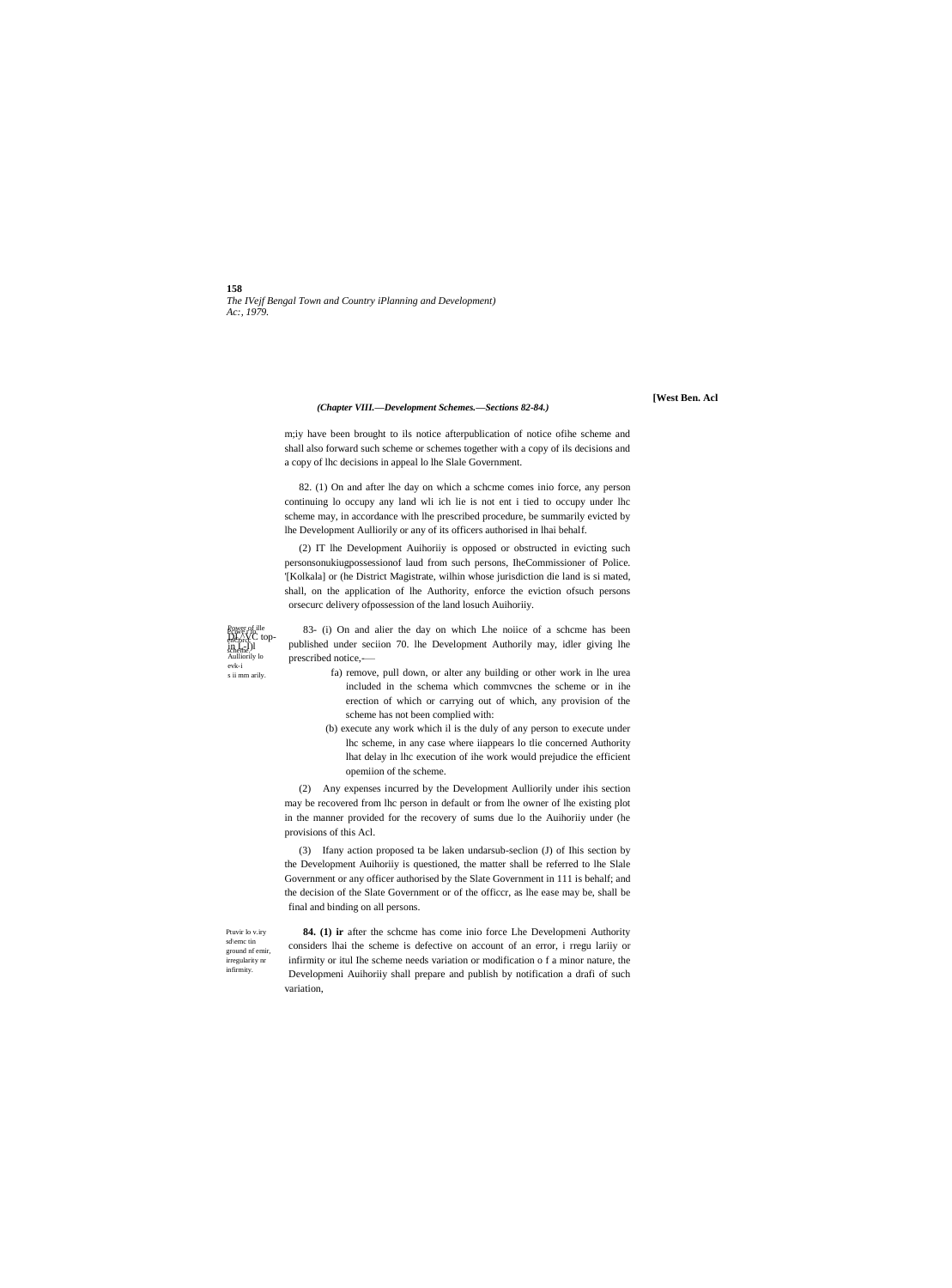158 The IVejf Bengal Town and Country iPlanning and Development) Ac:, 1979.

# (Chapter VIII.-Development Schemes.-Sections 82-84.)

[West Ben. Acl

m;iy have been brought to ils notice afterpublication of notice ofihe scheme and shall also forward such scheme or schemes together with a copy of ils decisions and a copy of lhc decisions in appeal lo lhe Slale Government.

82. (1) On and after lhe day on which a scheme comes inio force, any person continuing lo occupy any land wli ich lie is not ent i tied to occupy under lhc scheme may, in accordance with lhe prescribed procedure, be summarily evicted by lhe Development Aulliorily or any of its officers authorised in lhai behalf.

(2) IT lhe Development Auihoriiy is opposed or obstructed in evicting such personsonukiugpossessionof laud from such persons, IheCommissioner of Police. '[Kolkala] or (he District Magistrate, wilhin whose jurisdiction die land is si mated, shall, on the application of lhe Authority, enforce the eviction ofsuch persons orsecurc delivery ofpossession of the land losuch Auihoriiy.

Bower of ille<br>DLAVC top enCorce<br>10. France ()<br>scheme Aulliorily k evk-i s ii mm arily

83- (i) On and alier the day on which Lhe noiice of a scheme has been published under seciion 70. lhe Development Authorily may, idler giving lhe prescribed notice,-

- fa) remove, pull down, or alter any building or other work in lhe urea included in the schema which commvcnes the scheme or in ihe erection of which or carrying out of which, any provision of the scheme has not been complied with:
- (b) execute any work which il is the duly of any person to execute under lhc scheme, in any case where iiappears lo tlie concerned Authority lhat delay in lhc execution of ihe work would prejudice the efficient opemiion of the scheme.

(2) Any expenses incurred by the Development Aulliorily under ihis section may be recovered from lhc person in default or from lhe owner of lhe existing plot in the manner provided for the recovery of sums due lo the Auihoriiy under (he provisions of this Acl.

(3) Ifany action proposed ta be laken undarsub-seclion (J) of Ihis section by the Development Auihoriiy is questioned, the matter shall be referred to lhe Slale Government or any officer authorised by the Slate Government in 111 is behalf; and the decision of the Slate Government or of the officer, as lhe ease may be, shall be final and binding on all persons.

Ptuvir lo v.irv sd\emc tin ground nf emir, irregularity nr infirmity.

84. (1) ir after the scheme has come inio force Lhe Developmeni Authority considers lhai the scheme is defective on account of an error, i rregu lariiy or infirmity or itul Ihe scheme needs variation or modification of a minor nature, the Developmeni Auihoriiy shall prepare and publish by notification a drafi of such variation,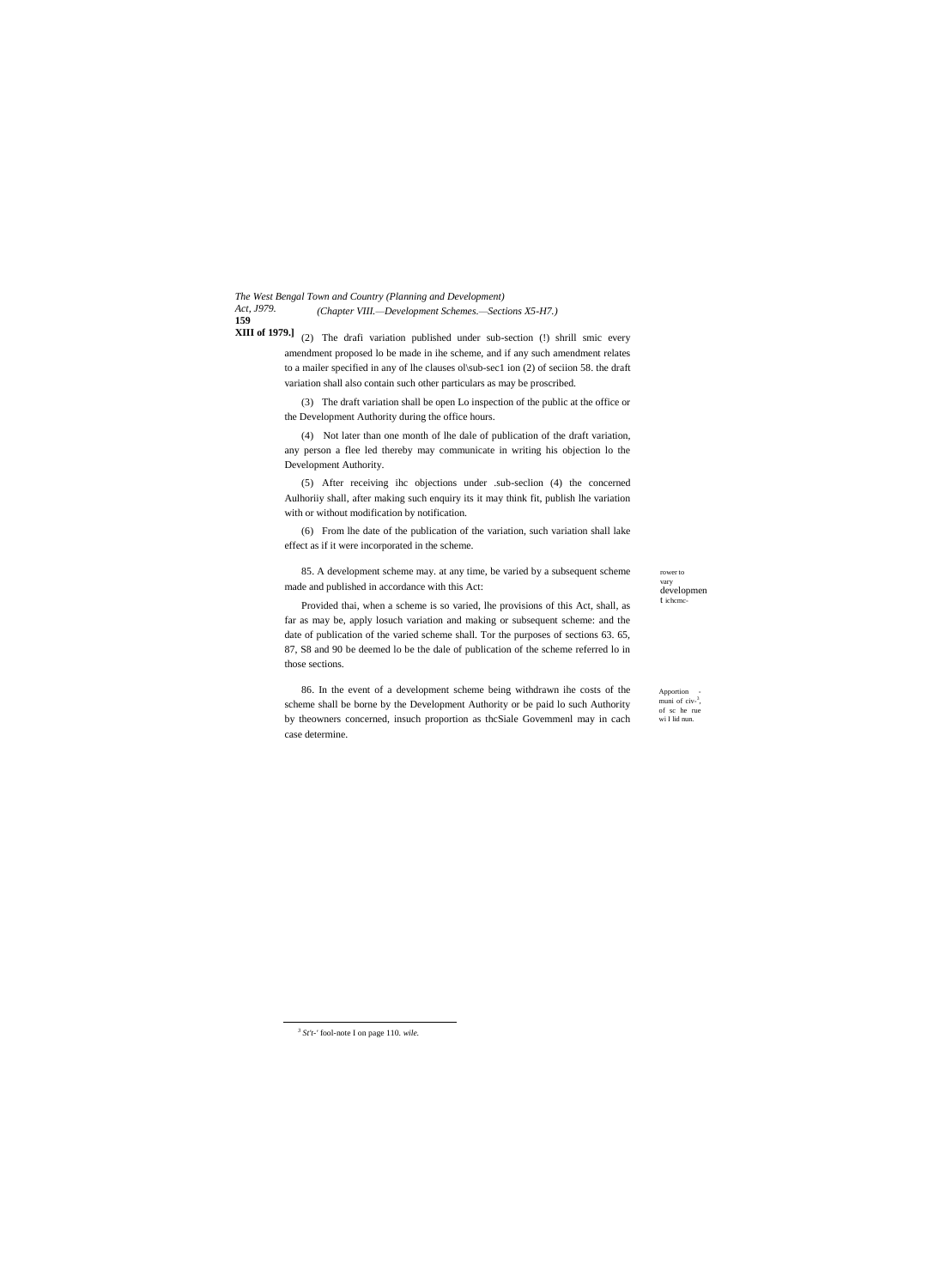*The West Bengal Town and Country (Planning and Development) Act, J979.* **159** *(Chapter VIII.—Development Schemes.—Sections X5-H7.)*

**XIII of 1979.**] (2) The drafi variation published under sub-section (!) shrill smic every amendment proposed lo be made in ihe scheme, and if any such amendment relates to a mailer specified in any of lhe clauses ol\sub-sec1 ion (2) of seciion 58. the draft variation shall also contain such other particulars as may be proscribed.

> (3) The draft variation shall be open Lo inspection of the public at the office or the Development Authority during the office hours.

> (4) Not later than one month of lhe dale of publication of the draft variation, any person a flee led thereby may communicate in writing his objection lo the Development Authority.

> (5) After receiving ihc objections under .sub-seclion (4) the concerned Aulhoriiy shall, after making such enquiry its it may think fit, publish lhe variation with or without modification by notification.

> (6) From lhe date of the publication of the variation, such variation shall lake effect as if it were incorporated in the scheme.

85. A development scheme may. at any time, be varied by a subsequent scheme made and published in accordance with this Act:

rower to vary developmen t ichcmc-

Provided thai, when a scheme is so varied, lhe provisions of this Act, shall, as far as may be, apply losuch variation and making or subsequent scheme: and the date of publication of the varied scheme shall. Tor the purposes of sections 63. 65, 87, S8 and 90 be deemed lo be the dale of publication of the scheme referred lo in those sections.

86. In the event of a development scheme being withdrawn ihe costs of the scheme shall be borne by the Development Authority or be paid lo such Authority by theowners concerned, insuch proportion as thcSiale Govemmenl may in cach case determine.

**Apportion** muni of civ-<sup>3</sup>, of sc he rue wi I lid nun.

*3 St't-'* fool-note I on page 110. *wile.*

 $\overline{a}$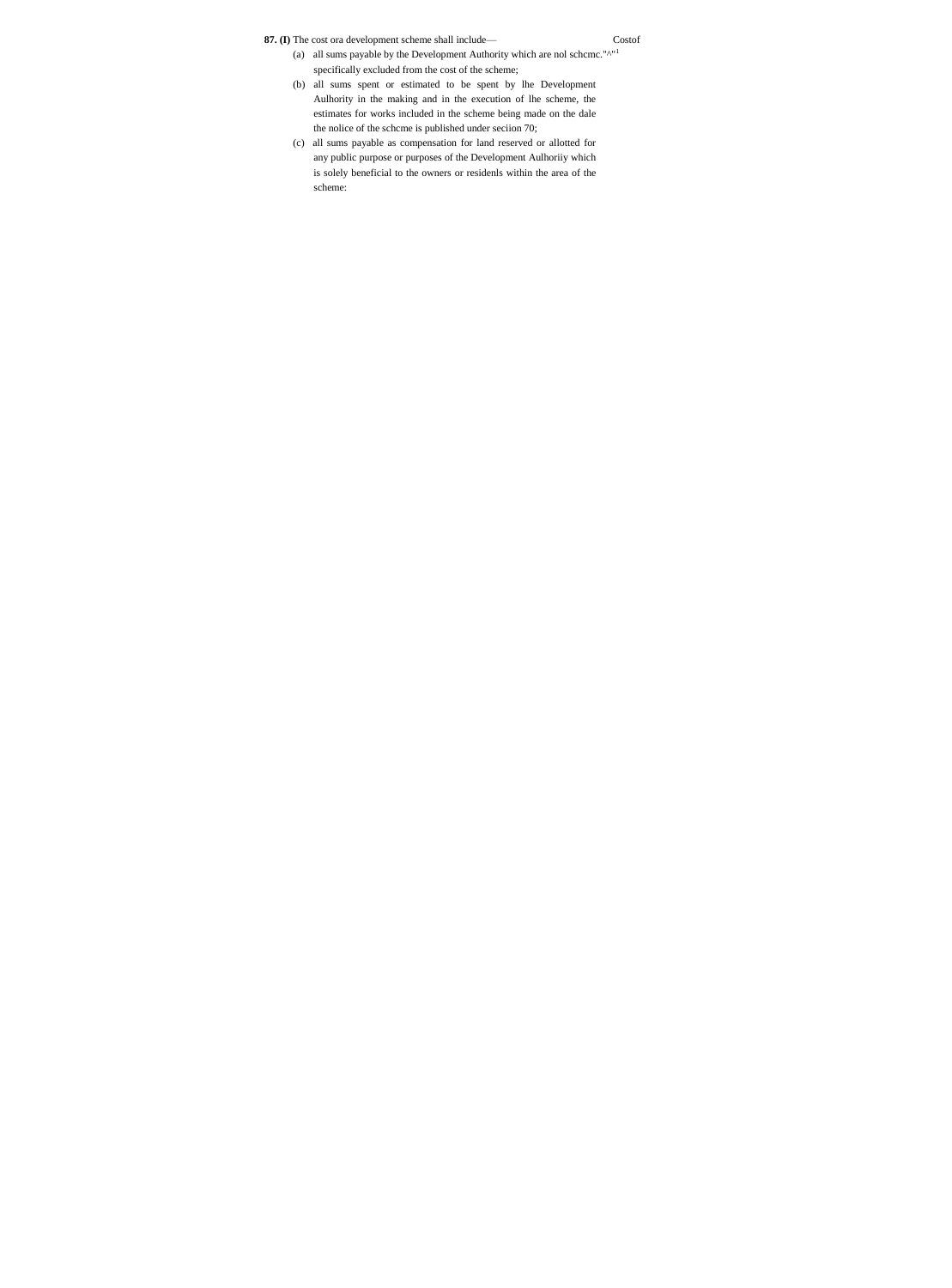**87. (I)** The cost ora development scheme shall include— Costof

- (a) all sums payable by the Development Authority which are nol scheme." $^{\wedge^{n}1}$ specifically excluded from the cost of the scheme;
- (b) all sums spent or estimated to be spent by lhe Development Aulhority in the making and in the execution of lhe scheme, the estimates for works included in the scheme being made on the dale the nolice of the schcme is published under seciion 70;
- (c) all sums payable as compensation for land reserved or allotted for any public purpose or purposes of the Development Aulhoriiy which is solely beneficial to the owners or residenls within the area of the scheme: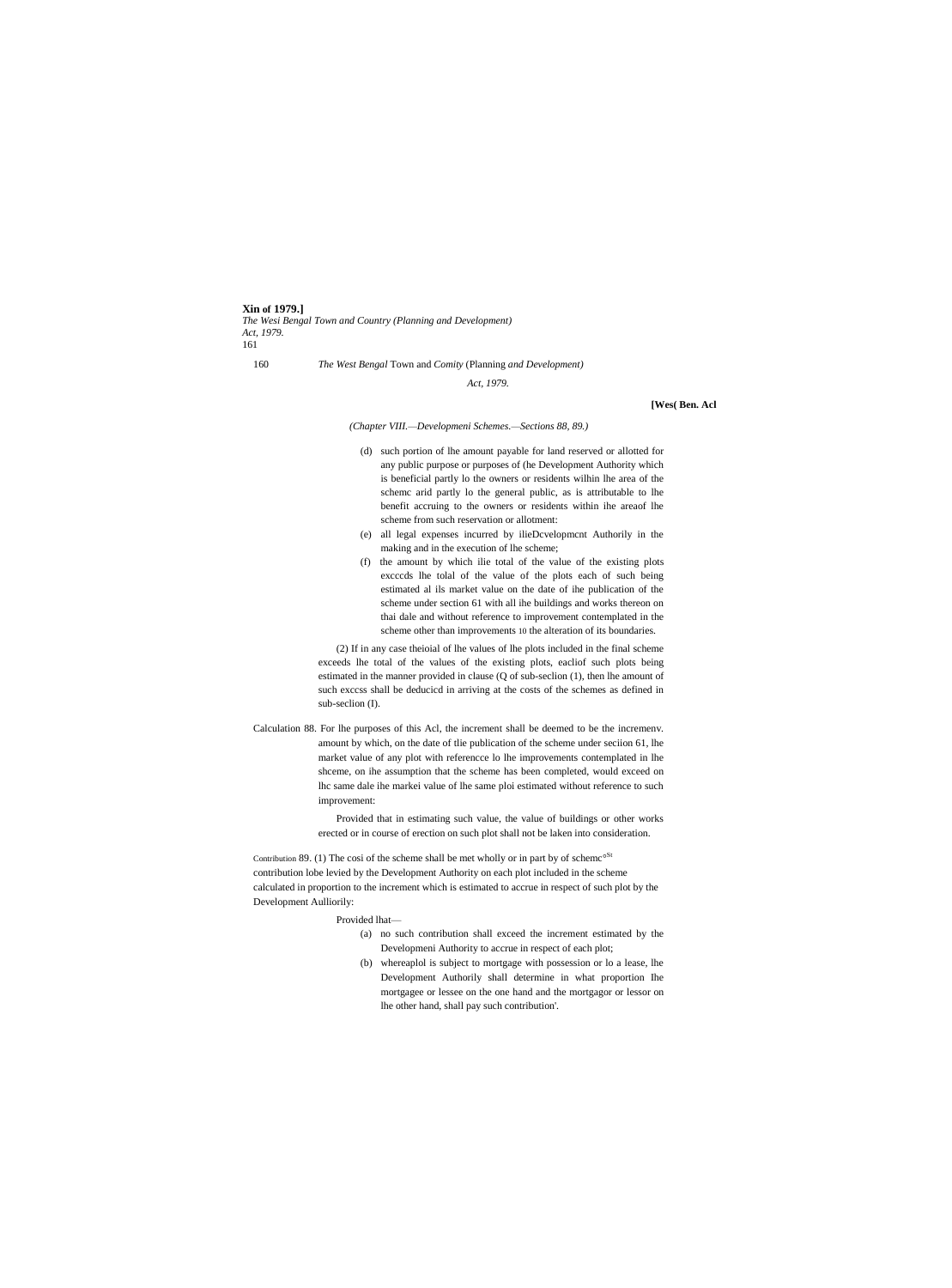**Xin of 1979.]**

*The Wesi Bengal Town and Country (Planning and Development) Act, 1979.* 161

160 *The West Bengal* Town and *Comity* (Planning *and Development)*

*Act, 1979.*

**[Wes( Ben. Acl**

*(Chapter VIII.—Developmeni Schemes.—Sections 88, 89.)*

- (d) such portion of lhe amount payable for land reserved or allotted for any public purpose or purposes of (he Development Authority which is beneficial partly lo the owners or residents wilhin lhe area of the schemc arid partly lo the general public, as is attributable to lhe benefit accruing to the owners or residents within ihe areaof lhe scheme from such reservation or allotment:
- (e) all legal expenses incurred by ilieDcvelopmcnt Authorily in the making and in the execution of lhe scheme;
- (f) the amount by which ilie total of the value of the existing plots excccds lhe tolal of the value of the plots each of such being estimated al ils market value on the date of ihe publication of the scheme under section 61 with all ihe buildings and works thereon on thai dale and without reference to improvement contemplated in the scheme other than improvements 10 the alteration of its boundaries.

(2) If in any case theioial of lhe values of lhe plots included in the final scheme exceeds lhe total of the values of the existing plots, eacliof such plots being estimated in the manner provided in clause (Q of sub-seclion (1), then lhe amount of such exccss shall be deducicd in arriving at the costs of the schemes as defined in sub-seclion (I).

Calculation 88. For lhe purposes of this Acl, the increment shall be deemed to be the incremenv. amount by which, on the date of tlie publication of the scheme under seciion 61, lhe market value of any plot with referencce lo lhe improvements contemplated in lhe shceme, on ihe assumption that the scheme has been completed, would exceed on lhc same dale ihe markei value of lhe same ploi estimated without reference to such improvement:

> Provided that in estimating such value, the value of buildings or other works erected or in course of erection on such plot shall not be laken into consideration.

Contribution 89. (1) The cosi of the scheme shall be met wholly or in part by of scheme<sup>oSt</sup> contribution lobe levied by the Development Authority on each plot included in the scheme calculated in proportion to the increment which is estimated to accrue in respect of such plot by the Development Aulliorily:

Provided lhat—

- (a) no such contribution shall exceed the increment estimated by the Developmeni Authority to accrue in respect of each plot;
- (b) whereaplol is subject to mortgage with possession or lo a lease, lhe Development Authorily shall determine in what proportion Ihe mortgagee or lessee on the one hand and the mortgagor or lessor on lhe other hand, shall pay such contribution'.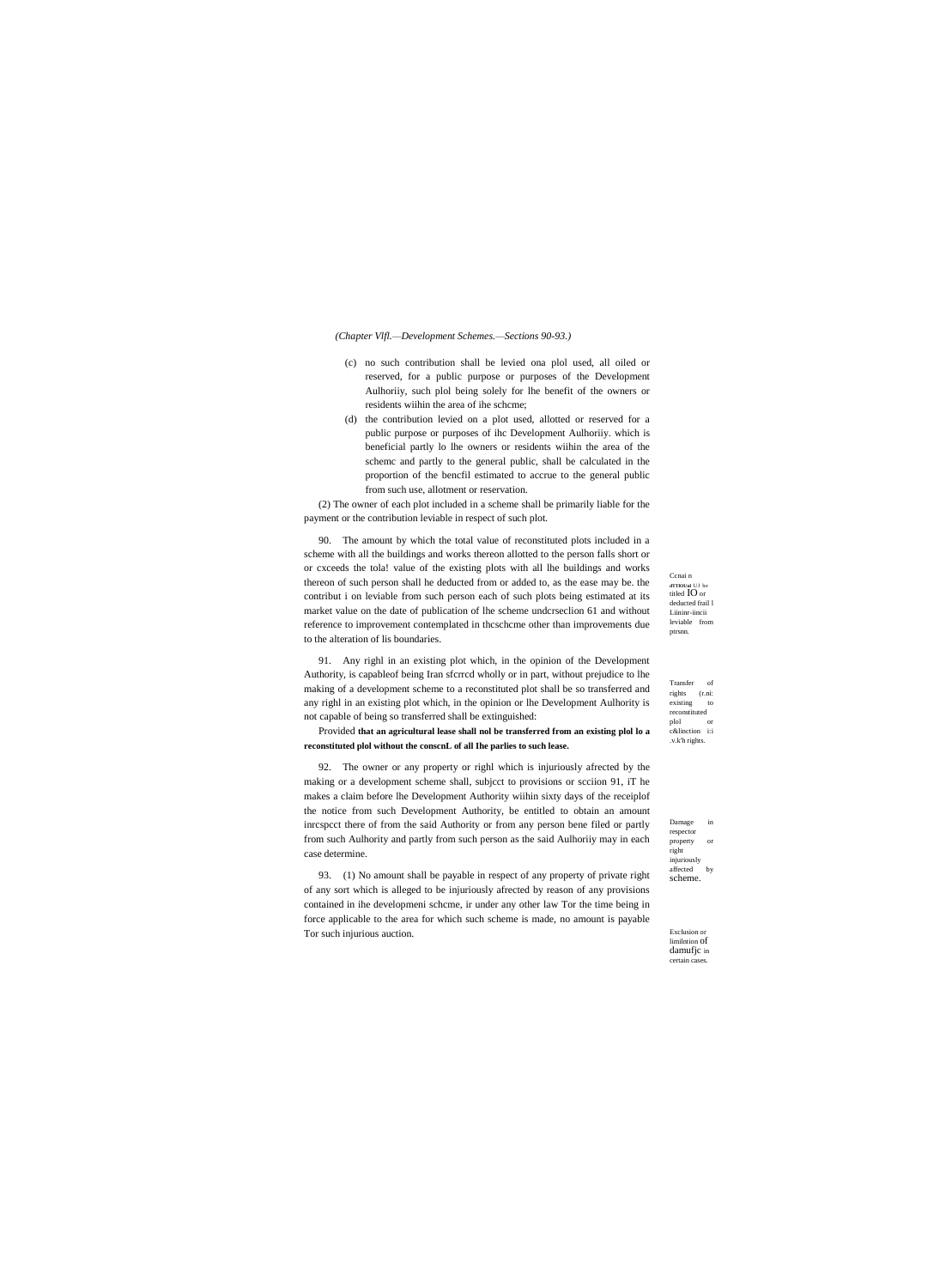### *(Chapter Vlfl.—Development Schemes.—Sections 90-93.)*

- (c) no such contribution shall be levied ona plol used, all oiled or reserved, for a public purpose or purposes of the Development Aulhoriiy, such plol being solely for lhe benefit of the owners or residents wiihin the area of ihe schcme;
- (d) the contribution levied on a plot used, allotted or reserved for a public purpose or purposes of ihc Development Aulhoriiy. which is beneficial partly lo lhe owners or residents wiihin the area of the schemc and partly to the general public, shall be calculated in the proportion of the bencfil estimated to accrue to the general public from such use, allotment or reservation.

(2) The owner of each plot included in a scheme shall be primarily liable for the payment or the contribution leviable in respect of such plot.

90. The amount by which the total value of reconstituted plots included in a scheme with all the buildings and works thereon allotted to the person falls short or or cxceeds the tola! value of the existing plots with all lhe buildings and works thereon of such person shall he deducted from or added to, as the ease may be. the contribut i on leviable from such person each of such plots being estimated at its market value on the date of publication of lhe scheme undcrseclion 61 and without reference to improvement contemplated in thcschcme other than improvements due to the alteration of lis boundaries.

Ccnai n **dTTlOUnl** UJ he titled IO or deducted frail l Liininr-iincii leviable from ptrsnn.

Transfer of rights (r.ni: existing to reconstituted plol or c&linction i:i .v.k'h rights.

91. Any righl in an existing plot which, in the opinion of the Development Authority, is capableof being Iran sfcrrcd wholly or in part, without prejudice to lhe making of a development scheme to a reconstituted plot shall be so transferred and any righl in an existing plot which, in the opinion or lhe Development Aulhority is not capable of being so transferred shall be extinguished:

Provided **that an agricultural lease shall nol be transferred from an existing plol lo a reconstituted plol without the conscnL of all Ihe parlies to such lease.**

92. The owner or any property or righl which is injuriously afrected by the making or a development scheme shall, subjcct to provisions or scciion 91, iT he makes a claim before lhe Development Authority wiihin sixty days of the receiplof the notice from such Development Authority, be entitled to obtain an amount inrcspcct there of from the said Authority or from any person bene filed or partly from such Aulhority and partly from such person as the said Aulhoriiy may in each case determine.

93. (1) No amount shall be payable in respect of any property of private right of any sort which is alleged to be injuriously afrected by reason of any provisions contained in ihe developmeni schcme, ir under any other law Tor the time being in force applicable to the area for which such scheme is made, no amount is payable Tor such injurious auction.

Damage in respector property or right injuriously

affected by scheme.

Exclusion or limilntion of damufjc in certain cases.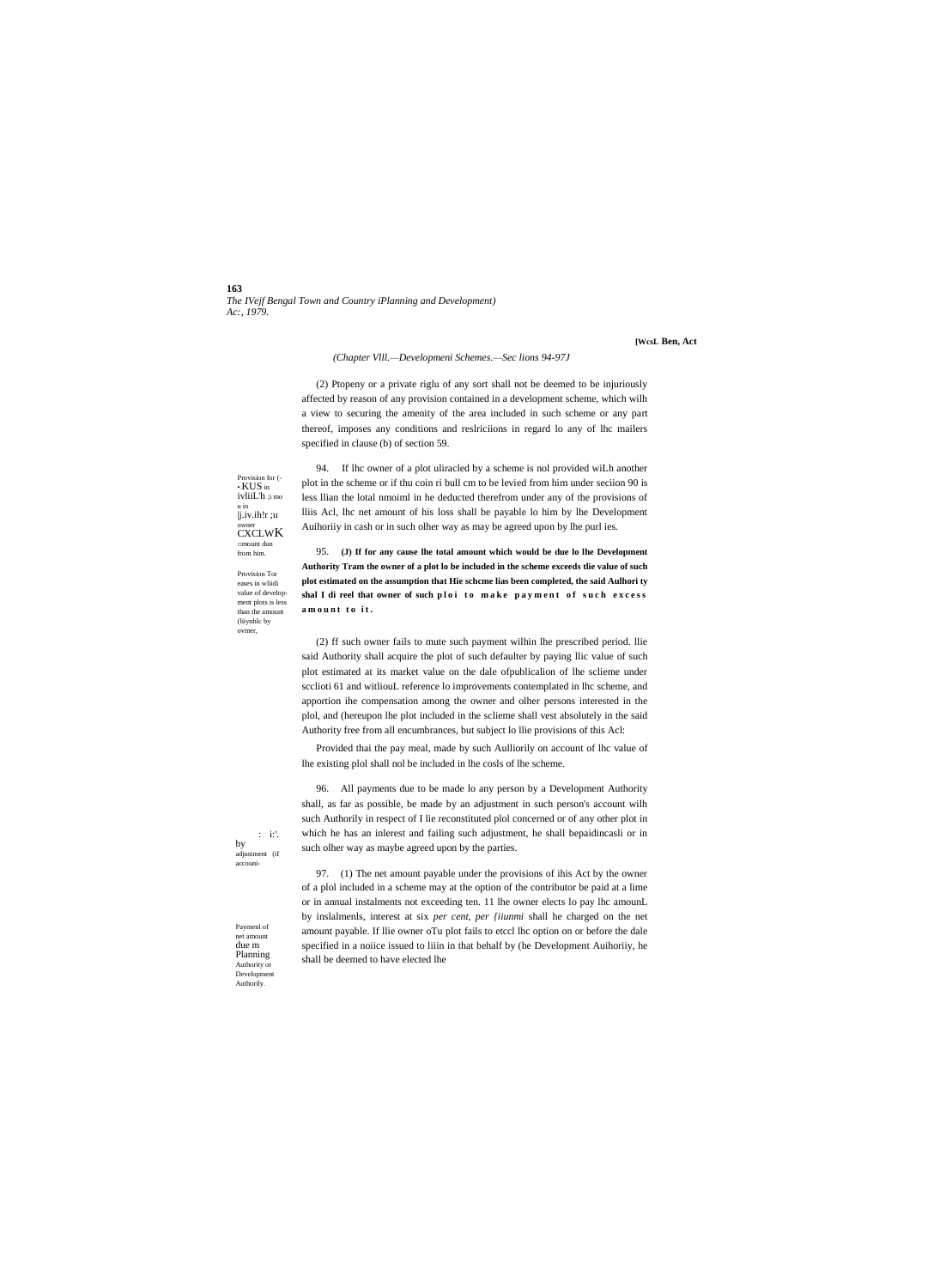163 The IVejf Bengal Town and Country iPlanning and Development) Ac:, 1979.

[WesL Ben, Act

## (Chapter VIII.-Developmeni Schemes.-Sec lions 94-97J

(2) Ptopeny or a private riglu of any sort shall not be deemed to be injuriously affected by reason of any provision contained in a development scheme, which wilh a view to securing the amenity of the area included in such scheme or any part thereof, imposes any conditions and reslriciions in regard lo any of lhc mailers specified in clause (b) of section 59.

94. If the owner of a plot uliracled by a scheme is not provided will another Provision for  $\cdot$ <br> $\cdot$ KUS in ivliiL'h ;i mo u in  $j$ .iv.ih! $r$ ;u CXCLWK  $\Box$ mount dun

**Provision Tor** eases in wliidi value of development plots is less than the amount (liiynhlc by ovmer,

from him.

plot in the scheme or if thu coin ri bull cm to be levied from him under seciion 90 is less Ilian the lotal nmoiml in he deducted therefrom under any of the provisions of Iliis Acl, lhc net amount of his loss shall be payable lo him by lhe Development Auihoriiy in cash or in such olher way as may be agreed upon by lhe purl ies.

95. (J) If for any cause lhe total amount which would be due lo lhe Development Authority Tram the owner of a plot lo be included in the scheme exceeds tlie value of such plot estimated on the assumption that Hie scheme lias been completed, the said Aulhority shal I di reel that owner of such ploi to make payment of such excess amount to it.

(2) ff such owner fails to mute such payment wilhin lhe prescribed period. Ilie said Authority shall acquire the plot of such defaulter by paying llic value of such plot estimated at its market value on the dale ofpublicalion of lhe sclieme under scelioti 61 and withoul reference lo improvements contemplated in lhc scheme, and apportion ihe compensation among the owner and olher persons interested in the plol, and (hereupon lhe plot included in the sclieme shall vest absolutely in the said Authority free from all encumbrances, but subject lo llie provisions of this Acl:

Provided thai the pay meal, made by such Aulliorily on account of lhc value of lhe existing plol shall nol be included in lhe cosls of lhe scheme.

96. All payments due to be made lo any person by a Development Authority shall, as far as possible, be made by an adjustment in such person's account wilh such Authorily in respect of I lie reconstituted plol concerned or of any other plot in which he has an inlerest and failing such adjustment, he shall bepaidincasli or in such olher way as maybe agreed upon by the parties.

97. (1) The net amount payable under the provisions of ihis Act by the owner of a plol included in a scheme may at the option of the contributor be paid at a lime or in annual instalments not exceeding ten. 11 lhe owner elects lo pay lhc amounL by inslalmenls, interest at six per cent, per (iiunmi shall he charged on the net amount payable. If llie owner oTu plot fails to etccl lhc option on or before the dale specified in a noiice issued to liiin in that behalf by (he Development Auihoriiy, he shall be deemed to have elected lhe

Paymenl of net amoun due m Planning Authority or<br>Development Authorily.

 $\div$ i:'.

adjustment (if accouni-

by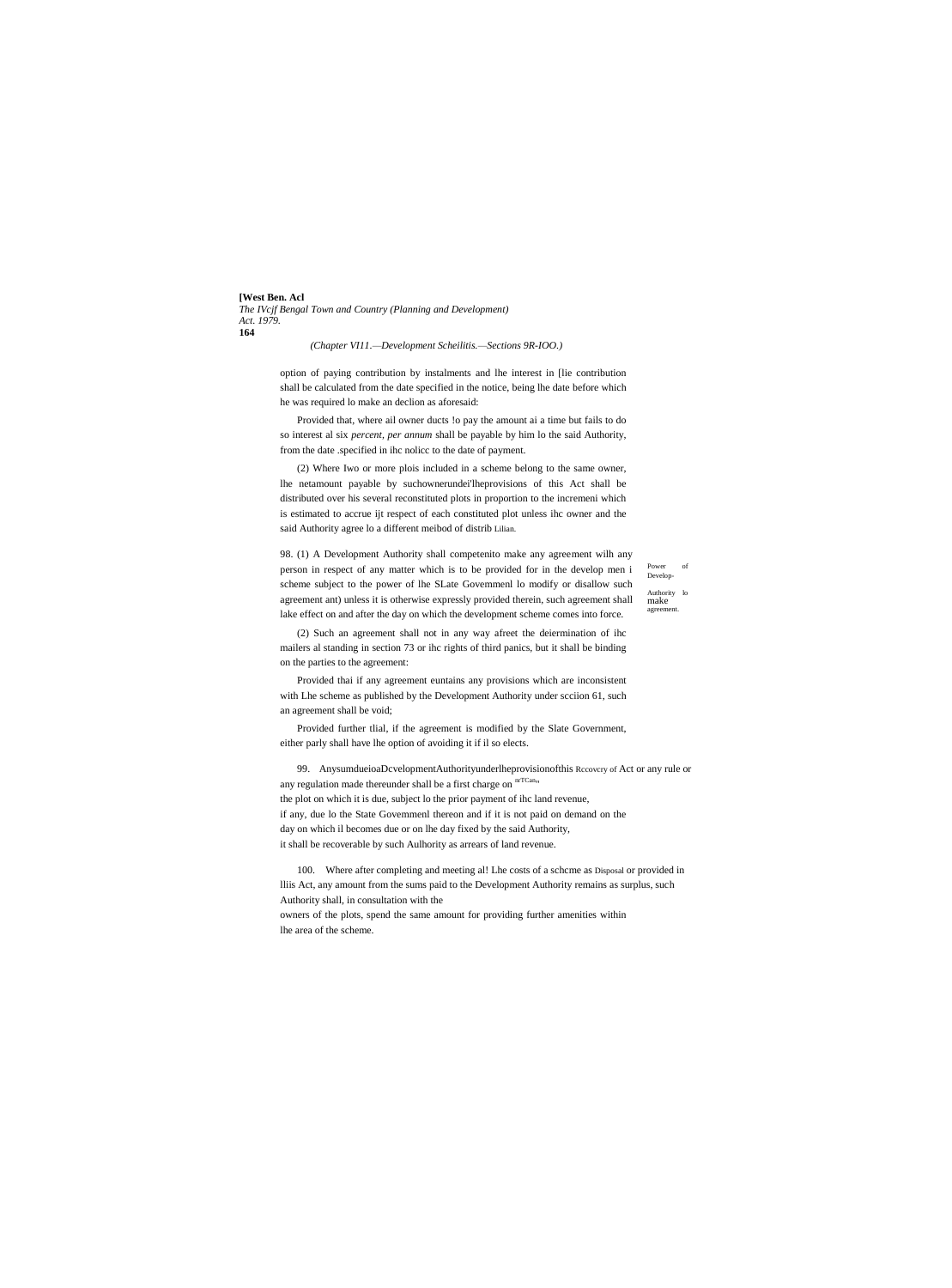**[West Ben. Acl** *The IVcjf Bengal Town and Country (Planning and Development) Act. 1979.* **164**

*(Chapter VI11.—Development Scheilitis.—Sections 9R-IOO.)*

option of paying contribution by instalments and lhe interest in [lie contribution shall be calculated from the date specified in the notice, being lhe date before which he was required lo make an declion as aforesaid:

Provided that, where ail owner ducts !o pay the amount ai a time but fails to do so interest al six *percent, per annum* shall be payable by him lo the said Authority, from the date .specified in ihc nolicc to the date of payment.

(2) Where Iwo or more plois included in a scheme belong to the same owner, lhe netamount payable by suchownerundei'lheprovisions of this Act shall be distributed over his several reconstituted plots in proportion to the incremeni which is estimated to accrue ijt respect of each constituted plot unless ihc owner and the said Authority agree lo a different meibod of distrib Lilian.

98. (1) A Development Authority shall competenito make any agreement wilh any person in respect of any matter which is to be provided for in the develop men i scheme subject to the power of lhe SLate Govemmenl lo modify or disallow such agreement ant) unless it is otherwise expressly provided therein, such agreement shall lake effect on and after the day on which the development scheme comes into force.

Power Develop-Authority lo make agreemen

(2) Such an agreement shall not in any way afreet the deiermination of ihc mailers al standing in section 73 or ihc rights of third panics, but it shall be binding on the parties to the agreement:

Provided thai if any agreement euntains any provisions which are inconsistent with Lhe scheme as published by the Development Authority under scciion 61, such an agreement shall be void;

Provided further tlial, if the agreement is modified by the Slate Government, either parly shall have lhe option of avoiding it if il so elects.

99. AnysumdueioaDcvelopmentAuthorityunderlheprovisionofthis Rccovcry of Act or any rule or any regulation made thereunder shall be a first charge on  $\mathrm{^{mTCan}_{}}$ the plot on which it is due, subject lo the prior payment of ihc land revenue, if any, due lo the State Govemmenl thereon and if it is not paid on demand on the day on which il becomes due or on lhe day fixed by the said Authority, it shall be recoverable by such Aulhority as arrears of land revenue.

100. Where after completing and meeting al! Lhe costs of a schcme as Disposal or provided in lliis Act, any amount from the sums paid to the Development Authority remains as surplus, such Authority shall, in consultation with the

owners of the plots, spend the same amount for providing further amenities within lhe area of the scheme.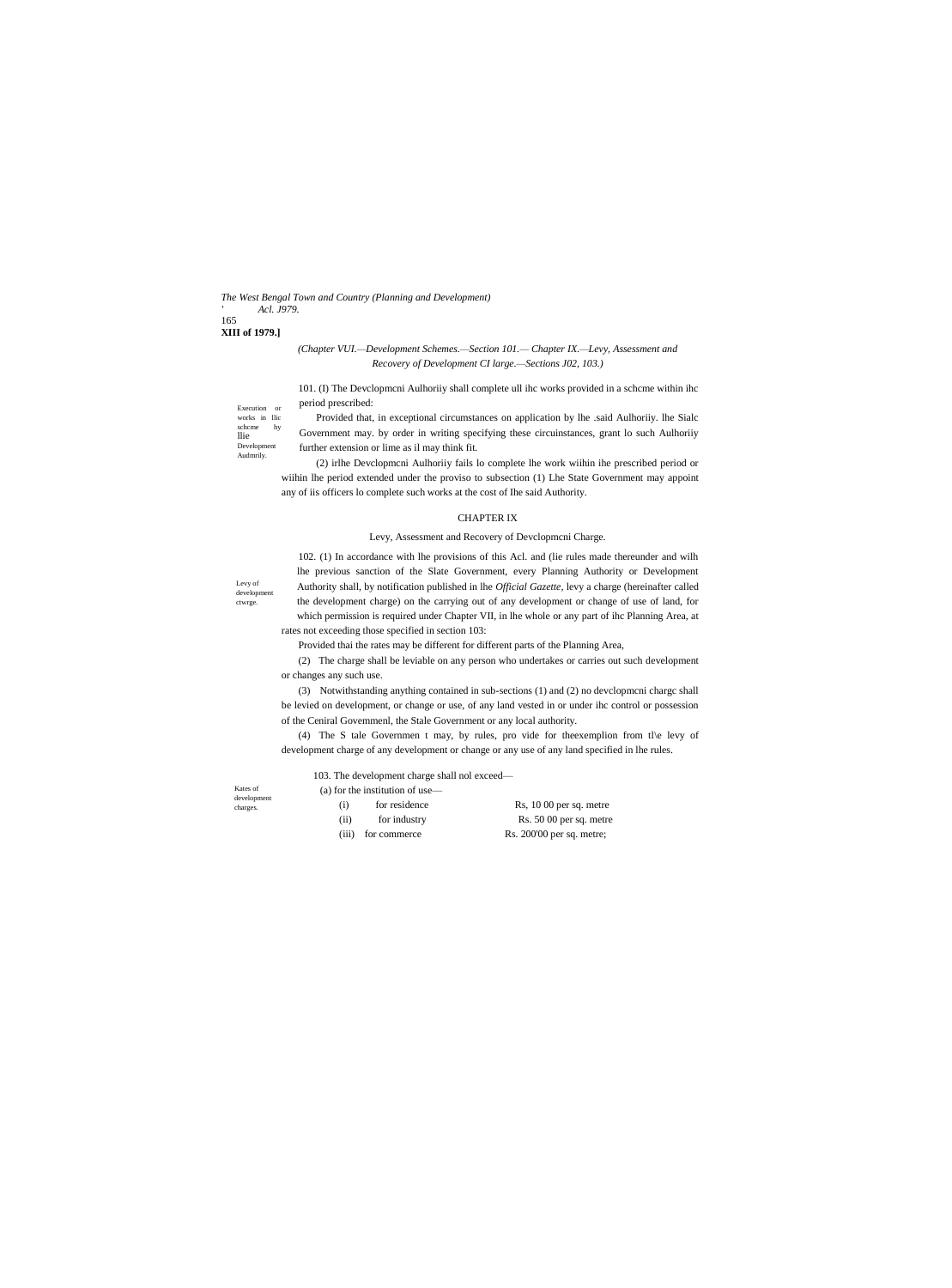### *The West Bengal Town and Country (Planning and Development) ' Acl. J979.* 165

# **XIII of 1979.]**

# *(Chapter VUI.—Development Schemes.—Section 101.— Chapter IX.—Levy, Assessment and Recovery of Development CI large.—Sections J02, 103.)*

101. (I) The Devclopmcni Aulhoriiy shall complete ull ihc works provided in a schcme within ihc period prescribed:

Provided that, in exceptional circumstances on application by lhe .said Aulhoriiy. lhe Sialc Government may. by order in writing specifying these circuinstances, grant lo such Aulhoriiy further extension or lime as il may think fit.

(2) irlhe Devclopmcni Aulhoriiy fails lo complete lhe work wiihin ihe prescribed period or wiihin lhe period extended under the proviso to subsection (1) Lhe State Government may appoint any of iis officers lo complete such works at the cost of Ihe said Authority.

# CHAPTER IX

# Levy, Assessment and Recovery of Devclopmcni Charge.

Levy of development ctwrge.

102. (1) In accordance with lhe provisions of this Acl. and (lie rules made thereunder and wilh lhe previous sanction of the Slate Government, every Planning Authority or Development Authority shall, by notification published in lhe *Official Gazette,* levy a charge (hereinafter called the development charge) on the carrying out of any development or change of use of land, for which permission is required under Chapter VII, in lhe whole or any part of ihc Planning Area, at rates not exceeding those specified in section 103:

Provided thai the rates may be different for different parts of the Planning Area,

(2) The charge shall be leviable on any person who undertakes or carries out such development or changes any such use.

(3) Notwithstanding anything contained in sub-sections (1) and (2) no devclopmcni chargc shall be levied on development, or change or use, of any land vested in or under ihc control or possession of the Ceniral Govemmenl, the Stale Government or any local authority.

(4) The S tale Governmen t may, by rules, pro vide for theexemplion from tl\e levy of development charge of any development or change or any use of any land specified in lhe rules.

Kates of development charges.

103. The development charge shall nol exceed— (a) for the institution of use—

| (i)  | for residence | $Rs, 1000$ per sq. metre |
|------|---------------|--------------------------|
| (ii) | for industry  | $Rs. 5000$ per sq. metre |

(iii) for commerce Rs. 200'00 per sq. metre;

llie Development Audmrily.

Execution or works in llic schcme hy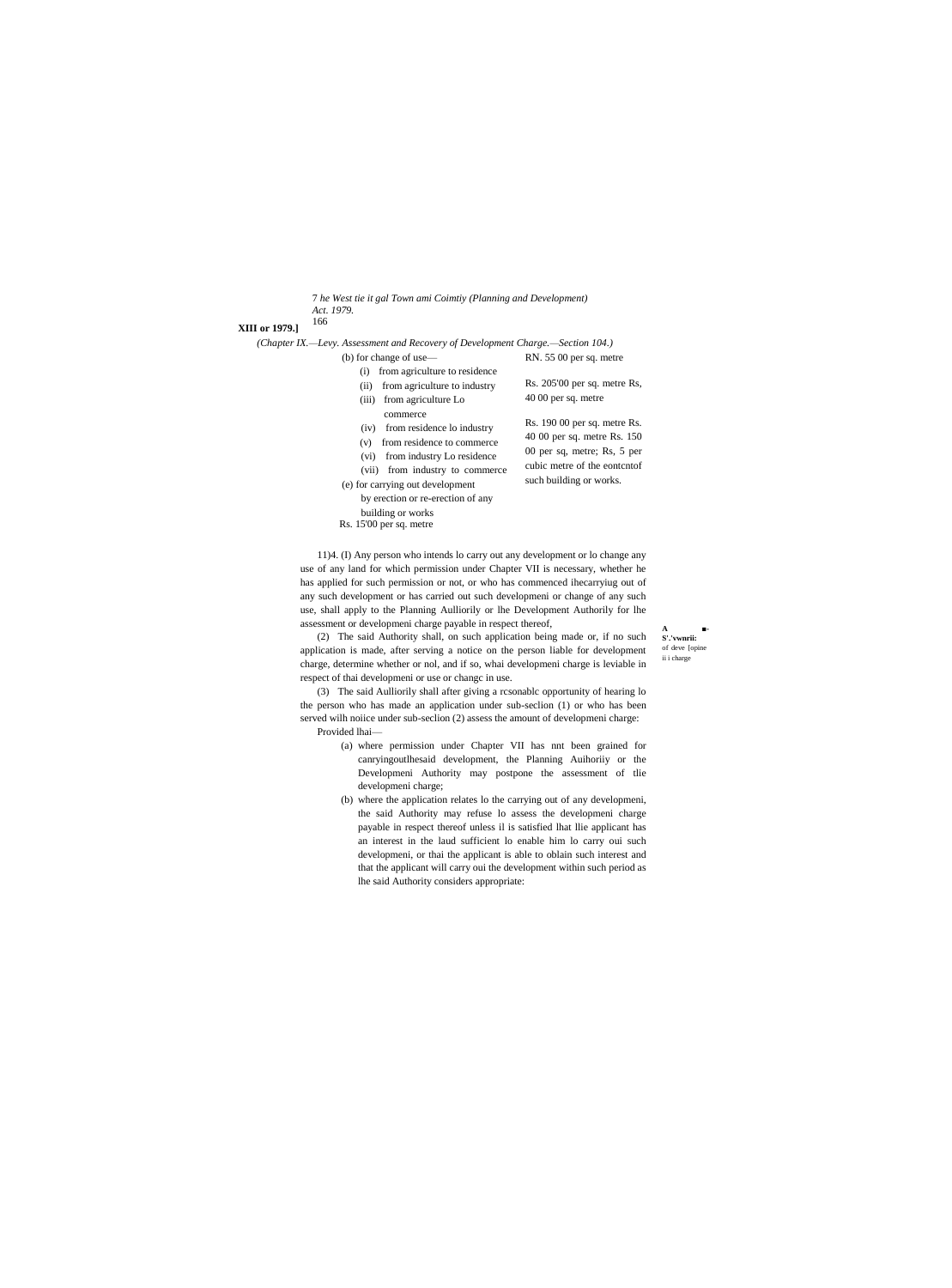- 7 *he West tie it gal Town ami Coimtiy (Planning and Development)*
- *Act. 1979.* 166
- **XIII or 1979.]**

*(Chapter IX.—Levy. Assessment and Recovery of Development Charge.—Section 104.)* RN. 55 00 per sq. metre

- (b) for change of use—
	- (i) from agriculture to residence
	- (ii) from agriculture to industry

# (iii) from agriculture Lo

- commerce
- (iv) from residence lo industry
- (v) from residence to commerce
- (vi) from industry Lo residence
- (vii) from industry to commerce
- (e) for carrying out development by erection or re-erection of any
	- building or works
- Rs. 15'00 per sq. metre
- Rs. 205'00 per sq. metre Rs, 40 00 per sq. metre Rs. 190 00 per sq. metre Rs.
- 40 00 per sq. metre Rs. 150 00 per sq, metre; Rs, 5 per cubic metre of the eontcntof such building or works.

**A ■- S'.'vwnrii:** of deve [opin ii i charge

11)4. (I) Any person who intends lo carry out any development or lo change any use of any land for which permission under Chapter VII is necessary, whether he has applied for such permission or not, or who has commenced ihecarryiug out of any such development or has carried out such developmeni or change of any such use, shall apply to the Planning Aulliorily or lhe Development Authorily for lhe assessment or developmeni charge payable in respect thereof,

(2) The said Authority shall, on such application being made or, if no such application is made, after serving a notice on the person liable for development charge, determine whether or nol, and if so, whai developmeni charge is leviable in respect of thai developmeni or use or changc in use.

(3) The said Aulliorily shall after giving a rcsonablc opportunity of hearing lo the person who has made an application under sub-seclion (1) or who has been served wilh noiice under sub-seclion (2) assess the amount of developmeni charge: Provided lhai—

- (a) where permission under Chapter VII has nnt been grained for canryingoutlhesaid development, the Planning Auihoriiy or the Developmeni Authority may postpone the assessment of tlie developmeni charge;
- (b) where the application relates lo the carrying out of any developmeni, the said Authority may refuse lo assess the developmeni charge payable in respect thereof unless il is satisfied lhat llie applicant has an interest in the laud sufficient lo enable him lo carry oui such developmeni, or thai the applicant is able to oblain such interest and that the applicant will carry oui the development within such period as lhe said Authority considers appropriate: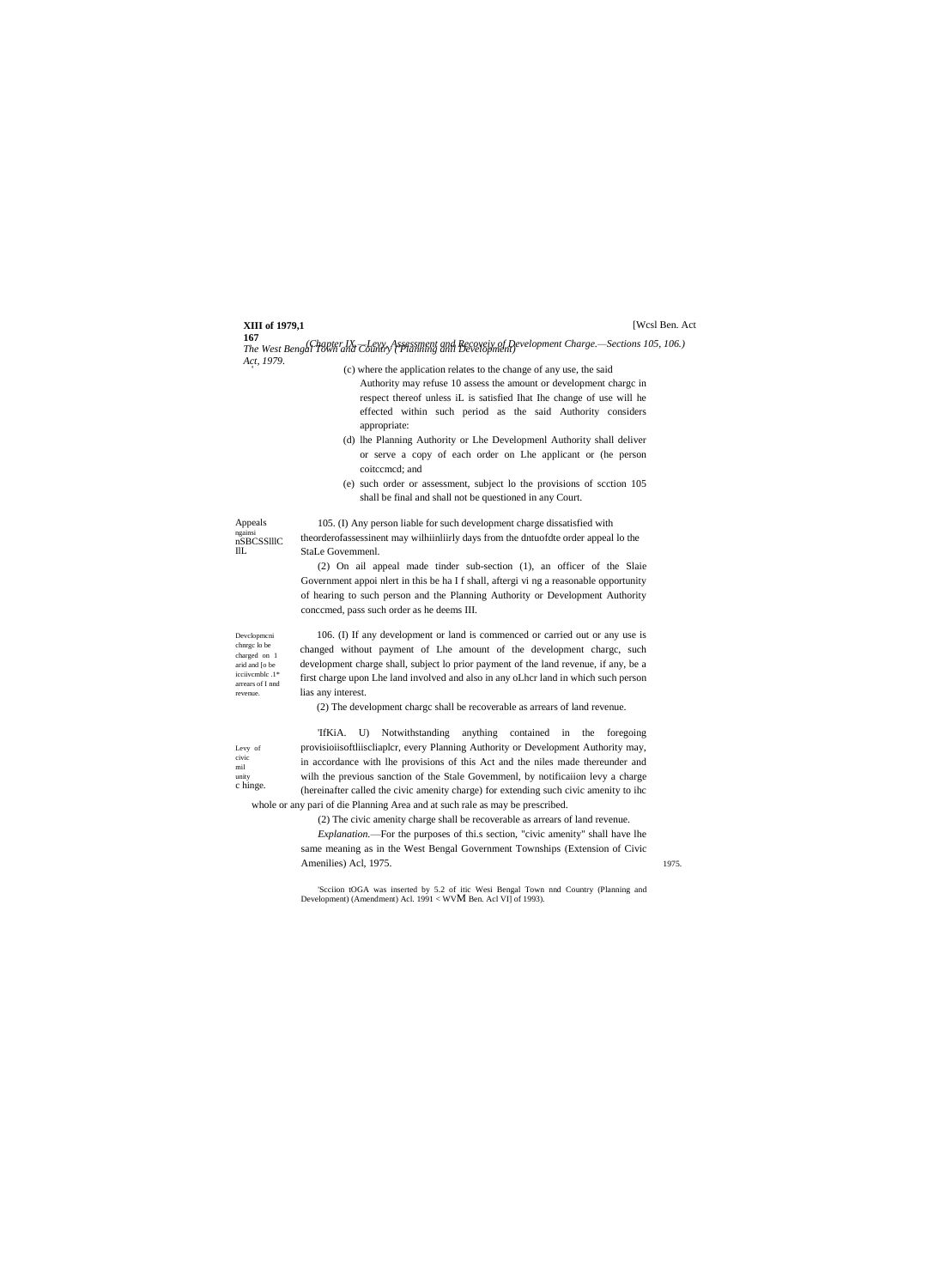# **XIII of 1979,1**

# [Wcsl Ben. Act

**167** *The West Bengal Town and Country ('Planning anil Development) (Chapter IX.—Levy, Assessment and Recoveiy of Development Charge.—Sections 105, 106.) Act, 1979.* '

- (c) where the application relates to the change of any use, the said Authority may refuse 10 assess the amount or development chargc in respect thereof unless iL is satisfied Ihat Ihe change of use will he effected within such period as the said Authority considers appropriate:
- (d) lhe Planning Authority or Lhe Developmenl Authority shall deliver or serve a copy of each order on Lhe applicant or (he person coitccmcd; and
- (e) such order or assessment, subject lo the provisions of scction 105 shall be final and shall not be questioned in any Court.

Appeals ngainsi nSBCSSlllC IlL

105. (I) Any person liable for such development charge dissatisfied with theorderofassessinent may wilhiinliirly days from the dntuofdte order appeal lo the StaLe Govemmenl.

(2) On ail appeal made tinder sub-section (1), an officer of the Slaie Government appoi nlert in this be ha I f shall, aftergi vi ng a reasonable opportunity of hearing to such person and the Planning Authority or Development Authority conccmed, pass such order as he deems III.

Devclopmcni chnrgc lo be charged on 1 arid and [o be icciivcmblc .1\* arrears of I nnd revenue.

106. (I) If any development or land is commenced or carried out or any use is changed without payment of Lhe amount of the development chargc, such development charge shall, subject lo prior payment of the land revenue, if any, be a first charge upon Lhe land involved and also in any oLhcr land in which such person lias any interest.

(2) The development chargc shall be recoverable as arrears of land revenue.

Levy of civic mil unity c hinge.

'IfKiA. U) Notwithstanding anything contained in the foregoing provisioiisoftliiscliaplcr, every Planning Authority or Development Authority may, in accordance with lhe provisions of this Act and the niles made thereunder and wilh the previous sanction of the Stale Govemmenl, by notificaiion levy a charge (hereinafter called the civic amenity charge) for extending such civic amenity to ihc whole or any pari of die Planning Area and at such rale as may be prescribed.

(2) The civic amenity charge shall be recoverable as arrears of land revenue.

*Explanation.*—For the purposes of thi.s section, "civic amenity" shall have lhe same meaning as in the West Bengal Government Townships (Extension of Civic Amenilies) Acl, 1975. 1975.

'Scciion tOGA was inserted by 5.2 of itic Wesi Bengal Town nnd Country (Planning and Development) (Amendment) Acl. 1991 < WVM Ben. Acl VI] of 1993).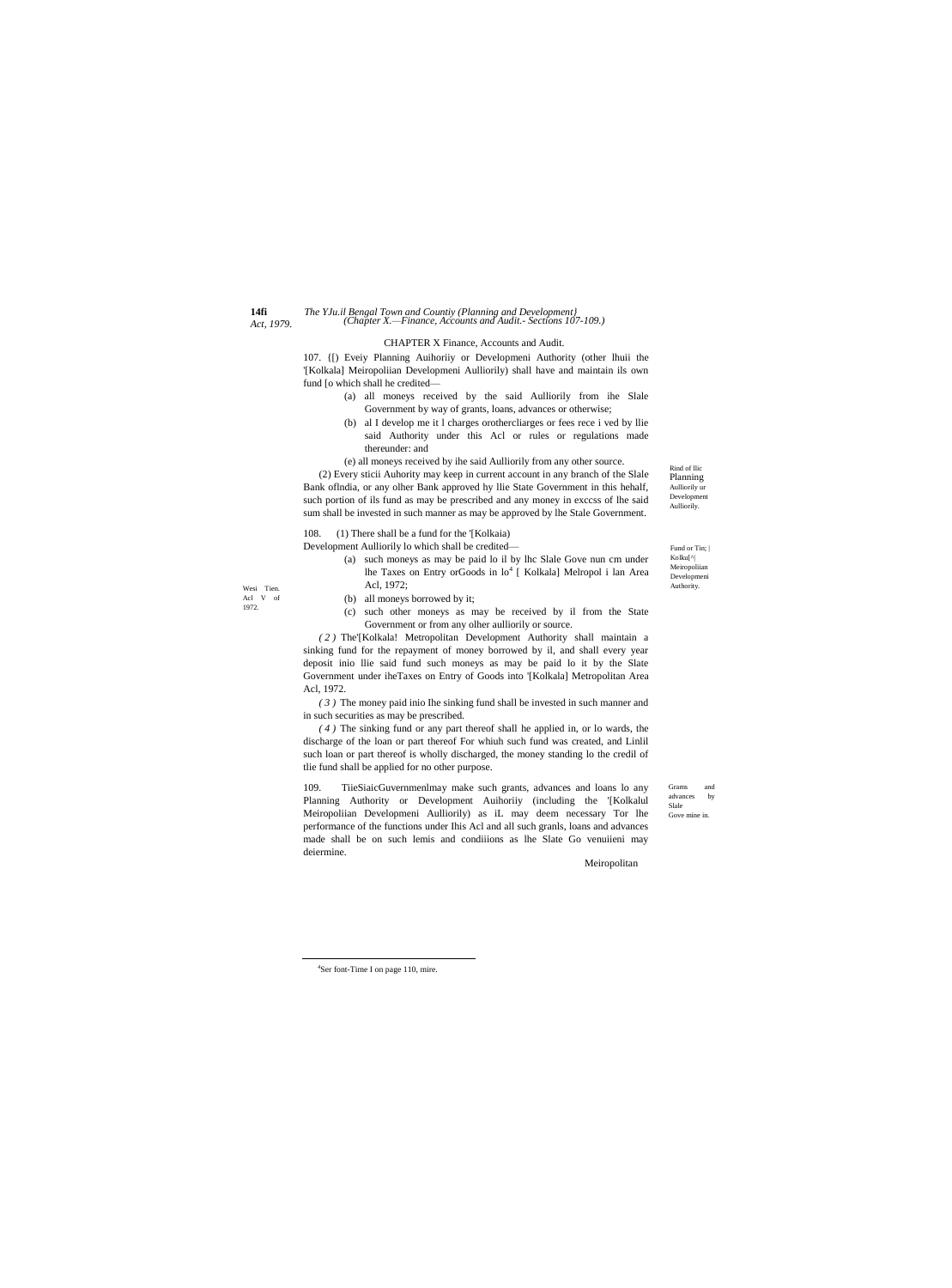$14fi$ Act, 1979.

# The YJu.il Bengal Town and Countiy (Planning and Development)<br>(Chapter X.—Finance, Accounts and Audit.- Sections 107-109.)

### CHAPTER X Finance, Accounts and Audit.

107. (I) Evely Planning Auihoriiy or Developmeni Authority (other lhuii the '[Kolkala] Meiropoliian Developmeni Aulliorily) shall have and maintain ils own fund [o which shall he credited-

- (a) all moneys received by the said Aulliorily from ihe Slale Government by way of grants, loans, advances or otherwise;
- (b) al I develop me it l charges orothercliarges or fees rece i ved by llie said Authority under this Acl or rules or regulations made thereunder: and

(e) all moneys received by ihe said Aulliorily from any other source.

(2) Every sticii Auhority may keep in current account in any branch of the Slale Bank of India, or any olher Bank approved hy Ilie State Government in this hehalf, such portion of ils fund as may be prescribed and any money in excess of lhe said sum shall be invested in such manner as may be approved by lhe Stale Government.

(1) There shall be a fund for the '[Kolkaia] 108. Development Aulliorily lo which shall be credited-

- (a) such moneys as may be paid lo il by lhc Slale Gove nun cm under lhe Taxes on Entry orGoods in lo<sup>4</sup> [ Kolkala] Melropol i lan Area Acl. 1972:
- (b) all moneys borrowed by it;
- (c) such other moneys as may be received by il from the State Government or from any olher aulliorily or source.

(2) The'[Kolkala! Metropolitan Development Authority shall maintain a sinking fund for the repayment of money borrowed by il, and shall every year deposit inio llie said fund such moneys as may be paid lo it by the Slate Government under iheTaxes on Entry of Goods into '[Kolkala] Metropolitan Area Acl, 1972.

(3) The money paid inio Ihe sinking fund shall be invested in such manner and in such securities as may be prescribed.

 $(4)$  The sinking fund or any part thereof shall he applied in, or lo wards, the discharge of the loan or part thereof For whiuh such fund was created, and Linlil such loan or part thereof is wholly discharged, the money standing lo the credil of tlie fund shall be applied for no other purpose.

109. TiieSiaicGuvernmenlmay make such grants, advances and loans lo any Planning Authority or Development Auihoriiy (including the '[Kolkalul Meiropoliian Developmeni Aulliorily) as iL may deem necessary Tor lhe performance of the functions under Ihis Acl and all such granls, loans and advances made shall be on such lemis and conditions as lhe Slate Go venuiteni may deiermine. Meiropolitan

advances by Slale Gove mine in

and

Grams

Rind of Ilic Planning Aulliorily ur Development Aulliorily.

Fund or Tin;  $\vert$ Kolku[^|

Meiropoliian

Developmeni

Authority.

Wesi Tien Acl V of 1972.

<sup>&</sup>lt;sup>4</sup>Ser font-Time I on page 110, mire.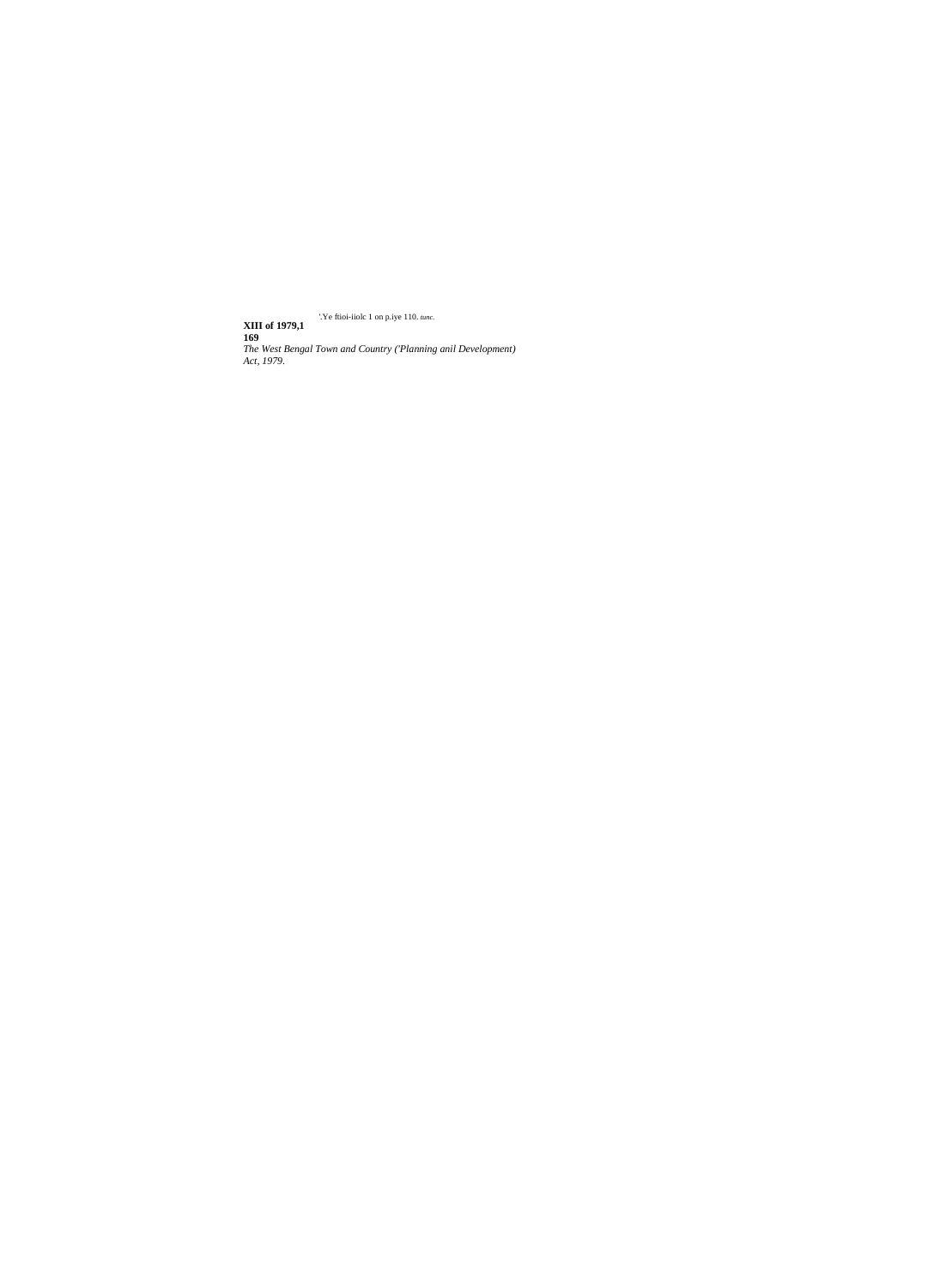'.Ye ftioi-iiolc 1 on p.iye 110. tunc. <sup>7</sup>. Ye ftioi-iiolc 1 on p.iye 110. *tunc.*<br> **169**<br> *The West Bengal Town and Country ('Planning anil Development)*<br> *Act, 1979.*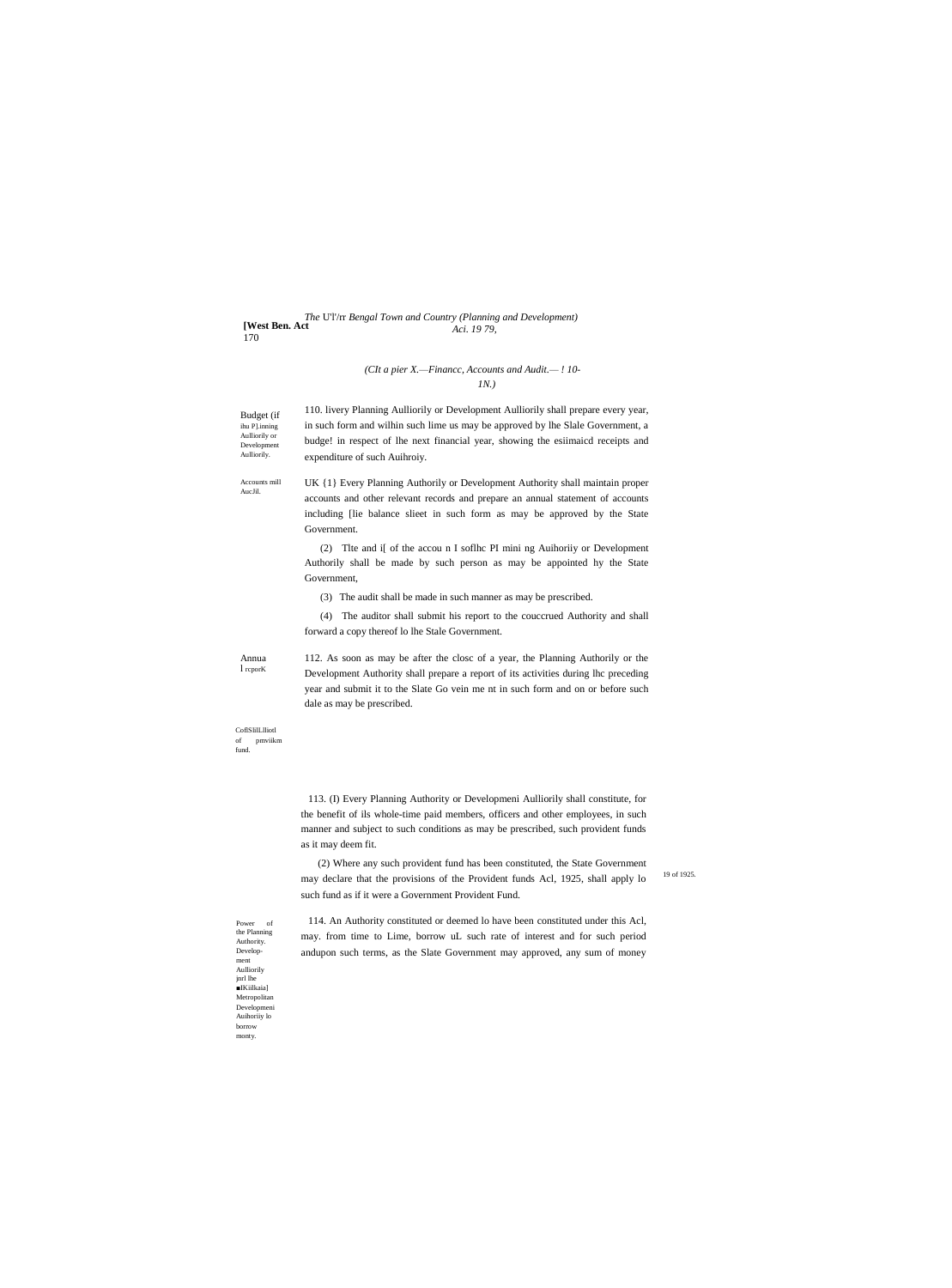The UT/rr Bengal Town and Country (Planning and Development) [West Ben. Act<sup>11</sup> Aci. 1979. 170

# (CIt a pier X.-Financc, Accounts and Audit.-! 10- $IN.$

Budget (if Budget (11<br>ihu P].inning<br>Aulliorily or Development Aulliorily.

110. livery Planning Aulliorily or Development Aulliorily shall prepare every year, in such form and wilhin such lime us may be approved by lhe Slale Government, a budge! in respect of lhe next financial year, showing the esiimaicd receipts and expenditure of such Auihroiy.

Accounts mill<br>AucJil.

UK {1} Every Planning Authorily or Development Authority shall maintain proper accounts and other relevant records and prepare an annual statement of accounts including [lie balance slieet in such form as may be approved by the State Government.

(2) The and if of the account I softhe PI mining Authority or Development Authorily shall be made by such person as may be appointed hy the State Government,

(3) The audit shall be made in such manner as may be prescribed.

(4) The auditor shall submit his report to the couccrued Authority and shall forward a copy thereof lo lhe Stale Government.

Annua  $1$  repor $K$  112. As soon as may be after the closc of a year, the Planning Authorily or the Development Authority shall prepare a report of its activities during lhc preceding year and submit it to the Slate Go vein me nt in such form and on or before such dale as may be prescribed.

 $\operatorname{CoflSlillLlliotl}$ pmviikm of fund.

> 113. (I) Every Planning Authority or Developmeni Aulliorily shall constitute, for the benefit of ils whole-time paid members, officers and other employees, in such manner and subject to such conditions as may be prescribed, such provident funds as it may deem fit.

(2) Where any such provident fund has been constituted, the State Government may declare that the provisions of the Provident funds Acl, 1925, shall apply lo such fund as if it were a Government Provident Fund.

19 of 1925

114. An Authority constituted or deemed lo have been constituted under this Acl, may. from time to Lime, borrow uL such rate of interest and for such period andupon such terms, as the Slate Government may approved, any sum of money

 ${\small \textsc{Power}}$ of the Planning Authority. Development Aulliorily  $\begin{array}{ll} \quad \text{inrl}\ \text{he} \\ \quad \blacksquare \text{IKiikaial} \end{array}$ Metropolitan Development Auihoriiy lo borrow monty.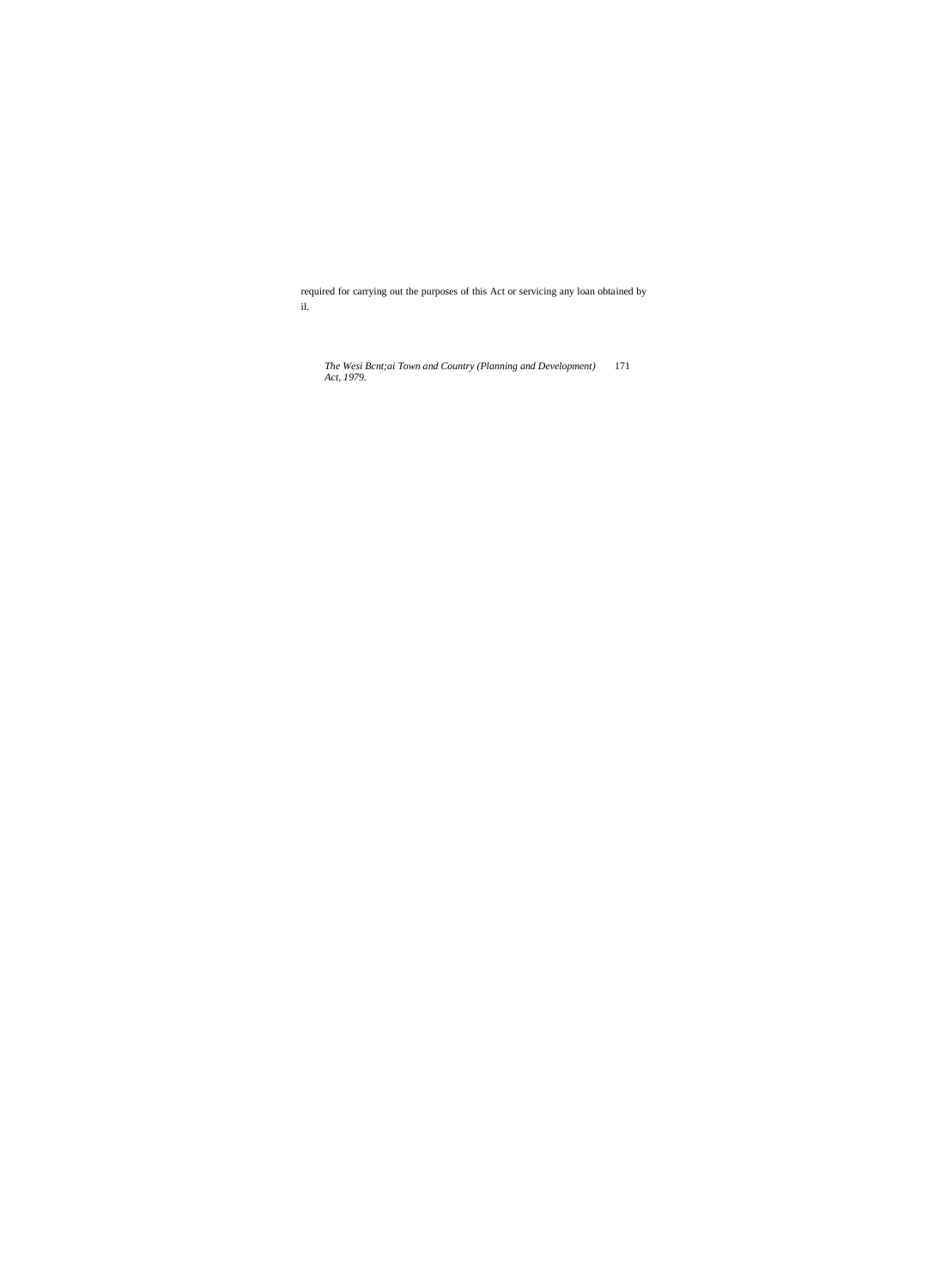required for carrying out the purposes of this Act or servicing any loan obtained by  $\mathrm{il.}$ 

The Wesi Bont; ai Town and Country (Planning and Development)<br>Act, 1979. 171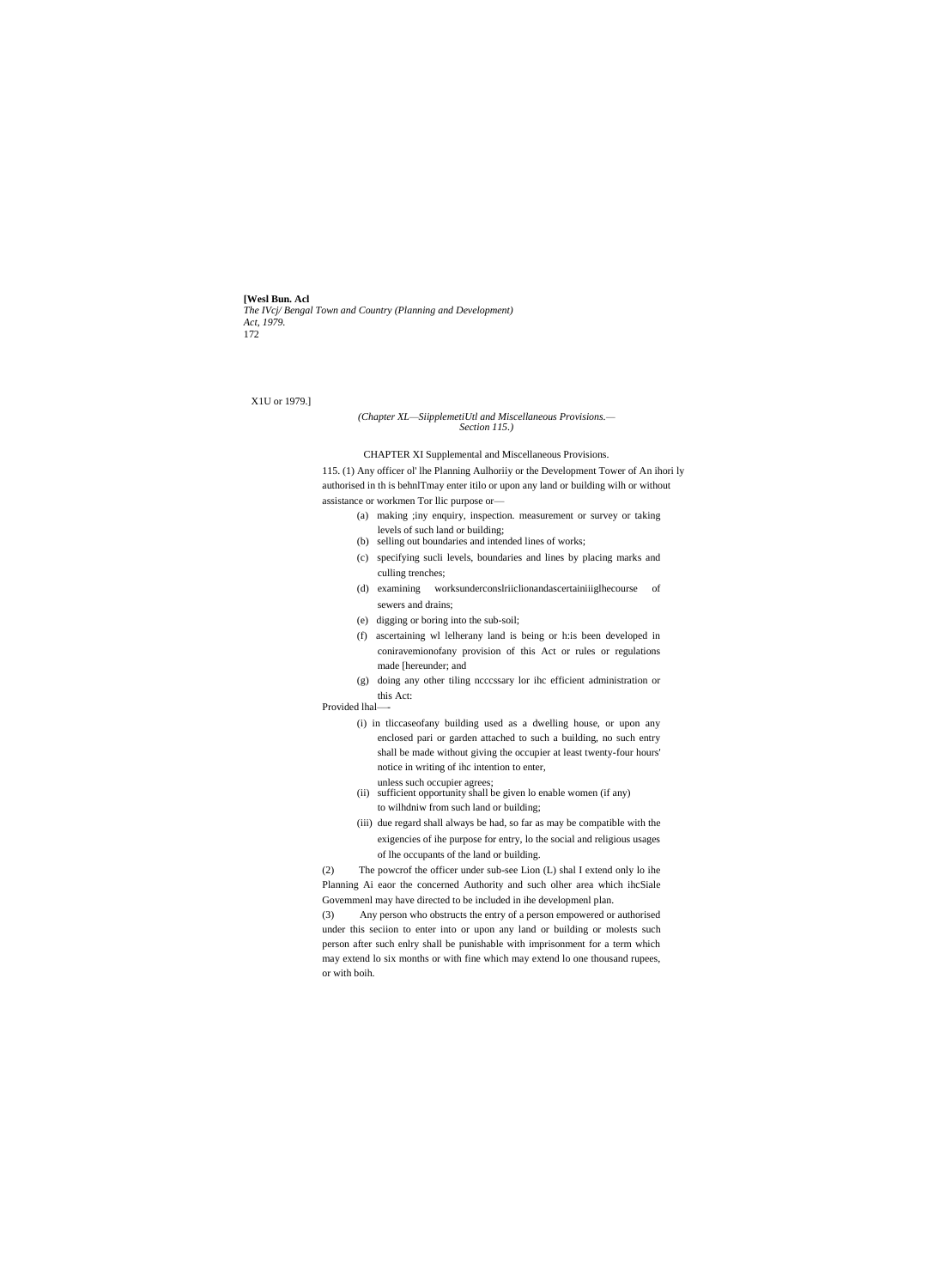**[Wesl Bun. Acl** *The IVcj/ Bengal Town and Country (Planning and Development) Act, 1979.* 172

## X1U or 1979.]

### *(Chapter XL—SiipplemetiUtl and Miscellaneous Provisions.— Section 115.)*

CHAPTER XI Supplemental and Miscellaneous Provisions.

115. (1) Any officer ol' lhe Planning Aulhoriiy or the Development Tower of An ihori ly authorised in th is behnlTmay enter itilo or upon any land or building wilh or without assistance or workmen Tor llic purpose or—

- (a) making ;iny enquiry, inspection. measurement or survey or taking levels of such land or building;
- (b) selling out boundaries and intended lines of works;
- (c) specifying sucli levels, boundaries and lines by placing marks and culling trenches;
- (d) examining worksunderconslriiclionandascertainiiiglhecourse of sewers and drains;
- (e) digging or boring into the sub-soil;
- (f) ascertaining wl lelherany land is being or h:is been developed in coniravemionofany provision of this Act or rules or regulations made [hereunder; and
- (g) doing any other tiling ncccssary lor ihc efficient administration or this Act:

Provided lhal-

- (i) in tliccaseofany building used as a dwelling house, or upon any enclosed pari or garden attached to such a building, no such entry shall be made without giving the occupier at least twenty-four hours' notice in writing of ihc intention to enter,
- unless such occupier agrees; (ii) sufficient opportunity shall be given lo enable women (if any) to wilhdniw from such land or building;
- (iii) due regard shall always be had, so far as may be compatible with the exigencies of ihe purpose for entry, lo the social and religious usages of lhe occupants of the land or building.

(2) The powcrof the officer under sub-see Lion (L) shal I extend only lo ihe Planning Ai eaor the concerned Authority and such olher area which ihcSiale Govemmenl may have directed to be included in ihe developmenl plan.

(3) Any person who obstructs the entry of a person empowered or authorised under this seciion to enter into or upon any land or building or molests such person after such enlry shall be punishable with imprisonment for a term which may extend lo six months or with fine which may extend lo one thousand rupees, or with boih.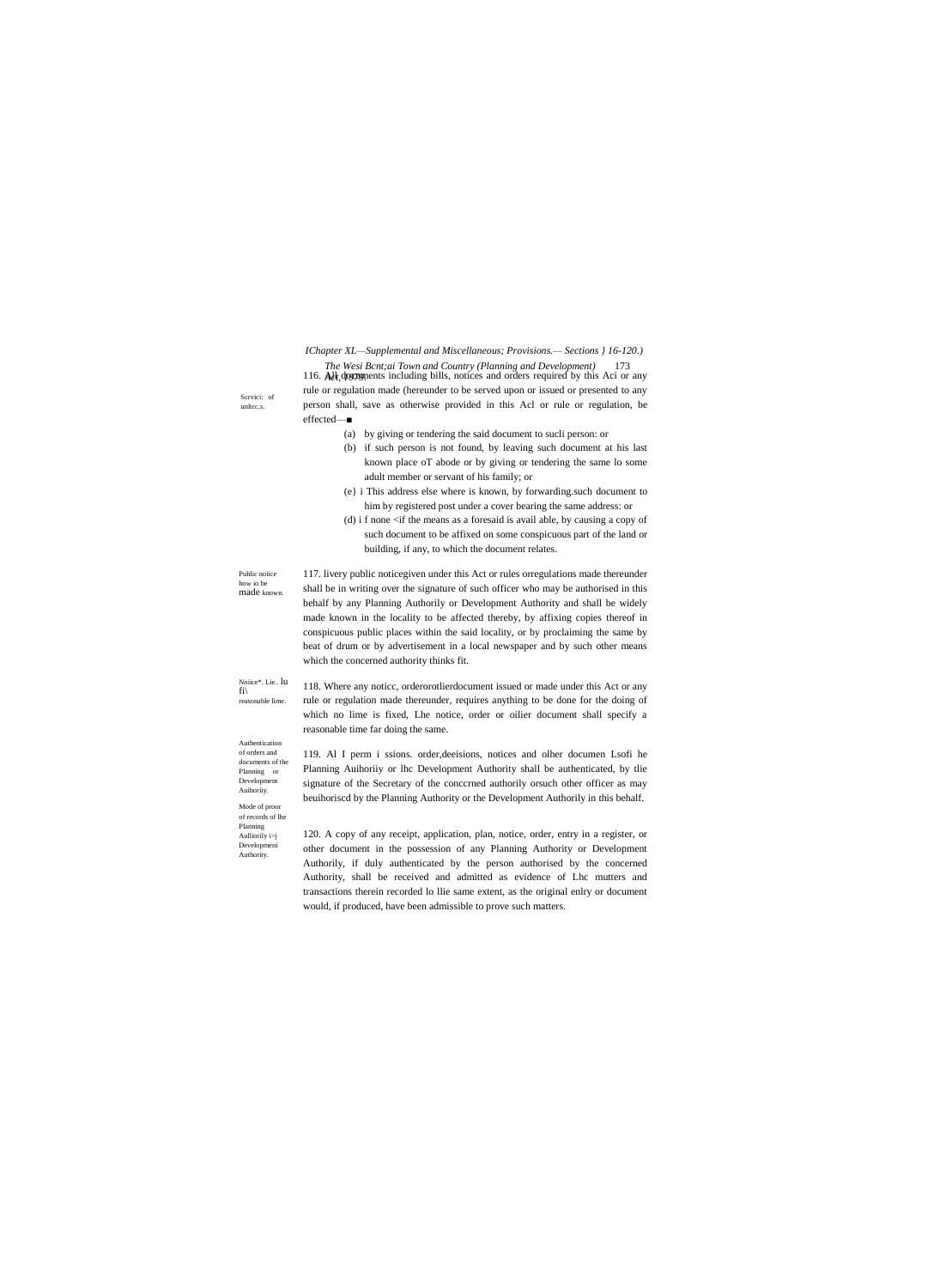IChapter XL-Supplemental and Miscellaneous; Provisions.- Sections } 16-120.) The Wesi Bcnt; ai Town and Country (Planning and Development) 173

116. All, doctoments including bills, notices and orders required by this Aci or any rule or regulation made (hereunder to be served upon or issued or presented to any person shall, save as otherwise provided in this Acl or rule or regulation, be effected-

- (a) by giving or tendering the said document to sucli person: or
- (b) if such person is not found, by leaving such document at his last known place oT abode or by giving or tendering the same lo some adult member or servant of his family; or
- (e) i This address else where is known, by forwarding.such document to him by registered post under a cover bearing the same address: or
- (d) i f none  $\langle$  if the means as a foresaid is avail able, by causing a copy of such document to be affixed on some conspicuous part of the land or building, if any, to which the document relates.

117. livery public noticegiven under this Act or rules orregulations made thereunder shall be in writing over the signature of such officer who may be authorised in this behalf by any Planning Authorily or Development Authority and shall be widely made known in the locality to be affected thereby, by affixing copies thereof in conspicuous public places within the said locality, or by proclaiming the same by beat of drum or by advertisement in a local newspaper and by such other means which the concerned authority thinks fit.

Noi<br/>ice\*. Lie.. $l\!\!u$ 118. Where any notice, orderorothierdocument issued or made under this Act or any rule or regulation made thereunder, requires anything to be done for the doing of reasonable lime which no lime is fixed, Lhe notice, order or oilier document shall specify a reasonable time far doing the same.

> 119. Al I perm i ssions. order, deeisions, notices and olher documen Lsofi he Planning Auihoriiy or lhc Development Authority shall be authenticated, by tlie signature of the Secretary of the concerned authorily or such other officer as may beuihoriscd by the Planning Authority or the Development Authorily in this behalf.

120. A copy of any receipt, application, plan, notice, order, entry in a register, or other document in the possession of any Planning Authority or Development Authorily, if duly authenticated by the person authorised by the concerned Authority, shall be received and admitted as evidence of Lhc mutters and transactions therein recorded lo llie same extent, as the original enlry or document would, if produced, have been admissible to prove such matters.

Scrvici: of unltcc.s.

Puhlic noiice

made known

how io be

 $fi\backslash$ 

Authentication of orders and

documents of the

Planning or  $\label{eq:bevelo} \textbf{Development}$ 

Mode of proor of records of lhe Planning

Aulliorily  $i>j$ Development<br>Authority.

Auihoriiy.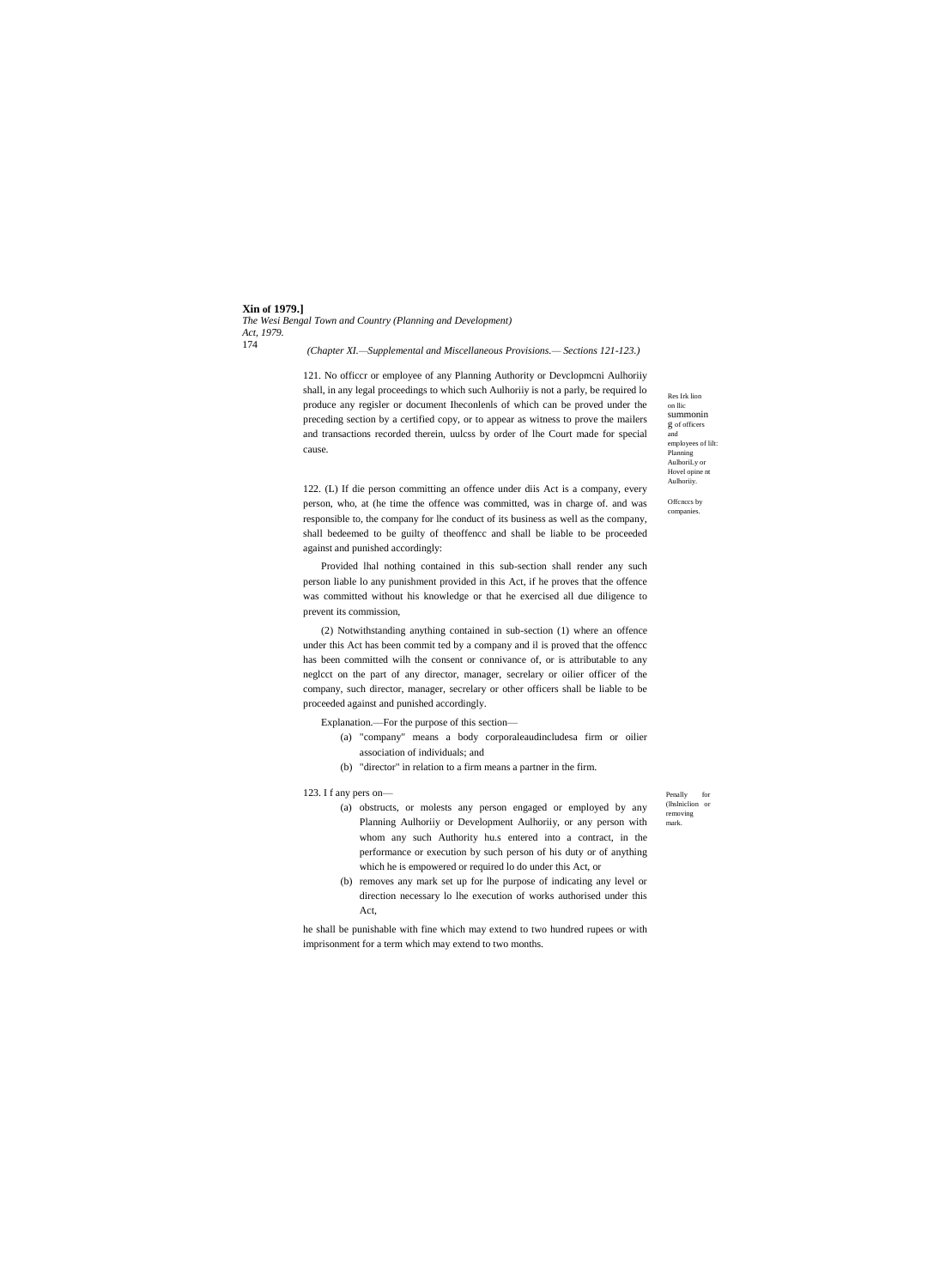**Xin of 1979.]** *The Wesi Bengal Town and Country (Planning and Development) Act, 1979.* 174

*(Chapter XI.—Supplemental and Miscellaneous Provisions.— Sections 121-123.)*

121. No officcr or employee of any Planning Authority or Devclopmcni Aulhoriiy shall, in any legal proceedings to which such Aulhoriiy is not a parly, be required lo produce any regisler or document Iheconlenls of which can be proved under the preceding section by a certified copy, or to appear as witness to prove the mailers and transactions recorded therein, uulcss by order of lhe Court made for special cause.

122. (L) If die person committing an offence under diis Act is a company, every person, who, at (he time the offence was committed, was in charge of. and was responsible to, the company for lhe conduct of its business as well as the company, shall bedeemed to be guilty of theoffencc and shall be liable to be proceeded against and punished accordingly:

Provided lhal nothing contained in this sub-section shall render any such person liable lo any punishment provided in this Act, if he proves that the offence was committed without his knowledge or that he exercised all due diligence to prevent its commission,

(2) Notwithstanding anything contained in sub-section (1) where an offence under this Act has been commit ted by a company and il is proved that the offencc has been committed wilh the consent or connivance of, or is attributable to any neglcct on the part of any director, manager, secrelary or oilier officer of the company, such director, manager, secrelary or other officers shall be liable to be proceeded against and punished accordingly.

Explanation.—For the purpose of this section—

- (a) "company" means a body corporaleaudincludesa firm or oilier association of individuals; and
- (b) "director" in relation to a firm means a partner in the firm.

## 123. I f any pers on—

- (a) obstructs, or molests any person engaged or employed by any Planning Aulhoriiy or Development Aulhoriiy, or any person with whom any such Authority hu.s entered into a contract, in the performance or execution by such person of his duty or of anything which he is empowered or required lo do under this Act, or
- (b) removes any mark set up for lhe purpose of indicating any level or direction necessary lo lhe execution of works authorised under this Act,

he shall be punishable with fine which may extend to two hundred rupees or with imprisonment for a term which may extend to two months.

Penally for (lhslniclion or removing mark.

Res Irk lion on llic summonin g of officers and employees of lilt: Planning AulhoriLy or Hovel opine nt Aulhoriiy.

Offcnccs by companies.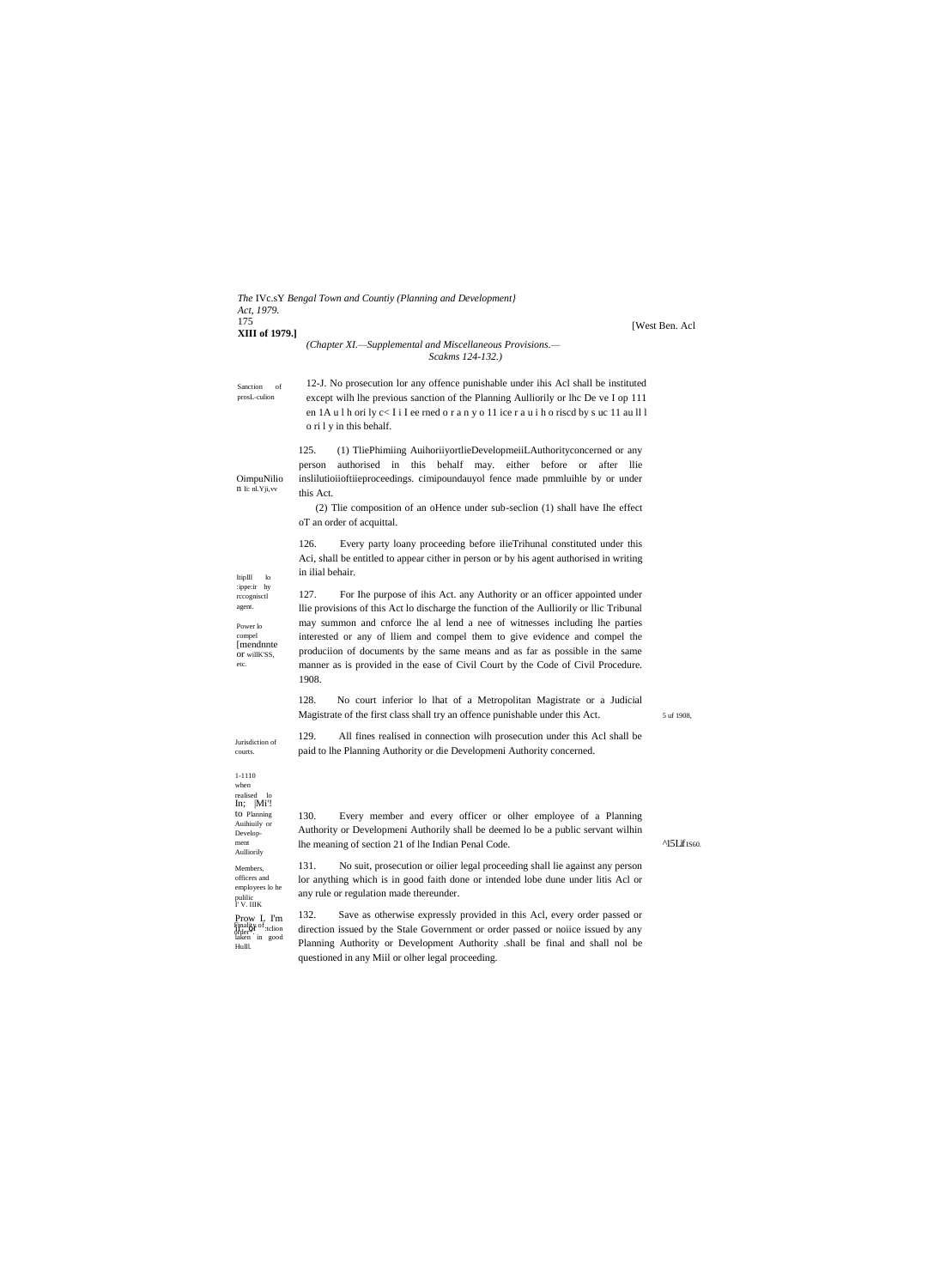| The IVc.sY Bengal Town and Countiy (Planning and Development)<br>Act, 1979.                                                    |                                                                                                                                                                                                                                                                                                                                                                                                                                                                                                                        |                              |
|--------------------------------------------------------------------------------------------------------------------------------|------------------------------------------------------------------------------------------------------------------------------------------------------------------------------------------------------------------------------------------------------------------------------------------------------------------------------------------------------------------------------------------------------------------------------------------------------------------------------------------------------------------------|------------------------------|
| 175<br>XIII of 1979.]                                                                                                          | (Chapter XI.—Supplemental and Miscellaneous Provisions.—<br>Scakms 124-132.)                                                                                                                                                                                                                                                                                                                                                                                                                                           | [West Ben. Acl               |
| Sanction<br>of<br>prosL-culion                                                                                                 | 12-J. No prosecution lor any offence punishable under ihis Acl shall be instituted<br>except wilh lhe previous sanction of the Planning Aulliorily or lhc De ve I op 111<br>en 1A u 1 h ori ly $c < I$ i I ee rned o r a n y o 11 ice r a u i h o riscd by s uc 11 au ll l<br>o ri 1 y in this behalf.                                                                                                                                                                                                                 |                              |
| OimpuNilio<br>n Ii: nl.Yji, vv                                                                                                 | 125.<br>(1) TliePhimiing AuihoriiyortlieDevelopmeiiLAuthorityconcerned or any<br>authorised<br>behalf may.<br>in this<br>either before<br>after<br><b>or</b><br>llie<br>person<br>inslilutioiioftiieproceedings. cimipoundauyol fence made pmmluihle by or under<br>this Act.<br>(2) The composition of an oHence under sub-section (1) shall have the effect<br>oT an order of acquittal.                                                                                                                             |                              |
| Itiplll<br>lo<br>:ippe:ir hy<br>rccognisctl<br>agent.<br>Power lo<br>compel<br>mendante<br>OT willK'SS,<br>etc.                | 126.<br>Every party loany proceeding before ilieTrihunal constituted under this<br>Aci, shall be entitled to appear cither in person or by his agent authorised in writing<br>in ilial behair.                                                                                                                                                                                                                                                                                                                         |                              |
|                                                                                                                                | 127.<br>For Ihe purpose of ihis Act. any Authority or an officer appointed under<br>Ilie provisions of this Act lo discharge the function of the Aulliorily or Ilic Tribunal<br>may summon and cnforce lhe al lend a nee of witnesses including lhe parties<br>interested or any of lliem and compel them to give evidence and compel the<br>produciion of documents by the same means and as far as possible in the same<br>manner as is provided in the ease of Civil Court by the Code of Civil Procedure.<br>1908. |                              |
|                                                                                                                                | 128.<br>No court inferior lo lhat of a Metropolitan Magistrate or a Judicial<br>Magistrate of the first class shall try an offence punishable under this Act.                                                                                                                                                                                                                                                                                                                                                          | 5 uf 1908,                   |
| Jurisdiction of<br>courts.                                                                                                     | 129.<br>All fines realised in connection wilh prosecution under this Acl shall be<br>paid to lhe Planning Authority or die Developmeni Authority concerned.                                                                                                                                                                                                                                                                                                                                                            |                              |
| 1-1110<br>when<br>realised lo<br>$\ln$ ; $\ln$ <sup>'</sup> !<br>to Planning<br>Auihiuily or<br>Develop-<br>ment<br>Aulliorily | 130.<br>Every member and every officer or olher employee of a Planning<br>Authority or Developmeni Authorily shall be deemed lo be a public servant wilhin<br>lhe meaning of section 21 of lhe Indian Penal Code.                                                                                                                                                                                                                                                                                                      | $^{\prime}$ 15 Lif $_{1560}$ |
| Members,<br>officers and<br>employees lo he<br>pulilic<br>I'V. IIIK                                                            | 131.<br>No suit, prosecution or oilier legal proceeding shall lie against any person<br>lor anything which is in good faith done or intended lobe dune under litis Acl or<br>any rule or regulation made thereunder.                                                                                                                                                                                                                                                                                                   |                              |
| Prow L I'm<br>Finality of :tclion<br>order <sup>*</sup><br>laken in good<br>Hulll.                                             | 132.<br>Save as otherwise expressly provided in this Acl, every order passed or<br>direction issued by the Stale Government or order passed or notice issued by any<br>Planning Authority or Development Authority .shall be final and shall nol be<br>questioned in any Miil or olher legal proceeding.                                                                                                                                                                                                               |                              |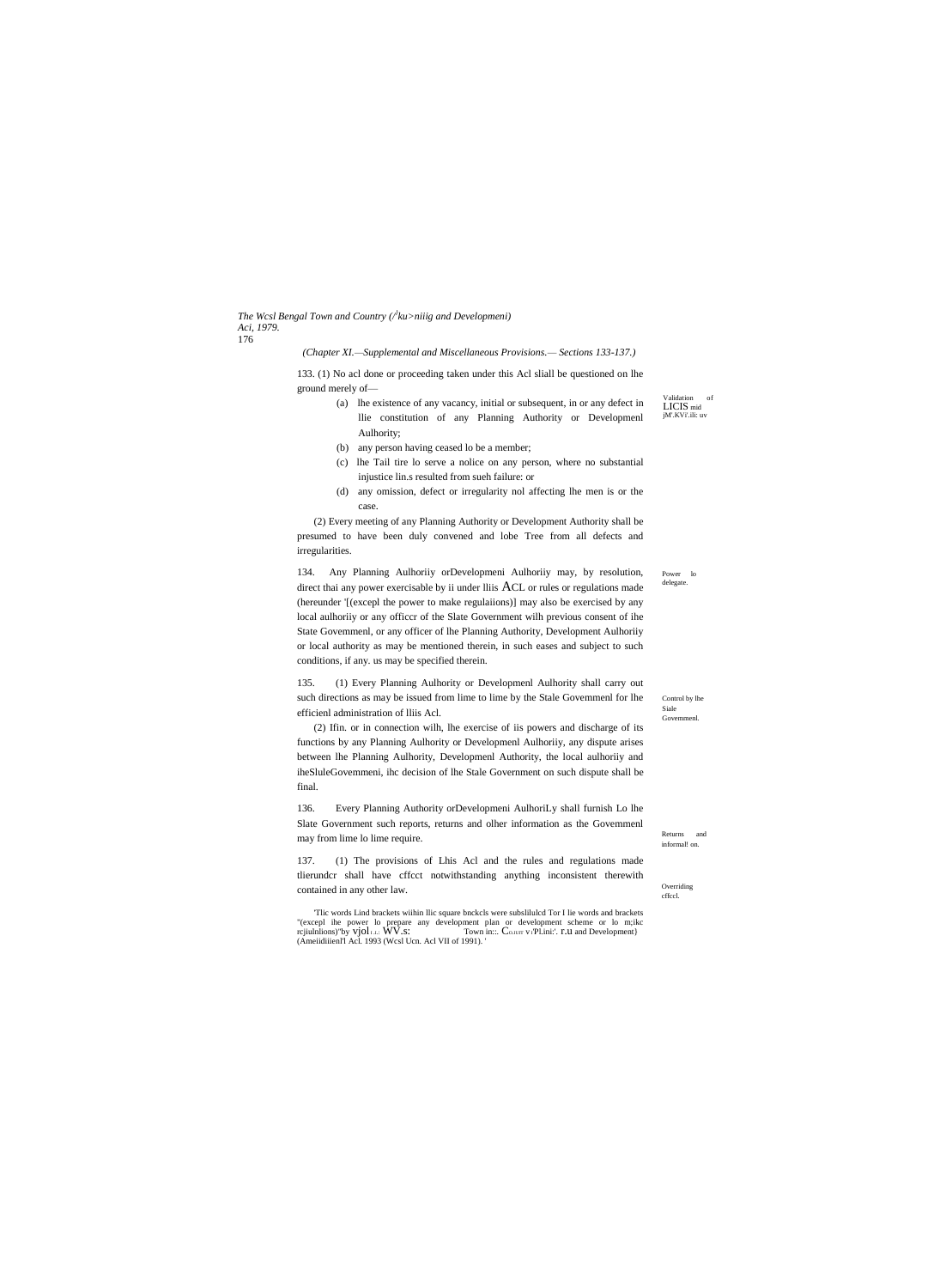*The Wcsl Bengal Town and Country (/} ku>niiig and Developmeni) Aci, 1979.* 176

*(Chapter XI.—Supplemental and Miscellaneous Provisions.— Sections 133-137.)*

133. (1) No acl done or proceeding taken under this Acl sliall be questioned on lhe ground merely of—

- (a) lhe existence of any vacancy, initial or subsequent, in or any defect in llie constitution of any Planning Authority or Developmenl Aulhority;
- (b) any person having ceased lo be a member;
- (c) lhe Tail tire lo serve a nolice on any person, where no substantial injustice lin.s resulted from sueh failure: or
- (d) any omission, defect or irregularity nol affecting lhe men is or the case.

(2) Every meeting of any Planning Authority or Development Authority shall be presumed to have been duly convened and lobe Tree from all defects and irregularities.

134. Any Planning Aulhoriiy orDevelopmeni Aulhoriiy may, by resolution, direct thai any power exercisable by ii under lliis ACL or rules or regulations made (hereunder '[(excepl the power to make regulaiions)] may also be exercised by any local aulhoriiy or any officcr of the Slate Government wilh previous consent of ihe State Govemmenl, or any officer of lhe Planning Authority, Development Aulhoriiy or local authority as may be mentioned therein, in such eases and subject to such conditions, if any. us may be specified therein.

135. (1) Every Planning Aulhority or Developmenl Aulhority shall carry out such directions as may be issued from lime to lime by the Stale Govemmenl for lhe efficienl administration of lliis Acl.

(2) Ifin. or in connection wilh, lhe exercise of iis powers and discharge of its functions by any Planning Aulhority or Developmenl Aulhoriiy, any dispute arises between lhe Planning Aulhority, Developmenl Authority, the local aulhoriiy and iheSluleGovemmeni, ihc decision of lhe Stale Government on such dispute shall be final.

136. Every Planning Authority orDevelopmeni AulhoriLy shall furnish Lo lhe Slate Government such reports, returns and olher information as the Govemmenl may from lime lo lime require.

137. (1) The provisions of Lhis Acl and the rules and regulations made tlierundcr shall have cffcct notwithstanding anything inconsistent therewith contained in any other law.

'Tlic words Lind brackets wiihin llic square bnckcls were subslilulcd Tor I lie words and brackets "(excepl ihe power lo prepare any development plan or development scheme or lo m;ikc rcjiulnlions)"by vjol I.I.: WV.s: Town in::. Co.IUIT v<sub>1</sub>'Pl.ini:'. **r.** U and Development} (Ameiidiiienl'l Acl. 1993 (Wcsl Ucn. Acl VII of 1991). '

Power lo delegate.

Validation of LICIS mid jM'.KVi'.ili: uv

Returns and informal! on.

Control by lhe Siale Goven

Overriding cffccl.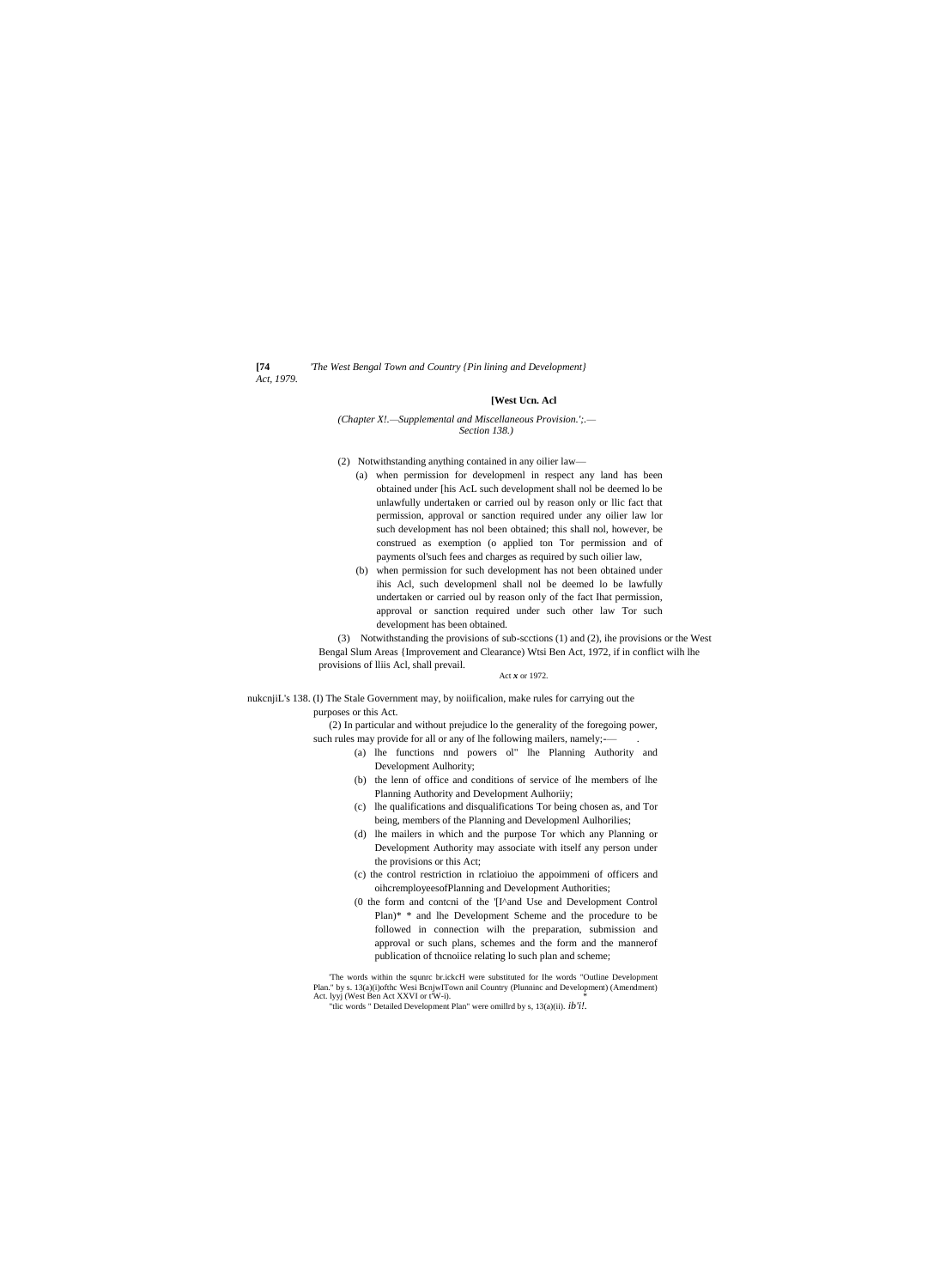*Act, 1979.*

**[74** *'The West Bengal Town and Country {Pin lining and Development}*

## **[West Ucn. Acl**

*(Chapter X!.—Supplemental and Miscellaneous Provision.';.— Section 138.)*

- (2) Notwithstanding anything contained in any oilier law—
	- (a) when permission for developmenl in respect any land has been obtained under [his AcL such development shall nol be deemed lo be unlawfully undertaken or carried oul by reason only or llic fact that permission, approval or sanction required under any oilier law lor such development has nol been obtained; this shall nol, however, be construed as exemption (o applied ton Tor permission and of payments ol'such fees and charges as required by such oilier law,
	- (b) when permission for such development has not been obtained under ihis Acl, such developmenl shall nol be deemed lo be lawfully undertaken or carried oul by reason only of the fact Ihat permission, approval or sanction required under such other law Tor such development has been obtained.

(3) Notwithstanding the provisions of sub-scctions (1) and (2), ihe provisions or the West Bengal Slum Areas {Improvement and Clearance) Wtsi Ben Act, 1972, if in conflict wilh lhe provisions of lliis Acl, shall prevail.

#### Act *x* or 1972.

nukcnjiL's 138. (I) The Stale Government may, by noiificalion, make rules for carrying out the purposes or this Act.

> (2) In particular and without prejudice lo the generality of the foregoing power, such rules may provide for all or any of lhe following mailers, namely;-

- (a) lhe functions nnd powers ol" lhe Planning Authority and Development Aulhority;
- (b) the lenn of office and conditions of service of lhe members of lhe Planning Authority and Development Aulhoriiy;
- (c) lhe qualifications and disqualifications Tor being chosen as, and Tor being, members of the Planning and Developmenl Aulhorilies;
- (d) lhe mailers in which and the purpose Tor which any Planning or Development Authority may associate with itself any person under the provisions or this Act;
- (c) the control restriction in rclatioiuo the appoimmeni of officers and oihcremployeesofPlanning and Development Authorities;
- (0 the form and contcni of the '[I^and Use and Development Control Plan)\* \* and lhe Development Scheme and the procedure to be followed in connection wilh the preparation, submission and approval or such plans, schemes and the form and the mannerof publication of thcnoiice relating lo such plan and scheme;

'The words within the squnrc br.ickcH were substituted for Ihe words "Outline Development Plan." by s. 13(a)(i)ofthc Wesi BcnjwITown anil Country (Plunninc and Development) (Amendment) Act. lyyj (West Ben Act XXVI or t'W-i). \* "tlic words " Detailed Development Plan" were omillrd by s, 13(a)(ii). *ib'i!.*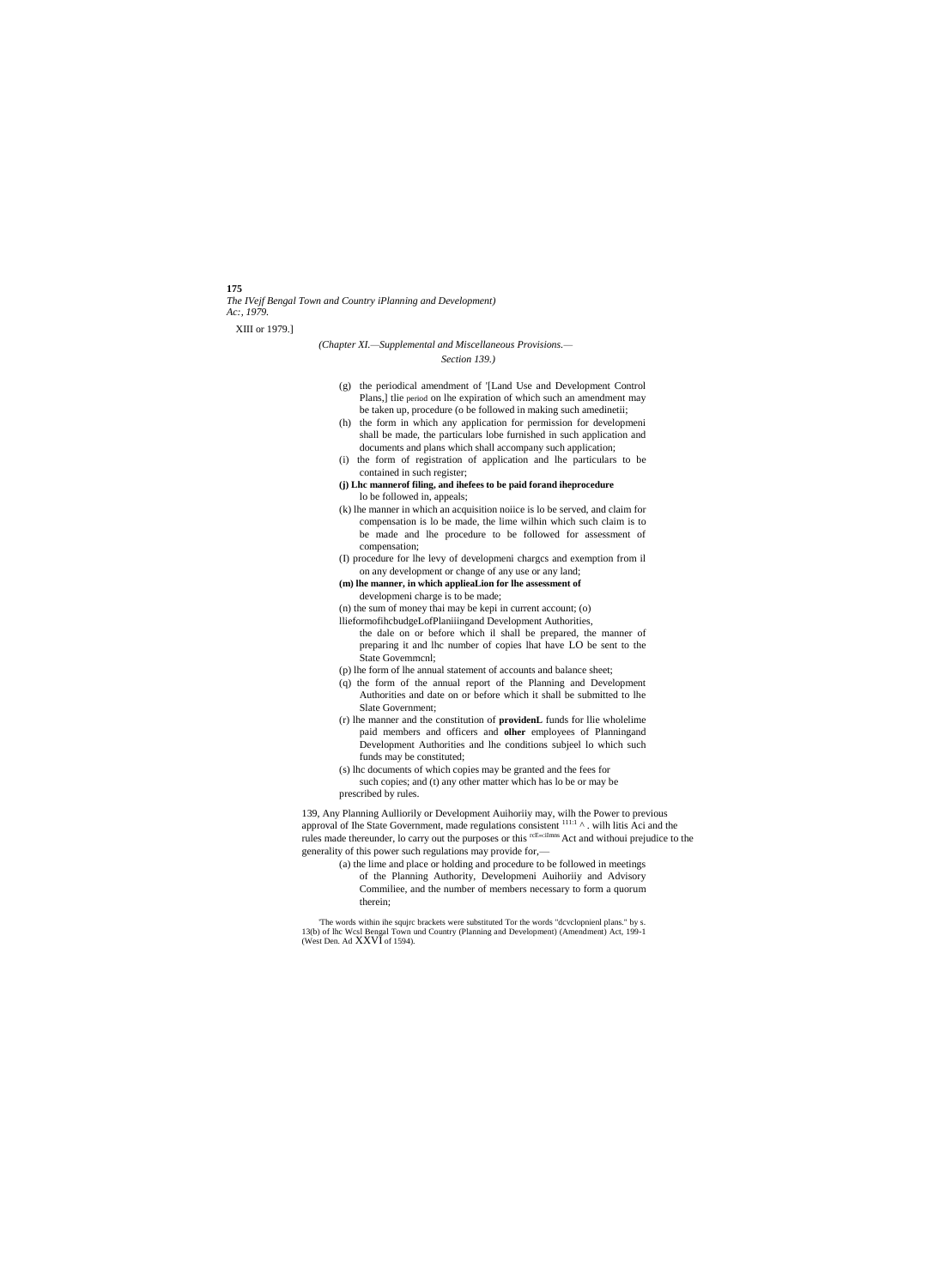# **175**

*The IVejf Bengal Town and Country iPlanning and Development) Ac:, 1979.*

XIII or 1979.]

## *(Chapter XI.—Supplemental and Miscellaneous Provisions.— Section 139.)*

- (g) the periodical amendment of '[Land Use and Development Control Plans,] tlie period on lhe expiration of which such an amendment may be taken up, procedure (o be followed in making such amedinetii;
- (h) the form in which any application for permission for developmeni shall be made, the particulars lobe furnished in such application and documents and plans which shall accompany such application;
- (i) the form of registration of application and lhe particulars to be contained in such register;
- **(j) Lhc mannerof filing, and ihefees to be paid forand iheprocedure** lo be followed in, appeals;
- (k) lhe manner in which an acquisition noiice is lo be served, and claim for compensation is lo be made, the lime wilhin which such claim is to be made and lhe procedure to be followed for assessment of compensation;
- (I) procedure for lhe levy of developmeni chargcs and exemption from il on any development or change of any use or any land;
- **(m) lhe manner, in which applieaLion for lhe assessment of**
- developmeni charge is to be made;
- (n) the sum of money thai may be kepi in current account; (o)
- llieformofihcbudgeLofPlaniiingand Development Authorities,
	- the dale on or before which il shall be prepared, the manner of preparing it and lhc number of copies lhat have LO be sent to the State Govemmcnl;
- (p) lhe form of lhe annual statement of accounts and balance sheet;
- (q) the form of the annual report of the Planning and Development Authorities and date on or before which it shall be submitted to lhe Slate Government;
- (r) lhe manner and the constitution of **providenL** funds for llie wholelime paid members and officers and **olher** employees of Planningand Development Authorities and lhe conditions subjeel lo which such funds may be constituted;
- (s) lhc documents of which copies may be granted and the fees for such copies; and (t) any other matter which has lo be or may be prescribed by rules.

139, Any Planning Aulliorily or Development Auihoriiy may, wilh the Power to previous approval of Ihe State Government, made regulations consistent  $111:1 \text{ A}$ . wilh litis Aci and the rules made thereunder, lo carry out the purposes or this <sup>rcEntilmins</sup> Act and withoui prejudice to the generality of this power such regulations may provide for,—

(a) the lime and place or holding and procedure to be followed in meetings of the Planning Authority, Developmeni Auihoriiy and Advisory Commiliee, and the number of members necessary to form a quorum therein;

'The words within ihe squjrc brackets were substituted Tor the words "dcvclopnienl plans." by s. 13(b) of lhc Wcsl Bengal Town und Country (Planning and Development) (Amendment) Act, 199-1 (West Den. Ad XXVI of 1594).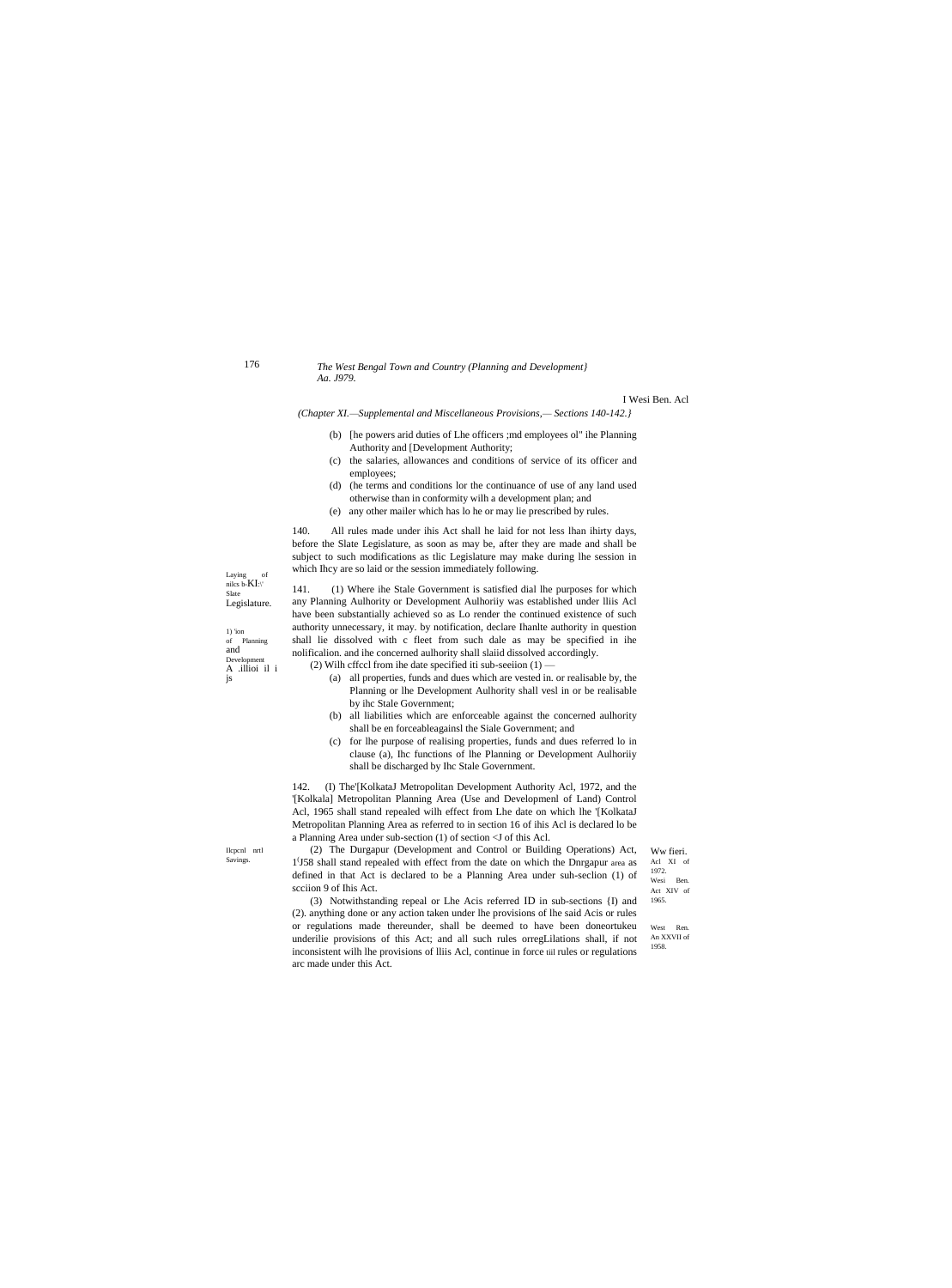176

### The West Bengal Town and Country (Planning and Development) Aa. J979.

I Wesi Ben. Acl

(Chapter XI.-Supplemental and Miscellaneous Provisions,-Sections 140-142.)

- (b) [he powers arid duties of Lhe officers ; md employees ol" ihe Planning Authority and [Development Authority;
- (c) the salaries, allowances and conditions of service of its officer and employees;
- (d) (he terms and conditions lor the continuance of use of any land used otherwise than in conformity wilh a development plan; and
- (e) any other mailer which has lo he or may lie prescribed by rules.

140. All rules made under ihis Act shall he laid for not less lhan ihirty days, before the Slate Legislature, as soon as may be, after they are made and shall be subject to such modifications as tlic Legislature may make during lhe session in which Ihcy are so laid or the session immediately following.

Laying of nilcs b- $KI$ :\' Slate Legislature.

 $1)$  'ion of Planni  $\frac{d}{dx}$ Develo A .illioi il i is

(1) Where ihe Stale Government is satisfied dial lhe purposes for which  $141.$ any Planning Aulhority or Development Aulhority was established under Iliis Acl have been substantially achieved so as Lo render the continued existence of such authority unnecessary, it may. by notification, declare Ihanlte authority in question shall lie dissolved with c fleet from such dale as may be specified in ihe nolificalion. and ihe concerned aulhority shall slaiid dissolved accordingly. (2) Wilh cffccl from ihe date specified iti sub-seeiion  $(1)$  –

- (a) all properties, funds and dues which are vested in. or realisable by, the Planning or lhe Development Aulhority shall vesl in or be realisable by ihc Stale Government;
- (b) all liabilities which are enforceable against the concerned aulhority shall be en forceableagainsl the Siale Government; and
- (c) for lhe purpose of realising properties, funds and dues referred lo in clause (a), Ihc functions of lhe Planning or Development Aulhority shall be discharged by Ihc Stale Government.

142. (I) The'[KolkataJ Metropolitan Development Authority Acl, 1972, and the '[Kolkala] Metropolitan Planning Area (Use and Developmenl of Land) Control Acl, 1965 shall stand repealed wilh effect from Lhe date on which lhe '[KolkataJ Metropolitan Planning Area as referred to in section 16 of ihis Acl is declared lo be a Planning Area under sub-section  $(1)$  of section  $\leq J$  of this Acl.

Ilcpcnl nrtl Savings.

(2) The Durgapur (Development and Control or Building Operations) Act, 1<sup>'</sup>J58 shall stand repealed with effect from the date on which the Dnrgapur area as defined in that Act is declared to be a Planning Area under suh-seclion (1) of scciion 9 of Ihis Act.

Ww fieri. Acl XI of 1972. Wesi Ben. Act XIV of 1965.

(3) Notwithstanding repeal or Lhe Acis referred ID in sub-sections {I) and (2). anything done or any action taken under lhe provisions of lhe said Acis or rules or regulations made thereunder, shall be deemed to have been doneortukeu underilie provisions of this Act; and all such rules orregLilations shall, if not inconsistent wilh lhe provisions of Iliis Acl, continue in force till rules or regulations arc made under this Act.

West Ren. An XXVII of 1958.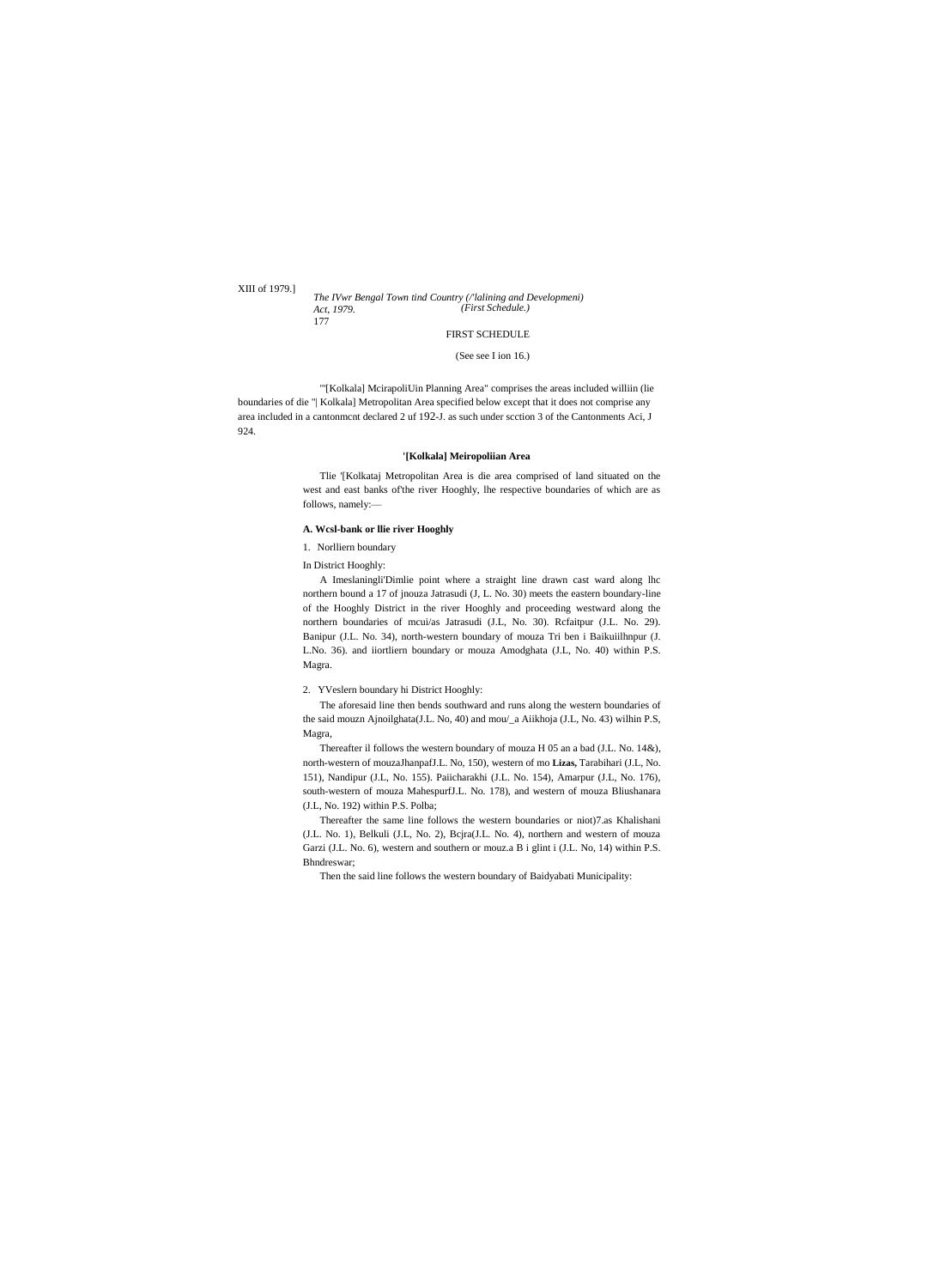XIII of 1979.]

#### *The IVwr Bengal Town tind Country (/'lalining and Developmeni) Act, 1979.* 177 *(First Schedule.)*

# FIRST SCHEDULE

### (See see I ion 16.)

"'[Kolkala] McirapoliUin Planning Area" comprises the areas included williin (lie boundaries of die "| Kolkala] Metropolitan Area specified below except that it does not comprise any area included in a cantonmcnt declared 2 uf 192-J. as such under scction 3 of the Cantonments Aci, J 924.

# **'[Kolkala] Meiropoliian Area**

Tlie '[Kolkataj Metropolitan Area is die area comprised of land situated on the west and east banks of'the river Hooghly, lhe respective boundaries of which are as follows, namely:—

# **A. Wcsl-bank or llie river Hooghly**

1. Norlliern boundary

In District Hooghly:

A Imeslaningli'Dimlie point where a straight line drawn cast ward along lhc northern bound a 17 of jnouza Jatrasudi (J, L. No. 30) meets the eastern boundary-line of the Hooghly District in the river Hooghly and proceeding westward along the northern boundaries of mcui/as Jatrasudi (J.L, No. 30). Rcfaitpur (J.L. No. 29). Banipur (J.L. No. 34), north-western boundary of mouza Tri ben i Baikuiilhnpur (J. L.No. 36). and iiortliern boundary or mouza Amodghata (J.L, No. 40) within P.S. Magra.

2. YVeslern boundary hi District Hooghly:

The aforesaid line then bends southward and runs along the western boundaries of the said mouzn Ajnoilghata(J.L. No, 40) and mou/\_a Aiikhoja (J.L, No. 43) wilhin P.S, Magra,

Thereafter il follows the western boundary of mouza H 05 an a bad (J.L. No. 14&), north-western of mouzaJhanpafJ.L. No, 150), western of mo **Lizas,** Tarabihari (J.L, No. 151), Nandipur (J.L, No. 155). Paiicharakhi (J.L. No. 154), Amarpur (J.L, No. 176), south-western of mouza MahespurfJ.L. No. 178), and western of mouza Bliushanara (J.L, No. 192) within P.S. Polba;

Thereafter the same line follows the western boundaries or niot)7.as Khalishani (J.L. No. 1), Belkuli (J.L, No. 2), Bcjra(J.L. No. 4), northern and western of mouza Garzi (J.L. No. 6), western and southern or mouz.a B i glint i (J.L. No, 14) within P.S. Bhndreswar;

Then the said line follows the western boundary of Baidyabati Municipality: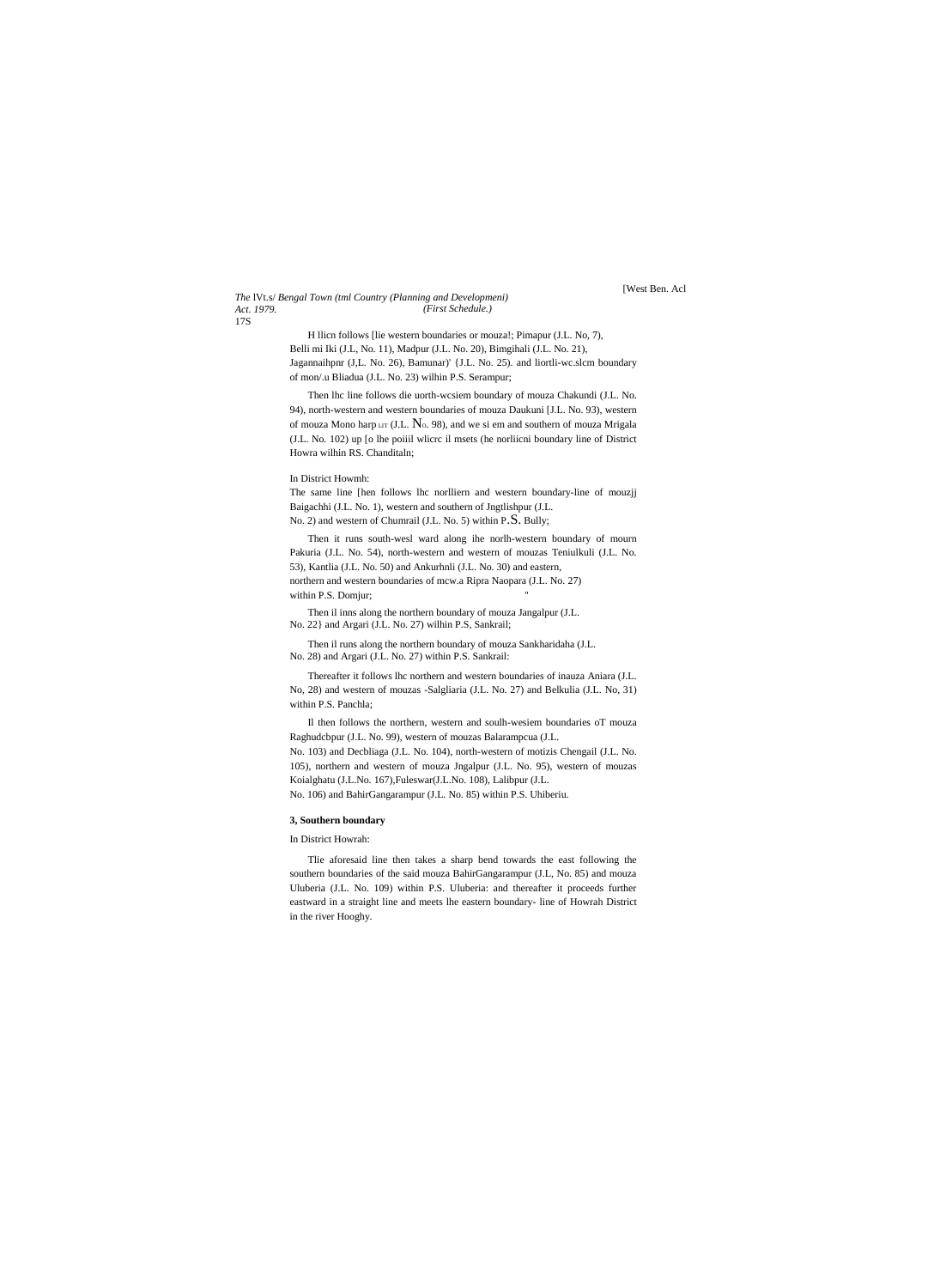#### *The* lVt.s/ *Bengal Town (tml Country (Planning and Developmeni) Act. 1979.* 17S *(First Schedule.)*

[West Ben. Acl

H llicn follows [lie western boundaries or mouza!; Pimapur (J.L. No, 7), Belli mi Iki (J.L, No. 11), Madpur (J.L. No. 20), Bimgihali (J.L. No. 21), Jagannaihpnr (J,L. No. 26), Bamunar)' {J.L. No. 25). and liortli-wc.slcm boundary of mon/.u Bliadua (J.L. No. 23) wilhin P.S. Serampur;

Then lhc line follows die uorth-wcsiem boundary of mouza Chakundi (J.L. No. 94), north-western and western boundaries of mouza Daukuni [J.L. No. 93), western of mouza Mono harp  $LT$  (J.L.  $N_0$ . 98), and we si em and southern of mouza Mrigala (J.L. No. 102) up [o lhe poiiil wlicrc il msets (he norliicni boundary line of District Howra wilhin RS. Chanditaln;

## In District Howmh:

The same line [hen follows lhc norlliern and western boundary-line of mouzjj Baigachhi (J.L. No. 1), western and southern of Jngtlishpur (J.L. No. 2) and western of Chumrail (J.L. No. 5) within P.S. Bully;

Then it runs south-wesl ward along ihe norlh-western boundary of mourn Pakuria (J.L. No. 54), north-western and western of mouzas Teniulkuli (J.L. No. 53), Kantlia (J.L. No. 50) and Ankurhnli (J.L. No. 30) and eastern, northern and western boundaries of mcw.a Ripra Naopara (J.L. No. 27) within P.S. Domjur;

Then il inns along the northern boundary of mouza Jangalpur (J.L. No. 22} and Argari (J.L. No. 27) wilhin P.S, Sankrail;

Then il runs along the northern boundary of mouza Sankharidaha (J.L.

No. 28) and Argari (J.L. No. 27) within P.S. Sankrail:

Thereafter it follows lhc northern and western boundaries of inauza Aniara (J.L. No, 28) and western of mouzas -Salgliaria (J.L. No. 27) and Belkulia (J.L. No, 31) within P.S. Panchla;

Il then follows the northern, western and soulh-wesiem boundaries oT mouza Raghudcbpur (J.L. No. 99), western of mouzas Balarampcua (J.L.

No. 103) and Decbliaga (J.L. No. 104), north-western of motizis Chengail (J.L. No. 105), northern and western of mouza Jngalpur (J.L. No. 95), western of mouzas Koialghatu (J.L.No. 167),Fuleswar(J.L.No. 108), Lalibpur (J.L. No. 106) and BahirGangarampur (J.L. No. 85) within P.S. Uhiberiu.

## **3, Southern boundary**

In District Howrah:

Tlie aforesaid line then takes a sharp bend towards the east following the southern boundaries of the said mouza BahirGangarampur (J.L, No. 85) and mouza Uluberia (J.L. No. 109) within P.S. Uluberia: and thereafter it proceeds further eastward in a straight line and meets lhe eastern boundary- line of Howrah District in the river Hooghy.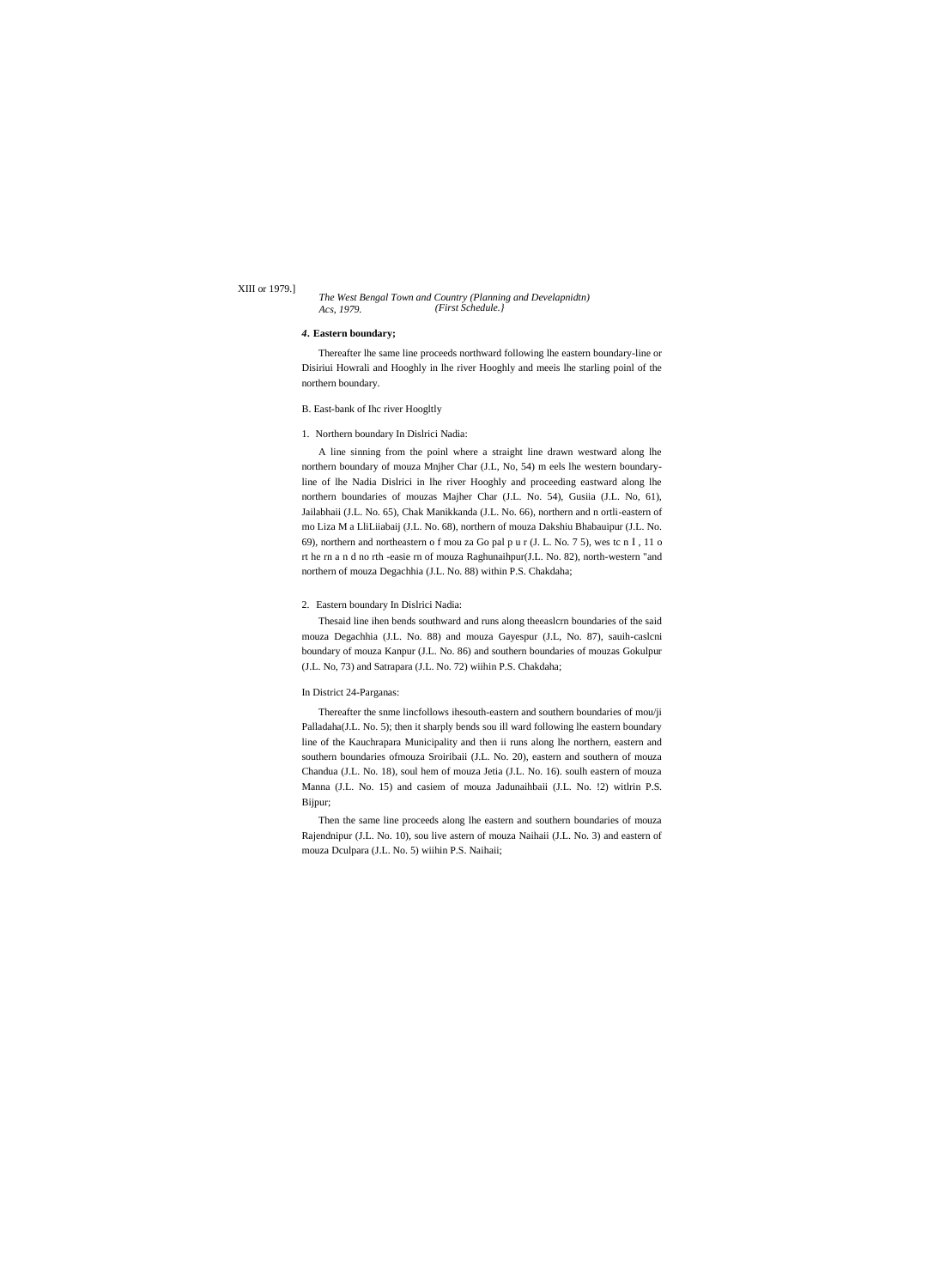## XIII or 1979.]

#### *The West Bengal Town and Country (Planning and Develapnidtn) Acs, 1979. (First Schedule.}*

# *4.* **Eastern boundary;**

Thereafter lhe same line proceeds northward following lhe eastern boundary-line or Disiriui Howrali and Hooghly in lhe river Hooghly and meeis lhe starling poinl of the northern boundary.

# B. East-bank of Ihc river Hoogltly

## 1. Northern boundary In Dislrici Nadia:

A line sinning from the poinl where a straight line drawn westward along lhe northern boundary of mouza Mnjher Char (J.L, No, 54) m eels lhe western boundaryline of lhe Nadia Dislrici in lhe river Hooghly and proceeding eastward along lhe northern boundaries of mouzas Majher Char (J.L. No. 54), Gusiia (J.L. No, 61), Jailabhaii (J.L. No. 65), Chak Manikkanda (J.L. No. 66), northern and n ortli-eastern of mo Liza M a LliLiiabaij (J.L. No. 68), northern of mouza Dakshiu Bhabauipur (J.L. No. 69), northern and northeastern o f mou za Go pal p u r (J. L. No. 7 5), wes tc n I , 11 o rt he rn a n d no rth -easie rn of mouza Raghunaihpur(J.L. No. 82), north-western "and northern of mouza Degachhia (J.L. No. 88) within P.S. Chakdaha;

## 2. Eastern boundary In Dislrici Nadia:

Thesaid line ihen bends southward and runs along theeaslcrn boundaries of the said mouza Degachhia (J.L. No. 88) and mouza Gayespur (J.L, No. 87), sauih-caslcni boundary of mouza Kanpur (J.L. No. 86) and southern boundaries of mouzas Gokulpur (J.L. No, 73) and Satrapara (J.L. No. 72) wiihin P.S. Chakdaha;

# In District 24-Parganas:

Thereafter the snme lincfollows ihesouth-eastern and southern boundaries of mou/ji Palladaha(J.L. No. 5); then it sharply bends sou ill ward following lhe eastern boundary line of the Kauchrapara Municipality and then ii runs along lhe northern, eastern and southern boundaries ofmouza Sroiribaii (J.L. No. 20), eastern and southern of mouza Chandua (J.L. No. 18), soul hem of mouza Jetia (J.L. No. 16). soulh eastern of mouza Manna (J.L. No. 15) and casiem of mouza Jadunaihbaii (J.L. No. !2) witlrin P.S. Bijpur;

Then the same line proceeds along lhe eastern and southern boundaries of mouza Rajendnipur (J.L. No. 10), sou live astern of mouza Naihaii (J.L. No. 3) and eastern of mouza Dculpara (J.L. No. 5) wiihin P.S. Naihaii;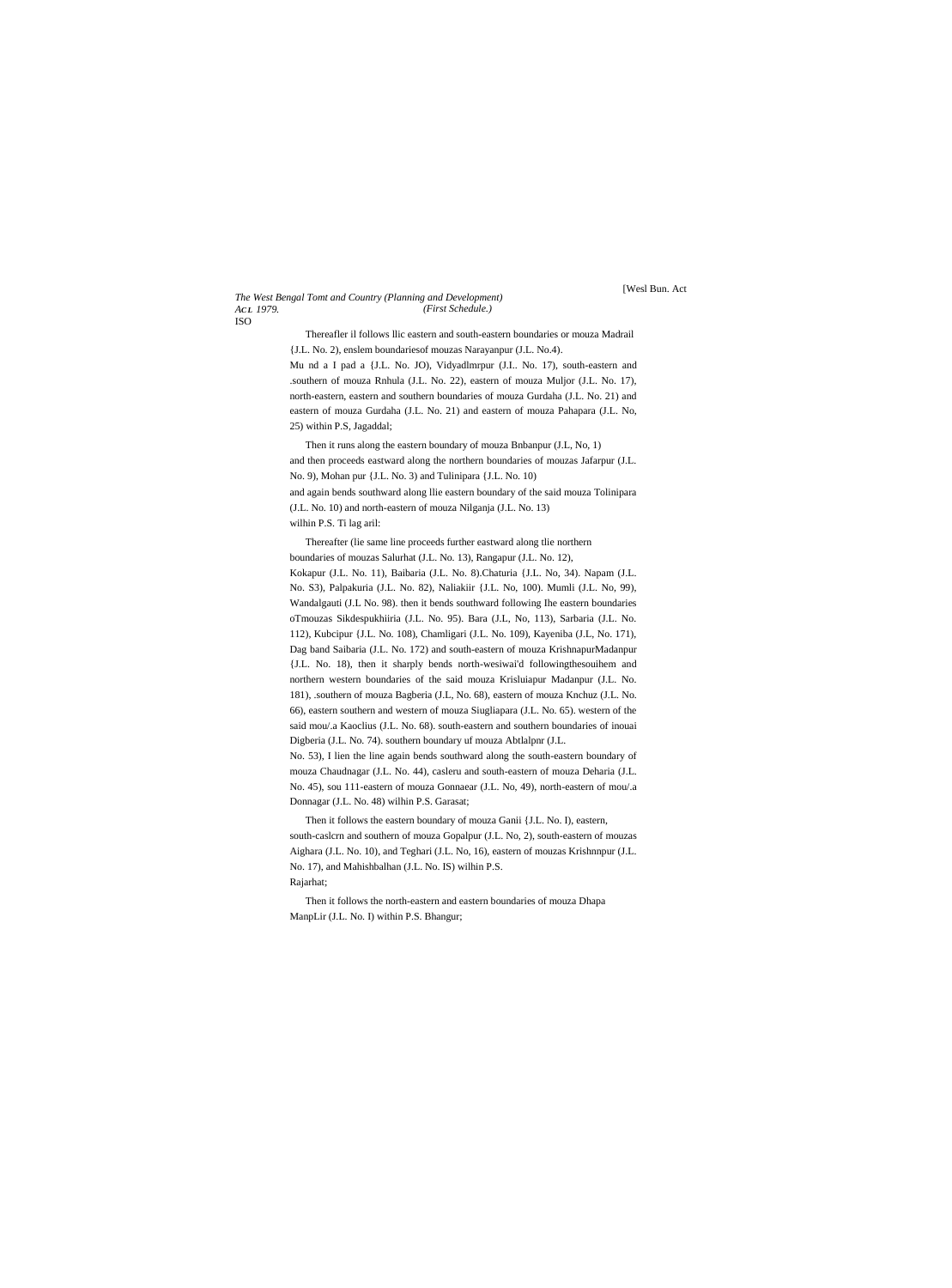#### *The West Bengal Tomt and Country (Planning and Development) AC L 1979.* ISO *(First Schedule.)*

Thereafler il follows llic eastern and south-eastern boundaries or mouza Madrail {J.L. No. 2), enslem boundariesof mouzas Narayanpur (J.L. No.4). Mu nd a I pad a {J.L. No. JO), Vidyadlmrpur (J.I.. No. 17), south-eastern and

.southern of mouza Rnhula (J.L. No. 22), eastern of mouza Muljor (J.L. No. 17), north-eastern, eastern and southern boundaries of mouza Gurdaha (J.L. No. 21) and eastern of mouza Gurdaha (J.L. No. 21) and eastern of mouza Pahapara (J.L. No, 25) within P.S, Jagaddal;

Then it runs along the eastern boundary of mouza Bnbanpur (J.L, No, 1) and then proceeds eastward along the northern boundaries of mouzas Jafarpur (J.L. No. 9), Mohan pur {J.L. No. 3) and Tulinipara {J.L. No. 10)

and again bends southward along llie eastern boundary of the said mouza Tolinipara (J.L. No. 10) and north-eastern of mouza Nilganja (J.L. No. 13)

wilhin P.S. Ti lag aril:

Thereafter (lie same line proceeds further eastward along tlie northern boundaries of mouzas Salurhat (J.L. No. 13), Rangapur (J.L. No. 12), Kokapur (J.L. No. 11), Baibaria (J.L. No. 8).Chaturia {J.L. No, 34). Napam (J.L. No. S3), Palpakuria (J.L. No. 82), Naliakiir {J.L. No, 100). Mumli (J.L. No, 99), Wandalgauti (J.L No. 98). then it bends southward following Ihe eastern boundaries oTmouzas Sikdespukhiiria (J.L. No. 95). Bara (J.L, No, 113), Sarbaria (J.L. No. 112), Kubcipur {J.L. No. 108), Chamligari (J.L. No. 109), Kayeniba (J.L, No. 171), Dag band Saibaria (J.L. No. 172) and south-eastern of mouza KrishnapurMadanpur {J.L. No. 18), then it sharply bends north-wesiwai'd followingthesouihem and northern western boundaries of the said mouza Krisluiapur Madanpur (J.L. No. 181), .southern of mouza Bagberia (J.L, No. 68), eastern of mouza Knchuz (J.L. No. 66), eastern southern and western of mouza Siugliapara (J.L. No. 65). western of the said mou/.a Kaoclius (J.L. No. 68). south-eastern and southern boundaries of inouai Digberia (J.L. No. 74). southern boundary uf mouza Abtlalpnr (J.L.

No. 53), I lien the line again bends southward along the south-eastern boundary of mouza Chaudnagar (J.L. No. 44), casleru and south-eastern of mouza Deharia (J.L. No. 45), sou 111-eastern of mouza Gonnaear (J.L. No, 49), north-eastern of mou/.a Donnagar (J.L. No. 48) wilhin P.S. Garasat;

Then it follows the eastern boundary of mouza Ganii {J.L. No. I), eastern, south-caslcrn and southern of mouza Gopalpur (J.L. No, 2), south-eastern of mouzas Aighara (J.L. No. 10), and Teghari (J.L. No, 16), eastern of mouzas Krishnnpur (J.L. No. 17), and Mahishbalhan (J.L. No. IS) wilhin P.S. Rajarhat;

Then it follows the north-eastern and eastern boundaries of mouza Dhapa ManpLir (J.L. No. I) within P.S. Bhangur;

# [Wesl Bun. Act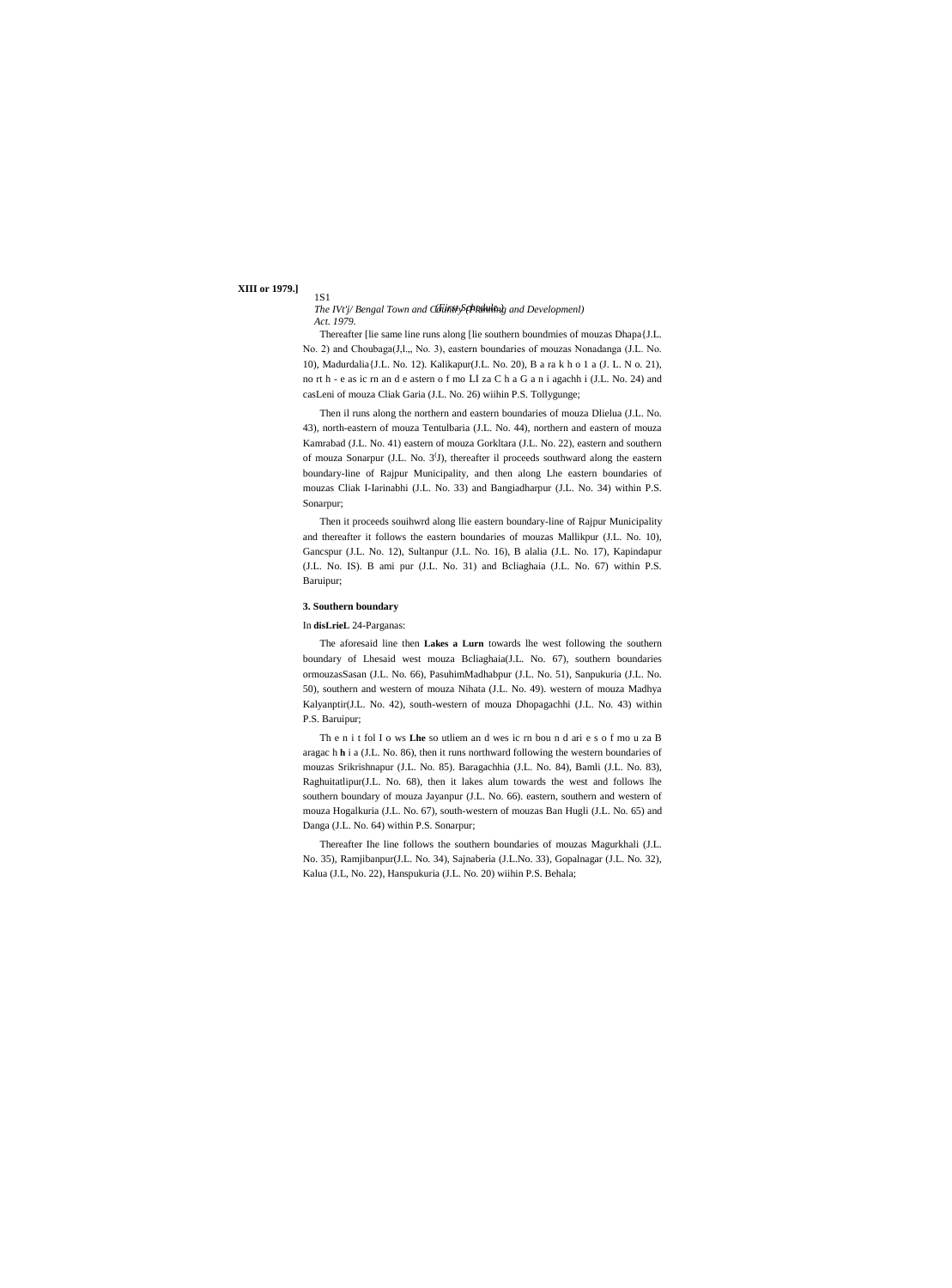# **XIII or 1979.]**

1S1

The IVt'j/ Bengal Town and Cloinsty Schkowling and Developmenl) *Act. 1979.*

Thereafter [lie same line runs along [lie southern boundmies of mouzas Dhapa{J.L. No. 2) and Choubaga(J, l., No. 3), eastern boundaries of mouzas Nonadanga (J.L. No. 10), Madurdalia{J.L. No. 12). Kalikapur(J.L. No. 20), B a ra k h o 1 a (J. L. N o. 21), no rt h - e as ic rn an d e astern o f mo LI za C h a G a n i agachh i (J.L. No. 24) and casLeni of mouza Cliak Garia (J.L. No. 26) wiihin P.S. Tollygunge;

Then il runs along the northern and eastern boundaries of mouza Dlielua (J.L. No. 43), north-eastern of mouza Tentulbaria (J.L. No. 44), northern and eastern of mouza Kamrabad (J.L. No. 41) eastern of mouza Gorkltara (J.L. No. 22), eastern and southern of mouza Sonarpur (J.L. No. 3<sup>(J</sup>), thereafter il proceeds southward along the eastern boundary-line of Rajpur Municipality, and then along Lhe eastern boundaries of mouzas Cliak I-Iarinabhi (J.L. No. 33) and Bangiadharpur (J.L. No. 34) within P.S. Sonarpur;

Then it proceeds souihwrd along llie eastern boundary-line of Rajpur Municipality and thereafter it follows the eastern boundaries of mouzas Mallikpur (J.L. No. 10), Gancspur (J.L. No. 12), Sultanpur (J.L. No. 16), B alalia (J.L. No. 17), Kapindapur (J.L. No. IS). B ami pur (J.L. No. 31) and Bcliaghaia (J.L. No. 67) within P.S. Baruipur;

## **3. Southern boundary**

# In **disLrieL** 24-Parganas:

The aforesaid line then **Lakes a Lurn** towards lhe west following the southern boundary of Lhesaid west mouza Bcliaghaia(J.L. No. 67), southern boundaries ormouzasSasan (J.L. No. 66), PasuhimMadhabpur (J.L. No. 51), Sanpukuria (J.L. No. 50), southern and western of mouza Nihata (J.L. No. 49). western of mouza Madhya Kalyanptir(J.L. No. 42), south-western of mouza Dhopagachhi (J.L. No. 43) within P.S. Baruipur;

Th e n i t fol I o ws **Lhe** so utliem an d wes ic rn bou n d ari e s o f mo u za B aragac h **h** i a (J.L. No. 86), then it runs northward following the western boundaries of mouzas Srikrishnapur (J.L. No. 85). Baragachhia (J.L. No. 84), Bamli (J.L. No. 83), Raghuitatlipur(J.L. No. 68), then it lakes alum towards the west and follows lhe southern boundary of mouza Jayanpur (J.L. No. 66). eastern, southern and western of mouza Hogalkuria (J.L. No. 67), south-western of mouzas Ban Hugli (J.L. No. 65) and Danga (J.L. No. 64) within P.S. Sonarpur;

Thereafter Ihe line follows the southern boundaries of mouzas Magurkhali (J.L. No. 35), Ramjibanpur(J.L. No. 34), Sajnaberia (J.L.No. 33), Gopalnagar (J.L. No. 32), Kalua (J.L, No. 22), Hanspukuria (J.L. No. 20) wiihin P.S. Behala;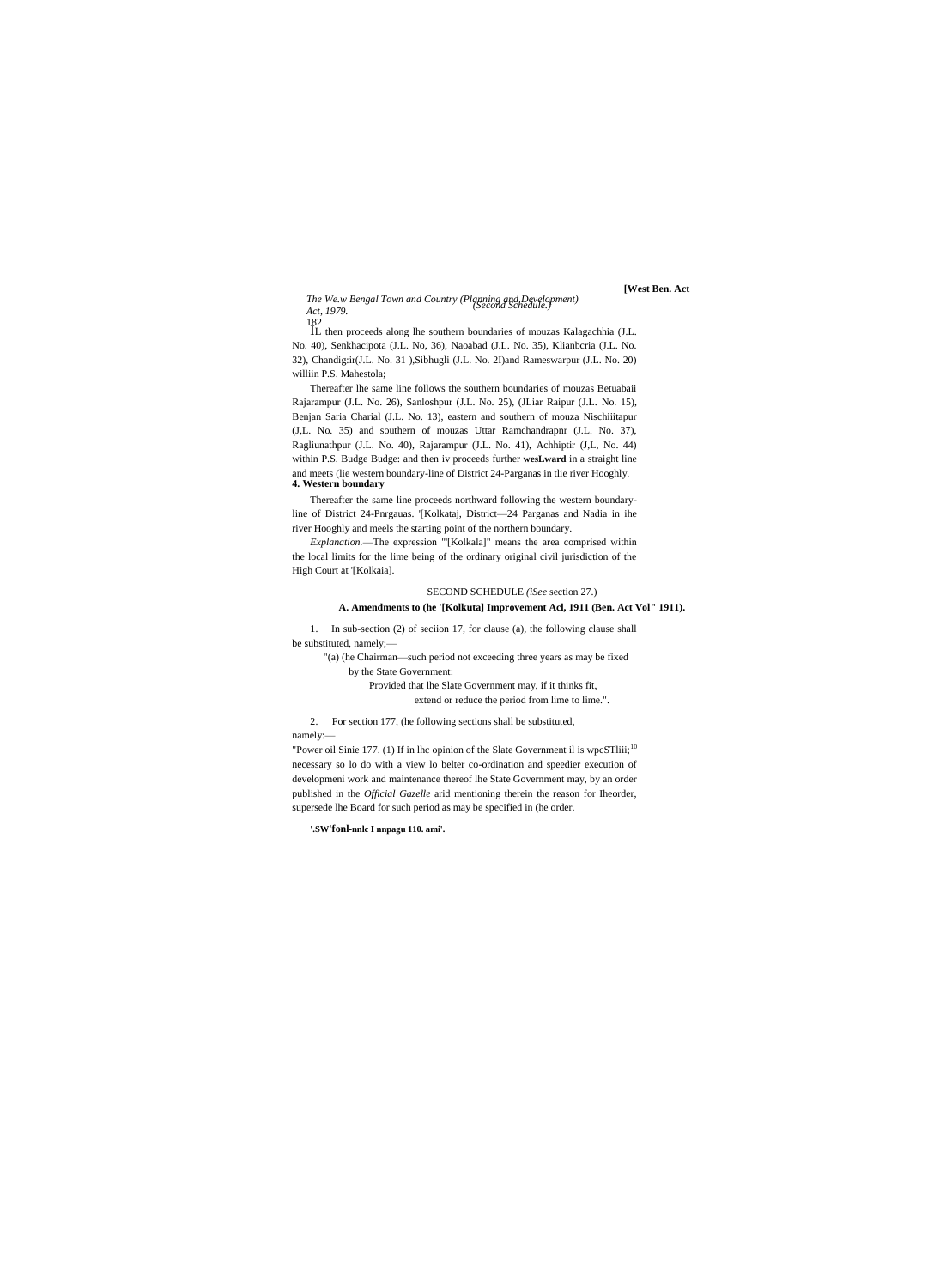**[West Ben. Act**

*The We.w Bengal Town and Country (Planning and Development) (Second Schedule.) Act, 1979.*

182 IL then proceeds along lhe southern boundaries of mouzas Kalagachhia (J.L. No. 40), Senkhacipota (J.L. No, 36), Naoabad (J.L. No. 35), Klianbcria (J.L. No. 32), Chandig:ir(J.L. No. 31 ),Sibhugli (J.L. No. 2I)and Rameswarpur (J.L. No. 20) williin P.S. Mahestola;

Thereafter lhe same line follows the southern boundaries of mouzas Betuabaii Rajarampur (J.L. No. 26), Sanloshpur (J.L. No. 25), (JLiar Raipur (J.L. No. 15), Benjan Saria Charial (J.L. No. 13), eastern and southern of mouza Nischiiitapur (J,L. No. 35) and southern of mouzas Uttar Ramchandrapnr (J.L. No. 37), Ragliunathpur (J.L. No. 40), Rajarampur (J.L. No. 41), Achhiptir (J,L, No. 44) within P.S. Budge Budge: and then iv proceeds further **wesLward** in a straight line and meets (lie western boundary-line of District 24-Parganas in tlie river Hooghly. **4. Western boundary**

Thereafter the same line proceeds northward following the western boundaryline of District 24-Pnrgauas. '[Kolkataj, District—24 Parganas and Nadia in ihe river Hooghly and meels the starting point of the northern boundary.

*Explanation.*—The expression "'[Kolkala]" means the area comprised within the local limits for the lime being of the ordinary original civil jurisdiction of the High Court at '[Kolkaia].

# SECOND SCHEDULE *(iSee* section 27.)

# **A. Amendments to (he '[Kolkuta] Improvement Acl, 1911 (Ben. Act Vol" 1911).**

1. In sub-section (2) of seciion 17, for clause (a), the following clause shall be substituted, namely;—

"(a) (he Chairman—such period not exceeding three years as may be fixed by the State Government:

> Provided that lhe Slate Government may, if it thinks fit, extend or reduce the period from lime to lime.".

2. For section 177, (he following sections shall be substituted, namely:—

"Power oil Sinie 177. (1) If in lhc opinion of the Slate Government il is wpcSTliii;<sup>10</sup> necessary so lo do with a view lo belter co-ordination and speedier execution of developmeni work and maintenance thereof lhe State Government may, by an order published in the *Official Gazelle* arid mentioning therein the reason for Iheorder, supersede lhe Board for such period as may be specified in (he order.

**'.SW'fonl-nnlc I nnpagu 110. ami'.**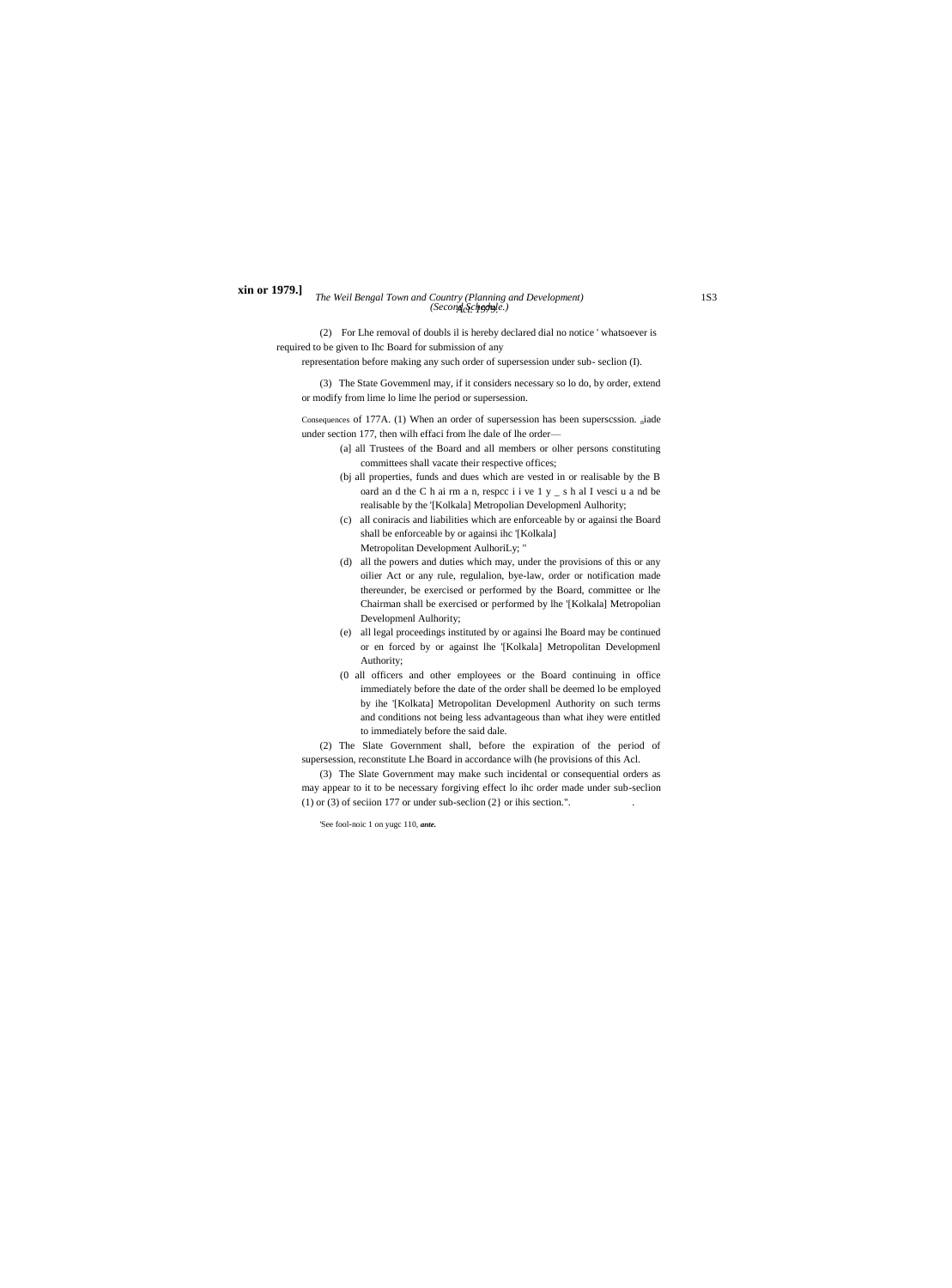### *The Weil Bengal Town and Country (Planning and Development)* 1S3 *Act. 1979. (Second Schedule.)* **xin or 1979.]**

(2) For Lhe removal of doubls il is hereby declared dial no notice ' whatsoever is required to be given to Ihc Board for submission of any

representation before making any such order of supersession under sub- seclion (I).

(3) The State Govemmenl may, if it considers necessary so lo do, by order, extend or modify from lime lo lime lhe period or supersession.

Consequences of 177A. (1) When an order of supersession has been superscssion. niade under section 177, then wilh effaci from lhe dale of lhe order—

- (a] all Trustees of the Board and all members or olher persons constituting committees shall vacate their respective offices;
- (bj all properties, funds and dues which are vested in or realisable by the B oard an d the C h ai rm a n, respcc i i ve 1 y \_ s h al I vesci u a nd be realisable by the '[Kolkala] Metropolian Developmenl Aulhority;
- (c) all coniracis and liabilities which are enforceable by or againsi the Board shall be enforceable by or againsi ihc '[Kolkala]
- Metropolitan Development AulhoriLy; " (d) all the powers and duties which may, under the provisions of this or any oilier Act or any rule, regulalion, bye-law, order or notification made thereunder, be exercised or performed by the Board, committee or lhe Chairman shall be exercised or performed by lhe '[Kolkala] Metropolian Developmenl Aulhority;
- (e) all legal proceedings instituted by or againsi lhe Board may be continued or en forced by or against lhe '[Kolkala] Metropolitan Developmenl Authority;
- (0 all officers and other employees or the Board continuing in office immediately before the date of the order shall be deemed lo be employed by ihe '[Kolkata] Metropolitan Developmenl Authority on such terms and conditions not being less advantageous than what ihey were entitled to immediately before the said dale.

(2) The Slate Government shall, before the expiration of the period of supersession, reconstitute Lhe Board in accordance wilh (he provisions of this Acl.

(3) The Slate Government may make such incidental or consequential orders as may appear to it to be necessary forgiving effect lo ihc order made under sub-seclion (1) or (3) of seciion 177 or under sub-seclion  $(2)$  or ihis section.".

'See fool-noic 1 on yugc 110, *ante.*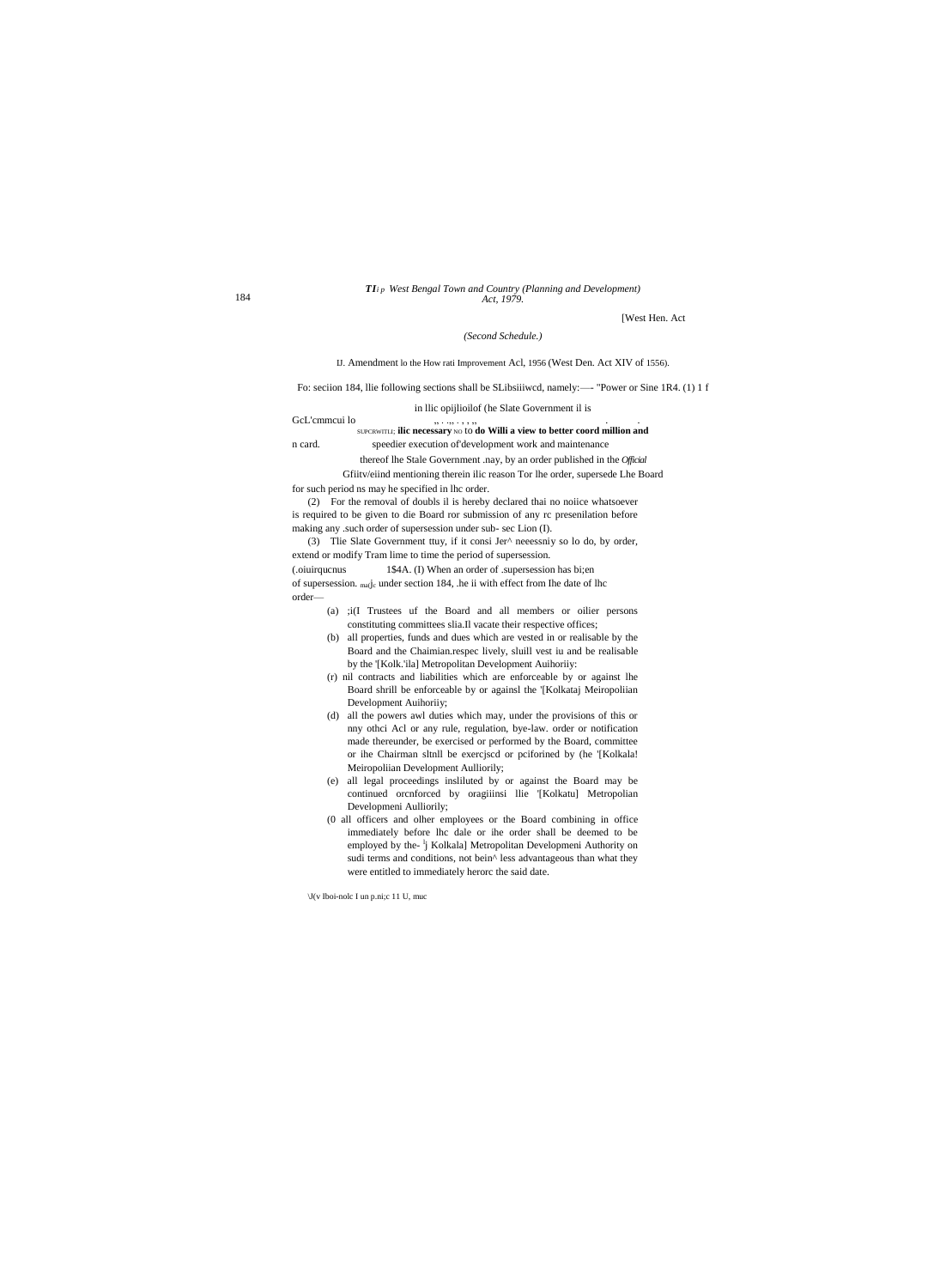### TIip West Bengal Town and Country (Planning and Development) Act, 1979.

[West Hen. Act

## (Second Schedule.)

IJ. Amendment lo the How rati Improvement Acl, 1956 (West Den. Act XIV of 1556).

Fo: seciion 184, llie following sections shall be SLibsiiiwcd, namely:—- "Power or Sine 1R4. (1) 1 f

in Ilic opijlioilof (he Slate Government il is

#### GcL'emmeui lo  $, \ldots, \ldots,$ SUPCRWITLI; ilic necessary NO to do Willi a view to better coord million and speedier execution of development work and maintenance n card.

thereof lhe Stale Government .nay, by an order published in the Official Gfiitv/eiind mentioning therein ilic reason Tor lhe order, supersede Lhe Board for such period ns may he specified in lhc order.

(2) For the removal of doubls il is hereby declared thai no noiice whatsoever is required to be given to die Board ror submission of any rc presenilation before making any .such order of supersession under sub- sec Lion (I).

(3) Tlie Slate Government ttuy, if it consi Jer^ neeessniy so lo do, by order, extend or modify Tram lime to time the period of supersession.

(.oiuirquenus 1\$4A. (I) When an order of .supersession has bi;en of supersession. <sub>ma</sub> $j_c$  under section 184, .he ii with effect from Ihe date of lhc

order-

- (a) ;i(I Trustees uf the Board and all members or oilier persons constituting committees slia. Il vacate their respective offices;
- (b) all properties, funds and dues which are vested in or realisable by the Board and the Chaimian.respec lively, sluill vest iu and be realisable by the '[Kolk.'ila] Metropolitan Development Auihoriiy:
- (r) nil contracts and liabilities which are enforceable by or against lhe Board shrill be enforceable by or againsl the '[Kolkataj Meiropoliian Development Auihoriiy;
- (d) all the powers awl duties which may, under the provisions of this or nny othci Acl or any rule, regulation, bye-law. order or notification made thereunder, be exercised or performed by the Board, committee or ihe Chairman sltnll be exercjscd or pciforined by (he '[Kolkala! Meiropoliian Development Aulliorily;
- (e) all legal proceedings insliluted by or against the Board may be continued orcnforced by oragiiinsi llie '[Kolkatu] Metropolian Developmeni Aulliorily;
- (0 all officers and olher employees or the Board combining in office immediately before lhc dale or ihe order shall be deemed to be employed by the-<sup>1</sup>j Kolkala] Metropolitan Developmeni Authority on sudi terms and conditions, not bein<sup>^</sup> less advantageous than what they were entitled to immediately herorc the said date.

 $U(v$  Iboi-nolc I un p.ni; c 11 U, muc

184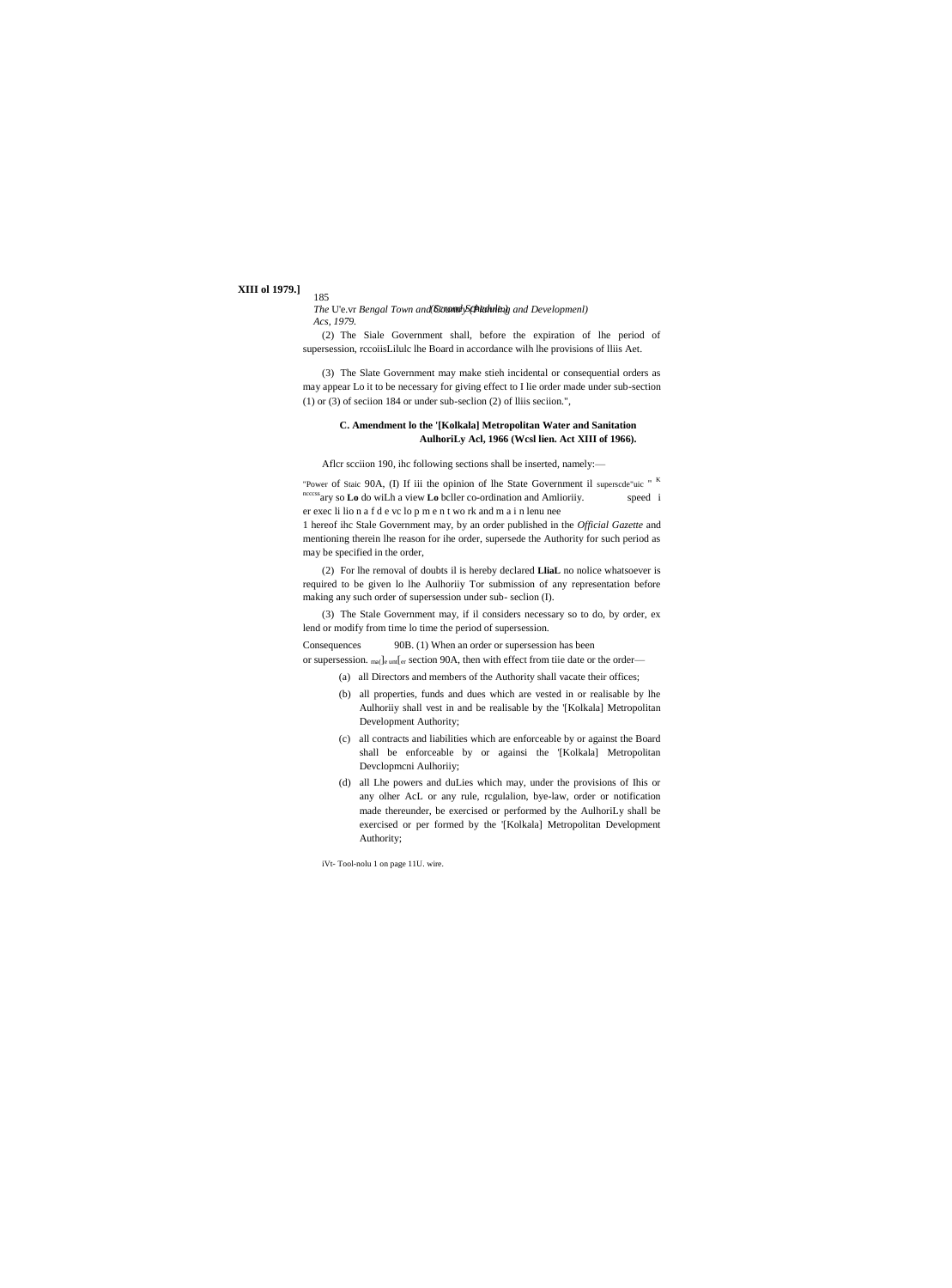# **XIII** ol 1979.]

185

The U'e.vr Bengal Town and *Canond Schkduling* and Developmenl) Acs, 1979.

(2) The Siale Government shall, before the expiration of lhe period of supersession, recoiisLilule lhe Board in accordance wilh lhe provisions of Iliis Aet.

(3) The Slate Government may make stieh incidental or consequential orders as may appear Lo it to be necessary for giving effect to I lie order made under sub-section  $(1)$  or  $(3)$  of section 184 or under sub-section  $(2)$  of Iliis section.",

# C. Amendment lo the '[Kolkala] Metropolitan Water and Sanitation AulhoriLy Acl, 1966 (Wesl lien. Act XIII of 1966).

Aflcr scciion 190, ihc following sections shall be inserted, namely:-

"Power of Staic 90A, (I) If iii the opinion of lhe State Government il superscde"uic " K  $\frac{1}{2}$  are sets ary so **Lo** do wiLh a view **Lo** beller co-ordination and Amlioriiy. speed i er exec li lion a f d e vc lo p m e n t work and m a i n lenu nee

1 hereof ihc Stale Government may, by an order published in the Official Gazette and mentioning therein lhe reason for ihe order, supersede the Authority for such period as may be specified in the order,

(2) For lhe removal of doubts il is hereby declared LliaL no nolice whatsoever is required to be given lo lhe Aulhoriiy Tor submission of any representation before making any such order of supersession under sub-seclion (I).

(3) The Stale Government may, if il considers necessary so to do, by order, ex lend or modify from time lo time the period of supersession.

90B. (1) When an order or supersession has been Consequences

or supersession. ma(le unt[er section 90A, then with effect from tiie date or the order—

- (a) all Directors and members of the Authority shall vacate their offices;
- (b) all properties, funds and dues which are vested in or realisable by lhe Aulhoriiy shall vest in and be realisable by the '[Kolkala] Metropolitan Development Authority;
- (c) all contracts and liabilities which are enforceable by or against the Board shall be enforceable by or againsi the '[Kolkala] Metropolitan Developmeni Aulhoriiy;
- (d) all Lhe powers and duLies which may, under the provisions of Ihis or any olher AcL or any rule, regulalion, bye-law, order or notification made thereunder, be exercised or performed by the AulhoriLy shall be exercised or per formed by the '[Kolkala] Metropolitan Development Authority;

iVt-Tool-nolu 1 on page 11U. wire.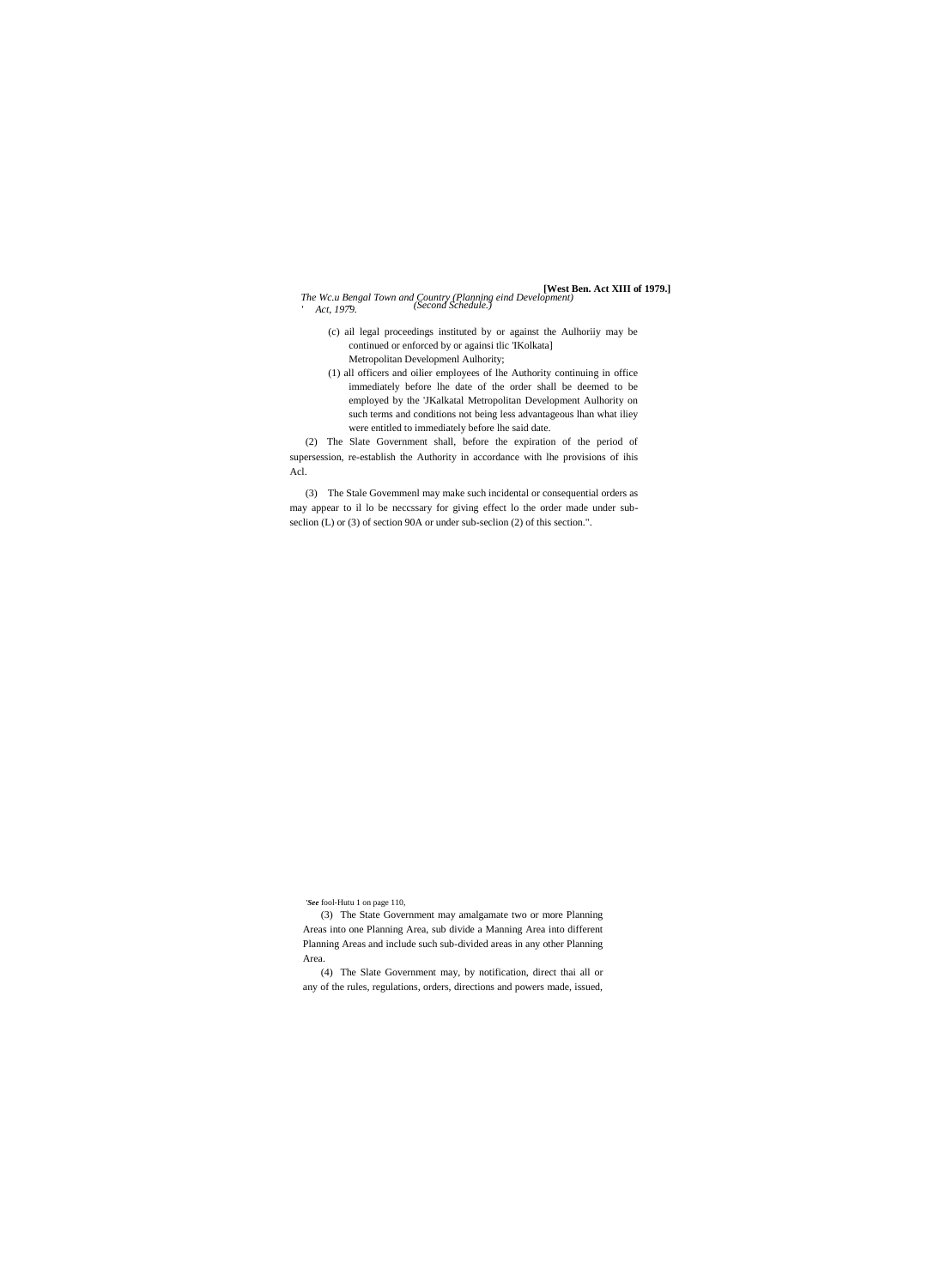#### *The Wc.u Bengal Town and Country (Planning eind Development) ' Act, 1979.* **[West Ben. Act XIII of 1979.]** *- (Second Schedule.)*

- (c) ail legal proceedings instituted by or against the Aulhoriiy may be continued or enforced by or againsi tlic 'IKolkata] Metropolitan Developmenl Aulhority;
- (1) all officers and oilier employees of lhe Authority continuing in office immediately before lhe date of the order shall be deemed to be employed by the 'JKalkatal Metropolitan Development Aulhority on such terms and conditions not being less advantageous lhan what iliey were entitled to immediately before lhe said date.

(2) The Slate Government shall, before the expiration of the period of supersession, re-establish the Authority in accordance with lhe provisions of ihis Acl.

(3) The Stale Govemmenl may make such incidental or consequential orders as may appear to il lo be neccssary for giving effect lo the order made under subseclion (L) or (3) of section 90A or under sub-seclion (2) of this section.".

*'See* fool-Hutu 1 on page 110,

(3) The State Government may amalgamate two or more Planning Areas into one Planning Area, sub divide a Manning Area into different Planning Areas and include such sub-divided areas in any other Planning Area.

(4) The Slate Government may, by notification, direct thai all or any of the rules, regulations, orders, directions and powers made, issued,